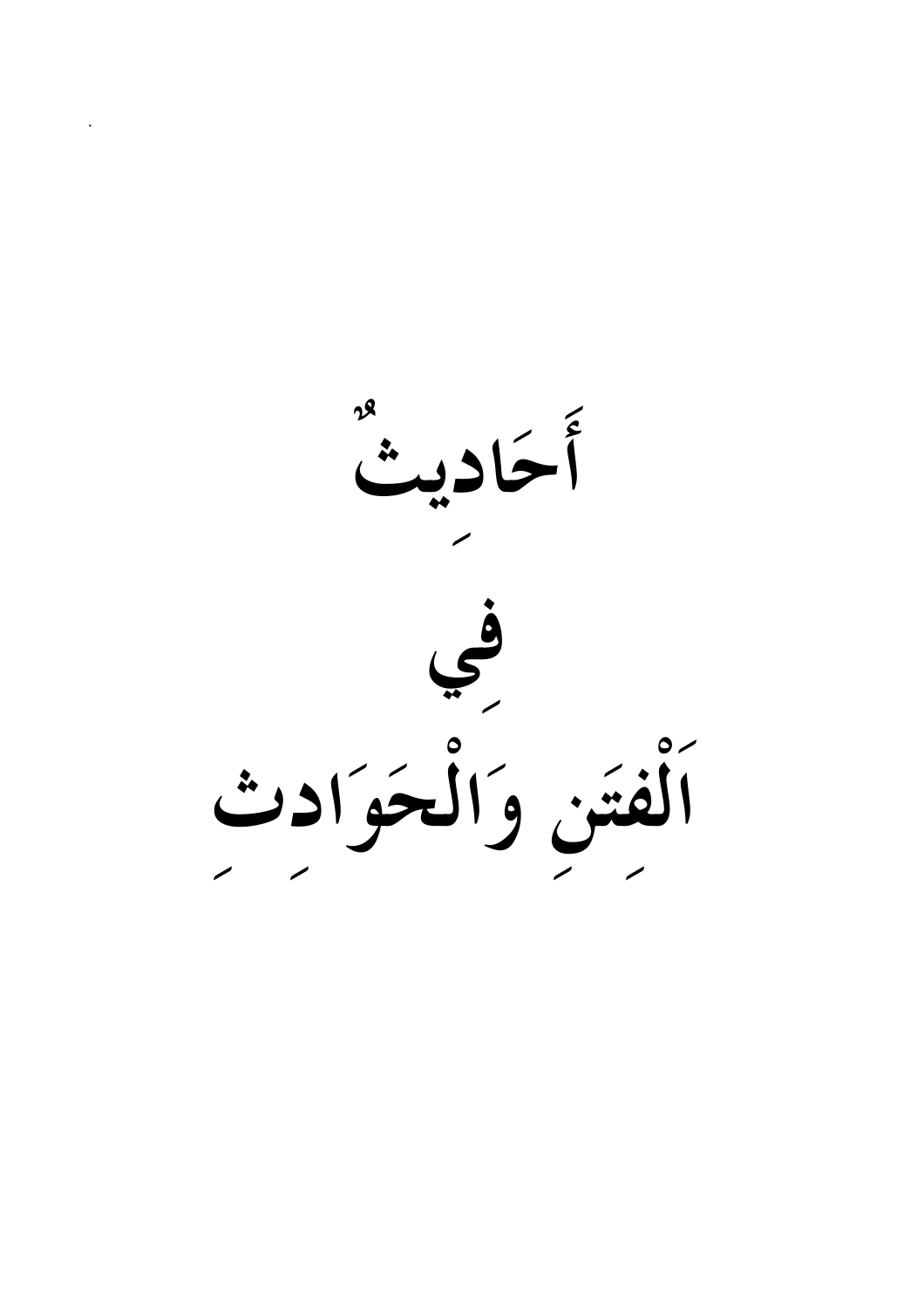أحاديث في ألفتن والحوادث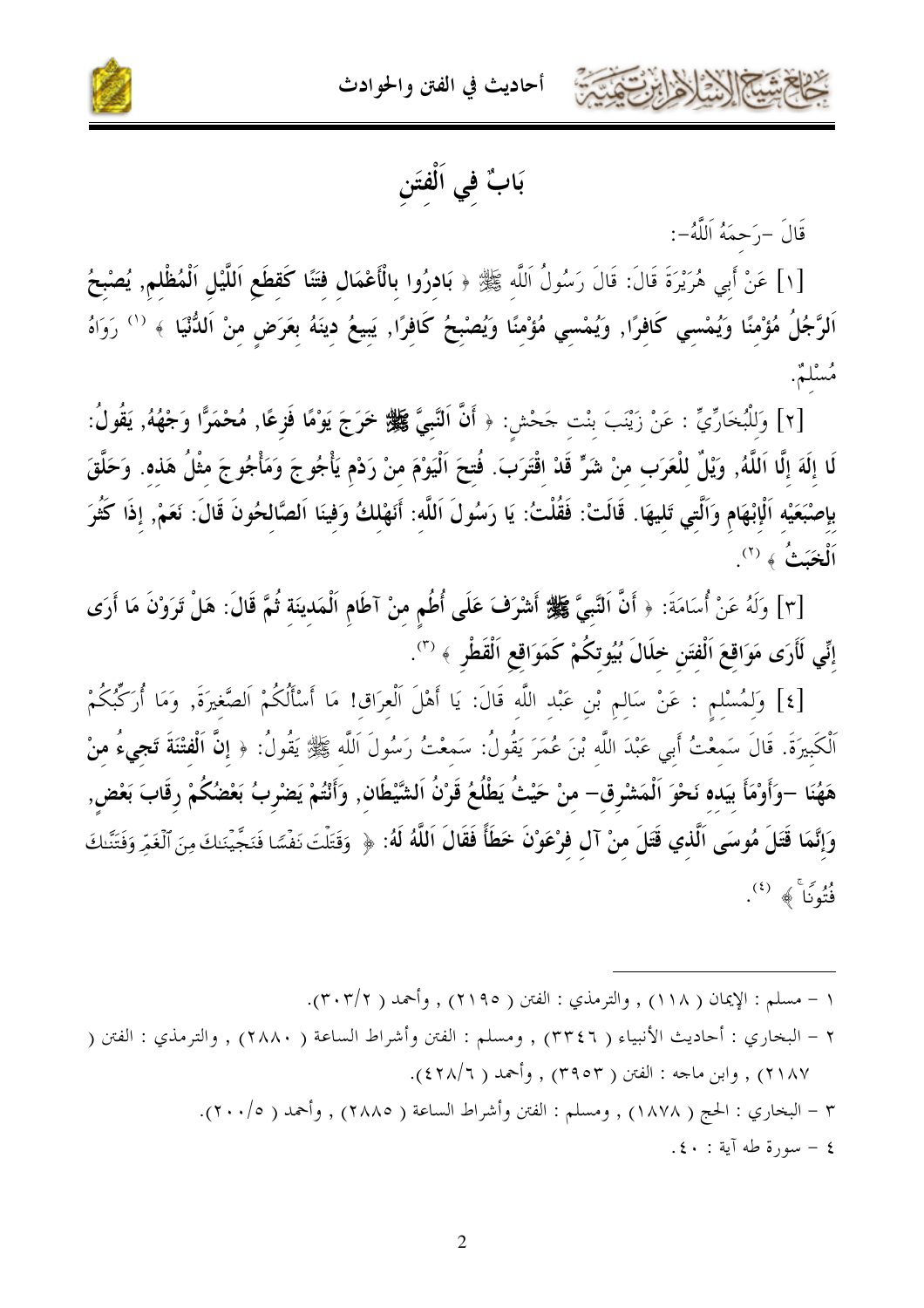



بَابٌ فِي اَلْفتَنِ

قَالَ –رَحمَهُ اَللَّهُ–:

[١] عَنْ أَبِي هُرَيْرَةَ قَالَ: قَالَ رَسُولُ اَللَّهِ ﷺ ﴿ بَادِرُوا بِالْأَعْمَالِ فِتَنَّا كَقِطَعِ اَللَّيْلِ اَلْمُظْلِمِ, يُصْبِحُ اَلرَّجُلُ مُؤْمِنًا وَيُمْسِي كَافِرًا, وَيُمْسِي مُؤْمِنًا وَيُصْبِحُ كَافِرًا, يَبِيعُ دِينَهُ بِعَرَضٍ مِنْ اَلدُّنْيَا ﴾ <sup>(١)</sup> رَوَاهُ مُسْلَمٌ.

[٢] وَلِلْبُخَارِّيِّ : عَنْ زَيْنَبَ بِنْتِ حَحْشِ: ﴿ أَنَّ الْتَبِيَّ ﷺ خَرَجَ يَوْمًا فَزِعًا, مُحْمَرًّا وَجْهُهُ, يَقُولُ: لَا إِلَهَ إِلَّا اَللَّهُ, وَيْلٌ لِلْعَرَبِ مِنْ شَرٍّ قَدْ إِقْتَرَبَ. فُتِحَ اَلْيَوْمَ مِنْ رَدْمِ يَأْجُوجَ وَمَأْجُوجَ مِثْلُ هَذِهِ. وَحَلَّقَ بِإِصْبَعَيْهِ اَلْإِبْهَامِ وَاَلَّتِي تَلِيهَا. قَالَتْ: فَقُلْتُ: يَا رَسُولَ اَللَّهِ: أَنَهْلِكُ وَفِينَا اَلصَّالِحُونَ قَالَ: نَعَمْ, إِذَا كَثُرَ اَلْخَبَتُ ﴾ (٢).

[٣] وَلَهُ عَنْ أُسَامَةَ: ﴿ أَنَّ النَّبِيَّ ﷺ أَشْرَفَ عَلَى أُطُمٍ مِنْ آطَامٍ اَلْمَدِينَةِ ثُمَّ قَالَ: هَلْ تَرَوْنَ مَا أَرَى إِنِّي لَأَرَى مَوَاقِعَ اَلْفِتَنِ خِلَالَ بُيُوتِكُمْ كَمَوَاقِعِ اَلْقَطْرِ ﴾ (".

[٤] وَلِمُسْلِمٍ : عَنْ سَالِمٍ بْنِ عَبْدِ اللَّهِ قَالَ: يَا أَهْلَ اَلْعِرَاقِ! مَا أَسْأَلُكُمْ اَلصَّغيرَةَ, وَمَا أُرَكِّبُكُمْ اَلْكَبِيرَةَ. قَالَ سَمِعْتُ أَبِي عَبْدَ اللَّهِ بْنَ عُمَرَ يَقُولُ: سَمِعْتُ رَسُولَ اَللَّهِ ﷺ يَقُولُ: ﴿ إِنَّ اَلْفِتْنَةَ تَجِيءُ مِنْ هَهُنَا –وَأَوْمَأَ بِيَدِهِ نَحْوَ اَلْمَشْرِقِ– مِنْ حَيْثُ يَطْلُعُ قَرْنُ اَلشَّيْطَانِ, وَأَنْتُمْ يَضْرِبُ بَعْضُكُمْ رِقَابَ بَعْضٍ, وَإِنَّمَا قَتَلَ مُوسَى اَلَّذِي قَتَلَ مِنْ آلِ فِرْعَوْنَ خَطَأً فَقَالَ اَللَّهُ لَهُ: ﴿ وَقَتَلْتَ نَفْسًا فَنَجَّينَنكَ مِنَ ٱلْغَمِّ وَفَتَنَّكَ  $\stackrel{(3)}{\bigcirc \pi} \stackrel{(3)}{\bigcirc \pi}$ فَتُونَا

١ – مسلم : الإيمان ( ١١٨) , والترمذي : الفتن ( ٢١٩٥) , وأحمد ( ٣٠٣/٢). ٢ – البخاري : أحاديث الأنبياء ( ٣٣٤٦) , ومسلم : الفتن وأشراط الساعة ( ٢٨٨٠) , والترمذي : الفتن ( ٢١٨٧) , وابن ماحه : الفتن ( ٣٩٥٣) , وأحمد ( ٤٢٨/١). ٣ – البخاري : الحج ( ١٨٧٨) , ومسلم : الفتن وأشراط الساعة ( ٢٨٨٥) , وأحمد ( ٢٠٠/٥). ٤ - سورة طه آية : ٤٠.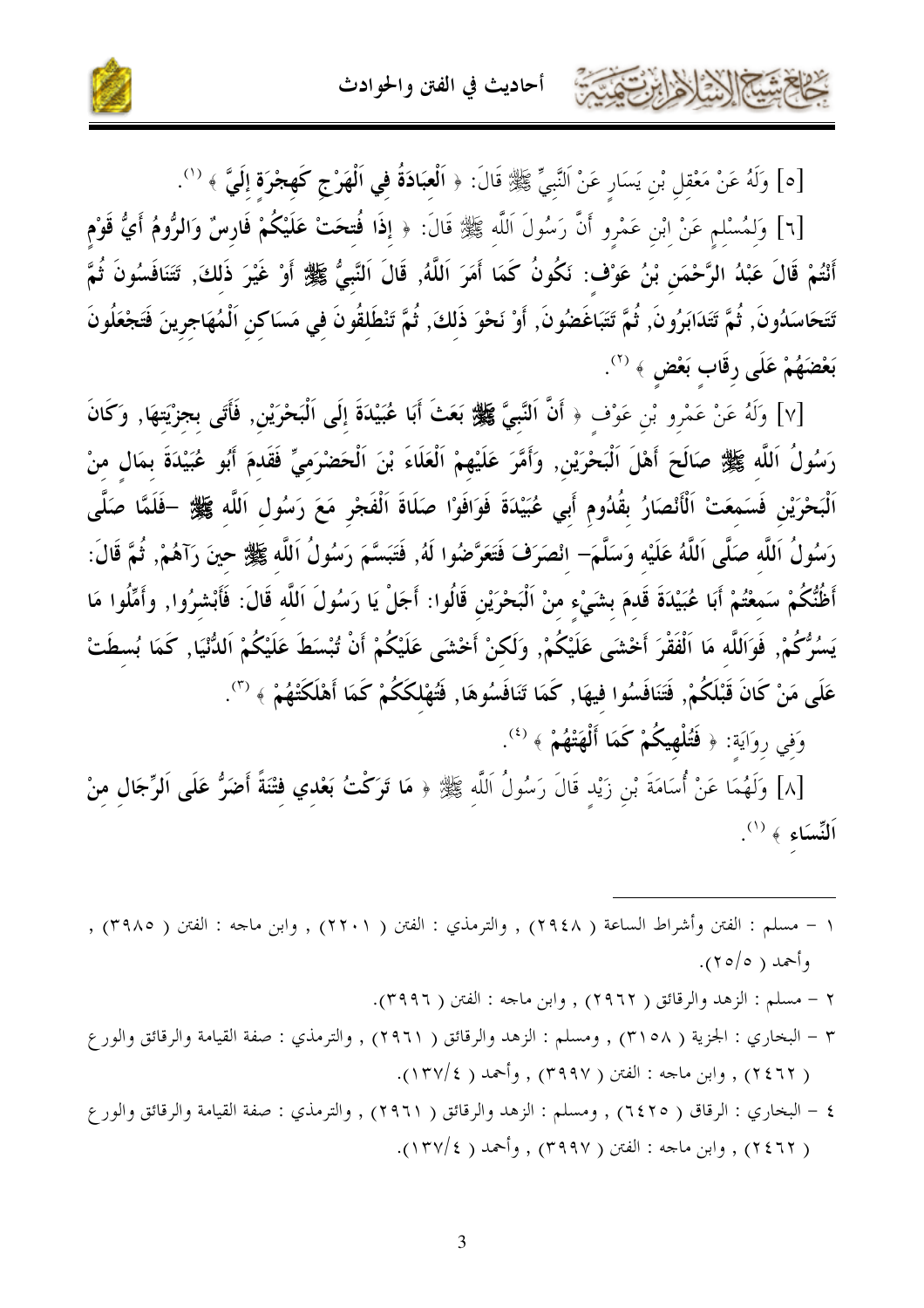

[٥] وَلَهُ عَنْ مَعْقل بْن يَسَار عَنْ اَلنَّبِيِّ ﷺ قَالَ: ﴿ اَلْعَبَادَةُ فِي اَلْهَرْجِ كَهِجْرَة إِلَيَّ ﴾ (''.

[٦] وَلمُسْلم عَنْ ابْنِ عَمْرِو أَنَّ رَسُولَ اَللَّه ﷺ قَالَ: ﴿ إِذَا فُتحَتْ عَلَيْكُمْ فَارِسٌ وَالرُّومُ أَيُّ قَوْم أَنْتُمْ قَالَ عَبْدُ الرَّحْمَنِ بْنُ عَوْف: نَكُونُ كَمَا أَمَرَ اَللَّهُ, قَالَ اَلنَّبيُّ ﷺ أَوْ غَيْرَ ذَلكَ, تَتَنَافَسُونَ ثُمَّ تَتَحَاسَدُونَ, ثُمَّ تَتَدَابَرُونَ, ثُمَّ تَتَبَاغَضُونَ, أَوْ نَحْوَ ذَلكَ, ثُمَّ تَنْطَلقُونَ في مَسَاكن اَلْمُهَاجرينَ فَتَجْعَلُونَ بَعْضَهُمْ عَلَى رقَاب بَعْض ﴾ (آ).

[٧] وَلَهُ عَنْ عَمْرو بْن عَوْف ﴿ أَنَّ النَّبِيَّ ﷺ بَعَثَ أَبَا عُبَيْدَةَ إِلَى اَلْبَحْرَيْنِ, فَأَتَى بجزْيَتهَا, وَكَانَ رَسُولُ اَللَّه ﷺ صَالَحَ أَهْلَ اَلْبَحْرَيْنِ, وَأَمَّرَ عَلَيْهِمْ اَلْعَلَاءَ بْنَ اَلْحَضْرَميِّ فَقَدمَ أَبُو عُبَيْدَةَ بمَالٍ منْ اَلْبَحْرَيْنِ فَسَمعَتْ اَلْأَنْصَارُ بقُدُومٍ أَبِي عُبَيْدَةَ فَوَافَوْا صَلَاةَ اَلْفَجْرِ مَعَ رَسُول اَللَّه ﷺ –فَلَمَّا صَلَّى رَسُولُ اَللَّه صَلَّى اَللَّهُ عَلَيْه وَسَلَّمَ— انْصَرَفَ فَتَعَرَّضُوا لَهُ, فَتَبَسَّمَ رَسُولُ اَللّه ﷺ حينَ رَآهُمْ, ثُمَّ قَالَ: أَظُنُّكُمْ سَمعْتُمْ أَبَا عُبَيْدَةَ قَدمَ بشَيْء منْ اَلْبَحْرَيْنِ قَالُوا: أَجَلْ يَا رَسُولَ اَللَّه قَالَ: فَأَبْشرُوا, وأَمِّلُوا مَا يَسُرُّكُمْ, فَوَاللَّه مَا اَلْفَقْرَ أَحْشَى عَلَيْكُمْ, وَلَكنْ أَحْشَى عَلَيْكُمْ أَنْ تُبْسَطَ عَلَيْكُمْ اَللُّنْيَا, كَمَا بُسطَتْ عَلَى مَنْ كَانَ قَبْلَكُمْ, فَتَنَافَسُوا فِيهَا, كَمَا تَنَافَسُوهَا, فَتُهْلكَكُمْ كَمَا أَهْلَكَتْهُمْ ﴾ (٣).

وَفي روَايَة: ﴿ فَتُلْهِيكُمْ كَمَا أَلْهَتْهُمْ ﴾ (').

حمشا الحراة ابن

[٨] وَلَهُمَا عَنْ أُسَامَةَ بْنِ زَيْدٍ قَالَ رَسُولُ اَللَّه ﷺ ﴿ مَا تَرَكْتُ بَعْدِي فَتْنَةً أَضَرُّ عَلَى اَلرِّجَالِ منْ اَلتِّسَاء ﴾  $^{\left(\prime\right)}$ .

- ١ مسلم : الفتن وأشراط الساعة ( ٢٩٤٨) , والترمذي : الفتن ( ٢٢٠١) , وابن ماحه : الفتن ( ٣٩٨٥) , وأحمد ( ٢٥/٥).
	- ٢ مسلم : الزهد والرقائق ( ٢٩٦٢) , وابن ماجه : الفتن ( ٣٩٩٦).
- ٣ البخاري : الجزية ( ٣١٥٨) , ومسلم : الزهد والرقائق ( ٢٩٦١) , والترمذي : صفة القيامة والرقائق والور ع ( ٢٤٦٢) , وابن ماجه : الفتن ( ٣٩٩٧) , وأحمد ( ١٣٧/٤).
- ٤ البخاري : الرقاق ( ٦٤٢٥) , ومسلم : الزهد والرقائق ( ٢٩٦١) , والترمذي : صفة القيامة والرقائق والورع ( ٢٤٦٢) , وابن ماجه : الفتن ( ٣٩٩٧) , وأحمد ( ١٣٧/٤).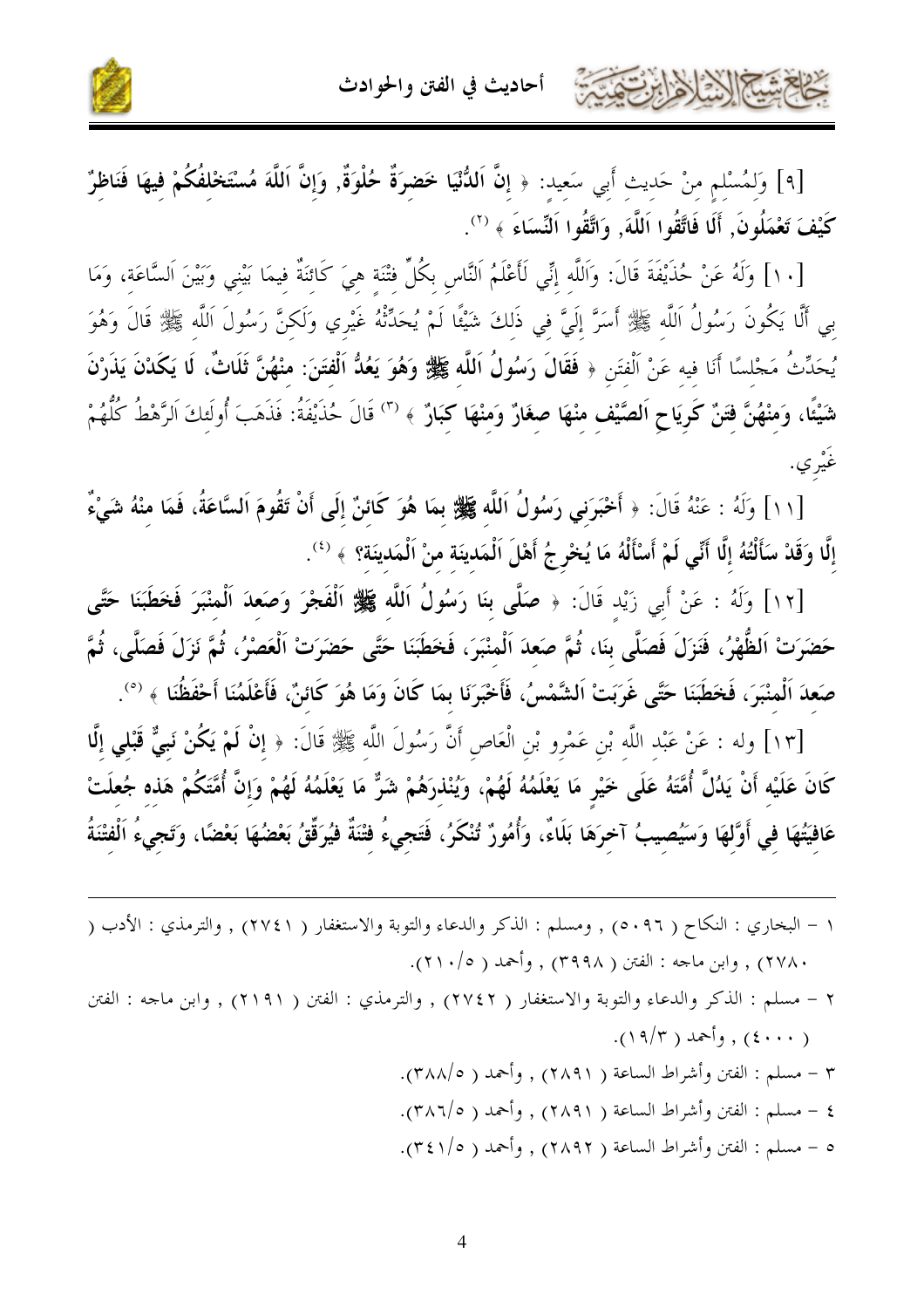كالحشار الأزايرتون



[٩] وَلِمُسْلِمٍ مِنْ حَدِيتِ أَبِي سَعِيدٍ: ﴿ إِنَّ اَللَّنْيَا خَضِرَةٌ حُلْوَةٌ, وَإِنَّ اَللَّهَ مُسْتَخْلفُكُمْ فيهَا فَنَاظِرٌ كَيْفَ تَعْمَلُونَ, أَلَا فَاتَّقُوا اَللَّهَ, وَاتَّقُوا اَلنِّسَاءَ ﴾ <sup>(٢)</sup>.

[١٠] وَلَهُ عَنْ حُذَيْفَةَ قَالَ: وَاَللَّه إنِّي لَأَعْلَمُ اَلنَّاسِ بِكُلِّ فتْنَة هِيَ كَائِنَةٌ فيمَا بَيْنِي وَبَيْنَ اَلسَّاعَةِ، وَمَا بي أَلَّا يَكُونَ رَسُولُ اَللَّه ﷺ أَسَرَّ إلَيَّ في ذَلكَ شَيْئًا لَمْ يُحَدِّثْهُ غَيْرِي وَلَكنَّ رَسُولَ اَللَّه ﷺ قَالَ وَهُوَ يُحَدِّثُ مَجْلسًا أَنَا فيه عَنْ اَلْفتَن ﴿ فَقَالَ رَسُولُ اَللَّه ﷺ وَهُوَ يَعُلُّ اَلْفتَنَ: منْهُنَّ ثَلَاثٌ، لَا يَكَدْنَ يَذَرْنَ شَيْئًا، وَمِنْهُنَّ فِتَنٌ كَرِيَاحٍ اَلصَّيْف منْهَا صغَارٌ وَمنْهَا كَبَارٌ ﴾  $^{(7)}$  قَالَ حُذَيْفَةُ: فَذَهَبَ أُولَئكَ اَلرَّهْطُ كُلُّهُمْ غَيْري.

[١١] وَلَهُ : عَنْهُ قَالَ: ﴿ أَخْبَرَنِي رَسُولُ اَللَّه ﷺ بِمَا هُوَ كَائنٌ إِلَى أَنْ تَقُومَ اَلسَّاعَةُ، فَمَا منْهُ شَيْءٌ إِلَّا وَقَدْ سَأَلْتُهُ إِلَّا أَنِّي لَمْ أَسْأَلْهُ مَا يُخْرِجُ أَهْلَ اَلْمَدينَة منْ اَلْمَدينَة؟ ﴾ <sup>(٤)</sup>.

[١٢] وَلَهُ : عَنْ أَبِي زَيْد قَالَ: ﴿ صَلَّى بِنَا رَسُولُ اَللَّه ﷺ اَلْفَجْرَ وَصَعِدَ اَلْمِنْبَرَ فَخَطَبَنَا حَتَّى حَضَرَتْ اَلظُّهْرُ، فَنَزَلَ فَصَلَّى بنَا، ثُمَّ صَعدَ اَلْمنْبَرَ، فَخَطَبَنَا حَتَّى حَضَرَتْ اَلْعَصْرُ، ثُمَّ نَزَلَ فَصَلَّى، ثُمَّ صَعدَ اَلْمنْبَرَ، فَخَطَبَنَا حَتَّى غَرَبَتْ اَلشَّمْسُ، فَأَحْبَرَنَا بمَا كَانَ وَمَا هُوَ كَائنٌ، فَأَعْلَمُنَا أَحْفَظُنَا ﴾ <sup>(°)</sup>.

[١٣] وله : عَنْ عَبْد اللَّه بْنِ عَمْرِو بْنِ الْعَاصِ أَنَّ رَسُولَ اللَّه ﷺ قَالَ: ﴿ **إِنْ لَمْ يَكُنْ نَبِيٌّ قَبْلَى إِلَّا** كَانَ عَلَيْه أَنْ يَدُلَّ أُمَّتَهُ عَلَى خَيْرٍ مَا يَعْلَمُهُ لَهُمْ، وَيُنْذرَهُمْ شَرٌّ مَا يَعْلَمُهُ لَهُمْ وَإِنَّ أُمَّتَكُمْ هَذه جُعلَتْ عَافيَتُهَا في أَوَّلهَا وَسَيُصيبُ آخرَهَا بَلَاءٌ، وَأُمُورٌ تُنْكَرُ، فَتَجيءُ فتْنَةٌ فيُرَقَّقُ بَعْضُهَا بَعْضًا، وَتَجيءُ اَلْفتْنَةُ

- ١ البخاري : النكاح ( ٥٠٩٦) , ومسلم : الذكر والدعاء والتوبة والاستغفار ( ٢٧٤١) , والترمذي : الأدب ( ۲۷۸۰) , وابن ماجه : الفتن ( ۳۹۹۸) , وأحمد ( ۲۱۰/۰).
- ٢ مسلم : الذكر والدعاء والتوبة والاستغفار ( ٢٧٤٢) , والترمذي : الفتن ( ٢١٩١) , وابن ماجه : الفتن . ( ۱۹/۳ ) , وأحمد ( ۱۹/۳).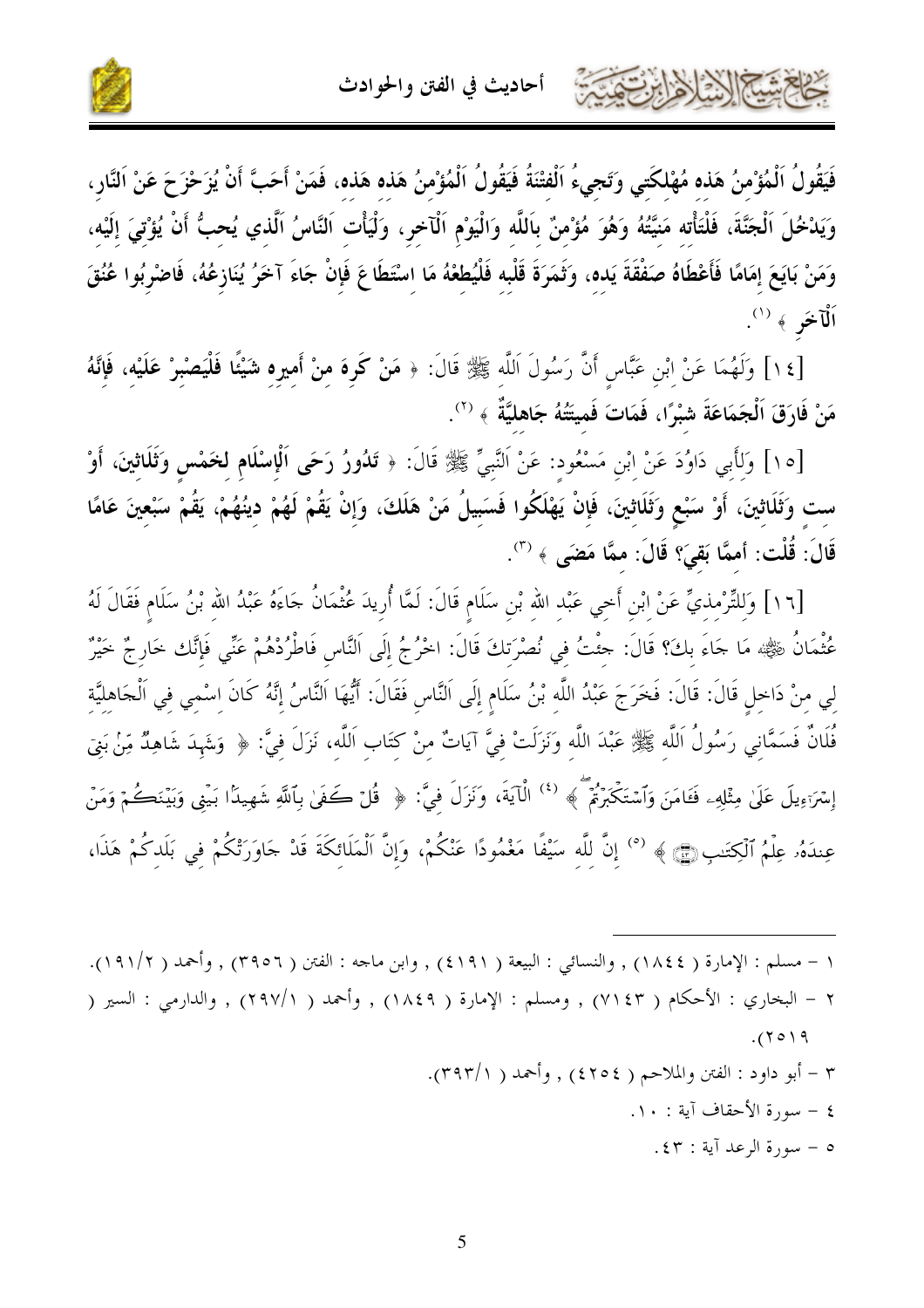

فَيَقُولُ اَلْمُؤْمنُ هَذه مُهْلكَتي وَتَجيءُ اَلْفتْنَةُ فَيَقُولُ اَلْمُؤْمنُ هَذه هَذه، فَمَنْ أَحَبَّ أَنْ يُزَحْزَحَ عَنْ النَّارِ، وَيَدْخُلَ اَلْجَنَّةَ، فَلْتَأْته مَنِيَّتُهُ وَهُوَ مُؤْمِنٌ بِاَللَّهِ وَالْيَوْمِ اَلْآخِرِ، وَلْيَأْت النَّاسُ الَّذي يُحبُّ أَنْ يُؤْتِيَ إِلَيْه، وَمَنْ بَايَعَ إِمَامًا فَأَعْطَاهُ صَفْقَةَ يَدِهِ، وَثَمَرَةَ قَلْبِهِ فَلْيُطِعْهُ مَا اِسْتَطَاعَ فَإِنْ جَاءَ آخَرُ يُنَازِعُهُ، فَاضْرِبُوا عُنُقَ أَلْآخَرِ ﴾ (').

[١٤] وَلَهُمَا عَنْ ابْنِ عَبَّاسٍ أَنَّ رَسُولَ اَللَّهِ ﷺ قَالَ: ﴿ مَنْ كَوِهَ مِنْ أَمِيرِهِ شَيْئًا فَلْيَصْبِرْ عَلَيْهِ، فَإِنَّهُ مَنْ فَارَقَ اَلْجَمَاعَةَ شبْرًا، فَمَاتَ فَميتَتُهُ جَاهليَّةٌ ﴾  $^{(7)}$ .

[١٥] وَلِأَبِي دَاوُدَ عَنْ إِبْنِ مَسْعُودٍ: عَنْ اَلنَّبِيِّ ﷺ قَالَ: ﴿ تَدُورُ رَحَى اَلْإِسْلَامِ لِخَمْسِ وَثَلَاثِينَ، أَوْ ست وَثَلَاثينَ، أَوْ سَبْع وَثَلَاثينَ، فَإِنْ يَهْلَكُوا فَسَبيلُ مَنْ هَلَكَ، وَإِنْ يَقُمْ لَهُمْ دِينُهُمْ، يَقُمْ سَبْعِينَ عَامًا قَالَ: قُلْت: أممَّا بَقيَ؟ قَالَ: ممَّا مَضَى ﴾  $^{(\texttt{r})}$ .

[١٦] وَللتِّرْمذيِّ عَنْ ابْنِ أَحيى عَبْد الله بْن سَلَام قَالَ: لَمَّا أُريدَ عُثْمَانُ جَاءَهُ عَبْدُ الله بْنُ سَلَام فَقَالَ لَهُ عُثْمَانُ ﷺ، مَا حَاءَ بكَ؟ قَالَ: حثْتُ في نُصْرَتكَ قَالَ: اخْرُجُ إلَى اَلنَّاس فَاطْرُدْهُمْ عَنّي فَإنَّك خَارجٌ خَيْرٌ لِي منْ دَاخِلِ قَالَ: قَالَ: فَخَرَجَ عَبْدُ اللَّهِ بْنُ سَلَامٍ إِلَى اَلنَّاسِ فَقَالَ: أَيُّهَا اَلنَّاسُ إِنَّهُ كَانَ اسْمِي فِي اَلْجَاهِلِيَّةِ فُلَانٌ فَسَمَّانِي رَسُولُ اَللَّهِ ﷺ عَبْدَ اللَّهِ وَنَزَلَتْ فِيَّ آيَاتٌ مِنْ كِتَابِ اَللَّهِ، نَزَلَ فِيَّ: ﴿ وَشَهِدَ شَاهِدٌ مِّنْ بَنِى إِسْرَءِيلَ عَلَىٰ مِثْلَهِۦ فَـَامَنَ وَٱسْتَكْبَرْتُمْ ﴾ <sup>(٤)</sup> الْآيَةَ، وَنَزَلَ فِيَّ: ﴿ قُلْ كَفَىٰ بِٱللَّهِ شَهِيدًا بَيْنِى وَبَيْنَكُمْ وَمَنْ عِندَهُۥ عِلْمُ ٱلْكِتَنبِ ۞ ﴾ (°) إنَّ للَّه سَيْفًا مَغْمُودًا عَنْكُمْ، وَإِنَّ الْمَلَائكَةَ قَدْ جَاوَرَتْكُمْ في بَلَدكُمْ هَذَا،

١ – مسلم : الإمارة ( ١٨٤٤) , والنسائي : البيعة ( ٤١٩١) , وابن ماحه : الفتن ( ٣٩٥٦) , وأحمد ( ١٩١/٢). ٢ – البخاري : الأحكام ( ٧١٤٣) , ومسلم : الإمارة ( ١٨٤٩) , وأحمد ( ٢٩٧/١) , والدارمي : السير (  $(1019$ ٣ - أبو داود : الفتن والملاحم ( ٤٢٥٤) , وأحمد ( ٣٩٣/١). ٤ – سورة الأحقاف آية : ١٠. ٥ - سورة الرعد آية : ٤٣.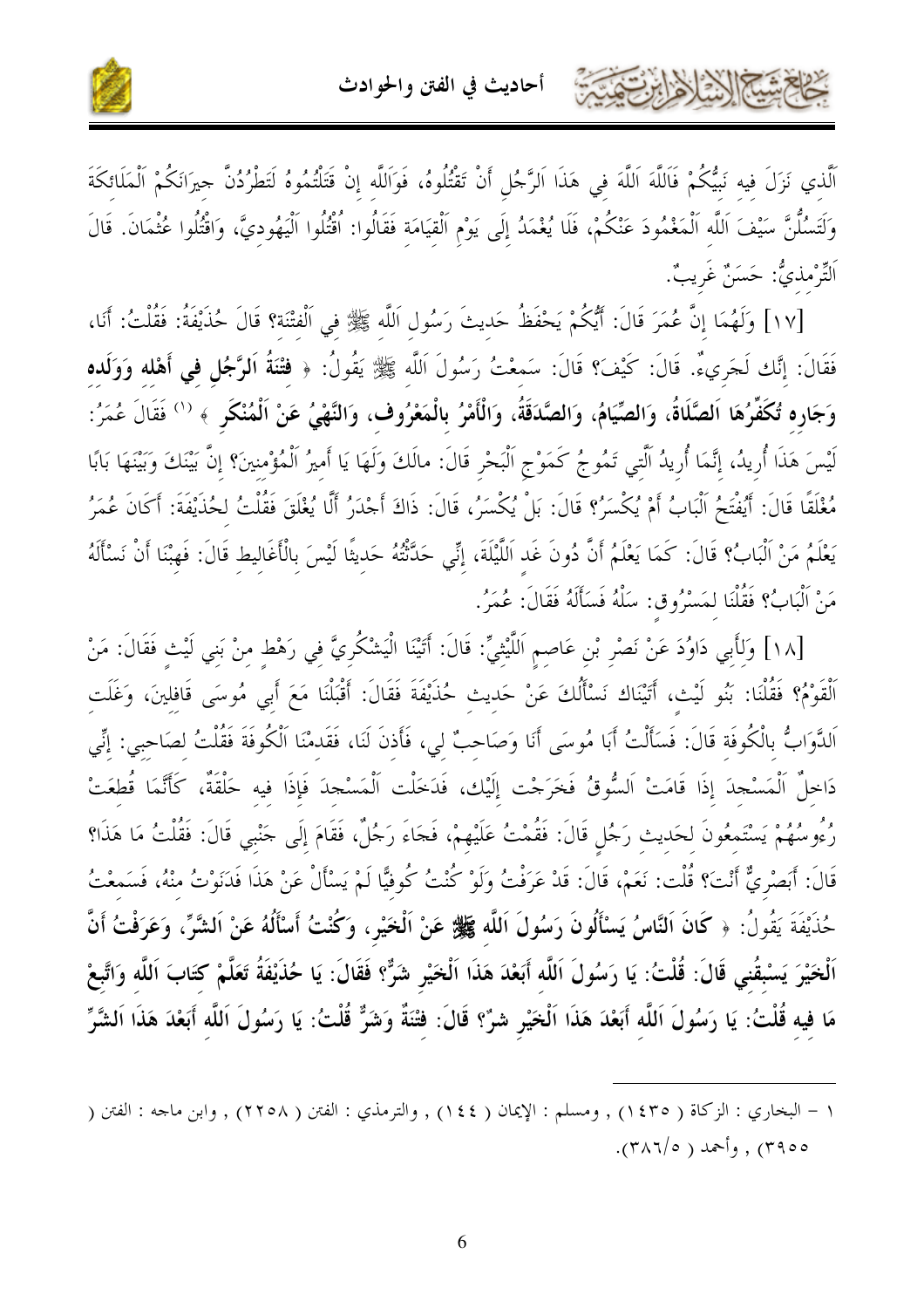أحاديث في الفتن والحوادث

 $\frac{1}{2}$  = 12 = 12 = 22



اَلَّذِي نَزَلَ فِيهِ نَبِيُّكُمْ فَاَللَّهَ اَللَّهَ فِي هَذَا اَلرَّجُل أَنْ تَقْتُلُوهُ، فَوَاَللَّه إنْ قَتَلْتُمُوهُ لَتَطْرُدُنَّ حيرَانَكُمْ اَلْمَلَائكَةَ وَلَتَسُلُّنَّ سَيْفَ اَللَّهِ اَلْمَغْمُودَ عَنْكُمْ، فَلَا يُغْمَدُ إِلَى يَوْمِ اَلْقِيَامَةِ فَقَالُوا: اُقْتُلُوا اَلْيَهُودِيَّ، وَاقْتُلُوا عُتْمَانَ. قَالَ اَلتِّرْمذيُّ: حَسَنٌ غَريبٌ.

[١٧] وَلَهُمَا إِنَّ عُمَرَ قَالَ: أَيُّكُمْ يَحْفَظُ حَدِيتَ رَسُولِ اَللَّهِ ﷺ فِي اَلْفتْنَة؟ قَالَ حُذَيْفَةُ: فَقُلْتُ: أَنَا، فَقَالَ: إنَّك لَجَريءٌ. قَالَ: كَيْفَ؟ قَالَ: سَمعْتُ رَسُولَ اَللَّه ﷺ يَقُولُ: ﴿ فَتْنَةُ اَلرَّجُل في أَهْله وَوَلَده وَجَارِه تُكَفِّرُهَا اَلصَّلَاةُ، وَالصِّيَامُ، وَالصَّدَقَةُ، وَالْأَمْرُ بِالْمَعْرُوف، وَالنَّهْيُ عَنْ اَلْمُنْكَر ﴾ ('' فَقَالَ عُمَرُ: لَيْسَ هَذَا أُرِيدُ، إنَّمَا أُرِيدُ الَّتي تَمُوجُ كَمَوْجِ اَلْبَحْرِ قَالَ: مالَكَ وَلَهَا يَا أَميرُ اَلْمُؤْمنينَ؟ إنَّ بَيْنَكَ وَبَيْنَهَا بَابًا مُغْلَقًا قَالَ: أَيُفْتَحُ اَلْبَابُ أَمْ يُكْسَرُ؟ قَالَ: بَلْ يُكْسَرُ، قَالَ: ذَاكَ أَجْدَرُ أَلَّا يُغْلَقَ فَقُلْتُ لحُذَيْفَةَ: أَكَانَ عُمَرُ يَعْلَمُ مَنْ اَلْبَابُ؟ قَالَ: كَمَا يَعْلَمُ أَنَّ دُونَ غَد اَللَّيْلَةَ، إنِّي حَدَّتْتُهُ حَديثًا لَيْسَ بالْأَغَاليط قَالَ: فَهِبْنَا أَنْ نَسْأَلَهُ مَنْ اَلْبَابُ؟ فَقُلْنَا لمَسْرُوق: سَلْهُ فَسَأَلَهُ فَقَالَ: عُمَرُ.

[١٨] وَلأَبي دَاوُدَ عَنْ نَصْر بْن عَاصِم اَللَّيْتِيِّ: قَالَ: أَتَيْنَا الْيَشْكُرِيَّ في رَهْط منْ بَني لَيْث فَقَالَ: مَنْ اَلْقَوْمُ؟ فَقُلْنَا: بَنُو لَيْتْ، أَتَيْنَاك نَسْأَلُكَ عَنْ حَديث حُذَيْفَةَ فَقَالَ: أَقْبَلْنَا مَعَ أَبي مُوسَى قَافلينَ، وَغَلَت اَلدَّوَابٌ بِالْكُوفَة قَالَ: فَسَأَلْتُ أَبَا مُوسَى أَنَا وَصَاحبٌ لي، فَأَذنَ لَنَا، فَقَدمْنَا اَلْكُوفَةَ فَقُلْتُ لصَاحبي: إنِّي دَاخلٌ اَلْمَسْجِدَ إِذَا قَامَتْ اَلسُّوقُ فَخَرَجْت إِلَيْكِ، فَدَخَلْت اَلْمَسْجِدَ فَإِذَا فِيه حَلْقَةٌ، كَأَنَّمَا قُطعَتْ رُءُو سُهُمْ يَسْتَمعُونَ لحَديث رَجُل قَالَ: فَقُمْتُ عَلَيْهِمْ، فَجَاءَ رَجُلٌ، فَقَامَ إلَى جَنْبي قَالَ: فَقُلْتُ مَا هَذَا؟ قَالَ: أَبَصْرِيٌّ أَنْتَ؟ قُلْت: نَعَمْ، قَالَ: قَدْ عَرَفْتُ وَلَوْ كُنْتُ كُوفيًّا لَمْ يَسْأَلْ عَنْ هَذَا فَدَنَوْتُ منْهُ، فَسَمعْتُ حُذَيْفَةَ يَقُولُ: ﴿ كَانَ اَلنَّاسُ يَسْأَلُونَ رَسُولَ اَللَّه ﷺ عَنْ اَلْخَيْرِ، وَكُنْتُ أَسْأَلُهُ عَنْ الشَّرِّ، وَعَرَفْتُ أَنَّ اَلْخَيْرَ يَسْبِقُنِي قَالَ: قُلْتُ: يَا رَسُولَ اَللَّه أَبَعْدَ هَذَا اَلْخَيْرِ شَرٌّ؟ فَقَالَ: يَا حُذَيْفَةُ تَعَلَّمْ كَتَابَ اَللَّه وَاتَّبعْ مَا فيه قُلْتُ: يَا رَسُولَ اَللَّه أَبَعْدَ هَذَا اَلْخَيْرِ شرٌ؟ قَالَ: فتْنَةٌ وَشَرٌّ قُلْتُ: يَا رَسُولَ اَللَّه أَبَعْدَ هَذَا اَلشَّرِّ

١ – البخاري : الزكاة ( ١٤٣٥) , ومسلم : الإيمان ( ١٤٤) , والترمذي : الفتن ( ٢٢٥٨) , وابن ماجه : الفتن ( ۴۹٥٥) , وأحمد ( ٣٨٦/٥).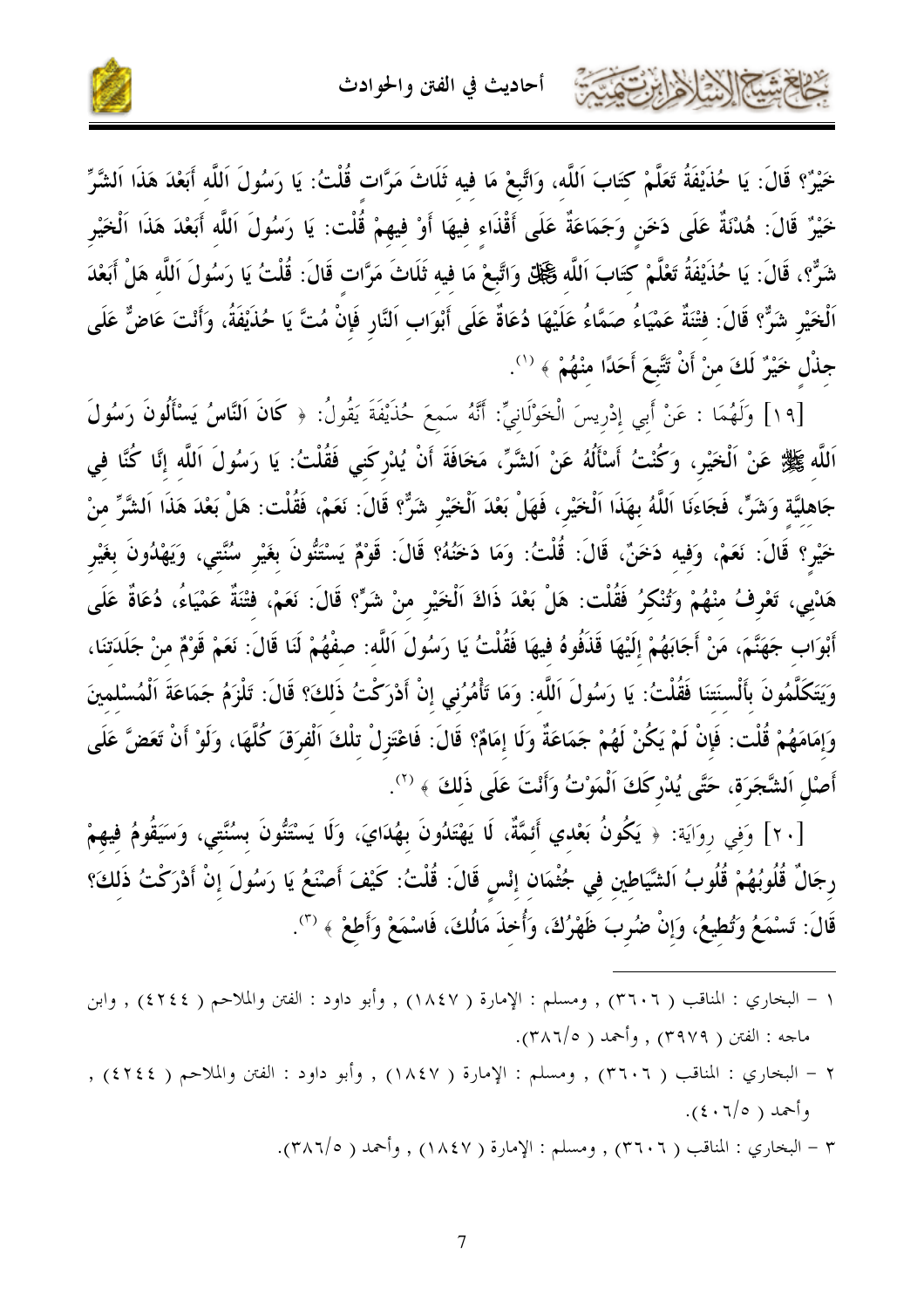

خَيْرٌ؟ قَالَ: يَا حُذَيْفَةُ تَعَلَّمْ كِتَابَ اَللَّه، وَاتَّبعْ مَا فيه ثَلَاثَ مَرَّات قُلْتُ: يَا رَسُولَ اَللَّه أَبَعْدَ هَذَا اَلشَّرِّ حَيْرٌ قَالَ: هُدْنَةٌ عَلَى دَخَن وَجَمَاعَةٌ عَلَى أَقْذَاء فِيهَا أَوْ فِيهِمْ قُلْت: يَا رَسُولَ اَللَّه أَبَعْدَ هَذَا اَلْخَيْر شَرٌّ؟، قَالَ: يَا حُذَيْفَةُ تَعْلَّمْ كتَابَ اَللَّه ڲَلِّكَ وَاتَّبعْ مَا فيه ثَلَاثَ مَرَّات قَالَ: قُلْتُ يَا رَسُولَ اَللَّه هَلْ أَبَعْدَ اَلْخَيْرِ شَرٌّ؟ قَالَ: فتْنَةٌ عَمْيَاءُ صَمَّاءُ عَلَيْهَا دُعَاةٌ عَلَى أَبْوَاب اَلنَّارِ فَإِنْ مُتَّ يَا حُذَيْفَةُ، وَأَنْتَ عَاضٌّ عَلَى جذْل خَيْرٌ لَكَ منْ أَنْ تَتَّبعَ أَحَدًا منْهُمْ ﴾ (''.

[١٩] وَلَهُمَا : عَنْ أَبِي إِدْرِيسَ الْخَوْلَانِيِّ: أَنَّهُ سَمعَ حُذَيْفَةَ يَقُولُ: ﴿ كَانَ اَلنَّاسُ يَسْأَلُونَ رَسُولَ اَللَّه ﷺ عَنْ اَلْخَيْرِ، وَكُنْتُ أَسْأَلُهُ عَنْ اَلشَّرِّ، مَخَافَةَ أَنْ يُدْرِكَني فَقُلْتُ: يَا رَسُولَ اَللَّه إنَّا كُنَّا في جَاهليَّة وَشَرٍّ، فَجَاءَنَا اَللَّهُ بهَذَا اَلْخَيْرِ، فَهَلْ بَعْدَ اَلْخَيْرِ شَرٌّ؟ قَالَ: نَعَمْ، فَقُلْت: هَلْ بَعْدَ هَذَا اَلشَّرِّ منْ حَيْر؟ قَالَ: نَعَمْ، وَفيه دَخَنٌ، قَالَ: قُلْتُ: وَمَا دَخَنُهُ؟ قَالَ: قَوْمٌ يَسْتَتُونَ بغَيْر سُنَّتي، وَيَهْدُونَ بغَيْر هَدْيي، تَعْرِفُ منْهُمْ وَتُنْكرُ فَقُلْت: هَلْ بَعْدَ ذَاكَ اَلْخَيْرِ منْ شَرٍّ؟ قَالَ: نَعَمْ، فتْنَةٌ عَمْيَاءُ، دُعَاةٌ عَلَى أَبْوَاب جَهَنَّمَ، مَنْ أَجَابَهُمْ إِلَيْهَا قَذَفُوهُ فيهَا فَقُلْتُ يَا رَسُولَ اَللَّه: صفْهُمْ لَنَا قَالَ: نَعَمْ قَوْمٌ منْ جَلَدَتنَا، وَيَتَكَلَّمُونَ بِأَلْسنَتنَا فَقُلْتُ: يَا رَسُولَ اَللَّه: وَمَا تَأْمُرُنِي إِنْ أَدْرَكْتُ ذَلكَ؟ قَالَ: تَلْزَمُ جَمَاعَةَ اَلْمُسْلمينَ وَإِمَامَهُمْ قُلْت: فَإِنْ لَمْ يَكُنْ لَهُمْ جَمَاعَةٌ وَلَا إِمَامٌ؟ قَالَ: فَاعْتَزِلْ تلْكَ اَلْفرَقَ كُلَّهَا، وَلَوْ أَنْ تَعَضَّ عَلَى أَصْلِ اَلشَّجَرَة، حَتَّى يُدْرِكَكَ اَلْمَوْتُ وَأَنْتَ عَلَى ذَلكَ ﴾ (`'.

[٢٠] وَفي روَايَة: ﴿ يَكُونُ بَعْدي أَئمَّةٌ، لَا يَهْتَدُونَ بِهُدَايَ، وَلَا يَسْتَتُونَ بِسُنَّتِي، وَسَيَقُومُ فيهمْ رجَالٌ قُلُوبُهُمْ قُلُوبُ اَلشَّيَاطين في جُثْمَان إنْس قَالَ: قُلْتُ: كَيْفَ أَصْنَعُ يَا رَسُولَ إنْ أَدْرَكْتُ ذَلكَ؟ قَالَ: تَسْمَعُ وَتُطيعُ، وَإِنْ ضُربَ ظَهْرُكَ، وَأُخذَ مَالُكَ، فَاسْمَعْ وَأَطعْ ﴾ (٣).

- ١ البخاري : المناقب ( ٣٦٠٦) , ومسلم : الإمارة ( ١٨٤٧) , وأبو داود : الفتن والملاحم ( ٤٢٤٤) , وابن ماجه : الفتن ( ٣٩٧٩) , وأحمد ( ٣٨٦/٥).
- ٢ البخاري : المناقب ( ٣٦٠٦) , ومسلم : الإمارة ( ١٨٤٧) , وأبو داود : الفتن والملاحم ( ٤٢٤٤) , وأحمد ( ٢/٥).
	- ٣ البخاري : المناقب ( ٣٦٠٦) , ومسلم : الإمارة ( ١٨٤٧) , وأحمد ( ٣٨٦/٥).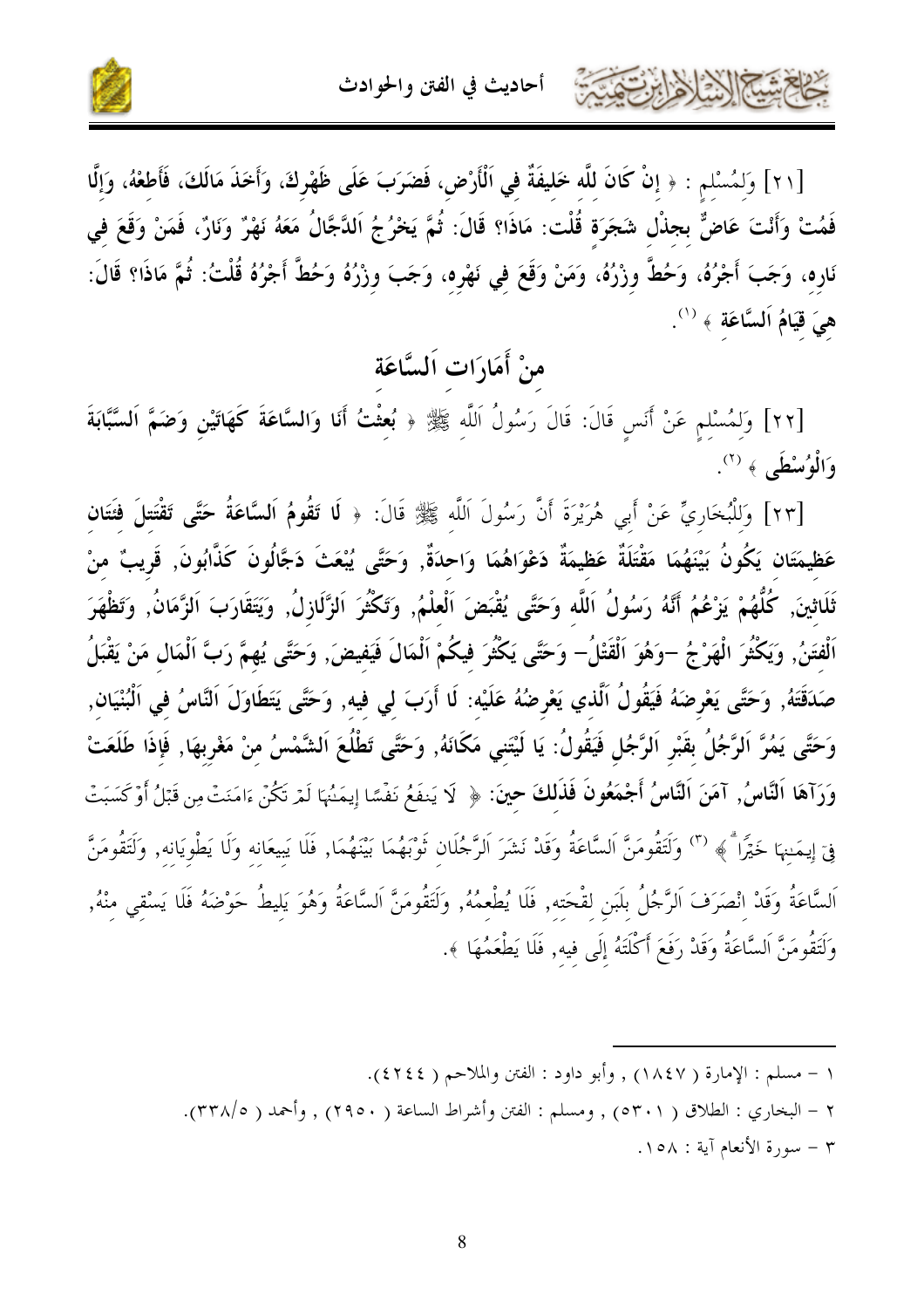

[٢١] وَلمُسْلم : ﴿ إِنْ كَانَ للَّه خَلِيفَةٌ فِي اَلْأَرْضِ، فَضَرَبَ عَلَى ظَهْرِكَ، وَأَخَذَ مَالَكَ، فَأطعْهُ، وَإِلَّا فَمُتْ وَأَنْتَ عَاضٌ بجذْل شَجَرَة قُلْت: مَاذَا؟ قَالَ: ثُمَّ يَحْرُجُ اَلدَّجَّالُ مَعَهُ نَهْرٌ وَنَارٌ، فَمَنْ وَقَعَ في نَارِهِ، وَجَبَ أَجْرُهُ، وَحُطٌّ وِزْرُهُ، وَمَنْ وَقَعَ فِي نَهْرِهِ، وَجَبَ وِزْرُهُ وَحُطٌّ أَجْرُهُ قُلْتُ: ثُمَّ مَاذَا؟ قَالَ: هيَ قِيَامُ اَلسَّاعَة ﴾ (''.

### منْ أَمَارَات اَلسَّاعَة

[٢٢] وَلِمُسْلِمٍ عَنْ أَنَسٍ قَالَ: قَالَ رَسُولُ اَللَّهِ ﷺ ﴿ بُعِثْتُ أَنَا وَالسَّاعَةَ كَهَاتَيْنِ وَضَمَّ اَلسَّبَّابَةَ وَالْوُسْطَى ﴾ (٢).

[٢٣] وَللْبُخَارِيِّ عَنْ أَبِي هُرَيْرَةَ أَنَّ رَسُولَ اَللَّه ﷺ قَالَ: ﴿ لَا تَقُومُ اَلسَّاعَةُ حَتَّى تَقْتَتلَ فَتَتَان عَظيمَتَان يَكُونُ بَيْنَهُمَا مَقْتَلَةٌ عَظيمَةٌ دَعْوَاهُمَا وَاحدَةٌ, وَحَتَّى يُبْعَثَ دَجَّالُونَ كَذَّابُونَ, قَريبٌ منْ ثَلَاثينَ, كُلُّهُمْ يَزْعُمُ أَنَّهُ رَسُولُ اَللَّه وَحَتَّى يُقْبَضَ اَلْعلْمُ, وَتَكْثُرَ اَلزَّلَازلُ, وَيَتَقَارَبَ اَلزَّمَانُ, وَتَظْهَرَ اَلْفتَنُ, وَيَكْثُرَ الْهَرْجُ –وَهُوَ اَلْقَتْلُ– وَحَتَّى يَكْثُرَ فيكُمْ اَلْمَالَ فَيَفيضَ, وَحَتَّى يُهمَّ رَبَّ اَلْمَال مَنْ يَقْبَلُ صَدَقَتَهُ, وَحَتَّى يَعْرِضَهُ فَيَقُولُ اَلَّذي يَعْرِضُهُ عَلَيْه: لَا أَرَبَ لي فيه, وَحَتَّى يَتَطَاوَلَ اَلنَّاسُ في اَلْبُنْيَان, وَحَتَّى يَمُرَّ اَلرَّجُلُ بِقَبْرِ اَلرَّجُلِ فَيَقُولُ: يَا لَيْتَنِي مَكَانَهُ, وَحَتَّى تَطْلُعَ الشَّمْسُ مِنْ مَغْرِبِهَا, فَإِذَا طَلَعَتْ وَرَآهَا اَلنَّاسُ, آمَنَ اَلنَّاسُ أَجْمَعُونَ فَذَلكَ حينَ: ﴿ لَا يَنفَعُ نَفْسًا إِيمَنُهَا لَمْ تَكُنَّ ءَامَنَتْ مِن قَبْلُ أَوْكَسَبَتْ فِيّ إِيمَـٰنِهَا خَيْرًا ۗ ﴾ (" وَلَتَقُومَنَّ اَلسَّاعَةُ وَقَدْ نَشَرَ اَلرَّحُلَان تَوْبَهُمَا بَيْنَهُمَا, فَلَا يَبيعَانه وَلَا يَطْويَانه, وَلَتَقُومَنَّ اَلسَّاعَةُ وَقَدْ انْصَرَفَ اَلرَّجُلُ بلَبَن لقْحَته, فَلَا يُطْعمُهُ, وَلَتَقُومَنَّ اَلسَّاعَةُ وَهُوَ يَليطُ حَوْضَهُ فَلَا يَسْقي منْهُ, وَلَتَقُومَنَّ اَلسَّاعَةُ وَقَدْ رَفَعَ أَكْلَتَهُ إِلَى فيه, فَلَا يَطْعَمُهَا ﴾.

١ – مسلم : الإمارة ( ١٨٤٧) , وأبو داود : الفتن والملاحم ( ٤٢٤٤).

٢ – البخاري : الطلاق ( ٥٣٠١) , ومسلم : الفتن وأشراط الساعة ( ٢٩٥٠) , وأحمد ( ٣٣٨/٥). ٣ – سورة الأنعام آية : ١٥٨.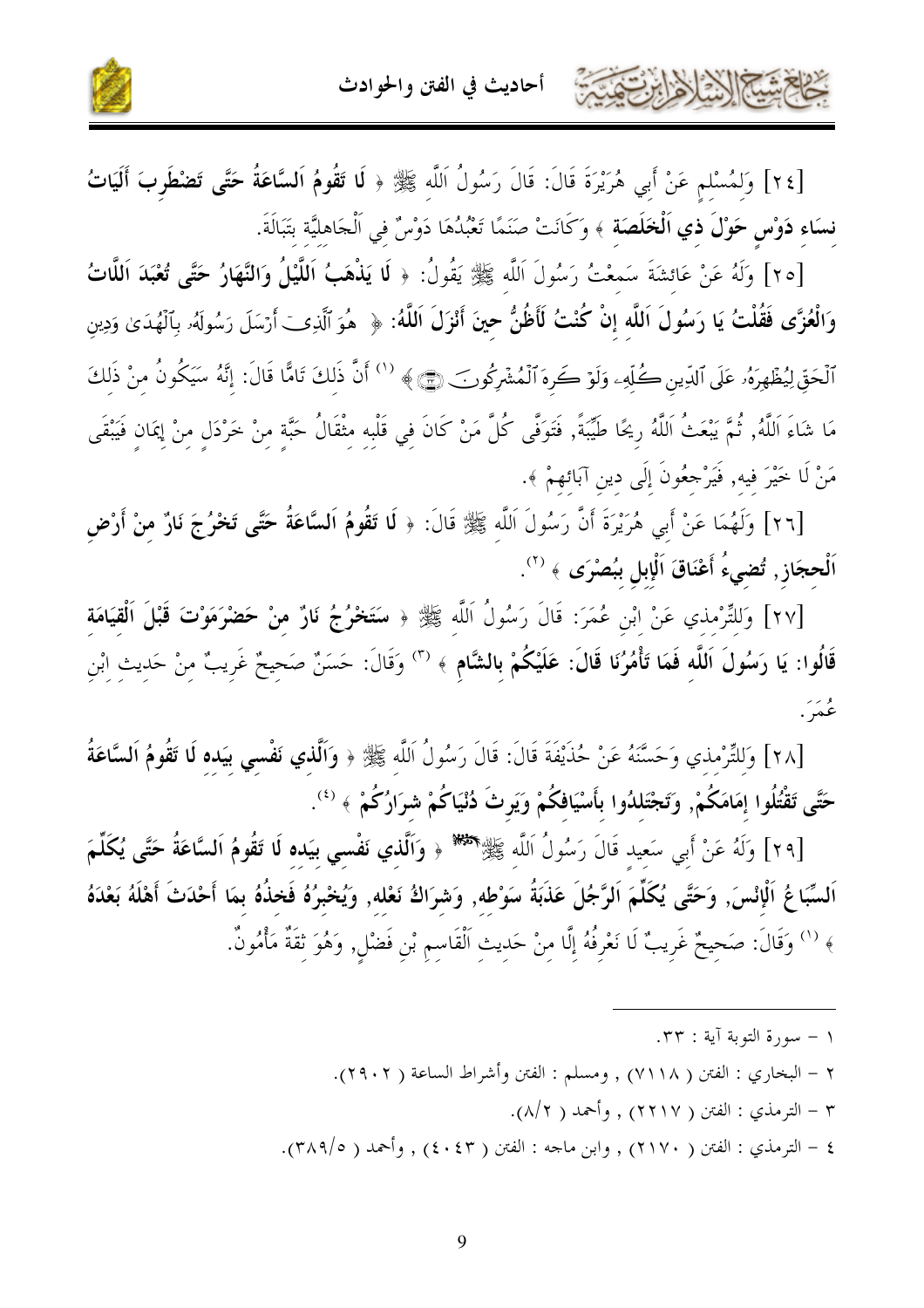

[٢٤] وَلمُسْلم عَنْ أَبِي هُرَيْرَةَ قَالَ: قَالَ رَسُولُ اَللَّه ﷺ ﴿ لَا تَقُومُ اَلسَّاعَةُ حَتَّى تَضْطَربَ أَلَيَاتُ نِسَاءِ دَوْسٍ حَوْلَ ذِي اَلْخَلَصَة ﴾ وَكَانَتْ صَنَمًا تَعْبُدُهَا دَوْسٌ في اَلْجَاهليَّة بتَبَالَةَ.

[٢٥] وَلَهُ عَنْ عَائِشَةَ سَمعْتُ رَسُولَ اَللَّه ﷺ يَقُولُ: ﴿ لَا يَذْهَبُ اَللَّيْلُ وَالنَّهَارُ حَتَّى تُعْبَدَ اَللَّاتُ وَالْعُزَّى فَقُلْتُ يَا رَسُولَ اَللَّه إِنْ كُنْتُ لَأَظُنُّ حِينَ أَنْزَلَ اَللَّهُ: ﴿ هُوَ ٱلَّذِى أَرْسَلَ رَسُولَهُۥ بِٱلْهُدَىٰ وَدِينِ ٱلۡحَقِّ لِيُظۡهِرَهُۥ عَلَى ٱلدِّينِ كُلِّهِۦ وَلَوۡ كَرِهَ ٱلۡمُشۡرِكُونَ ۞﴾ ('' أَنَّ ذَلِكَ تَامًّا قَالَ: إنَّهُ سَيَكُونُ منْ ذَلكَ مَا شَاءَ اَللَّهُ, ثُمَّ يَبْعَثُ اَللَّهُ رِيحًا طَيِّبَةً, فَتَوَفَّى كُلَّ مَنْ كَانَ فِي قَلْبِهِ مِثْقَالُ حَبَّةِ مِنْ خَرْدَلِ مِنْ إِيمَانِ فَيَبْقَى مَنْ لَا خَيْرَ فيه, فَيَرْجعُونَ إِلَى دين آبَائهمْ ﴾.

[٢٦] وَلَهُمَا عَنْ أَبِي هُرَيْرَةَ أَنَّ رَسُولَ اَللَّهِ ﷺ قَالَ: ﴿ لَا تَقُومُ اَلسَّاعَةُ حَتَّى تَخْرُجَ نَارٌ منْ أَرْض اَلْحجَازِ, تُضيءُ أَعْنَاقَ اَلْإِبِلِ بِبُصْرَى ﴾ (''.

[٢٧] وَللتِّرْمذي عَنْ ابْنِ عُمَرَ: قَالَ رَسُولُ اَللَّه ﷺ ﴿ سَتَخْرُجُ نَارٌ منْ حَضْرَمَوْتَ قَبْلَ اَلْقيَامَة قَالُوا: يَا رَسُولَ اَللَّهِ فَمَا تَأْمُرُنَا قَالَ: عَلَيْكُمْ بِالشَّامِ ﴾ (٣) وَقَالَ: حَسَنٌ صَحِيحٌ غَرِيبٌ مِنْ حَدِيثِ ابْنِ و بر<br>عبد أ

[٢٨] وَلِلتِّرْمِذِي وَحَسَّنَهُ عَنْ حُذَيْفَةَ قَالَ: قَالَ رَسُولُ اَللَّه ﷺ ﴿ وَاَلَّذِي نَفْسي بيَده لَا تَقُومُ اَلسَّاعَةُ حَتَّى تَقْتُلُوا إمَامَكُمْ, وَتَجْتَللُوا بأَسْيَافكُمْ وَيَرثَ دُنْيَاكُمْ شرَارُكُمْ ﴾ <sup>(٤)</sup>.

[٢٩] وَلَهُ عَنْ أَبِي سَعِيد قَالَ رَسُولُ اَللَّه ﷺ ﴿ وَاَلَّذِي نَفْسِي بِيَدِه لَا تَقُومُ اَلسَّاعَةُ حَتّى يُكَلِّمَ اَلسِّبَاعُ اَلْإِنْسَ, وَحَتَّى يُكَلِّمَ اَلرَّجُلَ عَذَبَةُ سَوْطِه, وَشِرَاكُ نَعْلِه, وَيُخْبِرُهُ فَخذُهُ بمَا أَحْدَثَ أَهْلَهُ بَعْدَهُ ﴾ <sup>(١)</sup> وَقَالَ: صَحِيحٌ غَرِيبٌ لَا نَعْرِفُهُ إِلَّا مِنْ حَدِيثِ اَلْقَاسِمِ بْنِ فَضْلِ, وَهُوَ ثِقَةٌ مَأْمُونٌ.

- ١ سورة التوبة آية : ٣٣.
- ٢ البخاري : الفتن ( ٧١١٨) , ومسلم : الفتن وأشراط الساعة ( ٢٩٠٢).
	- ٣ الترمذي : الفتن ( ٢٢١٧) , وأحمد ( ٨/٨).
- ٤ الترمذي : الفتن ( ٢١٧٠) , وابن ماحه : الفتن ( ٤٠٤٣) , وأحمد ( ٣٨٩/٥).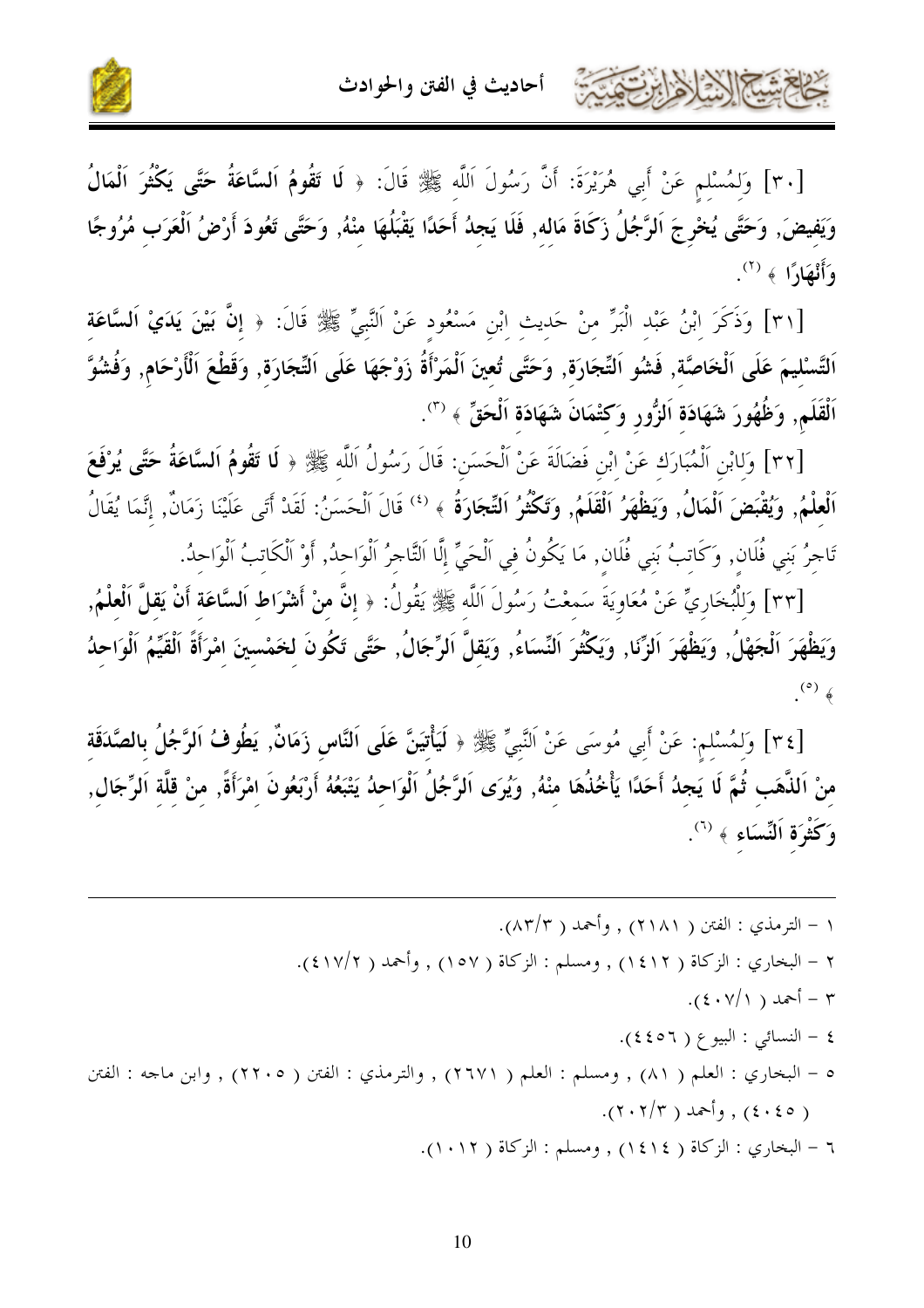كالحشم الأزادارتها



[٣٠] وَلمُسْلم عَنْ أَبِي هُرَيْرَةَ: أَنَّ رَسُولَ اَللَّه ﷺ قَالَ: ﴿ لَا تَقُومُ اَلسَّاعَةُ حَتَّى يَكْثُرَ اَلْمَالُ وَيَفيضَ, وَحَتَّى يُخْرِجَ اَلرَّجُلُ زَكَاةَ مَاله, فَلَا يَجِدُ أَحَدًا يَقْبَلُهَا منْهُ, وَحَتَّى تَعُودَ أَرْضُ اَلْعَرَب مُرُوجًا وَأَنْهَادًا ﴾ (٢).

[٣١] وَذَكَرَ ابْنُ عَبْدِ الْبَرِّ مِنْ حَدِيثِ ابْنِ مَسْعُودٍ عَنْ اَلنَّبِيِّ ﷺ قَالَ: ﴿ إِنَّ بَيْنَ يَدَيْ اَلسَّاعَة اَلتَّسْليمَ عَلَى اَلْخَاصَّة, فَشُو اَلتِّجَارَة, وَحَتَّى تُعينَ اَلْمَرْأَةُ زَوْجَهَا عَلَى اَلتَّجَارَة, وَقَطْعَ اَلْأَرْحَام, وَفُشُوَّ اَلْقَلَم, وَظُهُورَ شَهَادَة اَلزُّور وَكَتْمَانَ شَهَادَة اَلْحَقِّ ﴾ <sup>(٣)</sup>.

[٣٢] وَلِابْنِ اَلْمُبَارَكَ عَنْ ابْنِ فَضَالَةَ عَنْ اَلْحَسَنِ: قَالَ رَسُولُ اَللَّه ﷺ ﴿ لَا تَقُومُ اَلسَّاعَةُ حَتَّى يُوْفَعَ اَلْعِلْمُ, وَيُقْبَضَ اَلْمَالُ, وَيَظْهَرُ اَلْقَلَمُ, وَتَكْثُرُ اَلتَّجَارَةُ ﴾ <sup>(٤)</sup> قَالَ اَلْحَسَنُ: لَقَدْ أَتَى عَلَيْنَا زَمَانٌ, إنَّمَا يُقَالُ تَاحِرُ بَني فُلَان, وَكَاتبُ بَني فُلَان, مَا يَكُونُ في اَلْحَيِّ إِلَّا اَلتَّاحِرُ اَلْوَاحدُ, أَوْ اَلْكَاتبُ اَلْوَاحدُ.

[٣٣] وَللْبُخَارِيِّ عَنْ مُعَاوِيَةَ سَمعْتُ رَسُولَ اَللَّه ﷺ يَقُولُ: ﴿ إِنَّ مِنْ أَشْرَاط اَلسَّاعَة أَنْ يَقلَّ اَلْعلْمُ, وَيَظْهَرَ اَلْجَهْلُ, وَيَظْهَرَ اَلزَّنَا, وَيَكْثُرَ اَلنِّسَاءُ, وَيَقلَّ اَلرِّجَالُ, حَتَّى تَكُونَ لخمْسينَ امْرَأَةً اَلْقَيِّمُ اَلْوَاحِدُ  $(\circ)$   $\circ$ 

[٣٤] وَلِمُسْلِمٍ: عَنْ أَبِي مُوسَى عَنْ اَلنَّبِيِّ ﷺ ﴿ لَيَأْتَيَنَّ عَلَى اَلنَّاسِ زَمَانٌ, يَطُوفُ اَلرَّجُلُ بالصَّدَقَة منْ اللَّهَب ثُمَّ لَا يَجِدُ أَحَدًا يَأْخُذُهَا منْهُ, وَيُرَى اَلرَّجُلُ اَلْوَاحِدُ يَتْبَعُهُ أَرْبَعُونَ امْرَأَةً, منْ قلَّة اَلرِّجَال, وَكَثْرَة اَلنِّسَاء ﴾ (٦).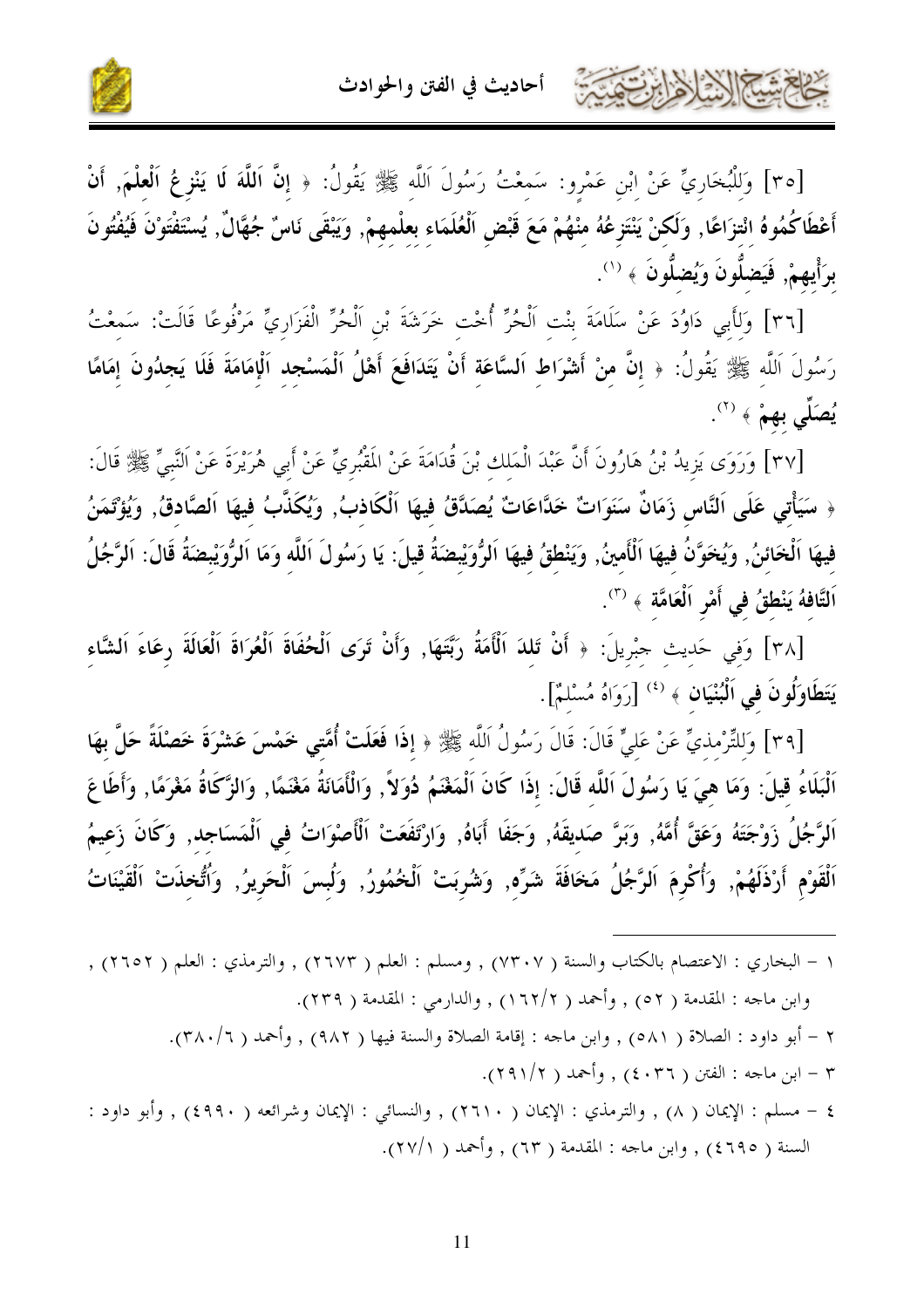

[٣٥] وَلِلْبُخَارِيِّ عَنْ اِبْنِ عَمْرِو: سَمِعْتُ رَسُولَ اَللَّه ﷺ يَقُولُ: ﴿ إِنَّ اَللَّهَ لَا يَنْزِعُ اَلْعَلْمَ, أَنْ أَعْطَاكُمُوهُ انْتِزَاعًا, وَلَكِنْ يَنْتَزِعُهُ مِنْهُمْ مَعَ قَبْضِ اَلْعُلَمَاءِ بِعِلْمِهِمْ, وَيَبْقَى نَاسٌ جُهَّالٌ, يُسْتَفْتَوْنَ فَيُفْتُونَ برَأْيهمْ, فَيَضلُّونَ وَيُضلُّونَ ﴾ (''.

[٣٦] وَلِأَبِي دَاوُدَ عَنْ سَلَامَةَ بِنْتِ اَلْحُرِّ أُخْتِ خَرَشَةَ بْنِ اَلْحُرِّ الْفَزَارِيِّ مَرْفُوعًا قَالَتْ: سَمعْتُ رَسُولَ اَللَّهِ ﷺ يَقُولُ: ﴿ إِنَّ مِنْ أَشْرَاطِ اَلسَّاعَةِ أَنْ يَتَدَافَعَ أَهْلُ اَلْمَسْجِدِ اَلْإِمَامَةَ فَلَا يَجِدُونَ إِمَامًا يُصَلِّى بهمْ ﴾ (``.

[٣٧] وَرَوَى يَزِيدُ بْنُ هَارُونَ أَنَّ عَبْدَ الْمَلِكِ بْنَ قُدَامَةَ عَنْ المَقْبُرِيِّ عَنْ أَبِي هُرَيْرَةَ عَنْ اَلنَّبِيِّ ﷺ قَالَ: ﴿ سَيَأْتِي عَلَى اَلنَّاسِ زَمَانٌ سَنَوَاتٌ خَدَّاعَاتٌ يُصَدَّقُ فِيهَا اَلْكَاذِبُ, وَيُكَذَّبُ فيهَا اَلصَّادقُ, وَيُؤْتَمَنُ فيهَا اَلْخَائنُ, وَيُخَوَّنُ فيهَا اَلْأَمينُ, وَيَنْطقُ فيهَا اَلرُّوَيْبِضَةُ قِيلَ: يَا رَسُولَ اَللَّهِ وَمَا اَلرُّوَيْبِضَةُ قَالَ: اَلرَّجُلُ اَلتَّافهُ يَنْطقُ في أَمْرِ اَلْعَامَّة ﴾ (").

[٣٨] وَفِي حَدِيثِ جِبْرِيلَ: ﴿ أَنْ تَللَدَ اَلْأَمَةُ رَبَّتَهَا, وَأَنْ تَرَى اَلْحُفَاةَ اَلْعُرَاةَ اَلْعَالَةَ رعَاءَ اَلشَّاء يَتَطَاوَلُونَ في اَلْبُنْيَان ﴾ ( أروَاهُ مُسْلَمٌ].

[٣٩] وَللتِّرْمذيِّ عَنْ عَليٍّ قَالَ: قَالَ رَسُولُ اَللَّه ﷺ ﴿ إِذَا فَعَلَتْ أُمَّتِي خَمْسَ عَشْرَةَ خَصْلَةً حَلَّ بِهَا اَلْبَلَاءُ قِيلَ: وَمَا هيَ يَا رَسُولَ اَللَّه قَالَ: إذَا كَانَ اَلْمَغْنَمُ دُوَلاً, وَالْأَمَانَةُ مَغْنَمًا, وَالزَّكَاةُ مَغْرَمًا, وَأَطَاعَ اَلرَّجُلُ زَوْجَتَهُ وَعَقَّ أُمَّهُ, وَبَرَّ صَديقَهُ, وَجَفَا أَبَاهُ, وَارْتَفَعَتْ اَلْأَصْوَاتُ في اَلْمَسَاجد, وَكَانَ زَعيمُ اَلْقَوْمِ أَرْذَلَهُمْ, وَأُكْرِمَ اَلرَّجُلُ مَخَافَةَ شَرِّهِ, وَشُرِبَتْ اَلْخُمُورُ, وَلُبِسَ اَلْحَرِيرُ, وَاُتُّخِذَتْ اَلْقَيْنَاتُ

- ١ البخاري : الاعتصام بالكتاب والسنة ( ٧٣٠٧) , ومسلم : العلم ( ٢٦٧٣) , والترمذي : العلم ( ٢٦٥٢) , وابن ماحه : المقدمة ( ٥٢) , وأحمد ( ١٦٢/٢) , والدارمي : المقدمة ( ٢٣٩).
	- ٢ أبو داود : الصلاة ( ٥٨١) , وابن ماجه : إقامة الصلاة والسنة فيها ( ٩٨٢) , وأحمد ( ٣٨٠/٦).
		- ٣ ابن ماجه : الفتن ( ٤٠٣٦) , وأحمد ( ٢٩١/٢).

شكال الأنابرت

٤ – مسلم : الإيمان ( ٨) , والترمذي : الإيمان ( ٢٦١٠) , والنسائي : الإيمان وشرائعه ( ٤٩٩٠) , وأبو داود : السنة ( ٤٦٩٥) , وابن ماجه : المقدمة ( ٦٣) , وأحمد ( ٢٧/١).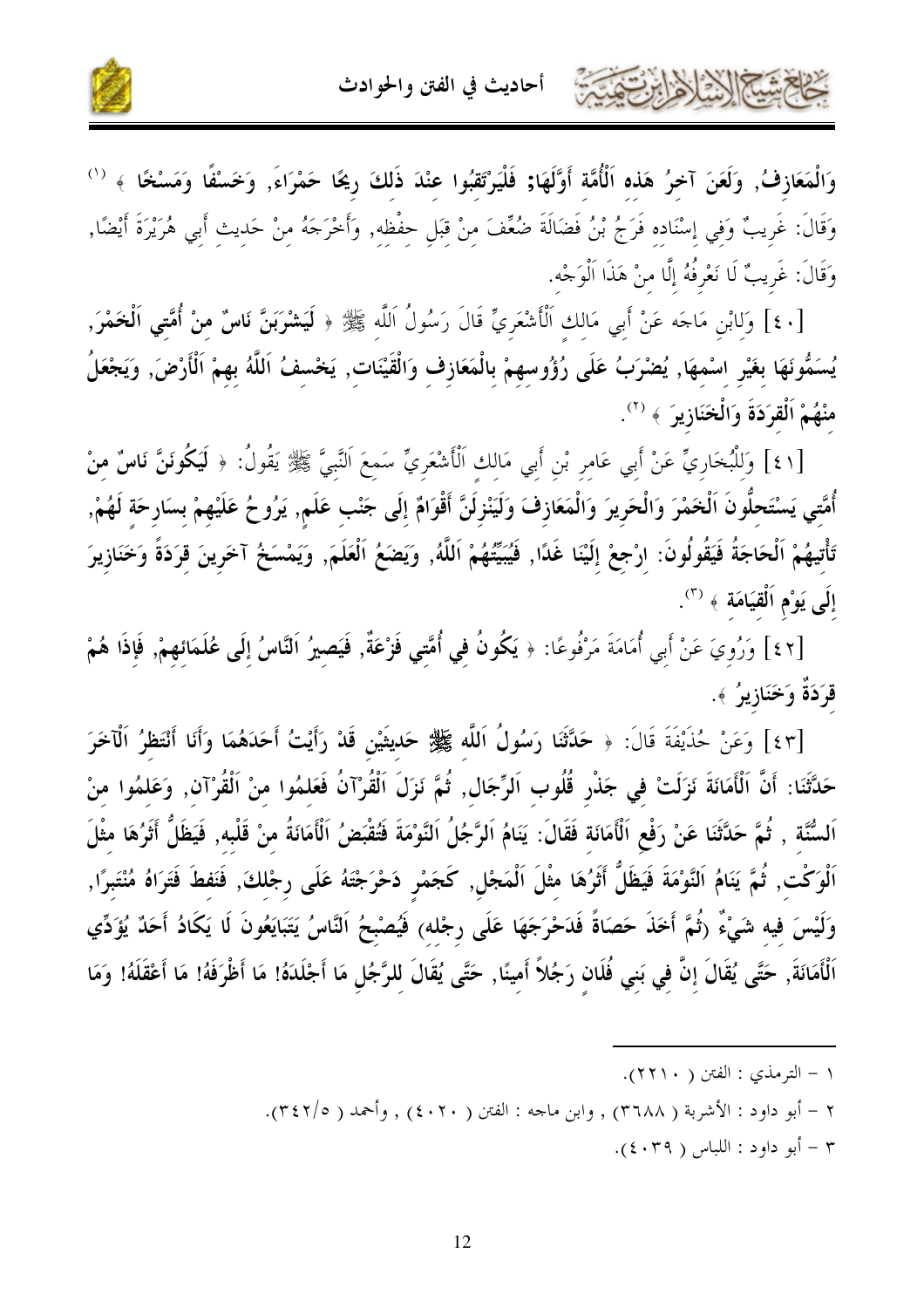

وَالْمَعَازِفُ, وَلَعَنَ آخرُ هَذه اَلْأُمَّة أَوَّلَهَا; فَلْيَرْتَقَبُوا عنْدَ ذَلكَ رِيحًا حَمْرَاءَ, وَخَسْفًا وَمَسْخًا ﴾ وَقَالَ: غَرِيبٌ وَفِي إِسْنَاده فَرَجُ بْنُ فَضَالَةَ ضُعِّفَ مِنْ قِبَلِ حِفْظِهِ, وَأَخْرَجَهُ مِنْ حَدِيثِ أَبِي هُرَيْرَةَ أَيْضًا, وَقَالَ: غَرِيبٌ لَا نَعْرِفُهُ إِلَّا منْ هَذَا اَلْوَجْه.

[٤٠] وَلِابْنِ مَاحَه عَنْ أَبِي مَالِكِ اَلْأَشْعَرِيِّ قَالَ رَسُولُ اَللَّهِ ﷺ ﴿ لَيَ**شْرَبَنَّ نَاسٌ منْ أُمَّتِي اَلْخَمْرَ**, يُسَمُّونَهَا بِغَيْرِ اسْمِهَا, يُضْرَبُ عَلَى رُؤُوسِهِمْ بِالْمَعَازِفِ وَالْقَيْنَاتِ, يَخْسِفُ اَللَّهُ بِهِمْ اَلْأَرْضَ, وَيَجْعَلُ مْنْهُمْ اَلْقِرَدَةَ وَالْخَنَازِيرَ ﴾ (٢).

[٤١] وَلِلْبُخَارِيِّ عَنْ أَبِي عَامِرٍ بْنِ أَبِي مَالِكِ اَلْأَشْعَرِيِّ سَمِعَ اَلنَّبِيَّ ﷺ يَقُولُ: ﴿ لَيَكُونَنَّ فَاسٌ منْ أُمَّتِي يَسْتَحِلُّونَ اَلْخَمْرَ وَالْحَرِيرَ وَالْمَعَازِفَ وَلَيَنْزِلَنَّ أَقْوَامٌ إِلَى جَنْب عَلَم, يَرُوحُ عَلَيْهِمْ بِسَارِحَةِ لَهُمْ, تَأْتِيهُمْ اَلْحَاجَةُ فَيَقُولُونَ: ارْجِعْ إِلَيْنَا غَدًا, فَيُبَيِّتُهُمْ اَللَّهُ, وَيَضَعُ اَلْعَلَمَ, وَيَمْسَخُ آخَرِينَ قِرَدَةً وَخَنَازِيرَ إِلَى يَوْمِ اَلْقِيَامَة ﴾ (٣).

[٤٢] وَرُوِيَ عَنْ أَبِي أُمَامَةَ مَرْفُوعًا: ﴿ يَكُونُ فِي أُمَّتِي فَرْعَةٌ, فَيَصِيرُ اَلنَّاسُ إِلَى عُلَمَائِهِمْ, فَإِذَا هُمْ قَرَدَةٌ وَخَنَازِيرٌ ﴾.

[٤٣] وَعَنْ حُذَيْفَةَ قَالَ: ﴿ حَلَّتْنَا رَسُولُ اَللَّه ﷺ حَديثَيْنِ قَدْ رَأَيْتُ أَحَدَهُمَا وَأَنَا أَنْتَظِرُ اَلْآخَرَ حَدَّثَنَا: أَنَّ اَلْأَمَانَةَ نَزَلَتْ في جَذْرٍ قُلُوب اَلرِّجَال, ثُمَّ نَزَلَ اَلْقُرْآنُ فَعَلمُوا منْ اَلْقُرْآن, وَعَلمُوا منْ اَلسُّنَّة , ثُمَّ حَلَّثَنَا عَنْ رَفْع اَلْأَمَانَة فَقَالَ: يَنَامُ اَلرَّجُلُ اَلنَّوْمَةَ فَتُقْبَضُ اَلْأَمَانَةُ منْ قَلْبه, فَيَظَلُّ أَثَرُهَا مثْلَ اَلْوَكْت, ثُمَّ يَنَامُ اَلنَّوْمَةَ فَيَظَلُّ أَثَرُهَا مثْلَ اَلْمَجْل, كَجَمْر دَحْرَجْتَهُ عَلَى رجْلكَ, فَنَفطَ فَتَرَاهُ مُنْتَبرًا, وَلَيْسَ فِيهِ شَيْءٌ رثُمَّ أَخَذَ حَصَاةً فَدَحْرَجَهَا عَلَى رجْله) فَيُصْبحُ اَلنَّاسُ يَتَبَايَعُونَ لَا يَكَادُ أَحَدٌ يُؤَدِّي اَلْأَمَانَةَ, حَتَّى يُقَالَ إنَّ في بَني فُلَان رَجُلاً أَمينًا, حَتَّى يُقَالَ للرَّجُل مَا أَجْلَدَهُ! مَا أظْرَفَهُ! مَا أَعْقَلَهُ! وَمَا

- ١ الترمذي : الفتن ( ٢٢١٠).
- ٢ أبو داود : الأشربة ( ٣٦٨٨) , وابن ماجه : الفتن ( ٤٠٢٠) , وأحمد ( ٣٤٢/٥).
	- أبو داود : اللباس ( ٤٠٣٩).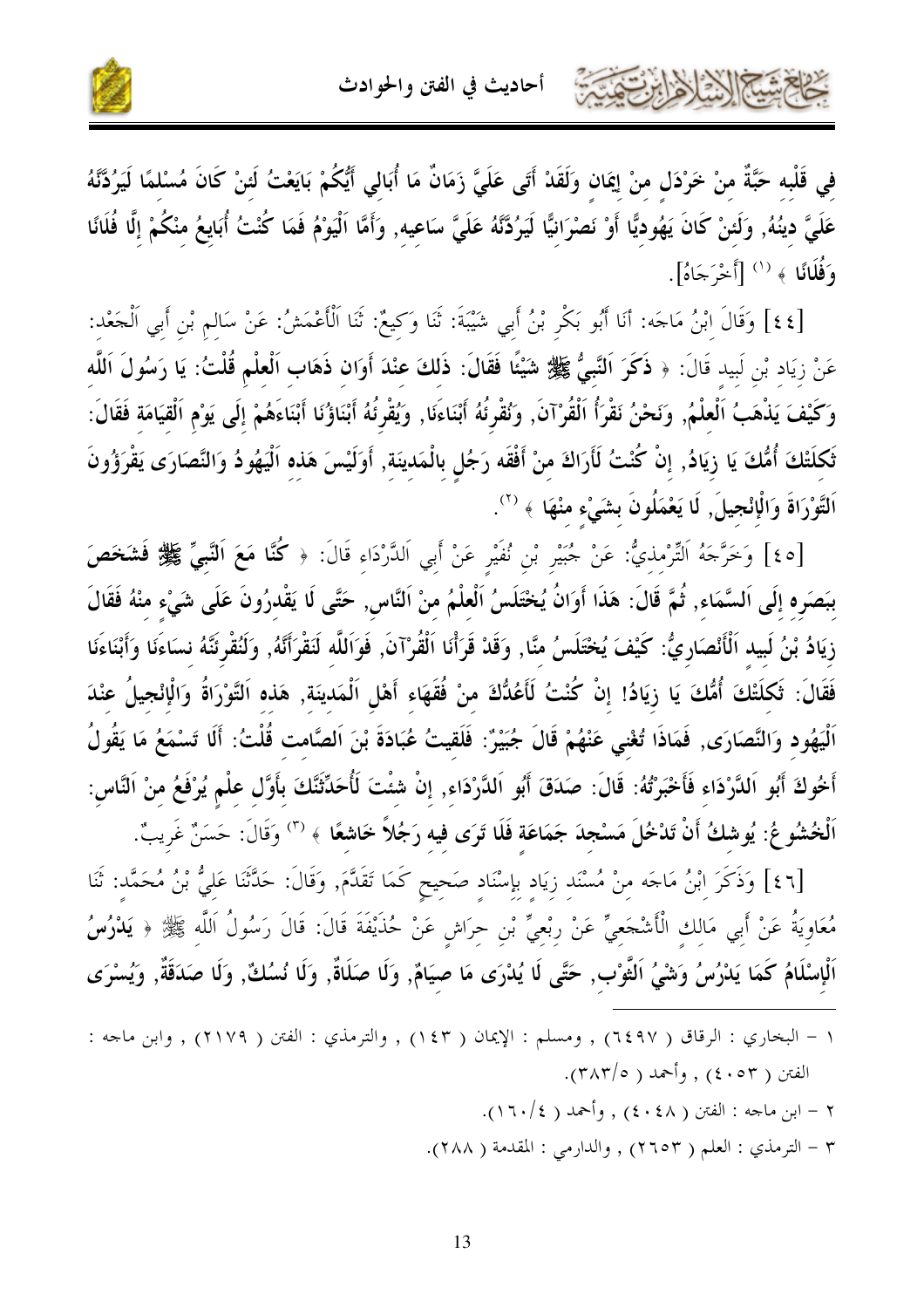

فِي قَلْبِهِ حَبَّةٌ مِنْ خَرْدَلِ مِنْ إِيمَانٍ وَلَقَدْ أَتَى عَلَيَّ زَمَانٌ مَا أُبَالِي أَيُّكُمْ بَايَعْتُ لَئنْ كَانَ مُسْلمًا لَيَرُدَّنَّهُ عَلَيَّ دِينُهُ, وَلَئِنْ كَانَ يَهُودِيًّا أَوْ نَصْرَانِيًّا لَيَرُدَّنَّهُ عَلَيَّ سَاعِيهِ, وَأَمَّا اَلْيَوْمُ فَمَا كُنْتُ أُبَايِعُ مِنْكُمْ إِلَّا فُلَانًا وَفُلَانًا ﴾ <sup>(١)</sup> [أَخْرَجَاهُ].

[٤٤] وَقَالَ ابْنُ مَاجَه: أَنَا أَبُو بَكْرٍ بْنُ أَبِي شَيْبَةَ: ثَنَا وَكِيعٌ: ثَنَا اَلْأَعْمَشُ: عَنْ سَالم بْنِ أَبِي اَلْجَعْدِ: عَنْ زِيَاد بْنِ لَبِيد قَالَ: ﴿ فَكَرَ اَلنَّبِيُّ ﷺ شَيْئًا فَقَالَ: ذَلكَ عِنْدَ أَوَان ذَهَاب اَلْعِلْم قُلْتُ: يَا رَسُولَ اَللَّهِ وَكَيْفَ يَذْهَبُ اَلْعلْمُ, وَنَحْنُ نَقْرَأُ اَلْقُرْآنَ, وَنُقْرِئُهُ أَبْنَاءَنَا, وَيُقْرِئُهُ أَبْنَاؤُنَا أَبْنَاءَهُمْ إِلَى يَوْم اَلْقِيَامَة فَقَالَ: تَكلَّنكَ أُمُّكَ يَا زِيَادُ, إنْ كُنْتُ لَأَرَاكَ منْ أَفْقَه رَجُل بالْمَدينَة, أَوَلَيْسَ هَذه اَلْيَهُودُ وَالنَّصَارَى يَقْرَؤُونَ اَلتَّوْرَاةَ وَالْإِنْجِيلَ, لَا يَعْمَلُونَ بشَيْء منْهَا ﴾ (''.

[٤٥] وَخَرَّجَهُ اَلتِّرْمِذِيُّ: عَنْ جُبَيْرِ بْنِ نُفَيْرِ عَنْ أَبِي اَلدَّرْدَاءِ قَالَ: ﴿ كُنَّا مَعَ اَلتَّبِيَّ ﷺ فَشَخَصَ بِبَصَرِهِ إِلَى اَلسَّمَاءِ, ثُمَّ قَالَ: هَذَا أَوَانُ يُخْتَلَسُ اَلْعلْمُ منْ اَلنَّاس, حَتَّى لَا يَقْدرُونَ عَلَى شَيْء منْهُ فَقَالَ زِيَادُ بْنُ لَبِيد اَلْأَنْصَارِيُّ: كَيْفَ يُخْتَلَسُ منَّا, وَقَدْ قَرَأْنَا اَلْقُرْآنَ, فَوَاللَّه لَنَقْرَأَنَّهُ, وَلَنُقْرئَنَّهُ نسَاءَنَا وَأَبْنَاءَنَا فَقَالَ: تَكلَتْكَ أُمُّكَ يَا زِيَادُ! إنْ كُنْتُ لَأَعُدُّكَ منْ فُقَهَاء أَهْلِ اَلْمَدينَة, هَذه اَلتَّوْرَاةُ وَالْإِنْجِيلُ عنْدَ اَلْيَهُود وَالنَّصَارَى, فَمَاذَا تُغْني عَنْهُمْ قَالَ جُبَيْرٌ: فَلَقيتُ عُبَادَةَ بْنَ الصَّامت قُلْتُ: أَلَا تَسْمَعُ مَا يَقُولُ أَخُوكَ أَبُو اَلدَّرْدَاء فَأَخْبَرْتُهُ: قَالَ: صَدَقَ أَبُو اَلدَّرْدَاء, إنْ شئْتَ لَأُحَدِّثَنَّكَ بأَوَّل علْم يُرْفَعُ منْ النَّاس: اَلْخُشُوعُ: يُوشكُ أَنْ تَدْخُلَ مَسْجدَ جَمَاعَة فَلَا تَرَى فيه رَجُلاً خَاشعًا ﴾ <sup>(٣)</sup> وَقَالَ: حَسَنٌ غَريبٌ.

[٤٦] وَذَكَرَ ابْنُ مَاجَه مِنْ مُسْنَد زِيَاد بإسْنَاد صَحِيح كَمَا تَقَلَّمَ, وَقَالَ: حَلَّتْنَا عَليُّ بْنُ مُحَمَّد: ثَنَا مُعَاوِيَةُ عَنْ أَبِي مَالك الْأَشْجَعيِّ عَنْ ربْعيٍّ بْنِ حرَاشٍ عَنْ حُذَيْفَةَ قَالَ: قَالَ رَسُولُ اَللّه ﷺ ﴿ يَعْرُسُ اَلْإِسْلَامُ كَمَا يَدْرُسُ وَشْيُ اَلثَّوْب, حَتَّى لَا يُدْرَى مَا صيَامٌ, وَلَا صَلَاةٌ, وَلَا نُسُكٌ, وَلَا صَدَقَةٌ, وَيُسْرَى

- ١ البخاري : الرقاق ( ٦٤٩٧) , ومسلم : الإيمان ( ١٤٣) , والترمذي : الفتن ( ٢١٧٩) , وابن ماجه : الفتن ( ٤٠٥٣) , وأحمد ( ٣٨٣/٥).
	- ٢ ابن ماجه : الفتن ( ٤٠٤٨) , وأحمد ( ١٦٠/٤).
	- ٣ الترمذي : العلم ( ٢٦٥٣) , والدارمي : المقدمة ( ٢٨٨).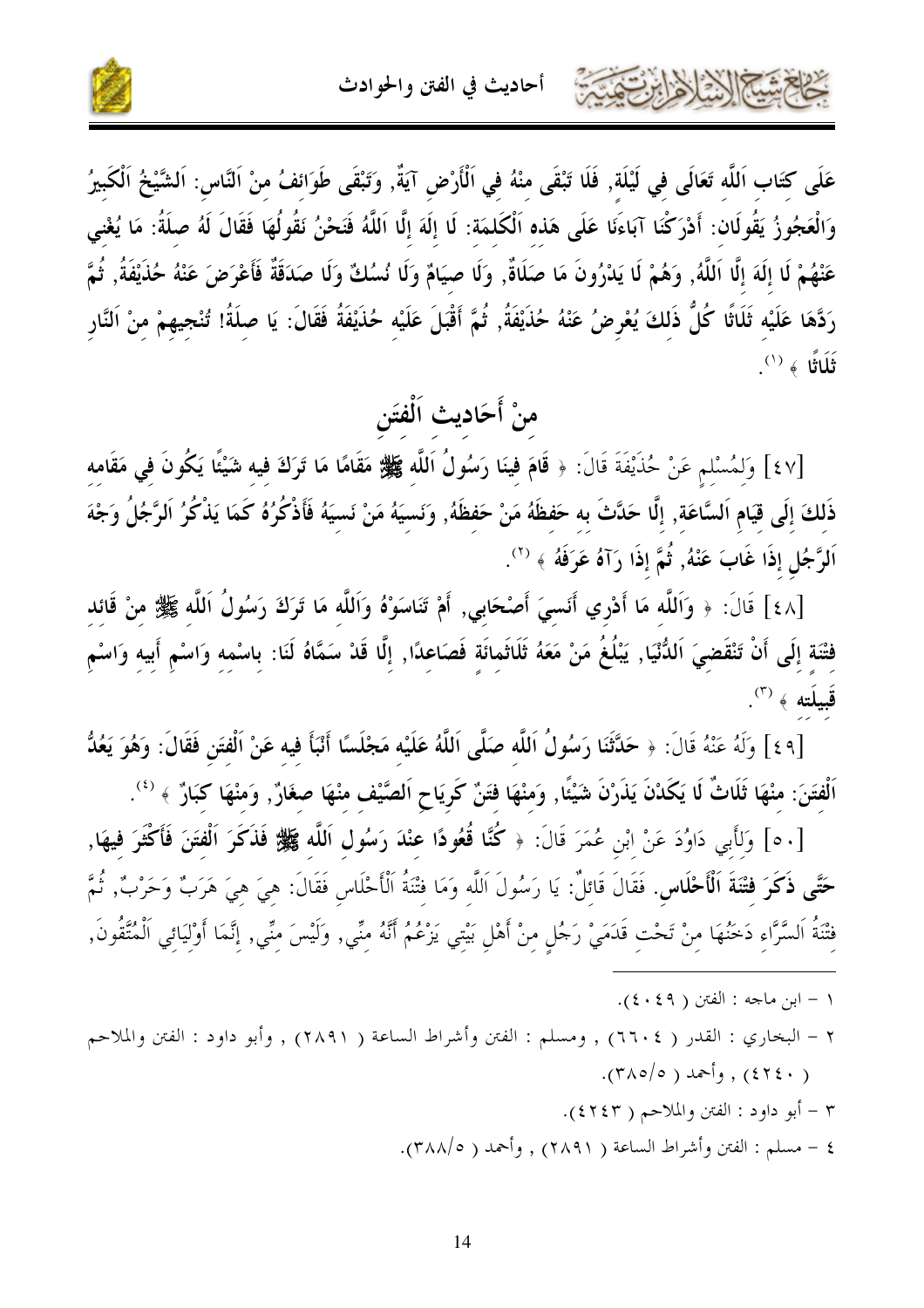

عَلَى كتَاب اَللَّه تَعَالَى في لَيْلَة, فَلَا تَبْقَى منْهُ في اَلْأَرْضِ آيَةٌ, وَتَبْقَى طَوَائفُ منْ اَلنَّاس: اَلشَّيْخُ اَلْكَبيرُ وَالْعَجُوزُ يَقُولَان: أَدْرَكْنَا آبَاءَنَا عَلَى هَذه اَلْكَلمَة: لَا إِلَهَ إِلَّا اَللَّهُ فَنَحْنُ نَقُولُهَا فَقَالَ لَهُ صلَةُ: مَا يُغْني عَنْهُمْ لَا إِلَهَ إِلَّا اَللَّهُ, وَهُمْ لَا يَدْرُونَ مَا صَلَاةٌ, وَلَا صيَامٌ وَلَا نُسُكٌ وَلَا صَدَقَةٌ فَأَعْرَضَ عَنْهُ حُذَيْفَةُ, ثُمَّ رَدَّهَا عَلَيْه ثَلَاثًا كُلُّ ذَلكَ يُعْرِضُ عَنْهُ حُذَيْفَةُ, ثُمَّ أَقْبَلَ عَلَيْهِ حُذَيْفَةُ فَقَالَ: يَا صِلَةُ! تُنْجِيهِمْ مِنْ اَلنَّارِ ثَلَاثًا ﴾ <sup>(١)</sup>.

منْ أَحَاديث اَلْفتَن

[٤٧] وَلمُسْلم عَنْ حُذَيْفَةَ قَالَ: ﴿ قَامَ فِينَا رَسُولُ اَللَّه ﷺ مَقَامًا مَا تَرَكَ فِيه شَيْئًا يَكُونَ في مَقَامه ذَلكَ إلَى قِيَامِ اَلسَّاعَة, إلَّا حَدَّثَ به حَفظَهُ مَنْ حَفظَهُ, وَنَسيَهُ مَنْ نَسيَهُ فَأَذْكُرُهُ كَمَا يَذْكُرُ اَلرَّجُلُ وَجْهَ اَلرَّجُل إذَا غَابَ عَنْهُ, ثُمَّ إذَا رَآهُ عَرَفَهُ ﴾ (''.

[٤٨] قَالَ: ﴿ وَاَللَّه مَا أَدْرِي أَنَسِيَ أَصْحَابِي, أَمْ تَنَاسَوْهُ وَاَللَّه مَا تَرَكَ رَسُولُ اَللَّه ﷺ منْ قَائد فِتْنَة إِلَى أَنْ تَنْقَضِيَ اَللُّنْيَا, يَبْلُغُ مَنْ مَعَهُ ثَلَاثَمِائَةِ فَصَاعِدًا, إِلَّا قَدْ سَمَّاهُ لَنَا: باسْمِه وَاسْمِ أَبِيهِ وَاسْمِ  $\ddot{\text{c}}$ قبيلَته ﴾ (٣)

[٤٩] وَلَهُ عَنْهُ قَالَ: ﴿ حَلَّتُنَا رَسُولُ اَللَّه صَلَّى اَللَّهُ عَلَيْه مَجْلَسًا أَنْبَأَ فيه عَنْ اَلْفتَن فَقَالَ: وَهُوَ يَعُلُّ اَلْفَتَنَ: منْهَا ثَلَاثٌ لَا يَكَدْنَ يَذَرْنَ شَيْئًا, وَمنْهَا فَتَنٌ كَرِيَاحٍ اَلصَّيْفِ مِنْهَا صِغَارٌ, وَمِنْهَا كِبَارٌ ﴾ <sup>(٤)</sup>.

[٥٠] وَلَأَبِي دَاوُدَ عَنْ ابْنِ عُمَرَ قَالَ: ﴿ كُنَّا قُعُودًا عِنْدَ رَسُولِ اَللَّهِ ﷺ فَذَكَرَ اَلْفَتَنَ فَأَكْثَرَ فيهَا, حَتَّى فَكَرَ فحْنَةَ اَلْأَحْلَاس. فَقَالَ قَائِلٌ: يَا رَسُولَ اَللَّه وَمَا فِتْنَةُ اَلْأَحْلَاسِ فَقَالَ: هِيَ هِيَ هَرَبٌ وَحَرْبٌ, ثُمَّ فِتْنَةُ اَلسَّرَّاءِ دَخَنُهَا مِنْ تَحْتِ قَدَمَىْ رَجُلٍ مِنْ أَهْلِ بَيْتِي يَزْعُمُ أَنَّهُ مِنِّي, وَلَيْسَ منِّي, إِنَّمَا أَوْلِيَائِي اَلْمُتَّقُونَ,

- ١ ابن ماجه : الفتن ( ٤٠٤٩).
- ٢ البخاري : القدر ( ٢٦٠٤) , ومسلم : الفتن وأشراط الساعة ( ٢٨٩١) , وأبو داود : الفتن والملاحم  $(513)$  , وأحمد ( ٣٨٥/٥).
	- ٣ أبو داود : الفتن والملاحم ( ٤٢٤٣).
	- ٤ مسلم : الفتن وأشراط الساعة ( ٢٨٩١) , وأحمد ( ٣٨٨/٥).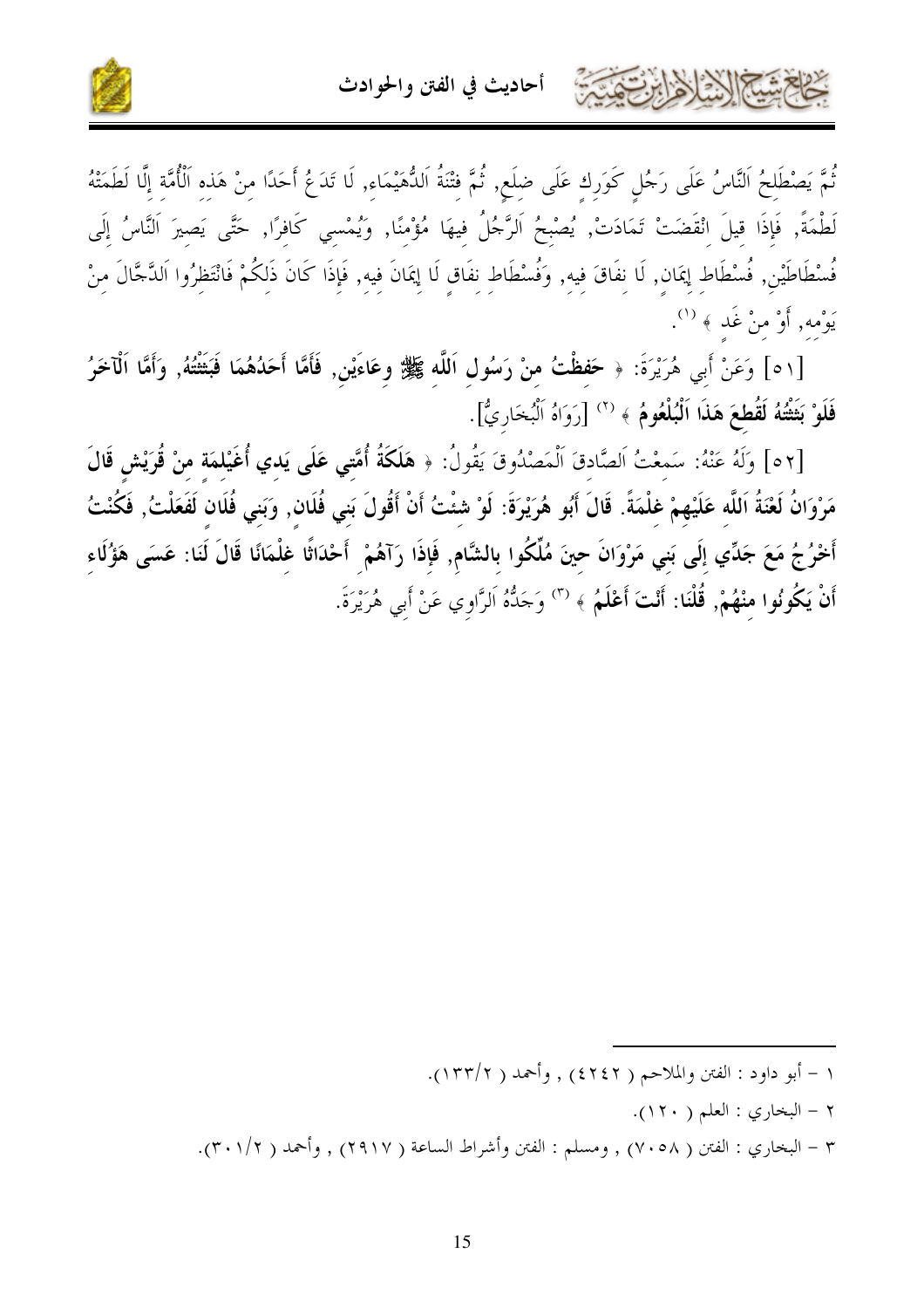

تُمَّ يَصْطَلِحُ اَلنَّاسُ عَلَى رَجُلٍ كَوَرِكِ عَلَى ضِلَعٍ, ثُمَّ فِتْنَةُ اَلدُّهَيْمَاءِ, لَا تَدَعُ أَحَدًا مِنْ هَذِه اَلْأُمَّة إِلَّا لَطَمَتْهُ لَطْمَةً, فَإِذَا قِيلَ انْقَضَتْ تَمَادَتْ, يُصْبِحُ اَلرَّجُلُ فِيهَا مُؤْمِنًا, وَيُمْسِي كَافِرًا, حَتَّى يَصِيرَ اَلنَّاسُ إِلَى فُسْطَاطَيْنِ, فُسْطَاط إِيمَان, لَا نِفَاقَ فِيه, وَفُسْطَاط نِفَاقٍ لَا إِيمَانَ فِيه, فَإِذَا كَانَ ذَلِكُمْ فَانْتَظِرُوا اَلدَّجَّالَ مِنْ يَوْمه, أَوْ منْ غَدٍ ﴾ (''.

[٥١] وَعَنْ أَبِي هُرَيْرَةَ: ﴿ حَفِظْتُ مِنْ رَسُولِ اَللَّه ﷺ وِعَاءَيْنِ, فَأَمَّا أَحَدُهُمَا فَبَقْتُهُ, وَأَمَّا اَلْآخَرُ فَلَوْ بَقَقُتُهُ لَقُطعَ هَذَا اَلْبُلْعُومُ ﴾ (`` [رَوَاهُ اَلْبُخَارِيٌّ].

[٥٢] وَلَهُ عَنْهُ: سَمعْتُ اَلصَّادقَ اَلْمَصْدُوقَ يَقُولُ: ﴿ هَلَكَةُ أُمَّتِي عَلَى يَدِي أُغَيْلِمَة منْ قُرَيْش قَالَ مَرْوَانُ لَعْنَةُ اَللَّه عَلَيْهِمْ غلْمَةً. قَالَ أَبُو هُرَيْرَةَ: لَوْ شئْتُ أَنْ أَقُولَ بَني فُلَان, وَبَني فُلَان لَفَعَلْتُ, فَكُنْتُ أَخْرُجُ مَعَ جَدِّي إلَى بَني مَرْوَانَ حينَ مُلَّكُوا بالشَّام, فَإِذَا رَآهُمْ ۖ أَحْدَاثًا غَلْمَانًا قَالَ لَنا: عَسَى هَؤُلَاء أَنْ يَكُونُوا منْهُمْ, قُلْنَا: أَنْتَ أَعْلَمُ ﴾ (") وَجَلُّهُ اَلرَّاوِي عَنْ أَبِي هُرَيْرَةَ.

٢ – البخاري : العلم ( ٢١١٠).

حمشا الحراة المرت

٣ – البخاري : الفتن ( ٧٠٥٨) , ومسلم : الفتن وأشراط الساعة ( ٢٩١٧) , وأحمد ( ٣٠١/٢).

١ – أبو داود : الفتن والملاحم ( ٤٢٤٢) , وأحمد ( ١٣٣/٢).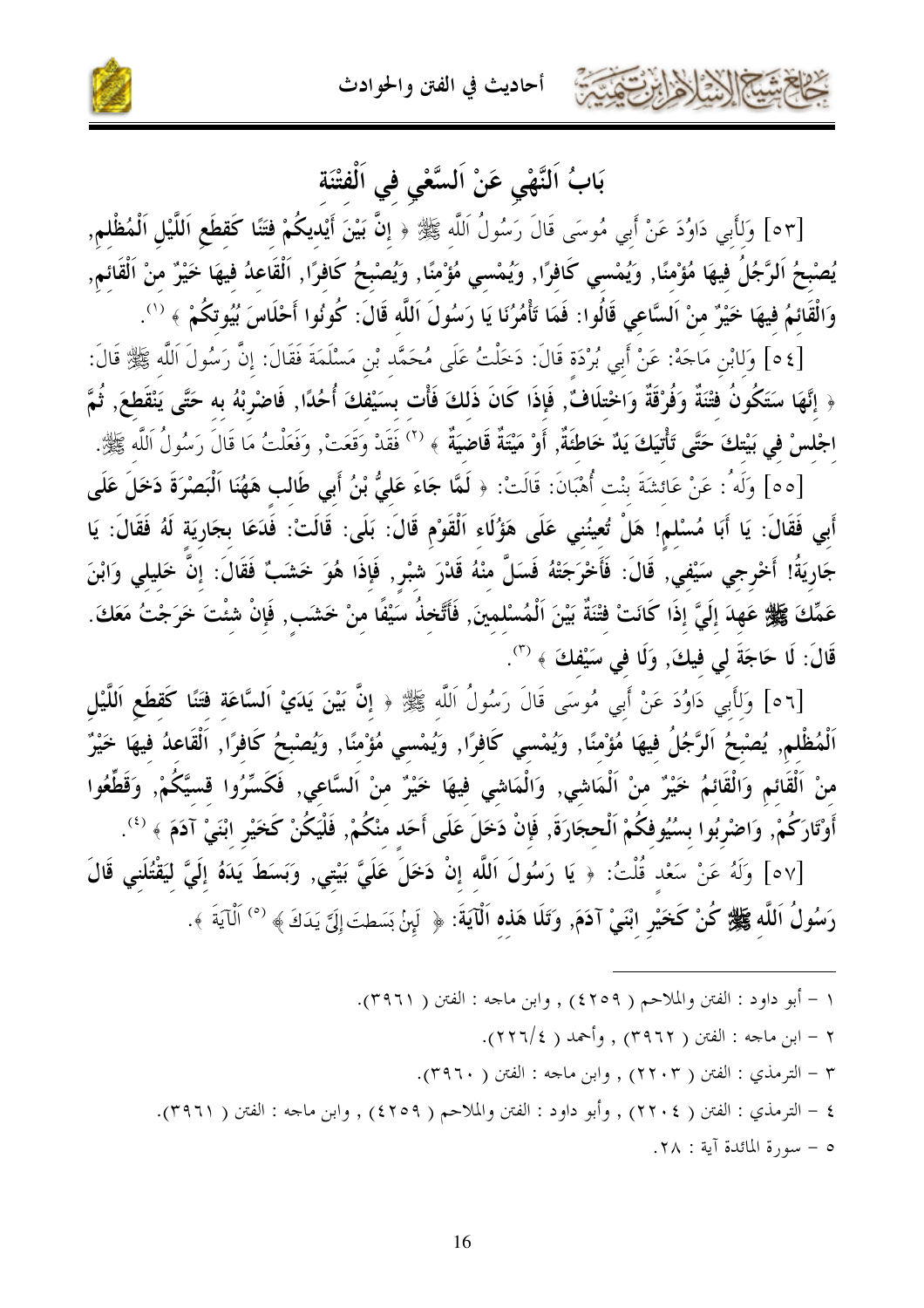أحاديث في الفتن والحوادث



### بَابُ اَلنَّهْي عَنْ اَلسَّعْي فِي اَلْفتْنَة

[٥٣] وَلَأَبِي دَاوُدَ عَنْ أَبِي مُوسَى قَالَ رَسُولُ اَللَّه ﷺ ﴿ إِنَّ بَيْنَ أَيْدِيكُمْ فَتَنًا كَقطَع اَللَّيْل اَلْمُظْلم, يُصْبحُ اَلرَّجُلُ فيهَا مُؤْمنًا, وَيُمْسى كَافرًا, وَيُمْسى مُؤْمنًا, وَيُصْبحُ كَافرًا, اَلْقَاعدُ فيهَا خَيْرٌ منْ اَلْقَائم, وَالْقَائمُ فِيهَا خَيْرٌ منْ اَلسَّاعي قَالُوا: فَمَا تَأْمُرُنَا يَا رَسُولَ اَللَّه قَالَ: كُونُوا أَحْلَاسَ بُيُوتكُمْ ﴾ '''.

[٤٥] وَلِابْنِ مَاجَهْ: عَنْ أَبِي بُرْدَة قَالَ: دَخَلْتُ عَلَى مُحَمَّد بْنِ مَسْلَمَةَ فَقَالَ: إِنَّ رَسُولَ اَللَّه ﷺ قَالَ: ﴿ إِنَّهَا سَتَكُونُ فَتْنَةٌ وَفُرْقَةٌ وَاحْتلَافٌ, فَإِذَا كَانَ ذَلكَ فَأْت بِسَيْفكَ أُحُدًا, فَاضْربْهُ به حَتَّى يَنْقَطعَ, ثُمَّ اجْلسْ في بَيْتكَ حَتَّى تَأْتِيَكَ يَدٌ خَاطَئَةٌ, أَوْ مَيْتَةٌ قَاضِيَةٌ ﴾ <sup>(٢)</sup> فَقَدْ وَقَعَتْ, وَفَعَلْتُ مَا قَالَ رَسُولُ اَللَّه ﷺ.

[٥٥] وَلَهُ : عَنْ عَائِشَةَ بِنْتِ أُهْبَانَ: قَالَتْ: ﴿ لَمَّا جَاءَ عَلَىُّ بْنُ أَبِي طَالبٍ هَهُنَا اَلْبَصْرَةَ دَخَلَ عَلَى أَبِي فَقَالَ: يَا أَبَا مُسْلم! هَلْ تُعِينُني عَلَى هَؤُلَاء اَلْقَوْم قَالَ: بَلَى: قَالَتْ: فَدَعَا بجَارِيَة لَهُ فَقَالَ: يَا جَارِيَةُ! أَحْرِجِي سَيْفي, قَالَ: فَأَخْرَجَتْهُ فَسَلَّ منْهُ قَدْرَ شبْرٍ, فَإِذَا هُوَ خَشَبٌ فَقَالَ: إنَّ خَليلي وَابْنَ عَمِّكَ ﷺ عَهِدَ إلَيَّ إذَا كَانَتْ فَتْنَةٌ بَيْنَ اَلْمُسْلِمِينَ, فَأَتَّخذُ سَيْفًا مِنْ خَشَبٍ, فَإِنْ شئتَ خَرَجْتُ مَعَكَ. قَالَ: لَا حَاجَةَ لِي فِيكَ, وَلَا فِي سَيْفِكَ ﴾ (\*).

[٥٦] وَلَأَبِي دَاوُدَ عَنْ أَبِي مُوسَى قَالَ رَسُولُ اللَّه ﷺ ﴿ إِنَّ بَيْنَ يَدَيْ اَلِسَّاعَةِ فَتَنًا كَقطَع اَللَّيْلِ اَلْمُظْلم, يُصْبحُ اَلرَّجُلُ فيهَا مُؤْمنًا, وَيُمْسي كَافرًا, وَيُمْسي مُؤْمنًا, وَيُصْبحُ كَافرًا, اَلْقَاعدُ فيهَا خَيْرٌ منْ اَلْقَائم وَالْقَائمُ خَيْرٌ منْ اَلْمَاشي, وَالْمَاشي فيهَا خَيْرٌ منْ اَلسَّاعي, فَكَسِّرُوا قسيَّكُمْ, وَقَطِّعُوا أَوْتَارَكُمْ, وَاضْرِبُوا بسُيُوفكُمْ اَلْحجَارَةَ, فَإِنْ دَخَلَ عَلَى أَحَد منْكُمْ, فَلْيَكُنْ كَخَيْر ابْنَىْ آدَمَ ﴾ <sup>(٤)</sup>. [٥٧] وَلَهُ عَنْ سَعْد قُلْتُ: ﴿ يَا رَسُولَ اَللَّه إنْ دَخَلَ عَلَيَّ بَيْتِي, وَبَسَطَ يَدَهُ إِلَيَّ ليَقْتُلَني قَالَ

رَسُولُ اَللَّه ﷺ كُنْ كَخَيْرِ ابْنَيْ آدَمَ, وَتَلَا هَذه اَلْآيَةَ: ﴿ لَبِنْ بَسَطتَ إِلَىَّ يَدَكَ ﴾ (°) اَلْآيَةَ ﴾.

- ١ أبو داود : الفتن والملاحم ( ٤٢٥٩) , وابن ماحه : الفتن ( ٣٩٦١).
	- ٢ ابن ماجه : الفتن ( ٣٩٦٢) , وأحمد ( ٢٢٦٢).
	- ٣ الترمذي : الفتن ( ٢٢٠٣) , وابن ماجه : الفتن ( ٣٩٦٠).
- ٤ الترمذي : الفتن ( ٢٢٠٤) , وأبو داود : الفتن والملاحم ( ٤٢٥٩) , وابن ماحه : الفتن ( ٣٩٦١).

٥ - سورة المائدة آية : ٢٨.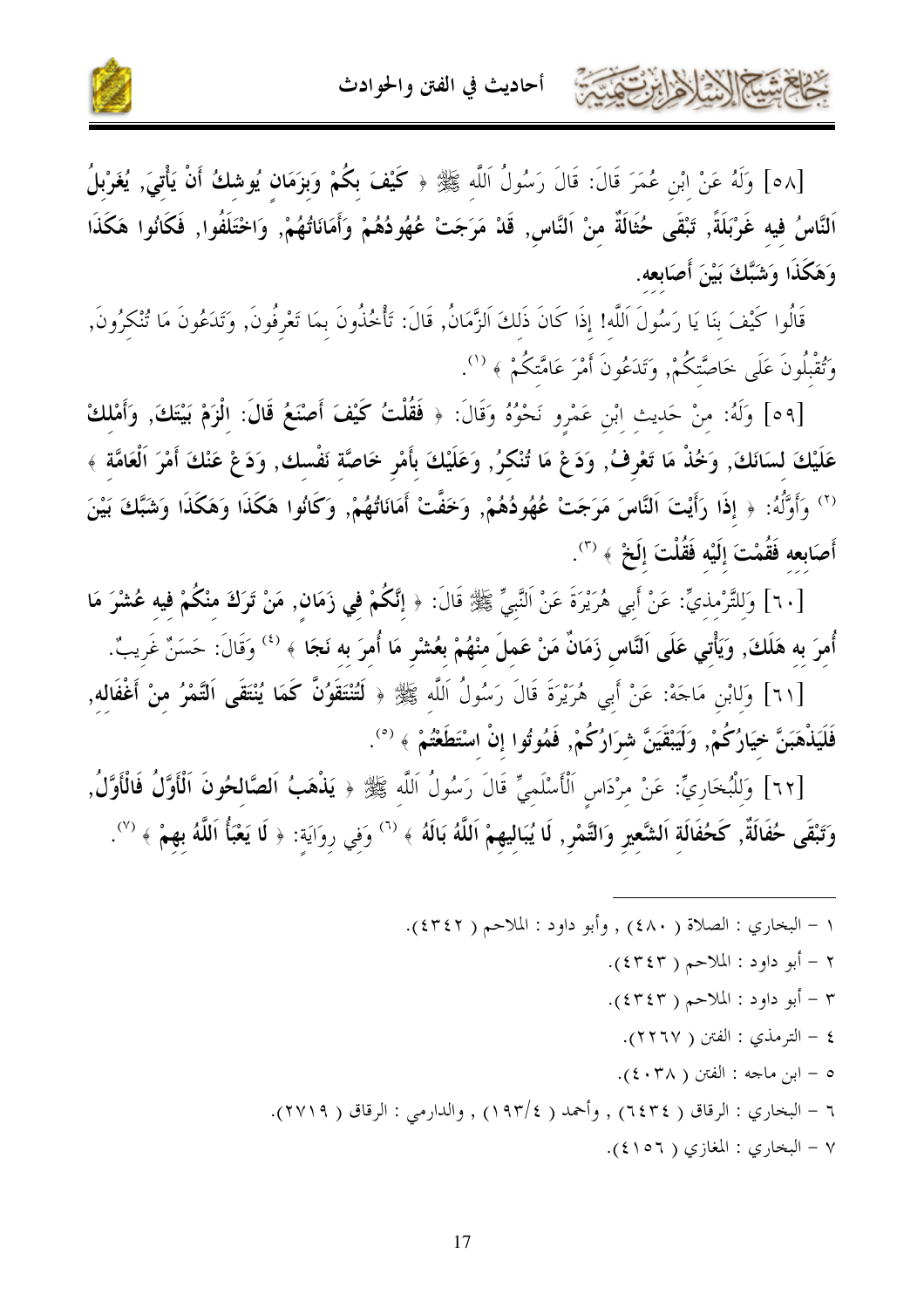كالحشي الدارتونية



[٥٨] وَلَهُ عَنْ ابْنِ عُمَرَ قَالَ: قَالَ رَسُولُ اَللَّه ﷺ ﴿ كَيْفَ بِكُمْ وَبِزَمَانٍ يُوشِكُ أَنْ يَأْتِيَ, يُغَرْبِلُ اَلنَّاسُ فِيه غَرْبَلَةً, تَبْقَى حُثَالَةٌ منْ اَلنَّاس, قَدْ مَرَجَتْ عُهُودُهُمْ وَأَمَانَاتُهُمْ, وَاخْتَلَفُوا, فَكَانُوا هَكَذَا وَهَكَذَا وَشَبَّكَ بَيْنَ أَصَابِعِه.

قَالُوا كَيْفَ بِنَا يَا رَسُولَ اَللَّه! إذَا كَانَ ذَلكَ اَلزَّمَانُ, قَالَ: تَأْخُذُونَ بِمَا تَعْرفُونَ, وَتَدَعُونَ مَا تُنْكرُونَ, وَتُقْبِلُونَ عَلَى خَاصَّتْكُمْ, وَتَدَعُونَ أَمْرَ عَامَّتكُمْ ﴾ '''.

[٥٩] وَلَهُ: مِنْ حَدِيثِ ابْنِ عَمْرِو نَحْوُهُ وَقَالَ: ﴿ فَقُلْتُ كَيْفَ أَصْنَعُ قَالَ: الْزَمْ بَيْتَكَ, وَأَمْلكْ عَلَيْكَ لسَانَكَ, وَخُذْ مَا تَعْرِفُ, وَدَعْ مَا تُنْكَرُ, وَعَلَيْكَ بِأَمْرِ خَاصَّة نَفْسك, وَدَعْ عَنْكَ أَمْرَ اَلْعَامَّة ﴾ '') وَأَوَّلُهُ: ﴿ إِذَا رَأَيْتَ اَلنَّاسَ مَرَجَتْ عُهُودُهُمْ, وَخَفَّتْ أَمَانَاتُهُمْ, وَكَانُوا هَكَذَا وَهَكَذَا وَشَبَّكَ بَيْنَ أَصَابعه فَقُمْتَ إِلَيْه فَقُلْتَ إِلَخْ ﴾ (٢).

[٦٠] وَللتَّرْمذيِّ: عَنْ أَبِي هُرَيْرَةَ عَنْ اَلنَّبِيِّ ﷺ قَالَ: ﴿ إِنَّكُمْ فِي زَمَانٍ, مَنْ تَرَكَ مثكُمْ فيه عُشْرَ مَا أُمرَ به هَلَكَ, وَيَأْتي عَلَى اَلنَّاس زَمَانٌ مَنْ عَملَ منْهُمْ بعُشْر مَا أُمرَ به نَجَا ﴾ <sup>(٤)</sup> وَقَالَ: حَسَنٌ غَريبٌ.

[٦١] وَلِابْنِ مَاحَهْ: عَنْ أَبِي هُرَيْرَةَ قَالَ رَسُولُ اَللَّهِ ﷺ ﴿ لَتُنْتَقَوُنَّ كَمَا يُنْتَقَى اَلتَّمْرُ منْ أَغْفَاله, فَلَيَذْهَبَنَّ خيَارُكُمْ, وَلَيَبْقَيَنَّ شرَارُكُمْ, فَمُوتُوا إنْ اسْتَطَعْتُمْ ﴾ <sup>(°)</sup>.

[٦٢] وَللْبُخَارِيِّ: عَنْ مرْدَاس اَلْأَسْلَميِّ قَالَ رَسُولُ اَللَّه ﷺ ﴿ يَذْهَبُ اَلصَّالحُونَ اَلْأَوَّلُ فَالْأَوَّلُ, وَتَبْقَى حُفَالَةٌ, كَحُفَالَة اَلشَّعِيرِ وَالتَّمْرِ, لَا يُبَاليهمْ اَللَّهُ بَالَهُ ﴾ <sup>(٦)</sup> وَفي روايَة: ﴿ لَا يَعْبَأُ اَللَّهُ بهمْ ﴾ <sup>(٧)</sup>.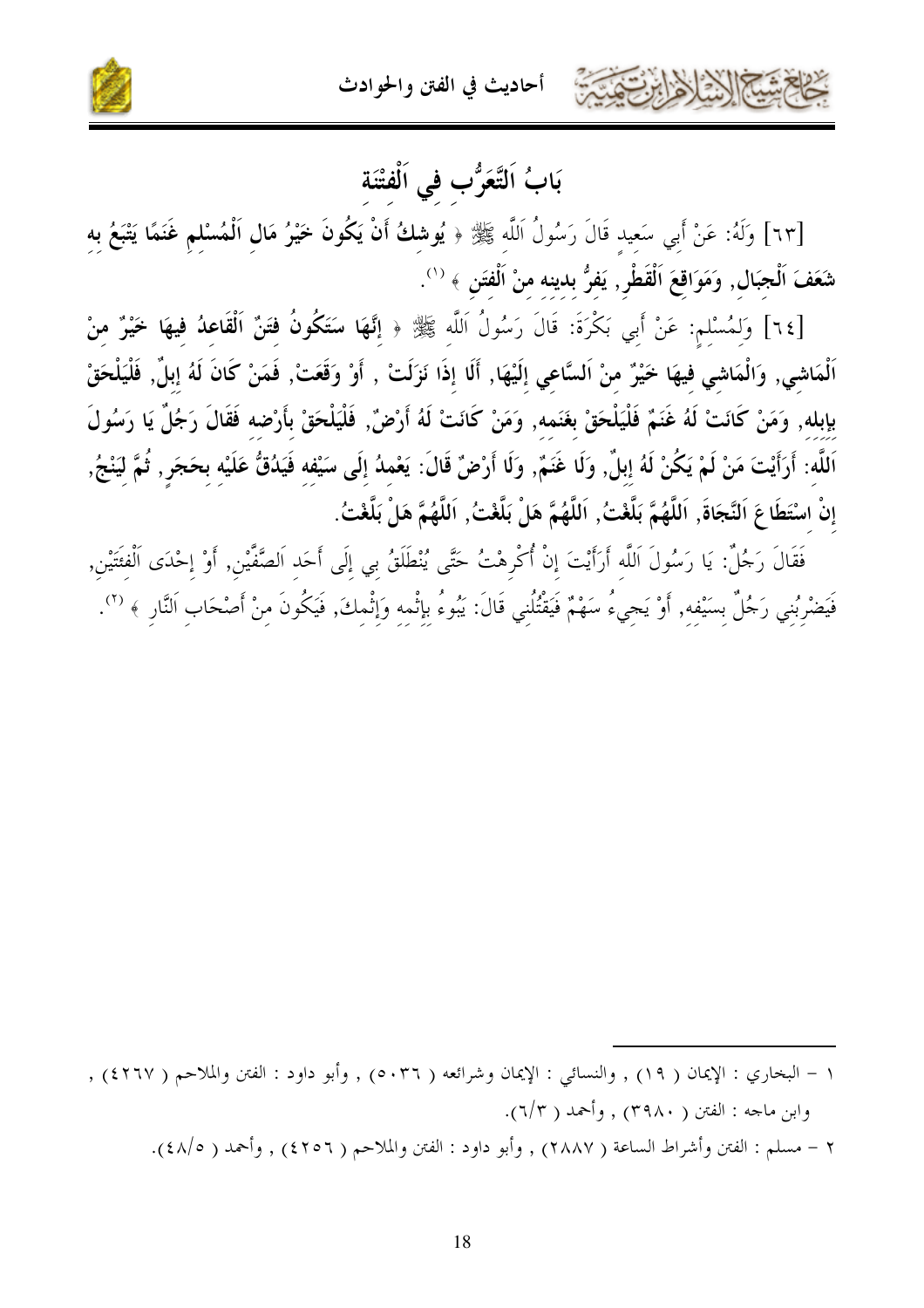أحاديث في الفتن والحوادث



### بَابُ اَلتَّعَرُّب في اَلْفتْنَة

[٦٣] وَلَهُ: عَنْ أَبِي سَعِيدٍ قَالَ رَسُولُ اَللَّهِ ﷺ ﴿ يُوشِكُ أَنْ يَكُونَ خَيْرُ مَالٍ اَلْمُسْلم غَنَمًا يَتْبَعُ بِه شَعَفَ اَلْجَبَال, وَمَوَاقعَ اَلْقَطْر, يَفرُّ بدينه منْ اَلْفتَن ﴾ (''.

[٦٤] وَلِمُسْلِمٍ: عَنْ أَبِي بَكْرَةَ: قَالَ رَسُولُ اَللَّه ﷺ ﴿ إِنَّهَا سَتَكُونُ فَتَنَّ اَلْقَاعِدُ فيهَا خَيْرٌ منْ اَلْمَاشي, وَالْمَاشي فِيهَا خَيْرٌ منْ اَلسَّاعي إلَيْهَا, أَلَا إذَا نَزَلَتْ , أَوْ وَقَعَتْ, فَمَنْ كَانَ لَهُ إبلٌ, فَلْيَلْحَقْ بإبله, وَمَنْ كَانَتْ لَهُ غَنَمٌ فَلْيَلْحَقْ بغَنَمه, وَمَنْ كَانَتْ لَهُ أَرْضٌ, فَلْيَلْحَقْ بأَرْضه فَقَالَ رَجُلٌ يَا رَسُولَ اَللَّه: أَرَأَيْتَ مَنْ لَمْ يَكُنْ لَهُ إبلٌ, وَلَا غَنَمٌ, وَلَا أَرْضٌ قَالَ: يَعْمدُ إلَى سَيْفه فَيَدُقُّ عَلَيْه بحَجَر, ثُمَّ ليَنْجُ, إِنْ اسْتَطَاعَ اَلنَّجَاةَ, اَللَّهُمَّ بَلَّغْتُ, اَللَّهُمَّ هَلْ بَلَّغْتُ, اَللَّهُمَّ هَلْ بَلَّغْتُ.

فَقَالَ رَجُلٌ: يَا رَسُولَ اَللَّه أَرَأَيْتَ إنْ أُكْرِهْتُ حَتَّى يُنْطَلَقُ بي إِلَى أَحَد اَلصَّفَيْنِ, أَوْ إِحْدَى اَلْفِتَيْنِ, فَيَضْرُبُني رَجُلٌ بسَيْفه, أَوْ يَجيءُ سَهْمٌ فَيَقْتُلُني قَالَ: يَبُوءُ بإنْمه وَإِتْمكَ, فَيَكُونَ منْ أَصْحَاب اَلنَّار ﴾ (°).

١ – البخاري : الإيمان ( ١٩) , والنسائي : الإيمان وشرائعه ( ٥٠٣٦) , وأبو داود : الفتن والملاحم ( ٤٢٦٧) , وابن ماجه : الفتن ( ۳۹۸۰) , وأحمد ( ۲/۳).

٢ – مسلم : الفتن وأشراط الساعة ( ٢٨٨٧) , وأبو داود : الفتن والملاحم ( ٤٢٥٦) , وأحمد ( ٤٨/٥).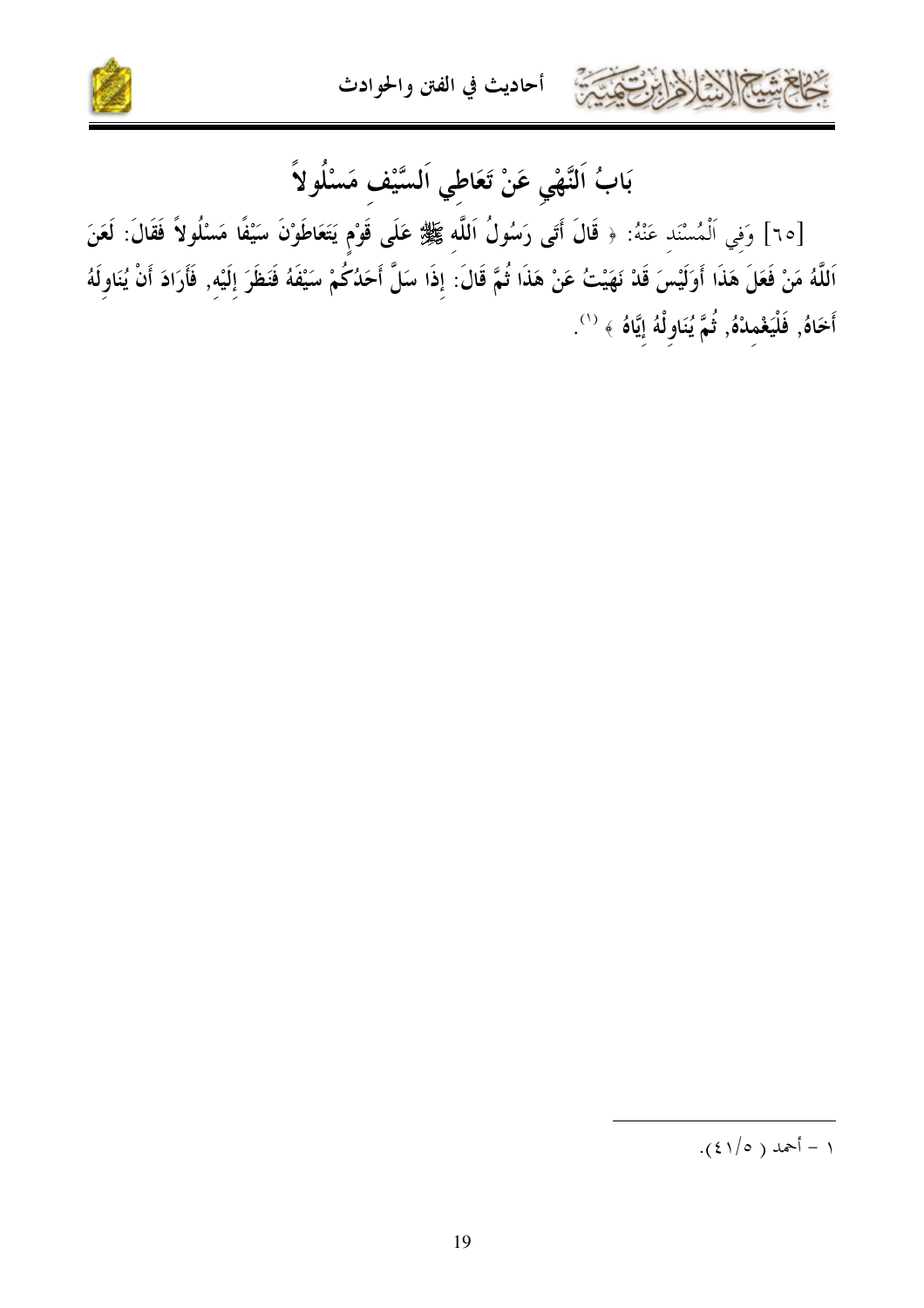

بَابُ اَلنَّهْيِ عَنْ تَعَاطِي اَلسَّيْف مَسْلُولاً

خاخ شيخ الاخلاط ابرت متعت

[٦٥] وَفِي اَلْمُسْنَدِ عَنْهُ: ﴿ قَالَ أَتَى رَسُولُ اَللَّهِ ﷺ عَلَى قَوْمٍ يَتَعَاطَوْنَ سَيْفًا مَسْلُولاً فَقَالَ: لَعَنَ اَللَّهُ مَنْ فَعَلَ هَذَا أَوَلَيْسَ قَدْ نَهَيْتُ عَنْ هَذَا ثُمَّ قَالَ: إِذَا سَلَّ أَحَدُكُمْ سَيْفَهُ فَنَظَرَ إِلَيْهِ, فَأَرَادَ أَنْ يُنَاوِلَهُ أَخَاهُ, فَلْيَغْمِدْهُ, ثُمَّ يُنَاوِلْهُ إِيَّاهُ ﴾ <sup>(١)</sup>.

 $\cdot$  (  $\epsilon$  ) /  $\circ$  )  $\lambda$   $\delta$  )  $\cdot$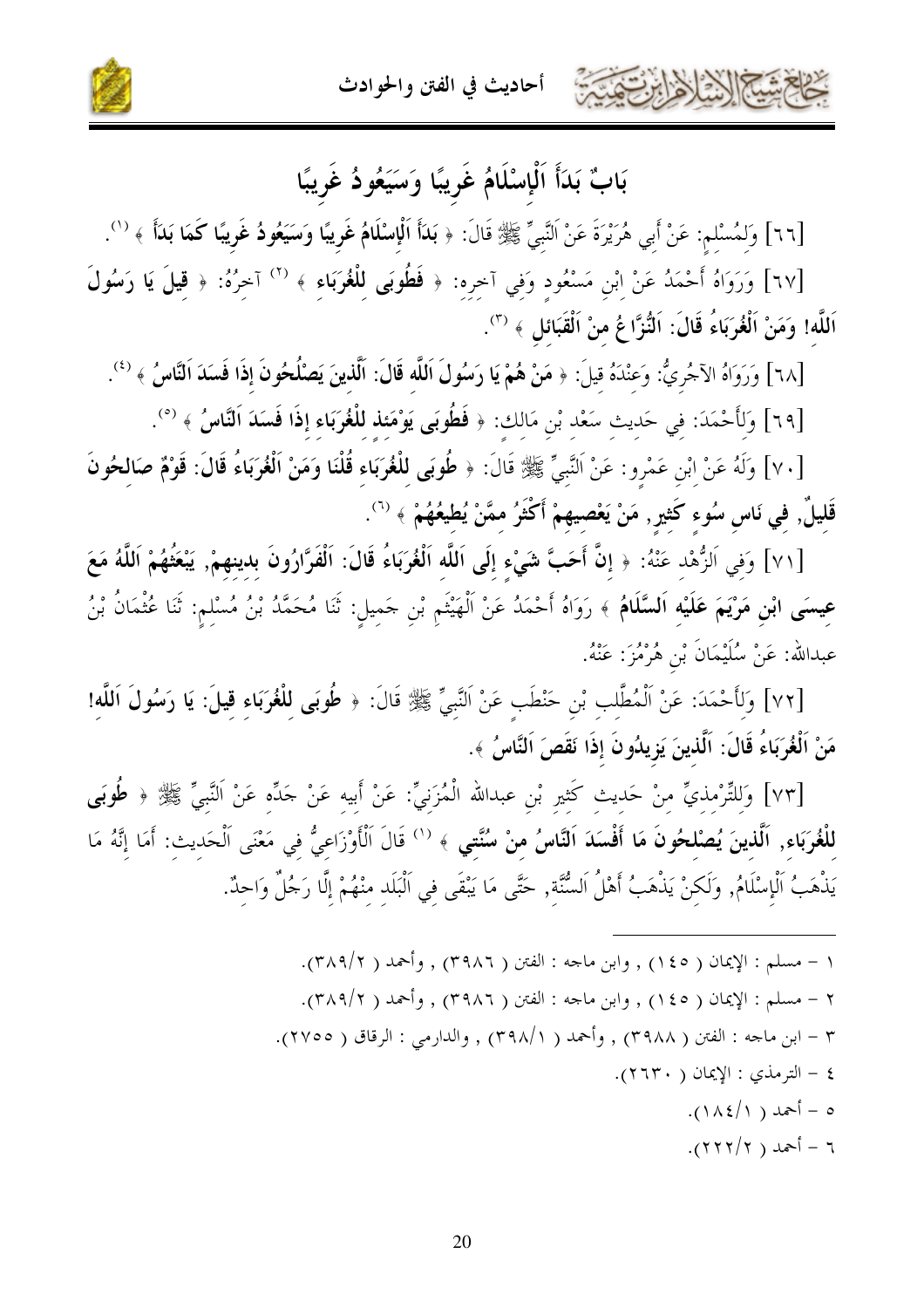أحاديث في الفتن والحوادث



## بَابٌ بَدَأَ اَلْإِسْلَامُ غَرِيبًا وَسَيَعُودُ غَرِيبًا

a Malla

[٦٦] وَلمُسْلم: عَنْ أَبِي هُرَيْرَةَ عَنْ اَلنَّبِيِّ ﷺ قَالَ: ﴿ بَدَأَ اَلْإِسْلَامُ غَوِيبًا وَسَيَعُودُ غَويبًا كَمَا بَدَأَ ﴾ (''.

[٦٧] وَرَوَاهُ أَحْمَدُ عَنْ ابْنِ مَسْعُودٍ وَفِي آخِرِهِ: ﴿ فَطُوبَى لِلْغُرَبَاءِ ﴾ (٢) آخِرُهُ: ﴿ قِيلَ يَا رَسُولَ اَللَّه! وَمَنْ اَلْغُرَبَاءُ قَالَ: اَلنُّزَّاعُ منْ اَلْقَبَائل ﴾ (").

[٦٨] وَرَوَاهُ الآجُرِيُّ: وَعنْدَهُ قيلَ: ﴿ مَنْ هُمْ يَا رَسُولَ اَللَّه قَالَ: اَلَّذِينَ يَصْلُحُونَ إذَا فَسَدَ اَلنَّاسُ ﴾ <sup>(٤)</sup>.

[٦٩] وَلِأَحْمَدَ: فِي حَديث سَعْد بْنِ مَالك: ﴿ فَطُوبَى يَوْمَعَذْ لِلْغُرَبَاءِ إِذَا فَسَلَدَ اَلْنَاسُ ﴾ (°).

[٧٠] وَلَهُ عَنْ ابْنِ عَمْرِو: عَنْ النَّبِيِّ ﷺ قَالَ: ﴿ طُوبَى للْغُرَبَاء قُلْنَا وَمَنْ اَلْغُرَبَاءُ قَالَ: قَوْمٌ صَالحُونَ قَليلٌ, في نَاس سُوء كَثير, مَنْ يَعْصيهمْ أَكْثَرُ ممَّنْ يُطيعُهُمْ ﴾ ('').

[٧١] وَفِي اَلزُّهْد عَنْهُ: ﴿ إِنَّ أَحَبَّ شَيْء إِلَى اَللَّه اَلْغُرَبَاءُ قَالَ: اَلْفَرَّارُونَ بدينهمْ, يَبْعَثُهُمْ اَللَّهُ مَعَ عِيسَى ابْنِ مَرْيَمَ عَلَيْه اَلسَّلَامُ ﴾ رَوَاهُ أَحْمَدُ عَنْ اَلْهَيْتَم بْن حَميل: ثَنَا مُحَمَّدُ بْنُ مُسْلم: ثَنَا عُثْمَانُ بْنُ عبدالله: عَنْ سُلَيْمَانَ بْنِ هُرْمُزَ: عَنْهُ.

[٧٢] وَلِأَحْمَدَ: عَنْ اَلْمُطَّلِبِ بْنِ حَنْطَبٍ عَنْ النَّبِيِّ ﷺ قَالَ: ﴿ طُوبَى لِلْغُرَبَاءِ قِيلَ: يَا رَسُولَ اَللَّه! مَنْ اَلْغُرَبَاءُ قَالَ: اَلَّذِينَ يَزِيدُونَ إذَا نَقَصَ اَلنَّاسُ ﴾.

[٧٣] وَلِلتِّرْمِذِيِّ مِنْ حَدِيثِ كَثِيرٍ بْنِ عبدالله الْمُزَنِيِّ: عَنْ أَبِيهِ عَنْ حَدِّهِ عَنْ اَلنَّبِيّ ﷺ ﴿ طُوبَى للْغُرَبَاء, اَلَّذينَ يُصْلحُونَ مَا أَفْسَدَ النَّاسُ منْ سُنَّتي ﴾ <sup>(١)</sup> قَالَ اَلْأَوْزَاعيٌّ في مَعْنَى اَلْحَديث: أَمَا إنَّهُ مَا يَذْهَبُ اَلْإِسْلَامُ, وَلَكنْ يَذْهَبُ أَهْلُ اَلسُّنَّة, حَتَّى مَا يَبْقَى في اَلْبَلَد منْهُمْ إلَّا رَجُلٌ وَاحدٌ.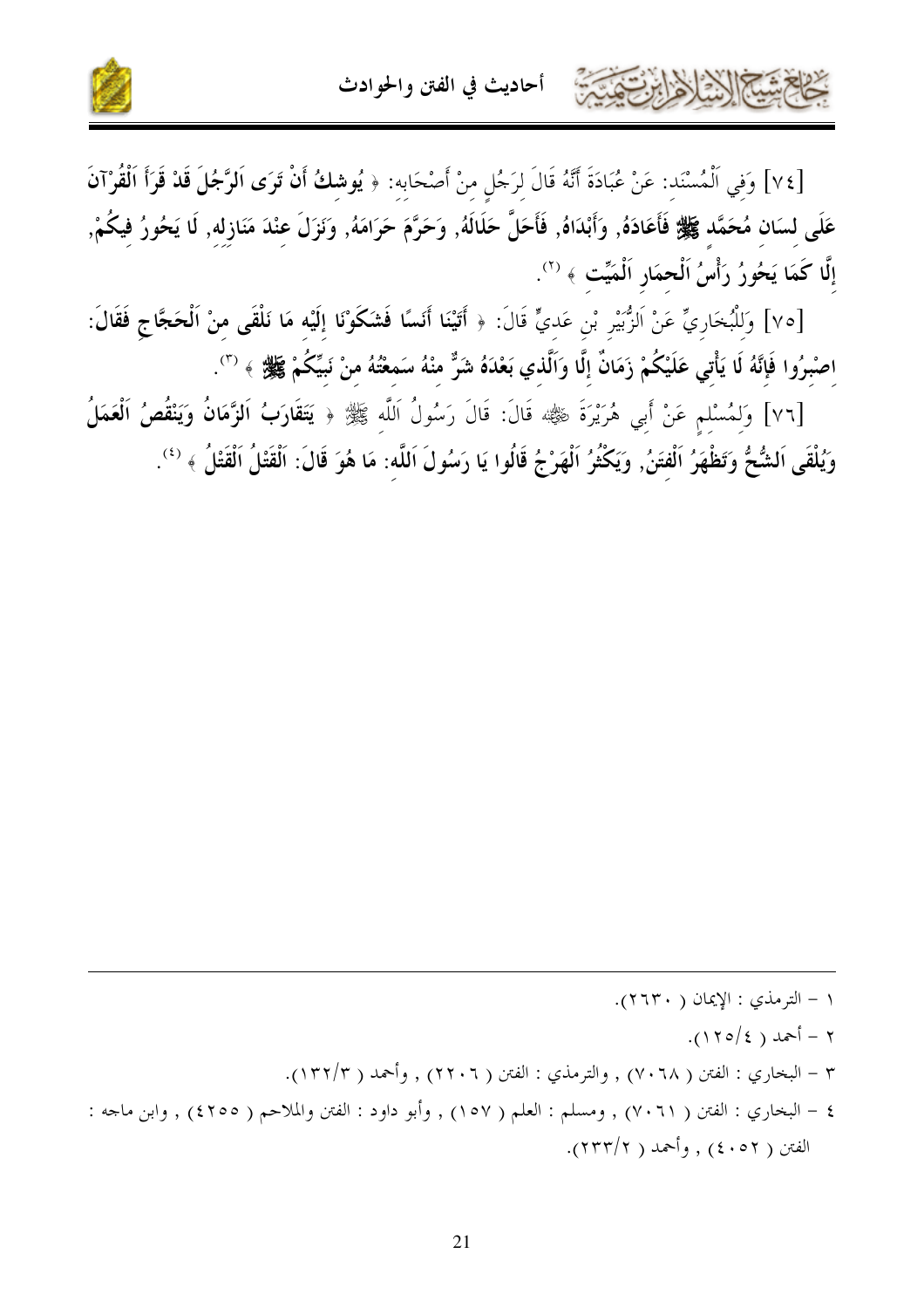كالعمشة الأدامات



[٧٤] وَفِي اَلْمُسْنَدِ: عَنْ عُبَادَةَ أَنَّهُ قَالَ لِرَجُلٍ مِنْ أَصْحَابِهِ: ﴿ يُوشِكُ أَنْ تَرَى اَلوَّجُلَ قَدْ قَرَأَ اَلْقُرْآنَ عَلَى لسَان مُحَمَّد ﷺ فَأَعَادَهُ, وَأَبْدَاهُ, فَأَحَلَّ حَلَالَهُ, وَحَرَّمَ حَرَامَهُ, وَنَزَلَ عِنْدَ مَنازِلهِ, لَا يَحُورُ فِيكُمْ, إِلَّا كَمَا يَحُورُ رَأْسُ اَلْحمَارِ اَلْمَيِّت ﴾ (''.

[٧٥] وَللْبُخَارِيِّ عَنْ اَلزُّبَيْرِ بْنِ عَديٍّ قَالَ: ﴿ أَتَيْنَا أَنَسًا فَشَكَوْنَا إِلَيْهِ مَا نَلْقَى منْ اَلْحَجَّاجِ فَقَالَ: اصْبِرُوا فَإِنَّهُ لَا يَأْتِي عَلَيْكُمْ زَمَانٌ إِلَّا وَاَلَّذي بَعْدَهُ شَرٌّ منْهُ سَمعْتُهُ منْ نَبيّكُمْ ﷺ ﴾ (").

[٧٦] وَلِمُسْلِمٍ عَنْ أَبِي هُرَيْرَةَ ﷺ قَالَ: قَالَ رَسُولُ اَللَّهِ ﷺ ﴿ يَتَقَارَبُ اَلزَّمَانُ وَيَنْقُصُ اَلْعَمَلُ وَيُلْقَى اَلشُّحُّ وَتَظْهَرُ اَلْفتَنُ, وَيَكْثُرُ اَلْهَرْجُ قَالُوا يَا رَسُولَ اَللَّه: مَا هُوَ قَالَ: اَلْقَتْلُ اَلْقَتْلُ ﴾ <sup>(٤)</sup>.

١ – الترمذي : الإيمان ( ٢٦٣٠).  $(170/3)$  - أحمد ( ع ٣ – البخاري : الفتن ( ٧٠٦٨) , والترمذي : الفتن ( ٢٢٠٦) , وأحمد ( ١٣٢/٣). ٤ – البخاري : الفتن ( ٧٠٦١) , ومسلم : العلم ( ١٥٧) , وأبو داود : الفتن والملاحم ( ٤٢٥٥) , وابن ماحه : الفتن ( ٤٠٥٢) , وأحمد ( ٢٣٣/٢).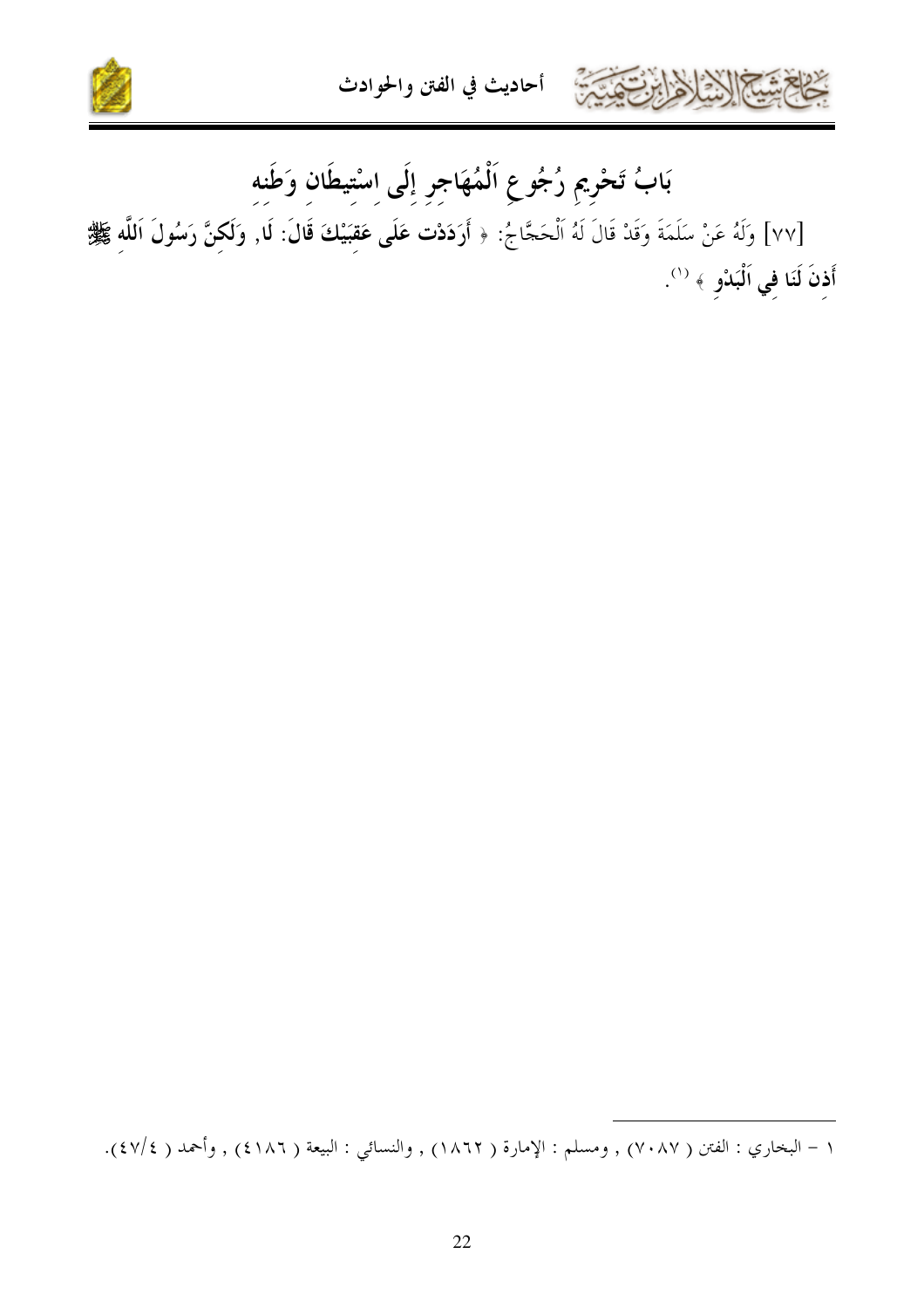



# بَابُ تَحْرِيمِ رُجُوعِ اَلْمُهَاجِرِ إِلَى اِسْتِيطَانِ وَطَنِهِ

[٧٧] وَلَهُ عَنْ سَلَمَةَ وَقَدْ قَالَ لَهُ اَلْحَجَّاجُ: ﴿ أَرَدَدْت عَلَى عَقِبَيْكَ قَالَ: لَا, وَلَكِنَّ رَسُولَ اَللَّهِ ﷺ أَذِنَ لَنَا فِي اَلْبَدْوِ ﴾ (''.

١ – البخاري : الفتن ( ٧٠٨٧) , ومسلم : الإمارة ( ١٨٦٢) , والنسائي : البيعة ( ٤١٨٦) , وأحمد ( ٤٧/٤).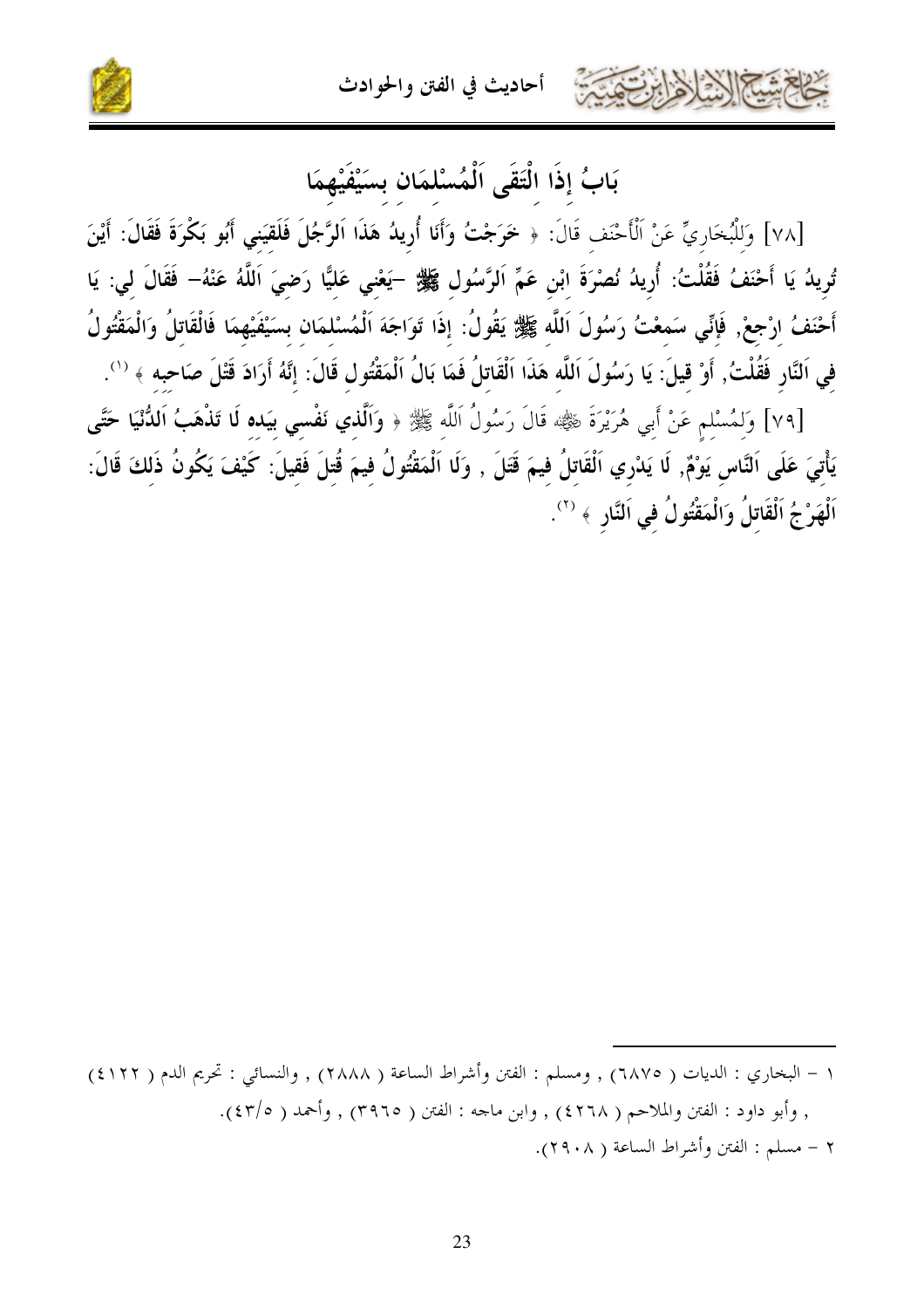أحاديث في الفتن والحوادث



بَابُ إذَا الْتَقَى اَلْمُسْلمَان بسَيْفَيْهِمَا

[٧٨] وَلِلْبُخَارِيِّ عَنْ اَلْأَحْنَفِ قَالَ: ﴿ خَرَجْتُ وَأَنَا أُرِيدُ هَذَا اَلرَّجُلَ فَلَقِيَنِي أَبُو بَكْرَةَ فَقَالَ: أَيْنَ تُويدُ يَا أَحْنَفُ فَقُلْتُ: أُرِيدُ نُصْرَةَ ابْنِ عَمِّ اَلرَّسُول ﷺ –يَعْني عَليًّا رَضيَ اَللَّهُ عَنْهُ– فَقَالَ لي: يَا أَحْنَفُ ارْجعْ, فَإِنِّي سَمعْتُ رَسُولَ اَللَّه ﷺ يَقُولُ: إذَا تَوَاجَهَ اَلْمُسْلمَان بسَيْفَيْهِمَا فَالْقَاتلُ وَالْمَقْتُولُ في اَلنَّارِ فَقُلْتُ, أَوْ قيلَ: يَا رَسُولَ اَللَّه هَذَا اَلْقَاتلُ فَمَا بَالُ اَلْمَقْتُول قَالَ: إنَّهُ أَرَادَ قَتْلَ صَاحبه ﴾ (''.

[٧٩] وَلمُسْلم عَنْ أَبِي هُرَيْرَةَ ﷺ، قَالَ رَسُولُ اَللَّه ﷺ ﴿ وَاَلَّذِي نَفْسي بِيَدِهِ لَا تَذْهَبُ اَللُّنْيَا حَتَّى يَأْتيَ عَلَى اَلنَّاس يَوْمٌ, لَا يَدْرِي اَلْقَاتلُ فِيمَ قَتَلَ , وَلَا اَلْمَقْتُولُ فِيمَ قُتلَ فَقيلَ: كَيْفَ يَكُونُ ذَلكَ قَالَ: اَلْهَرْجُ اَلْقَاتِلُ وَالْمَقْتُولُ في اَلنَّارِ ﴾ (٢).

١ – البخاري : الديات ( ٦٨٧٥) , ومسلم : الفتن وأشراط الساعة ( ٢٨٨٨) , والنسائي : تحريم الدم ( ٤١٢٢)

, وأبو داود : الفتن والملاحم ( ٤٢٦٨) , وابن ماجه : الفتن ( ٣٩٦٥) , وأحمد ( ٤٣/٥).

٢ – مسلم : الفتن وأشراط الساعة ( ٢٩٠٨).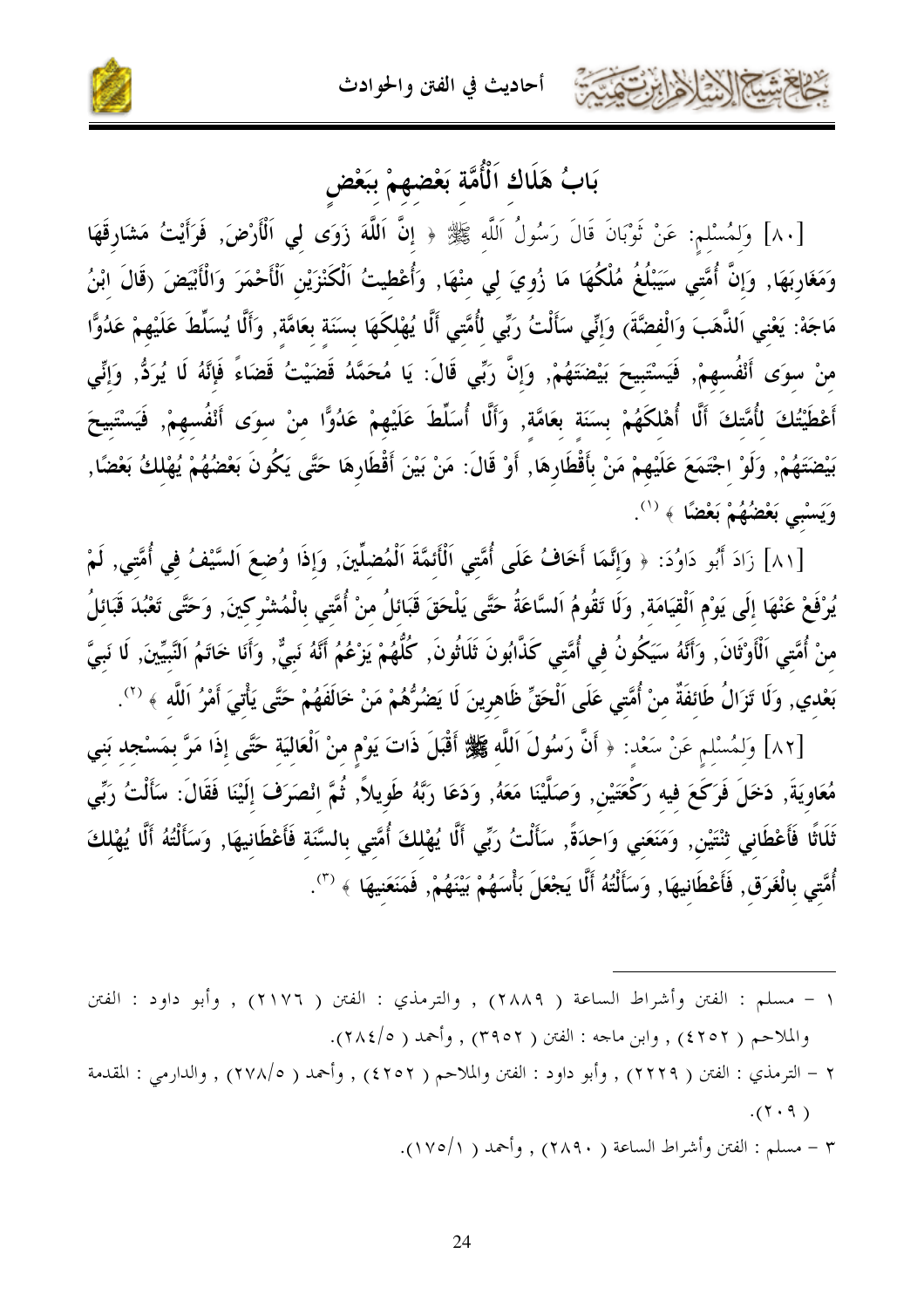

بَابُ هَلَاكَ اَلْأُمَّة بَعْضهمْ ببَعْض

[٨٠] وَلمُسْلم: عَنْ تَوْبَانَ قَالَ رَسُولُ اَللَّه ﷺ ﴿ إِنَّ اَللَّهَ زَوَى لَمِي اَلْأَرْضَ, فَرَأَيْتُ مَشَارِقَهَا وَمَغَاربَهَا, وَإِنَّ أُمَّتي سَيَبْلُغُ مُلْكُهَا مَا زُويَ لي منْهَا, وَأُعْطِيتُ اَلْكَنْزَيْنِ اَلْأَحْمَرَ وَالْأَبْيَضَ (قَالَ ابْنُ مَاجَهْ: يَعْني اَلذَّهَبَ وَالْفضَّةَ) وَإِنِّي سَأَلْتُ رَبِّي لأُمَّتِي أَلَّا يُهْلكَهَا بسَنَة بعَامَّة, وَأَلَّا يُسَلِّطَ عَلَيْهِمْ عَدُوًّا مِنْ سِوَى أَنْفُسِهِمْ, فَيَسْتَبِيحَ بَيْضَتَهُمْ, وَإِنَّ رَبِّي قَالَ: يَا مُحَمَّدُ قَضَيْتُ قَضَاءً فَإِنَّهُ لَا يُرَدُّ, وَإِنِّي أَعْطَيْتُكَ لأُمَّتكَ أَلَّا أُهْلكَهُمْ بسَنَة بعَامَّة, وَأَلَّا أُسَلِّطَ عَلَيْهِمْ عَدُوًّا منْ سوَى أَنْفُسهمْ, فَيَسْتَبِيحَ بَيْضَتَهُمْ, وَلَوْ اجْتَمَعَ عَلَيْهِمْ مَنْ بِأَقْطَارِهَا, أَوْ قَالَ: مَنْ بَيْنَ أَقْطَارِهَا حَتَّى يَكُونَ بَعْضُهُمْ يُهْلكُ بَعْضًا, وَيَسْبِي بَعْضُهُمْ بَعْضًا ﴾ (').

[٨١] زَادَ أَبُو دَاوُدَ: ﴿ وَإِنَّمَا أَخَافُ عَلَى أُمَّتِي اَلْأَئِمَّةَ اَلْمُضلِّينَ, وَإِذَا وُضعَ السَّيْفُ في أُمَّتي, لَمْ يُرْفَعْ عَنْهَا إلَى يَوْم اَلْقيَامَة, وَلَا تَقُومُ اَلسَّاعَةُ حَتَّى يَلْحَقَ قَبَائلُ منْ أُمَّتي بالْمُشْركينَ, وَحَتَّى تَعْبُدَ قَبَائلُ منْ أُمَّتي اَلْأَوْثَانَ, وَأَنَّهُ سَيَكُونُ في أُمَّتي كَذَّابُونَ ثَلَاثُونَ, كُلُّهُمْ يَزْعُمُ أَنَّهُ نَبيٌّ, وَأَنَا خَاتَمُ النَّبيِّينَ, لَا نَبيَّ بَعْدي, وَلَا تَزَالُ طَائفَةٌ منْ أُمَّتي عَلَى اَلْحَقِّ ظَاهرِينَ لَا يَضُرُّهُمْ مَنْ خَالَفَهُمْ حَتَّى يَأْتيَ أَمْرُ اَللَّه ﴾ (''.

[٨٢] وَلمُسْلم عَنْ سَعْد: ﴿ أَنَّ رَسُولَ اَللَّه ﷺ أَقْبَلَ ذَاتَ يَوْم منْ اَلْعَالِيَة حَتَّى إذَا مَرَّ بمَسْجد بَني مُعَاوِيَةَ, دَخَلَ فَرَكَعَ فِيه رَكْعَتَيْنِ, وَصَلَّيْنَا مَعَهُ, وَدَعَا رَبَّهُ طَوِيلاً, ثُمَّ انْصَرَفَ إلَيْنَا فَقَالَ: سَأَلْتُ رَبِّي ثَلَاثًا فَأَعْطَاني ثنْتَيْن, وَمَنَعَني وَاحدَةً, سَأَلْتُ رَبِّي أَلَّا يُهْلكَ أُمَّتي بالسَّنَة فَأَعْطَانيهَا, وَسَأَلْتُهُ أَلَّا يُهْلكَ أُمَّتي بِالْغَرَقِ, فَأَعْطَانِيهَا, وَسَأَلْتُهُ أَلَّا يَجْعَلَ بَأْسَهُمْ بَيْنَهُمْ, فَمَنَعَنِيهَا ﴾ (").

- ١ مسلم : الفتن وأشراط الساعة ( ٢٨٨٩) , والترمذي : الفتن ( ٢١٧٦) , وأبو داود : الفتن والملاحم ( ٤٢٥٢) , وابن ماحه : الفتن ( ٣٩٥٢) , وأحمد ( ٢٨٤/٥).
- ٢ الترمذي : الفتن ( ٢٢٢٩) , وأبو داود : الفتن والملاحم ( ٤٢٥٢) , وأحمد ( ٢٧٨/٥) , والدارمي : المقدمة  $(7.9)$ 
	- ٣ مسلم : الفتن وأشراط الساعة ( ٢٨٩٠) , وأحمد ( ١٧٥/١).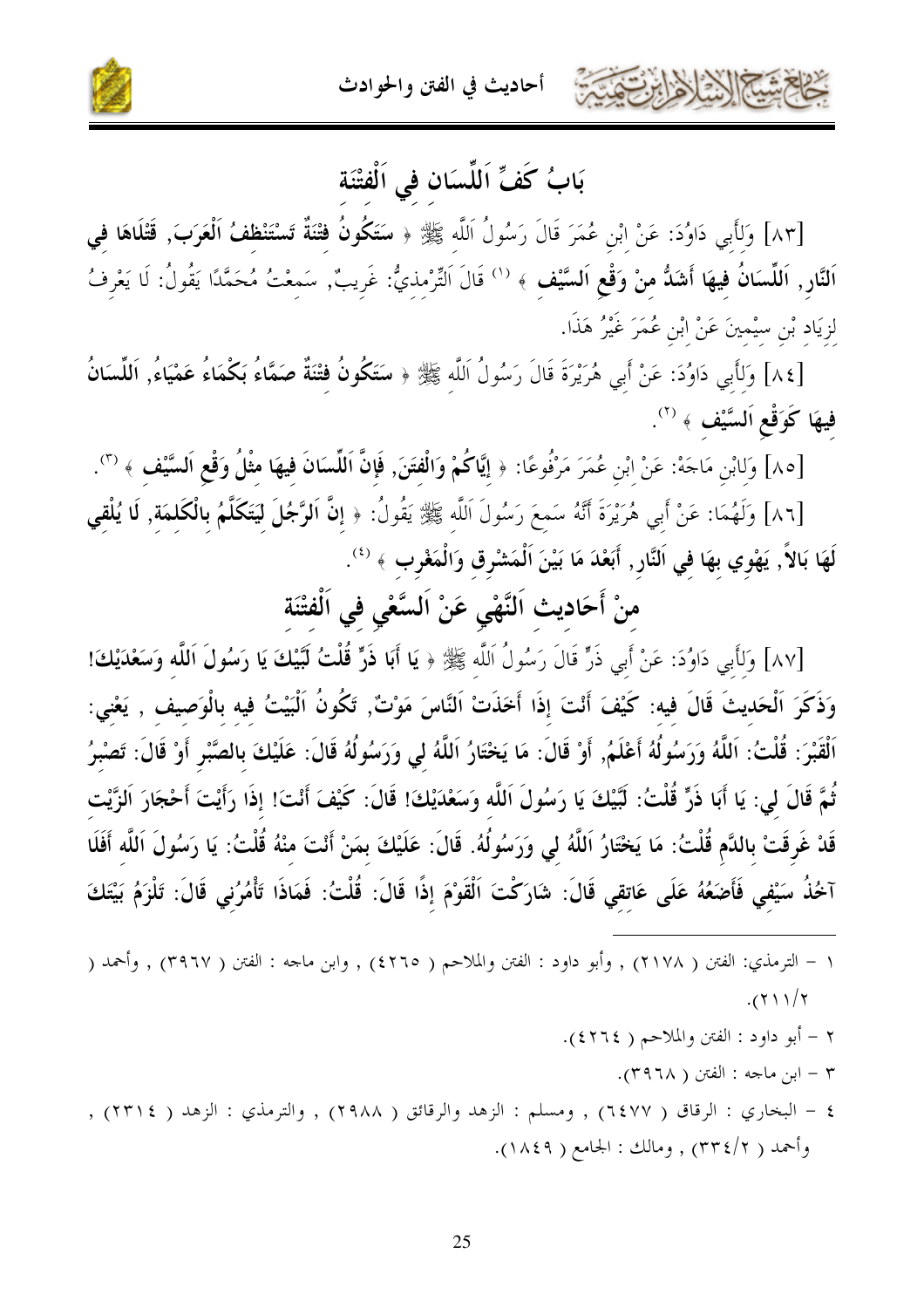أحاديث في الفتن والحوادث



## بَابُ كَفِّ اَللِّسَانِ فِى اَلْفتْنَة

[٨٣] وَلأَبِي دَاوُدَ: عَنْ ابْنِ عُمَرَ قَالَ رَسُولُ اَللَّه ﷺ ﴿ سَتَكُونُ فَتْنَةٌ تَسْتَنْظَفُ اَلْعَرَبَ, قَتْلَاهَا فِي اَلنَّارِ, اَللَّسَانُ فِيهَا أَشَلُّ منْ وَقْعِ اَلسَّيْف ﴾ <sup>(١)</sup> قَالَ اَلتِّرْمِذِيُّ: غَرِيبٌ, سَمِعْتُ مُحَمَّدًا يَقُولُ: لَا يَعْرِفُ لزيَاد بْن سيْمينَ عَنْ ابْنِ عُمَرَ غَيْرُ هَذَا.

[٨٤] وَلِأَبِي دَاوُدَ: عَنْ أَبِي هُرَيْرَةَ قَالَ رَسُولُ اَللَّهِ ﷺ ﴿ سَتَكُونُ فَتْنَةٌ صَمَّاءُ بَكْمَاءُ عَمْيَاءُ, اَللِّسَانُ فِيهَا كَوَقْعِ اَلسَّيْف ﴾ (٢).

[٨٥] وَلابْنِ مَاجَهْ: عَنْ ابْنِ عُمَرَ مَرْفُوعًا: ﴿ إِيَّاكُمْ وَالْفَتَنَ, فَإِنَّ اَللِّسَانَ فِيهَا مثْلُ وَقْعِ اَلسَّيْف ﴾ ("). [٨٦] وَلَهُمَا: عَنْ أَبِي هُرَيْرَةَ أَنَّهُ سَمعَ رَسُولَ اَللَّه ﷺ يَقُولُ: ﴿ إِنَّ اَلرَّجُلَ لَيَتَكَلَّمُ بِالْكَلمَة, لَا يُلْقي لَهَا بَالاً, يَهْوِي بهَا في اَلنَّار, أَبَعْدَ مَا بَيْنَ اَلْمَشْرِق وَالْمَغْرِب ﴾ <sup>(٤)</sup>.

## منْ أَحَاديث اَلنَّهْي عَنْ اَلسَّعْي في اَلْفتْنَة

[٨٧] وَلأَبِي دَاوُدَ: عَنْ أَبِي ذَرٍّ قَالَ رَسُولُ اَللَّه ﷺ ﴿ يَا أَبَا ذَرٍّ قُلْتُ لَبَّيْكَ يَا رَسُولَ اَللَّه وَسَعْدَيْكَ! وَذَكَرَ اَلْحَديثَ قَالَ فيه: كَيْفَ أَنْتَ إذَا أَخَذَتْ اَلنَّاسَ مَوْتٌ, تَكُونُ اَلْبَيْتُ فيه بالْوَصيف , يَعْنى: اَلْقَبْرَ: قُلْتُ: اَللَّهُ وَرَسُولُهُ أَعْلَمُ, أَوْ قَالَ: مَا يَخْتَارُ اَللَّهُ لي وَرَسُولُهُ قَالَ: عَلَيْكَ بالصَّبْرِ أَوْ قَالَ: تَصْبِرُ ثُمَّ قَالَ لمى: يَا أَبَا ذَرٍّ قُلْتُ: لَبَّيْكَ يَا رَسُولَ اَللَّه وَسَعْدَيْكَ! قَالَ: كَيْفَ أَنْتَ! إذَا رَأَيْتَ أَحْجَارَ الزَّيْت قَدْ غَرِقَتْ بِالدَّم قُلْتُ: مَا يَخْتَارُ اَللَّهُ لي وَرَسُولُهُ. قَالَ: عَلَيْكَ بمَنْ أَنْتَ منْهُ قُلْتُ: يَا رَسُولَ اَللَّه أَفَلَا آخُذُ سَيْفي فَأَضَعُهُ عَلَى عَاتقي قَالَ: شَارَكْتَ اَلْقَوْمَ إذًا قَالَ: قُلْتُ: فَمَاذَا تَأْمُرُني قَالَ: تَلْزَمُ بَيْتَكَ

- ١ الترمذي: الفتن ( ٢١٧٨) , وأبو داود : الفتن والملاحم ( ٤٢٦٥) , وابن ماحه : الفتن ( ٣٩٦٧) , وأحمد (  $.$  (  $\gamma \setminus \gamma$ 
	- ٢ أبو داود : الفتن والملاحم ( ٤٢٦٤).
		- ٣ ابن ماجه : الفتن ( ٣٩٦٨).
- ٤ البخاري : الرقاق ( ٦٤٧٧) , ومسلم : الزهد والرقائق ( ٢٩٨٨) , والترمذي : الزهد ( ٢٣١٤) , وأحمد ( ٣٣٤/٢) , ومالك : الجامع ( ١٨٤٩).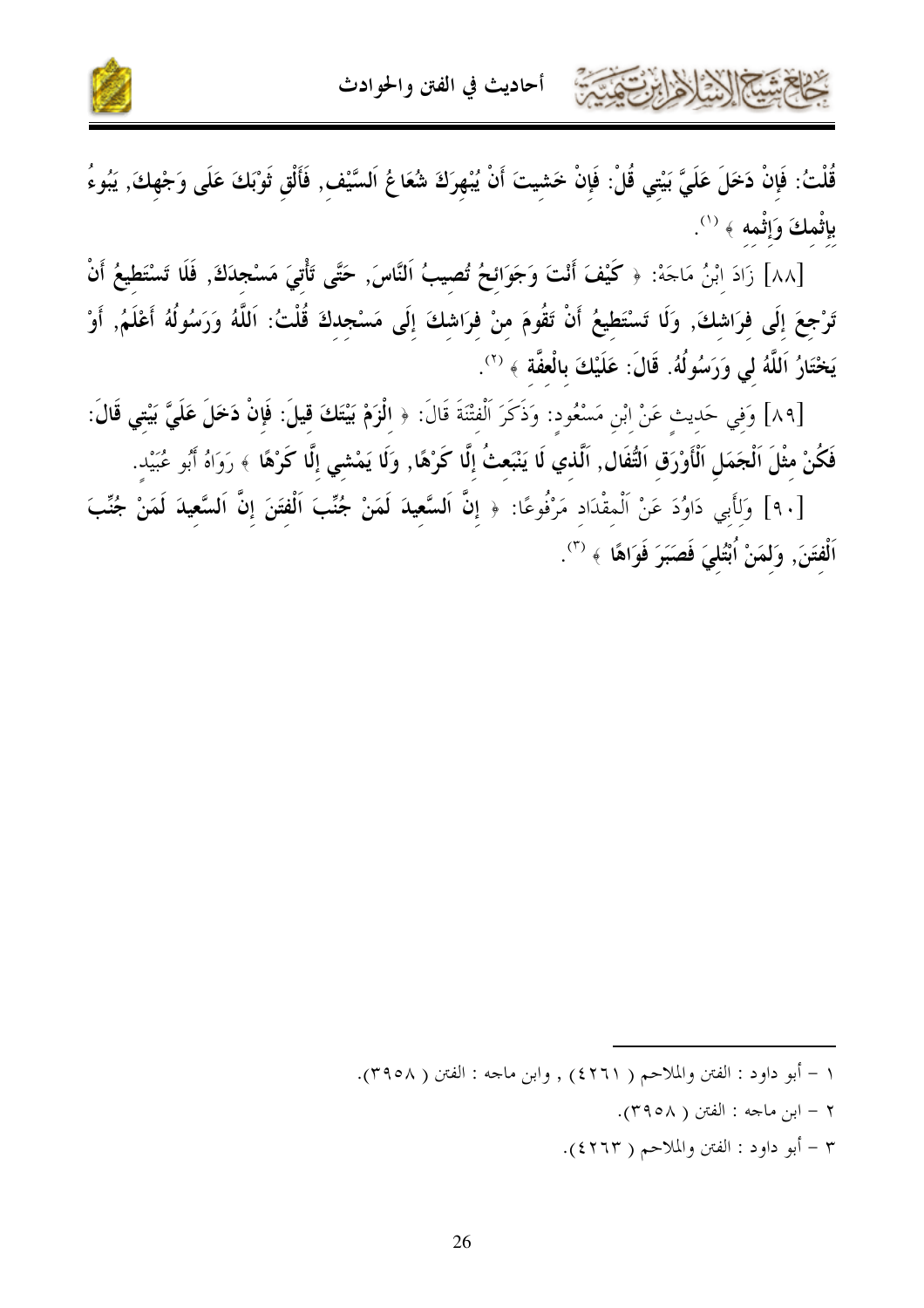

قُلْتُ: فَإِنْ دَخَلَ عَلَيَّ بَيْتِي قُلْ: فَإِنْ خَشِيتَ أَنْ يُبْهِرَكَ شُعَاعُ اَلسَّيْفِ, فَأَلْقِ ثَوْبَكَ عَلَى وَجْهِكَ, يَبُوءُ بإثْمكَ وَإِثْمه ﴾ (').

[٨٨] زَادَ إِبْنُ مَاجَهْ: ﴿ كَيْفَ أَنْتَ وَجَوَائِحُ تُصيبُ اَلنَّاسَ, حَتَّى تَأْتِيَ مَسْجِدَكَ, فَلَا تَسْتَطيعُ أَنْ تَرْجِعَ إِلَى فِرَاشكَ, وَلَا تَسْتَطِيعُ أَنْ تَقُومَ منْ فِرَاشكَ إِلَى مَسْجِدكَ قُلْتُ: اَللَّهُ وَرَسُولُهُ أَعْلَمُ, أَوْ يَخْتَارُ اَللَّهُ لي وَرَسُولُهُ. قَالَ: عَلَيْكَ بِالْعفَّة ﴾ (``.

[٨٩] وَفِي حَدِيثٍ عَنْ ابْنِ مَسْعُودٍ: وَذَكَرَ اَلْفِتْنَةَ قَالَ: ﴿ الْزَمْ بَيْتَكَ قِيلَ: فَإِنْ دَخَلَ عَلَيَّ بَيْتِي قَالَ: فَكُنْ مثْلَ اَلْجَمَل اَلْأَوْرَق اَلتّْفَال, اَلَّذي لَا يَنْبَعثُ إلَّا كَرْهًا, وَلَا يَمْشي إلَّا كَرْهًا ﴾ رَوَاهُ أَبُو عُبَيْد.

[٩٠] وَلَأَبِي دَاوُدَ عَنْ اَلْمِقْدَادِ مَرْفُوعًا: ﴿ إِنَّ اَلسَّعِيدَ لَمَنْ جُنِّبَ اَلْفَتَنَ إِنَّ اَلسَّعِيدَ لَمَنْ جُنِّبَ اَلْفتَنَ, وَلمَنْ اُبْتُلِيَ فَصَبَرَ فَوَاهًا ﴾ (٣).

- ٢ ابن ماجه : الفتن ( ٣٩٥٨).
- ٣ أبو داود : الفتن والملاحم ( ٤٢٦٣).

١ – أبو داود : الفتن والملاحم ( ٤٢٦١) , وابن ماجه : الفتن ( ٣٩٥٨).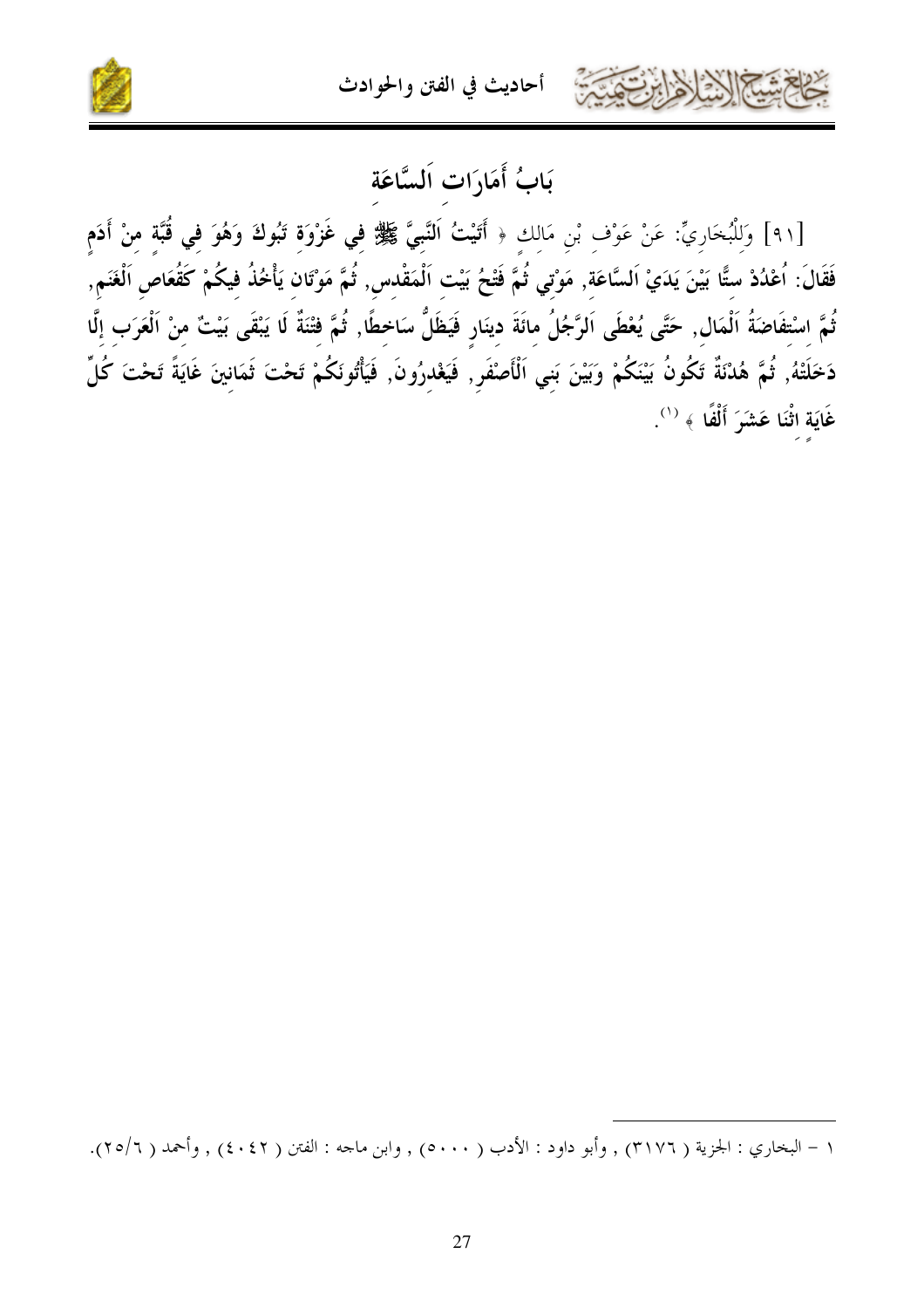





بَابُ أَمَارَات اَلسَّاعَة

[٩١] وَلِلْبُخَارِيِّ: عَنْ عَوْفٍ بْنِ مَالِكٍ ﴿ أَتَيْتُ اَللَّبِيَّ ﷺ فِي غَزْوَةٍ تَبُوكَ وَهُوَ فِي قُبَّةٍ مِنْ أَدَمِ فَقَالَ: اُعْدُدْ ستًّا بَيْنَ يَدَيْ اَلسَّاعَة, مَوْتي ثُمَّ فَتْحُ بَيْت اَلْمَقْدس, ثُمَّ مَوْتَان يَأْخُذُ فيكُمْ كَقُعَاص اَلْغَنَم, ثُمَّ اسْتِفَاضَةُ اَلْمَالِ, حَتَّى يُعْطَى اَلرَّجُلُ مائَةَ دينَار فَيَظَلُّ سَاخطًا, ثُمَّ فتْنَةٌ لَا يَبْقَى بَيْتٌ منْ اَلْعَرَب إلَّا دَخَلَتْهُ, ثُمَّ هُدْنَةٌ تَكُونُ بَيْنَكُمْ وَبَيْنَ بَنِي اَلْأَصْفَرِ, فَيَغْدِرُونَ, فَيَأْتُونَكُمْ تَحْتَ ثَمَانِينَ غَايَةً تَحْتَ كُلِّ غَايَة اثْنَا عَشَرَ أَلْفًا ﴾ <sup>(١)</sup>.

١ – البخاري : الجزية ( ٣١٧٦) , وأبو داود : الأدب ( ٥٠٠٠) , وابن ماحه : الفتن ( ٤٠٤٢) , وأحمد ( ٢٥/٦).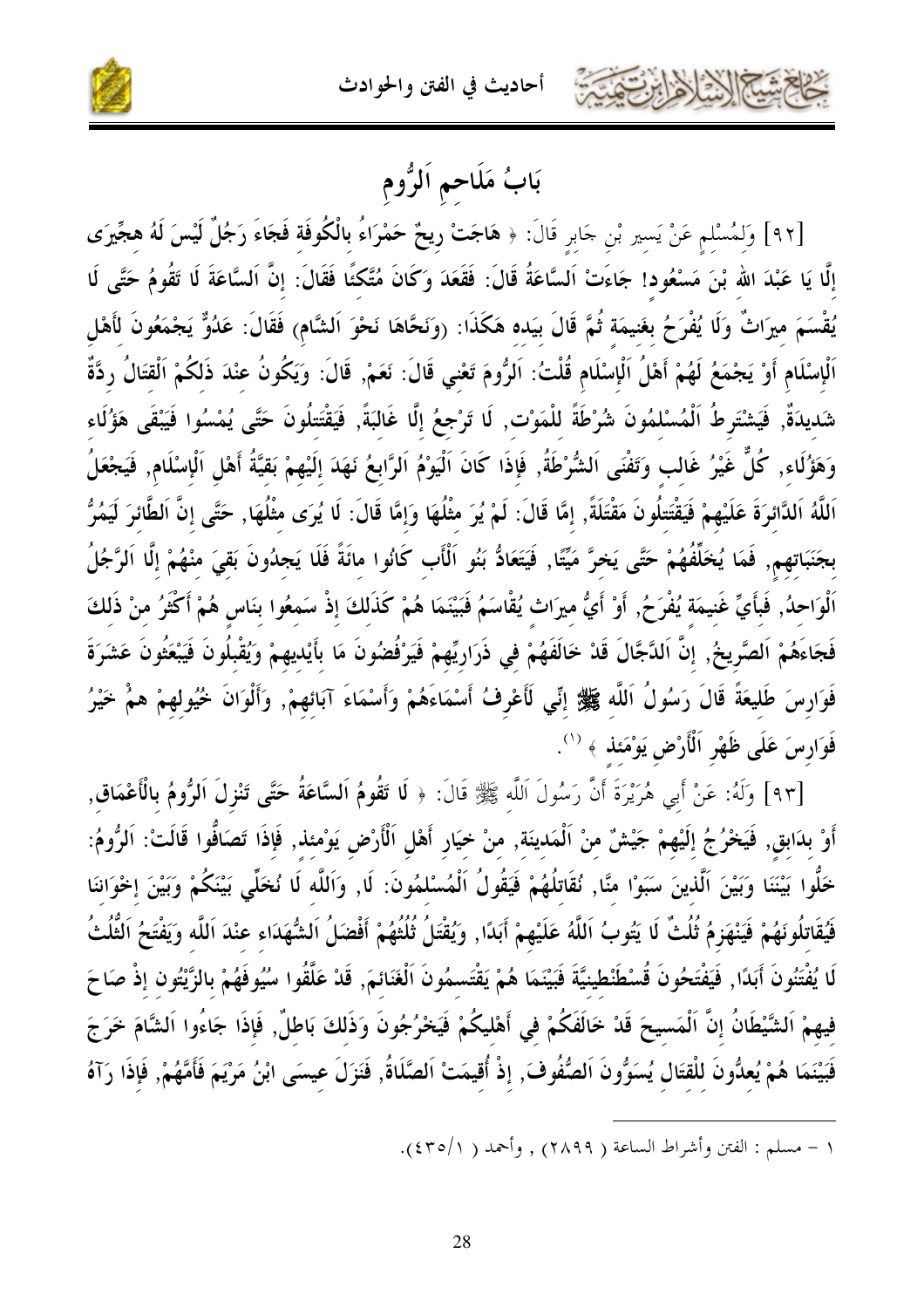أحاديث في الفتن والحوادث



بَابُ مَلَاحِمِ اَلرُّومِ

[٩٢] وَلمُسْلم عَنْ يَسير بْن جَابر قَالَ: ﴿ هَاجَتْ رِيحٌ حَمْرَاءُ بِالْكُوفَة فَجَاءَ رَجُلٌ لَيْسَ لَهُ هجّيرَى إِلَّا يَا عَبْدَ الله بْنَ مَسْعُود! جَاءَتْ اَلسَّاعَةُ قَالَ: فَقَعَدَ وَكَانَ مُتَّكِئًا فَقَالَ: إِنَّ اَلسَّاعَةَ لَا تَقُومُ حَتَّى لَا يُقْسَمَ ميرَاتٌ وَلَا يُفْرَحُ بغَنيمَة ثُمَّ قَالَ بيَده هَكَذَا: (وَنَحَّاهَا نَحْوَ اَلشَّامِ) فَقَالَ: عَدُوٌّ يَجْمَعُونَ لأَهْل اَلْإِسْلَامِ أَوْ يَجْمَعُ لَهُمْ أَهْلُ اَلْإِسْلَامِ قُلْتُ: اَلرُّومَ تَعْني قَالَ: نَعَمْ, قَالَ: وَيَكُونُ عنْدَ ذَلكُمْ اَلْقتَالُ ردَّةٌ شَديدَةٌ, فَيَشْتَرطُ اَلْمُسْلمُونَ شُرْطَةً للْمَوْت, لَا تَرْجعُ إلَّا غَالبَةً, فَيَقْتَتلُونَ حَتَّى يُمْسُوا فَيَبْقَى هَؤُلَاء وَهَؤُلَاء, كُلٌّ غَيْرُ غَالب وَتَفْنَى اَلشُّرْطَةُ, فَإِذَا كَانَ اَلْيَوْمُ اَلرَّابِعُ نَهَدَ إلَيْهِمْ بَقيَّةُ أَهْلِ اَلْإِسْلَامِ, فَيَجْعَلُ اَللَّهُ اَلدَّائرَةَ عَلَيْهِمْ فَيَقْتَتِلُونَ مَقْتَلَةً, إمَّا قَالَ: لَمْ يُرَ مثْلُهَا وَإِمَّا قَالَ: لَا يُرَى مثْلُهَا, حَتَّى إنَّ اَلطَّائرَ لَيَمُرُّ بجَنَبَاتهم, فَمَا يُخَلِّفُهُمْ حَتَّى يَخرَّ مَيِّتًا, فَيَتَعَادُّ بَنُو اَلْأَب كَانُوا مائَةً فَلَا يَجلُونَ بَقيَ منْهُمْ إلَّا اَلرَّجُلُ اَلْوَاحِدُ, فَبِأَيِّ غَنِيمَة يُفْرَحُ, أَوْ أَيُّ ميرَاث يُقْاسَمُ فَبَيْنَمَا هُمْ كَذَلكَ إذْ سَمعُوا بنَاس هُمْ أَكْثَرُ منْ ذَلكَ فَجَاءَهُمْ اَلصَّرِيخُ, إِنَّ اَلدَّجَّالَ قَدْ خَالَفَهُمْ في ذَرَاريِّهمْ فَيَرْفُضُونَ مَا بأَيْديهمْ وَيُقْبلُونَ فَيَبْعَثُونَ عَشَرَةَ فَوَارسَ طَليعَةً قَالَ رَسُولُ اَللَّه ﷺ إنِّي لَأَعْرِفُ أَسْمَاءَهُمْ وَأَسْمَاءَ آبَائهمْ, وَأَلْوَانَ خُيُولهمْ همّْ خَيْرُ فَوَارسَ عَلَى ظَهْرِ اَلْأَرْضِ يَوْمَئذ ﴾ '''.

[٩٣] وَلَهُ: عَنْ أَبِي هُرَيْرَةَ أَنَّ رَسُولَ اَللَّه ﷺ قَالَ: ﴿ لَا تَقُومُ اَلسَّاعَةُ حَتَّى تَنْزِلَ الرُّومُ بالْأَعْمَاقِ, أَوْ بدَابق, فَيَخْرُجُ إلَيْهِمْ جَيْشٌ منْ اَلْمَدينَة, منْ خيَار أَهْل اَلْأَرْض يَوْمئذ, فَإذَا تَصَافُوا قَالَتْ: اَلرُّومُ: خَلُّوا بَيْنَنَا وَبَيْنَ اَلَّذِينَ سَبَوْا منَّا, نُقَاتِلُهُمْ فَيَقُولُ اَلْمُسْلمُونَ: لَا, وَاَللَّه لَا نُخَلِّي بَيْنَكُمْ وَبَيْنَ إخْوَاننَا فَيُقَاتِلُونَهُمْ فَيَنْهَزِمُ ثُلُثٌ لَا يَتُوبُ اَللَّهُ عَلَيْهِمْ أَبَدًا, وَيُقْتَلُ ثُلُثُهُمْ أَفْضَلُ اَلشُّهَدَاء عنْدَ اَللَّه وَيَفْتَحُ الثُّلُثُ لَا يُفْتَنُونَ أَبَدًا, فَيَفْتَحُونَ قُسْطَنْطينيَّةَ فَبَيْنَمَا هُمْ يَقْتَسمُونَ اَلْغَنَائمَ, قَدْ عَلَّقُوا سُيُوفَهُمْ بالزَّيْتُون إذْ صَاحَ فيهمْ اَلشَّيْطَانُ إِنَّ اَلْمَسيحَ قَدْ خَالَفَكُمْ في أَهْليكُمْ فَيَخْرُجُونَ وَذَلكَ بَاطلٌ, فَإِذَا جَاءُوا اَلشَّامَ خَرَجَ فَبَيْنَمَا هُمْ يُعدُّونَ للْقتَال يُسَوُّونَ اَلصُّفُوفَ, إذْ أُقيمَتْ اَلصَّلَاةُ, فَنَزَلَ عيسَى ابْنُ مَرْيَمَ فَأَمَّهُمْ, فَإِذَا رَآهُ

١ – مسلم : الفتن وأشراط الساعة ( ٢٨٩٩) , وأحمد ( ٤٣٥/١).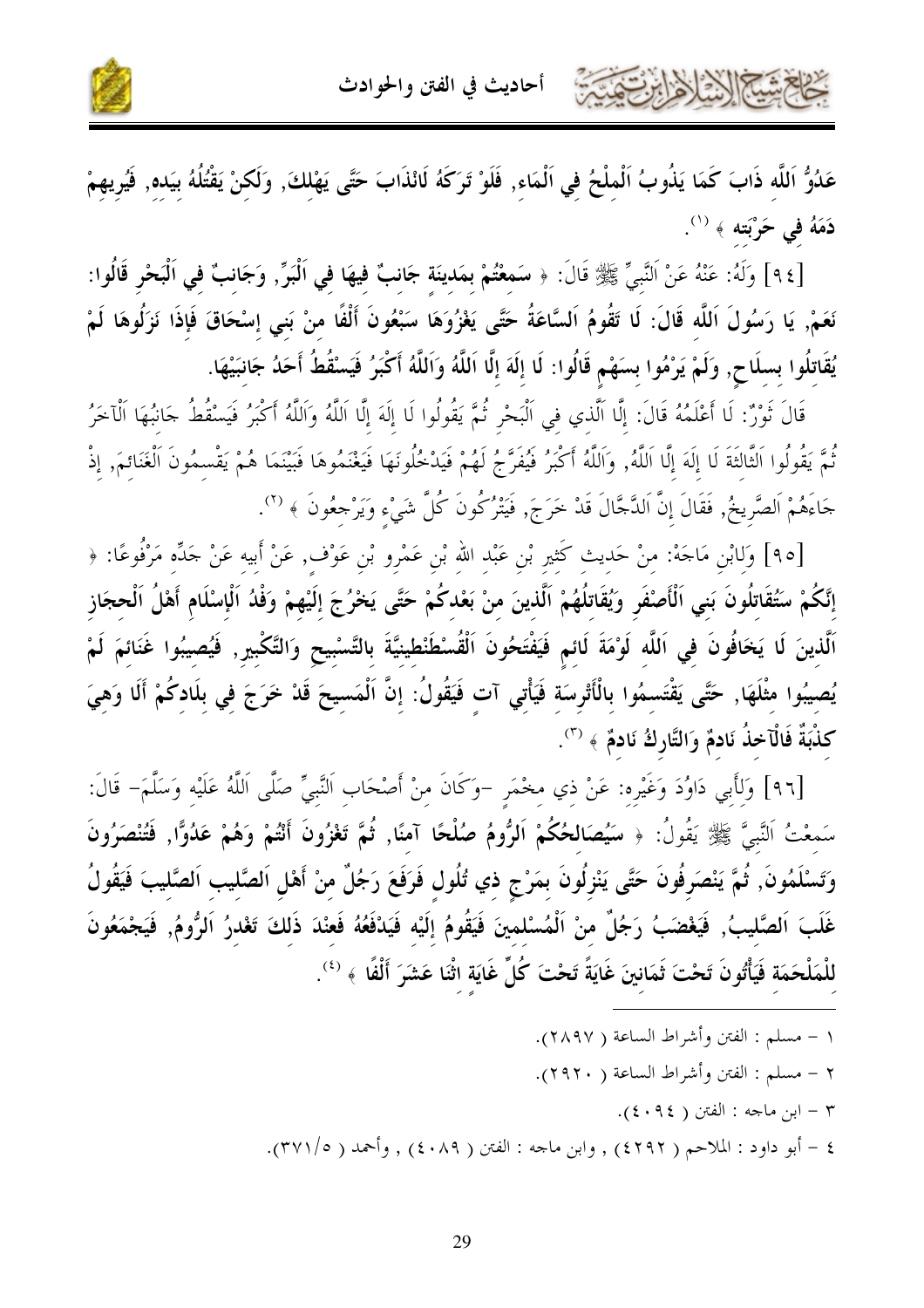

عَدُوُّ اَللَّهِ ذَابَ كَمَا يَذُوبُ اَلْمِلْحُ فِي اَلْمَاءِ, فَلَوْ تَرَكَهُ لَانْذَابَ حَتَّى يَهْلِكَ, وَلَكِنْ يَقْتُلُهُ بِيَده, فَيُرِيهِمْ دَمَهُ في حَرْبَته ﴾ (').

[٩٤] وَلَهُ: عَنْهُ عَنْ اَلنَّبِيِّ ﷺ قَالَ: ﴿ سَمَعْتُمْ بِمَدِينَةٍ جَانبٌ فِيهَا فِي اَلْبَرِّ, وَجَانبٌ في اَلْبَحْرِ قَالُوا: نَعَمْ, يَا رَسُولَ اَللَّه قَالَ: لَا تَقُومُ اَلسَّاعَةُ حَتَّى يَغْزُوَهَا سَبْعُونَ أَلْفًا منْ بَنى إسْحَاقَ فَإذَا نَزَلُوهَا لَمْ يُقَاتِلُوا بِسِلَاحٍ, وَلَمْ يَرْمُوا بِسَهْمِ قَالُوا: لَا إِلَهَ إِلَّا اَللَّهُ وَاَللَّهُ أَكْبَرُ فَيَسْقُطُ أَحَدُ جَانبَيْهَا.

قَالَ تَوْرٌ: لَا أَعْلَمُهُ قَالَ: إِلَّا ٱلَّذي فِي ٱلْبَحْرِ ثُمَّ يَقُولُوا لَا إِلَهَ إِلَّا اَللَّهُ وَاللَّهُ أَكْبَرُ فَيَسْقُطُ جَانبُهَا اَلْآخَرُ تُمَّ يَقُولُوا اَلثَّالثَةَ لَا إِلَهَ إِلَّا اَللَّهُ, وَاَللَّهُ أَكْبَرُ فَيُفَرَّجُ لَهُمْ فَيَدْخُلُونَهَا فَيَغْنَمُوهَا فَبَيْنَمَا هُمْ يَقْسمُونَ اَلْغَنَائمَ, إذْ جَاءَهُمْ اَلصَّرِيخُ, فَقَالَ إِنَّ اَلدَّجَّالَ قَدْ خَرَجَ, فَيَتْرُكُونَ كُلَّ شَيْءٍ وَيَرْجِعُونَ ﴾ (٢).

[٩٥] وَلِابْنِ مَاجَهْ: منْ حَديث كَثير بْنِ عَبْد الله بْنِ عَمْرو بْنِ عَوْف, عَنْ أَبيه عَنْ جَدِّه مَرْفُوعًا: ﴿ إنَّكُمْ سَتُقَاتِلُونَ بَني اَلْأَصْفَر وَيُقَاتِلُهُمْ اَلَّذينَ منْ بَعْدكُمْ حَتَّى يَخْرُجَ إلَيْهِمْ وَفْدُ اَلْإسْلَام أَهْلُ اَلْحجَاز اَلَّذينَ لَا يَخَافُونَ في اَللَّه لَوْمَةَ لَائم فَيَفْتَحُونَ اَلْقُسْطَنْطينيَّةَ بالتَّسْبيحِ وَالتَّكْبيرِ, فَيُصيبُوا غَنَائمَ لَمْ يُصيبُوا مثْلَهَا, حَتَّى يَقْتَسمُوا بالْأَتْرسَة فَيَأْتي آت فَيَقُولُ: إنَّ اَلْمَسيحَ قَدْ خَرَجَ في بلَادكُمْ أَلَا وَهيَ كَذْبَةٌ فَالْآخذُ نَادمٌ وَالتَّارِكُ نَادمٌ ﴾ (").

[٩٦] وَلِأَبِي دَاوُدَ وَغَيْرِهِ: عَنْ ذِي مِخْمَرِ –وَكَانَ مِنْ أَصْحَابِ اَلنَّبِيِّ صَلَّى اَللَّهُ عَلَيْه وَسَلَّمَ– قَالَ: سَمعْتُ اَلنَّبِيَّ ﷺ يَقُولُ: ﴿ سَيُصَالحُكُمْ اَلرُّومُ صُلْحًا آمنًا, ثُمَّ تَغْزُونَ أَنْتُمْ وَهُمْ عَدُوًّا, فَتُنْصَرُونَ وَتَسْلَمُونَ, ثُمَّ يَنْصَرفُونَ حَتَّى يَنْزِلُونَ بمَرْجٍ ذي تُلُول فَرَفَعَ رَجُلٌ منْ أَهْلِ اَلصَّليب اَلصَّليبَ فَيَقُولُ غَلَبَ اَلصَّليبُ, فَيَعْضَبُ رَجُلٌ منْ اَلْمُسْلمينَ فَيَقُومُ إلَيْه فَيَدْفَعُهُ فَعنْدَ ذَلكَ تَغْدرُ الرُّومُ, فَيَجْمَعُونَ للْمَلْحَمَة فَيَأْتُونَ تَحْتَ ثَمَانينَ غَايَةً تَحْتَ كُلِّ غَايَة اثْنَا عَشَرَ أَلْفًا ﴾  $^{(3)}$ .

> ١ – مسلم : الفتن وأشراط الساعة ( ٢٨٩٧). ٢ – مسلم : الفتن وأشراط الساعة ( ٢٩٢٠). ٣ – ابن ماجه : الفتن ( ٤٠٩٤). ٤ – أبو داود : الملاحم ( ٤٢٩٢) , وابن ماجه : الفتن ( ٤٠٨٩) , وأحمد ( ٣٧١/٥).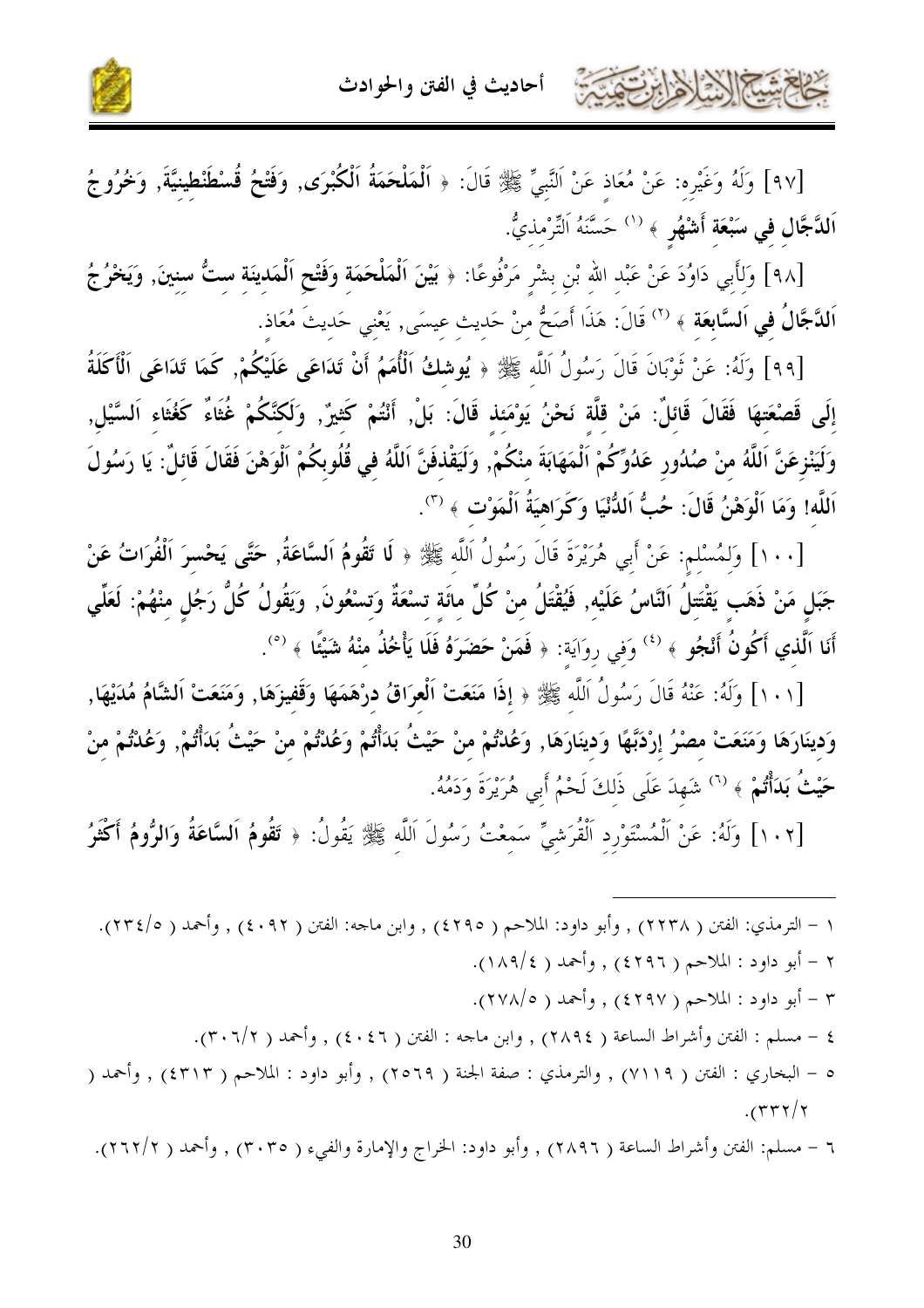

[٩٧] وَلَهُ وَغَيْرِه: عَنْ مُعَاذِ عَنْ اَلنَّبِيِّ ﷺ قَالَ: ﴿ اَلْمَلْحَمَةُ اَلْكُبْرَى, وَفَتْحُ قُسْطَنْطِينِيَّةَ, وَخُرُوجُ اَللَّجَّالِ في سَبْعَة أَشْهُرٍ ﴾ <sup>(١)</sup> حَسَّنَهُ اَلتِّرْمذيُّ.

[٩٨] وَلِأَبِي دَاوُدَ عَنْ عَبْدِ اللهِ بْنِ بِشْرٍ مَرْفُوعًا: ﴿ بَيْنَ اَلْمَلْحَمَةِ وَفَتْحٍ اَلْمَدينَة ستُّ سنينَ, وَيَخْرُجُ اَللَّجَّالُ في اَلسَّابِعَة ﴾ <sup>(٢)</sup> قَالَ: هَذَا أَصَحُّ مِنْ حَدِيثِ عِيسَى, يَعْنِي حَدِيثَ مُعَاذِ.

[٩٩] وَلَهُ: عَنْ ثَوْبَانَ قَالَ رَسُولُ اَللَّه ﷺ ﴿ يُوشكُ اَلْأُمَمُ أَنْ تَدَاعَى عَلَيْكُمْ, كَمَا تَدَاعَى اَلْأَكَلَةُ إِلَى قَصْعَتهَا فَقَالَ قَائلٌ: مَنْ قلَّة نَحْنُ يَوْمَئذ قَالَ: بَلْ, أَنْتُمْ كَثيرٌ, وَلَكنَّكُمْ غُثَاءٌ كَغُثَاء اَلسَّيْل, وَلَيَنْزِعَنَّ اَللَّهُ منْ صُدُورٍ عَدُوِّكُمْ اَلْمَهَابَةَ منْكُمْ, وَلَيَقْذفَنَّ اَللَّهُ في قُلُوبكُمْ اَلْوَهْنَ فَقَالَ قَائلٌ: يَا رَسُولَ اَللَّه! وَمَا اَلْوَهْنُ قَالَ: حُبُّ اَللُّنْيَا وَكَرَاهيَةُ اَلْمَوْت ﴾ (").

[١٠٠] وَلِمُسْلِمٍ: عَنْ أَبِي هُرَيْرَةَ قَالَ رَسُولُ اَللَّه ﷺ ﴿ لَا تَقُومُ اَلسَّاعَةُ, حَتَّى يَحْسرَ اَلْفُرَاتُ عَنْ جَبَل مَنْ ذَهَب يَقْتَتلُ اَلنَّاسُ عَلَيْه, فَيُقْتَلُ منْ كُلِّ مائَة تسْعَةٌ وَتسْعُونَ, وَيَقُولُ كُلُّ رَجُل منْهُمْ: لَعَلِّي أَنَا اَلَّذي أَكُونُ أَنْجُو ﴾ <sup>(٤)</sup> وَفي روَايَة: ﴿ فَمَنْ حَضَرَهُ فَلَا يَأْخُذُ منْهُ شَيْئًا ﴾ <sup>(٥</sup>).

[١٠١] وَلَهُ: عَنْهُ قَالَ رَسُولُ اَللَّه ﷺ ﴿ إِذَا مَنَعَتْ اَلْعِرَاقُ دِرْهَمَهَا وَقَفيزَهَا, وَمَنَعَتْ اَلشَّامُ مُدَيْهَا, وَدينَارَهَا وَمَنَعَتْ مصْرُ إرْدَبَّهَا وَدينَارَهَا, وَعُدْتُمْ منْ حَيْثُ بَدَأْتُمْ وَعُدْتُمْ منْ حَيْثُ بَدَأْتُمْ, وَعُدْتُمْ منْ حَيْثُ بَدَأْتُمْ ﴾ <sup>(٦)</sup> شَهدَ عَلَى ذَلكَ لَحْمُ أَبِي هُرَيْرَةَ وَدَمُهُ.

[١٠٢] وَلَهُ: عَنْ اَلْمُسْتَوْرِد اَلْقُرَشيِّ سَمعْتُ رَسُولَ اَللَّه ﷺ يَقُولُ: ﴿ تَقُومُ اَلسَّاعَةُ وَالرُّومُ أَكْثَرُ

١ – الترمذي: الفتن ( ٢٢٣٨) , وأبو داود: الملاحم ( ٤٢٩٥) , وابن ماحه: الفتن ( ٤٠٩٢) , وأحمد ( ٢٣٤/٥). ٢ – أبو داود : الملاحم ( ٤٢٩٦) , وأحمد ( ١٨٩/٤). ٣ – أبو داود : الملاحم ( ٤٢٩٧) , وأحمد ( ٢٧٨/٥).

٤ – مسلم : الفتن وأشراط الساعة ( ٢٨٩٤) , وابن ماحه : الفتن ( ٤٠٤٦) , وأحمد ( ٣٠٦/٢).

٥ – البخاري : الفتن ( ٧١١٩) , والترمذي : صفة الجنة ( ٢٥٦٩) , وأبو داود : الملاحم ( ٤٣١٣) , وأحمد (  $.$  $(\uparrow \uparrow \uparrow \uparrow / \uparrow$ 

٦ – مسلم: الفتن وأشراط الساعة ( ٢٨٩٦) , وأبو داود: الخراج والإمارة والفيء ( ٣٠٣٥) , وأحمد ( ٢/٢٦٢).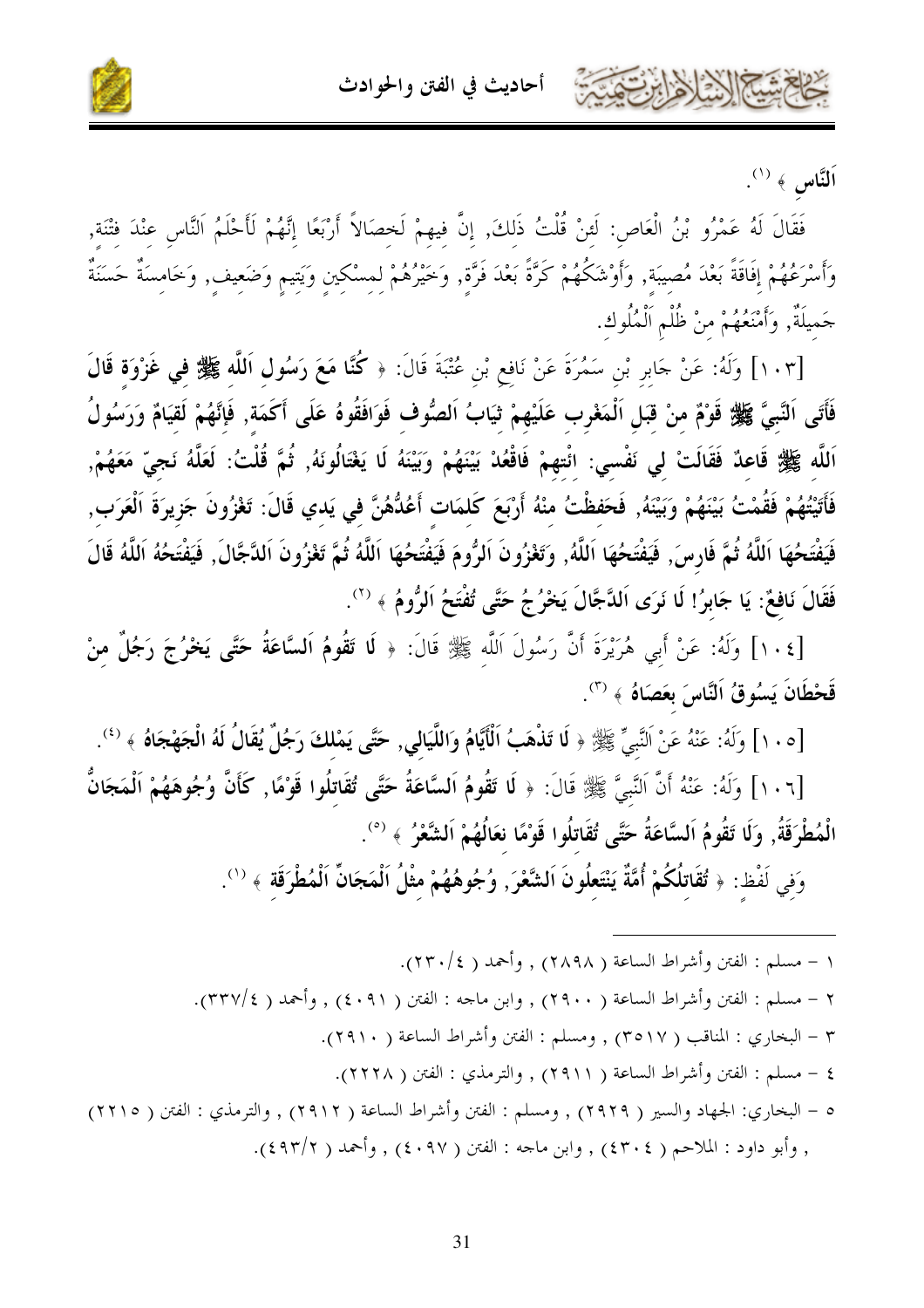



اَلنَّاس ﴾ <sup>(١)</sup>.

تشكي الجسالة المرت

فَقَالَ لَهُ عَمْرُو بْنُ الْعَاصِ: لَئِنْ قُلْتُ ذَلكَ, إنَّ فيهمْ لَخصَالاً أَرْبَعًا إِنَّهُمْ لَأَحْلَمُ اَلنَّاس عنْدَ فتْنَة, وَأَسْرَعُهُمْ إِفَاقَةً بَعْدَ مُصِيبَةٍ, وَأَوْشَكُهُمْ كَرَّةً بَعْدَ فَرَّةٍ, وَخَيْرُهُمْ لِمِسْكِينٍ وَيَتِيمٍ وَضَعِيفٍ, وَخَامِسَةٌ حَسَنَةٌ حَميلَةٌ, وَأَمْنَعُهُمْ منْ ظُلْمِ اَلْمُلُوك.

[١٠٣] وَلَهُ: عَنْ جَابِرٍ بْنِ سَمُرَةَ عَنْ نَافِعٍ بْنِ عُتْبَةَ قَالَ: ﴿ كُنَّا مَعَ رَسُولِ اَللَّه ﷺ في غَوْوَة قَالَ فَأَتَى النَّبيَّ ﷺ قَوْمٌ منْ قبَل اَلْمَغْرِب عَلَيْهِمْ ثِيَابُ اَلصُّوف فَوَافَقُوهُ عَلَى أَكَمَة, فَإنَّهُمْ لَقيَامٌ وَرَسُولُ اَللَّه ﷺ قَاعدٌ فَقَالَتْ لي نَفْسي: اتْتهمْ فَاقْعُدْ بَيْنَهُمْ وَبَيْنَهُ لَا يَغْتَالُونَهُ, ثُمَّ قُلْتُ: لَعَلَّهُ نَجيّ مَعَهُمْ, فَأَتَيْتُهُمْ فَقُمْتُ بَيْنَهُمْ وَبَيْنَهُ, فَحَفظْتُ منْهُ أَرْبَعَ كَلمَات أَعُلُّهُنَّ في يَدي قَالَ: تَعْزُونَ جَزيرَةَ اَلْعَرَب, فَيَفْتَحُهَا اَللَّهُ ثُمَّ فَارسَ, فَيَفْتَحُهَا اَللَّهُ, وَتَغْزُونَ اَلرُّومَ فَيَفْتَحُهَا اَللَّهُ ثُمَّ تَغْزُونَ اَلدَّجَّالَ, فَيَفْتَحُهُ اَللَّهُ قَالَ فَقَالَ نَافعٌ: يَا جَابِرُ! لَا نَرَى اَللَّجَّالَ يَخْرُجُ حَتَّى تُفْتَحُ اَلرُّومُ ﴾ (''.

[١٠٤] وَلَهُ: عَنْ أَبِي هُرَيْرَةَ أَنَّ رَسُولَ اَللَّه ﷺ قَالَ: ﴿ لَا تَقُومُ اَلسَّاعَةُ حَتَّى يَخْرُجَ رَجُلٌ منْ قَحْطَانَ يَسُوقُ اَلنَّاسَ بِعَصَاهُ ﴾ (٣).

[١٠٥] وَلَهُ: عَنْهُ عَنْ اَلنَّبِيِّ ﷺ ﴿ لَا تَذْهَبُ اَلْأَيَّامُ وَاللَّيَالِي, حَتَّى يَمْلكَ رَجُلٌ يُقَالُ لَهُ الْجَهْجَاهُ ﴾ <sup>(٤)</sup>.

[١٠٦] وَلَهُ: عَنْهُ أَنَّ النَّبِيَّ ﷺ قَالَ: ﴿ لَا تَقُومُ اَلسَّاعَةُ حَتَّى تُقَاتِلُوا قَوْمًا, كَأَنَّ وُجُوهَهُمْ اَلْمَجَانُّ الْمُطْرَقَةُ, وَلَا تَقُومُ اَلسَّاعَةُ حَتَّى تُقَاتِلُوا قَوْمًا نعَالُهُمْ اَلشَّعْرُ ﴾ <sup>(٥)</sup>.

وَفِي لَفْظ: ﴿ تُقَاتِلُكُمْ أُمَّةٌ يَنْتَعِلُونَ اَلشَّعْرَ, وُجُوهُهُمْ مثْلُ اَلْمَجَانِّ اَلْمُطْرَقَة ﴾ (''.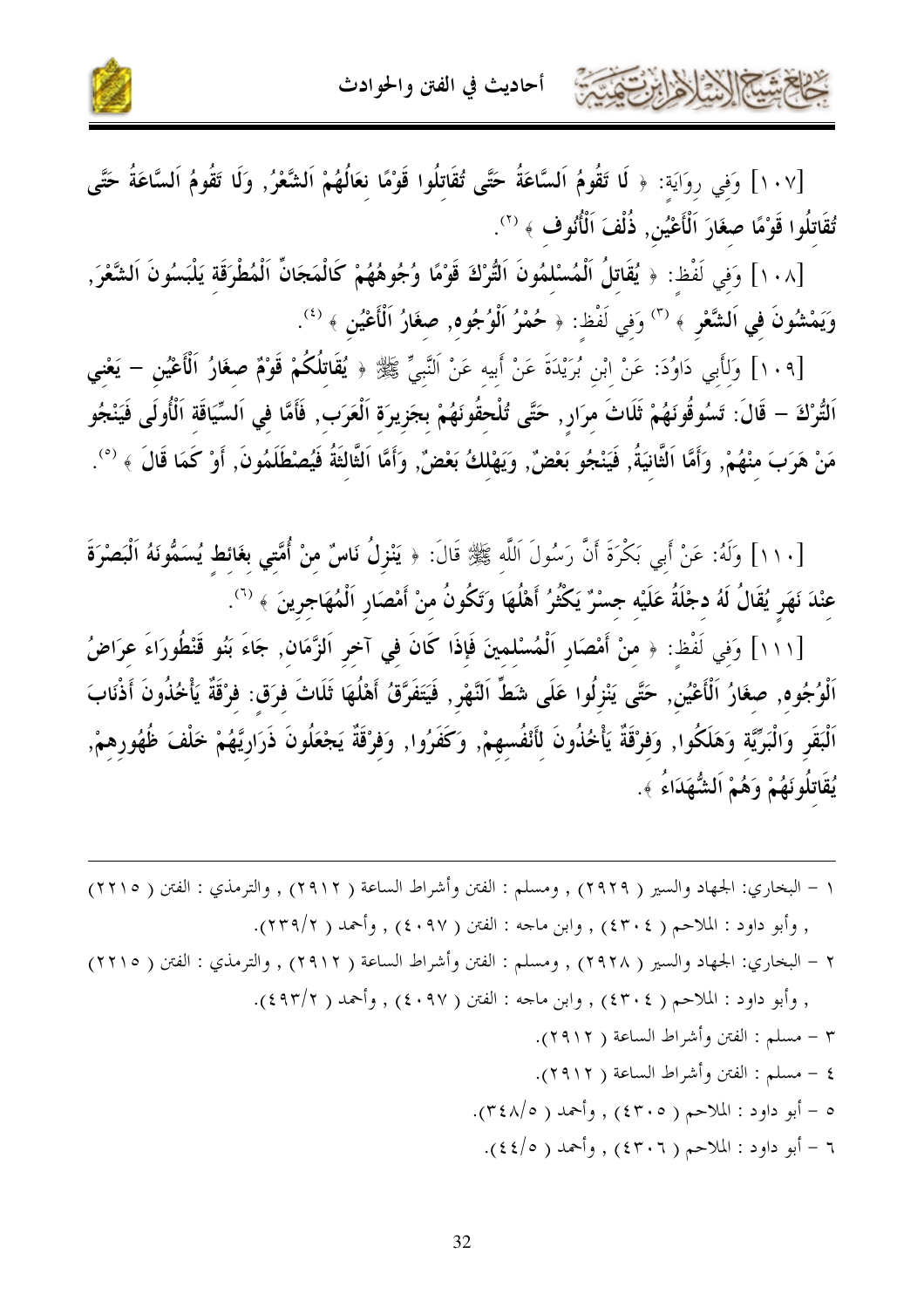كالمشتالات لأابرتهمته



[١٠٧] وَفي روَايَة: ﴿ لَا تَقُومُ اَلسَّاعَةُ حَتَّى تُقَاتِلُوا قَوْمًا نعَالُهُمْ اَلشَّعْرُ, وَلَا تَقُومُ اَلسَّاعَةُ حَتَّى تُقَاتِلُوا قَوْمًا صغَارَ الْأَعْيُنِ, ذُلْفَ اَلْأُنُوف ﴾ (`'.

[١٠٨] وَفي لَفْظ: ﴿ يُقَاتِلُ اَلْمُسْلَمُونَ اَلْتُرْكَ قَوْمًا وُجُوهُهُمْ كَالْمَجَانِّ اَلْمُطْرَقَة يَلْبَسُونَ اَلشَّعْرَ, وَيَمْشُونَ فِي اَلشَّعْرِ ﴾ (" وَفِي لَفْظِ: ﴿ حُمْرُ اَلْوُجُوهِ, صغَارُ اَلْأَعْيُن ﴾ (').

[١٠٩] وَلِأَبِي دَاوُدَ: عَنْ إِبْنِ بُرَيْدَةَ عَنْ أَبِيهِ عَنْ اَلنَّبِيِّ ﷺ ﴿ **يُقَاتِلُكُمْ قَوْمٌ صغَارُ اَلْأَعْيُن – يَعْنِي** اَلتُّوْكَ – قَالَ: تَسُوقُونَهُمْ ثَلَاثَ مِرَارٍ, حَتَّى تُلْحقُونَهُمْ بِجَزِيرَةِ اَلْعَرَبِ, فَأَمَّا فِي اَلسِّيَاقَةِ اَلْأُولَى فَيَنْجُو مَنْ هَرَبَ مِنْهُمْ, وَأَمَّا اَلثَّانيَةُ, فَيَنْجُو بَعْضٌ, وَيَهْلكُ بَعْضٌ, وَأَمَّا اَلثَّالثَةُ فَيُصْطَلَمُونَ, أَوْ كَمَا قَالَ ﴾ <sup>(٥</sup>).

[١١٠] وَلَهُ: عَنْ أَبِي بَكْرَةَ أَنَّ رَسُولَ اَللَّه ﷺ قَالَ: ﴿ يَنْزِلُ نَاسٌ منْ أُمَّتِي بغَائط يُسَمُّونَهُ اَلْبَصْرَةَ عنْدَ نَهَر يُقَالُ لَهُ دجْلَةُ عَلَيْه جسْرٌ يَكْثُرُ أَهْلُهَا وَتَكُونُ منْ أَمْصَارِ اَلْمُهَاجرينَ ﴾ (''.

[١١١] وَفي لَفْظ: ﴿ منْ أَمْصَارِ اَلْمُسْلمينَ فَإِذَا كَانَ في آخر اَلزَّمَان, جَاءَ بَنُو قَنْطُورَاءَ عرَاضُ اَلْوُجُوه, صغَارُ اَلْأَعْيُن, حَتَّى يَنْزِلُوا عَلَى شَطٍّ اَلنَّهْر, فَيَتَفَرَّقُ أَهْلُهَا ثَلَاثَ فرَق: فرْقَةٌ يَأْخُذُونَ أَذْنَابَ اَلْبَقَر وَالْبَرِّيَّة وَهَلَكُوا, وَفرْقَةٌ يَأْخُذُونَ لأَنْفُسهمْ, وَكَفَرُوا, وَفرْقَةٌ يَجْعَلُونَ ذَرَاريَّهُمْ خَلْفَ ظُهُورهمْ, يُقَاتِلُونَهُمْ وَهُمْ اَلشُّهَدَاءُ ﴾.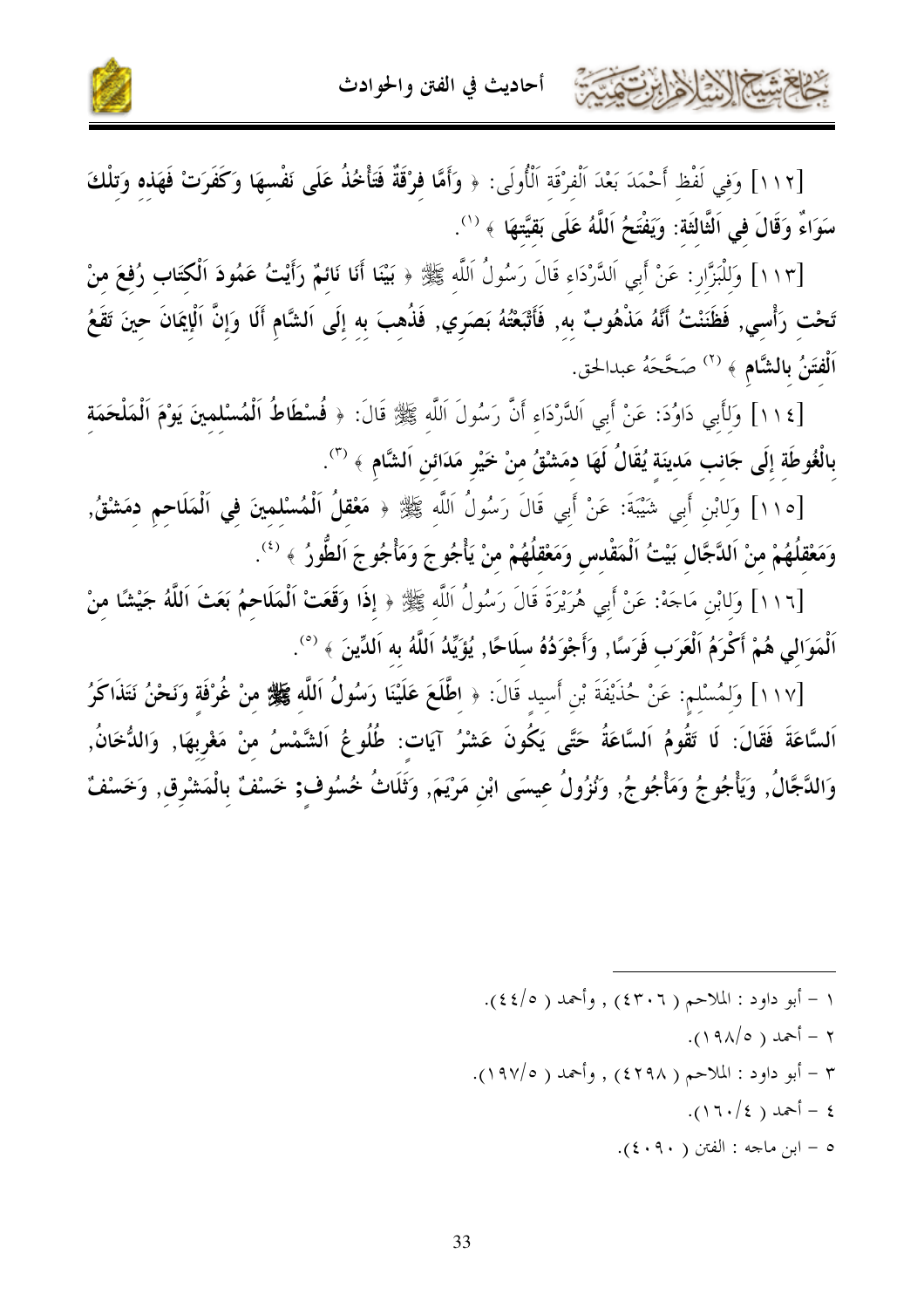

[١١٢] وَفِي لَفْظ أَحْمَدَ بَعْدَ اَلْفرْقَة اَلْأُولَى: ﴿ وَأَمَّا فَرْقَةٌ فَتَأْخُذُ عَلَى نَفْسهَا وَكَفَرَتْ فَهَذه وَتلْكَ سَوَاءٌ وَقَالَ في اَلثَّالثَة: وَيَفْتَحُ اَللَّهُ عَلَى بَقَيَّتِهَا ﴾ (''.

[١١٣] وَلِلْبَزَّارِ: عَنْ أَبِي اَلدَّرْدَاءِ قَالَ رَسُولُ اَللَّهِ ﷺ ﴿ بَيْنَا أَنَا نَائِمٌ رَأَيْتُ عَمُودَ اَلْكتَاب رُفعَ منْ تَحْتِ رَأْسِي, فَظَنَنْتُ أَنَّهُ مَذْهُوبٌ بِه, فَأَتْبَعْتُهُ بَصَرِي, فَذُهِبَ به إِلَى اَلشَّامِ أَلَا وَإِنَّ اَلْإِيمَانَ حِينَ تَقَعُ اَلْفَتَنُ بِالشَّامِ ﴾ <sup>(٢)</sup> صَحَّحَهُ عبدالحق.

[١١٤] وَلِأَبِي دَاوُدَ: عَنْ أَبِي اَلدَّرْدَاءِ أَنَّ رَسُولَ اَللَّهِ ﷺ قَالَ: ﴿ **فُسْطَاطُ اَلْمُسْلمينَ يَوْمَ اَلْمَلْحَمَة** بالْغُوطَة إلَى جَانب مَدينَة يُقَالُ لَهَا دمَشْقُ منْ خَيْر مَدَائن اَلشَّام ﴾ (°).

[١١٥] وَلِابْنِ أَبِي شَيْبَةَ: عَنْ أَبِي قَالَ رَسُولُ اَللَّه ﷺ ﴿ مَعْقُلُ اَلْمُسْلَمِينَ فِي اَلْمَلَاحِم دمَشْقُ, وَمَعْقِلُهُمْ مِنْ اَللَّجَّالِ بَيْتُ اَلْمَقْدس وَمَعْقَلُهُمْ منْ يَأْجُوجَ وَمَأْجُوجَ اَلطُّورُ ﴾ <sup>(٤)</sup>.

[١١٦] وَلابْنِ مَاجَهْ: عَنْ أَبِي هُرَيْرَةَ قَالَ رَسُولُ اَللَّه ﷺ ﴿ إِذَا وَقَعَتْ اَلْمَلَاحِمُ بَعَثَ اَللَّهُ جَيْشًا منْ اَلْمَوَالي هُمْ أَكْرَمُ اَلْعَرَب فَرَسًا, وَأَجْوَدُهُ سلَاحًا, يُؤَيِّدُ اَللَّهُ به اَلدِّينَ ﴾ <sup>(٥</sup>).

[١١٧] وَلمُسْلم: عَنْ حُذَيْفَةَ بْنِ أَسيد قَالَ: ﴿ اطَّلَعَ عَلَيْنَا رَسُولُ اَللَّه ﷺ منْ غُرْفَة وَنَحْنُ نَتَذَاكَرُ اَلسَّاعَةَ فَقَالَ: لَا تَقُومُ اَلسَّاعَةُ حَتَّى يَكُونَ عَشْرُ آيَات: طُلُوعُ اَلشَّمْسُ منْ مَغْربهَا, وَالدُّخَانُ, وَالدَّجَّالُ, وَيَأْجُوجُ وَمَأْجُوجُ, وَنُزُولُ عِيسَى ابْنِ مَرْيَمَ, وَثَلَاثُ خُسُوف; خَسْفُ بالْمَشْرق, وَخَسْفُ

> ١ – أبو داود : الملاحم ( ٤٣٠٦) , وأحمد ( ٤٤/٥).  $(19\lambda/\circ)$  is  $-1$ ٣ – أبو داود : الملاحم ( ٤٢٩٨) , وأحمد ( ١٩٧/٥). .( ) 7 ) احمد ( ) + 1 ). ٥ – ابن ماجه : الفتن ( ٤٠٩٠).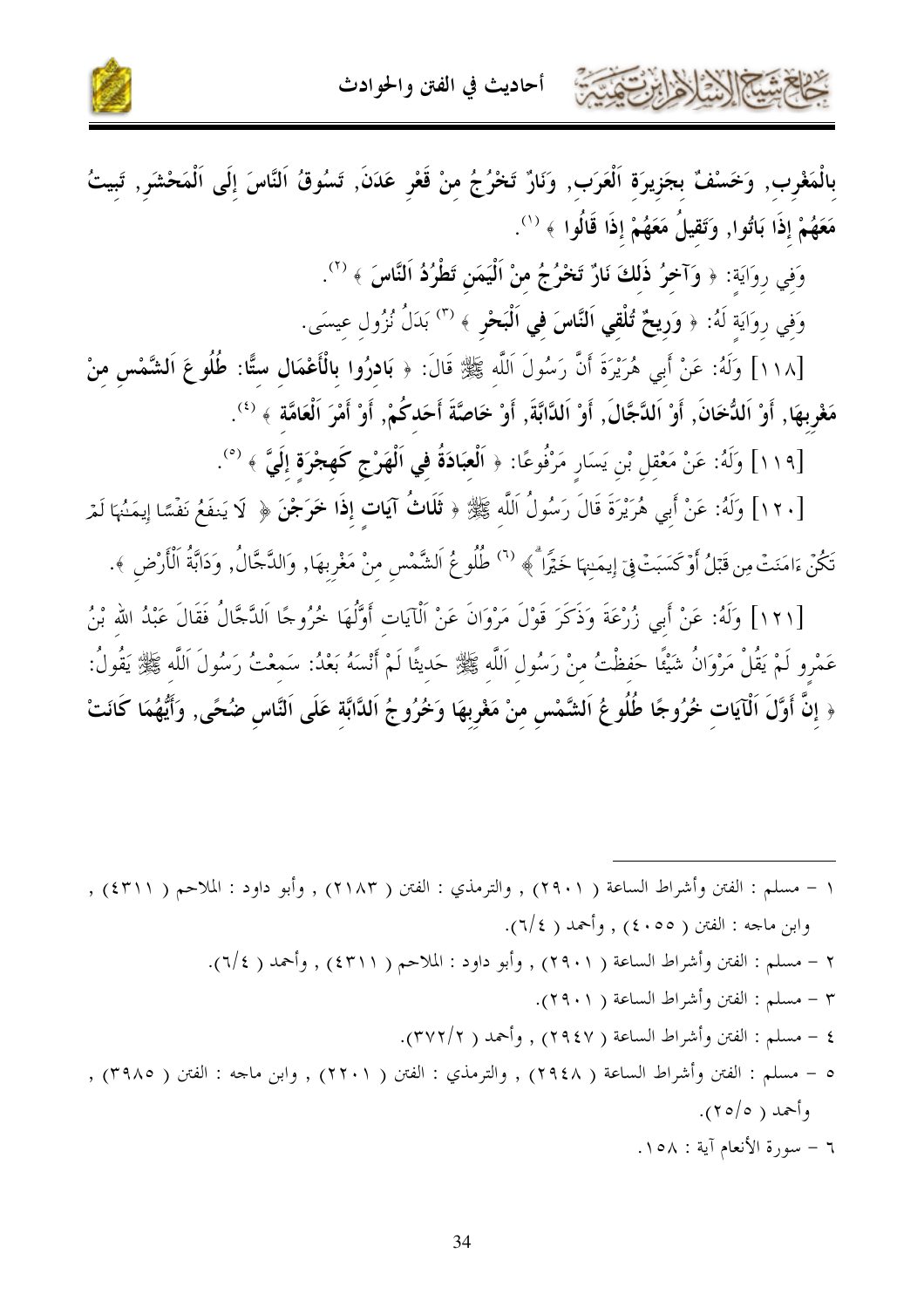

بِالْمَغْرِبِ, وَخَسْفْ بِجَزِيرَةِ اَلْعَرَبِ, وَنَارٌ تَخْرُجُ مِنْ قَعْرِ عَدَنَ, تَسُوقُ اَلنَّاسَ إِلَى اَلْمَحْشَرِ, تَبِيتُ مَعَهُمْ إِذَا بَاتُوا, وَتَقِيلُ مَعَهُمْ إِذَا قَالُوا ﴾ (''.

وَفِي رِوَايَة: ﴿ وَآخِرُ ذَلِكَ نَارٌ تَخْرُجُ مِنْ اَلْيَمَنِ تَطْرُدُ اَلنَّاسَ ﴾ (''.

وَفِي روَايَة لَهُ: ﴿ وَرِيحٌ تُلْقِي اَلنَّاسَ فِي اَلْبَحْرِ ﴾ (°' بَدَلُ نُزُولِ عِيسَى.

[١١٨] وَلَهُ: عَنْ أَبِي هُرَيْرَةَ أَنَّ رَسُولَ اَللَّهِ ﷺ قَالَ: ﴿ **بَادِرُوا بِالْأَعْمَالِ ستَّا: طُلُوعَ اَلشَّمْسِ منْ** مَغْرِبهَا, أَوْ اَلدُّخَانَ, أَوْ اَلدَّجَّالَ, أَوْ اَلدَّابَّةَ, أَوْ خَاصَّةَ أَحَدكُمْ, أَوْ أَمْرَ اَلْعَامَّة ﴾ <sup>(٤)</sup>.

[١١٩] وَلَهُ: عَنْ مَعْقل بْن يَسَار مَرْفُوعًا: ﴿ اَلْعَبَادَةُ فِي اَلْهَرْجِ كَهِجْرَة إِلَيَّ ﴾ (°).

[١٢٠] وَلَهُ: عَنْ أَبِي هُرَيْرَةَ قَالَ رَسُولُ اَللَّهِ ﷺ ﴿ **ثَلَاثُ آيَاتٍ إِذَا خَرَجْنَ** ﴿ لَا يَنفَعُ نَفْسًا إِيمَنُهَا لَمْر

تَكُنَّ ءَامَنَتَّ مِن قَبْلُ أَوْكَسَبَتْ فِيٓ إِيمَـٰهَا خَيَّراً ﴾  $^{(7)}$  طُلُوعُ اَلشَّمْسِ مِنْ مَغْرِبهَا, وَالدَّجَّالُ, وَدَابَّةُ اَلْأَرْضِ ﴾.

[١٢١] وَلَهُ: عَنْ أَبِي زُرْعَةَ وَذَكَرَ قَوْلَ مَرْوَانَ عَنْ اَلْآيَات أَوَّلُهَا خُرُوجًا اَلدَّجَّالُ فَقَالَ عَبْدُ الله بْنُ عَمْرو لَمْ يَقُلْ مَرْوَانُ شَيْئًا حَفظْتُ منْ رَسُول اَللَّه ﷺ حَديثًا لَمْ أَنْسَهُ بَعْدُ: سَمعْتُ رَسُولَ اَللَّه ﷺ يَقُولُ: ﴿ إِنَّ أَوَّلَ اَلْآيَاتِ خُرُوجًا طُلُوعُ اَلشَّمْسِ مِنْ مَغْرِبِهَا وَخُرُوجُ اَلدَّابَّةِ عَلَى اَلنَّاسِ ضُحًى, وَأَيُّهُمَا كَانَتْ

١ – مسلم : الفتن وأشراط الساعة ( ٢٩٠١) , والترمذي : الفتن ( ٢١٨٣) , وأبو داود : الملاحم ( ٤٣١١) , وابن ماجه : الفتن ( ٤٠٥٥) , وأحمد ( ٢/٤). ٢ – مسلم : الفتن وأشراط الساعة ( ٢٩٠١) , وأبو داود : الملاحم ( ٤٣١١) , وأحمد ( ٢/٤). ٣ – مسلم : الفتن وأشراط الساعة ( ٢٩٠١). ٤ – مسلم : الفتن وأشراط الساعة ( ٢٩٤٧) , وأحمد ( ٣٧٢/٢). ٥ – مسلم : الفتن وأشراط الساعة ( ٢٩٤٨) , والترمذي : الفتن ( ٢٢٠١) , وابن ماحه : الفتن ( ٣٩٨٥) , وأحمد ( ٥/٥٢). ٢ – سورة الأنعام آية : ٥٨.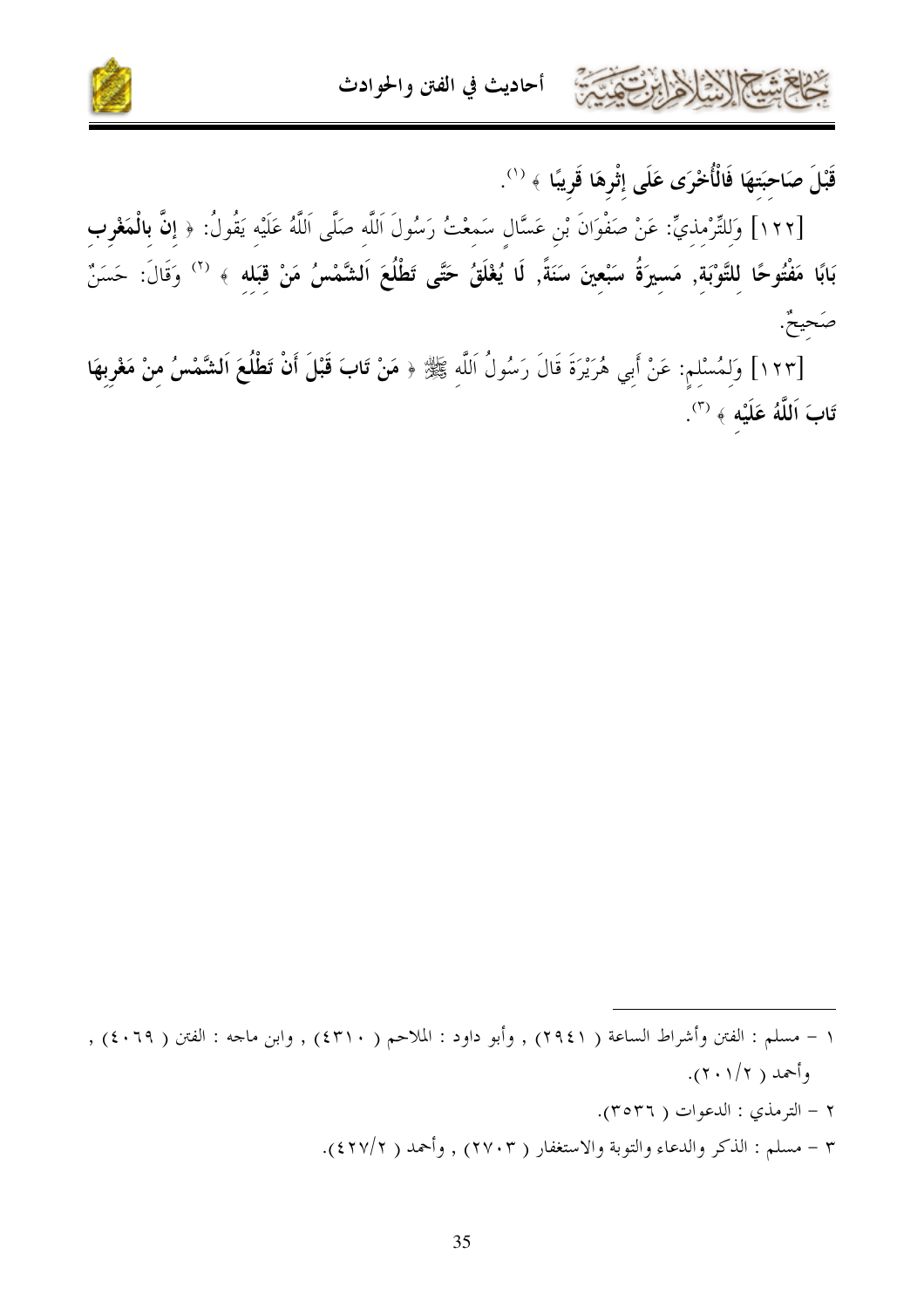

قَبْلَ صَاحِبَتهَا فَالْأُحْرَى عَلَى إثْرهَا قَريبًا ﴾ '''.

شيخ المشاهان تتفتحت

[١٢٢] وَلِلتِّرْمِذِيِّ: عَنْ صَفْوَانَ بْنِ عَسَّالٍ سَمِعْتُ رَسُولَ اَللَّهِ صَلَّى اَللَّهُ عَلَيْهِ يَقُولُ: ﴿ إِنَّ بِالْمَغْرِبِ بَابًا مَفْتُوحًا للتَّوْبَة, مَسيرَةُ سَبْعينَ سَنَةً, لَا يُغْلَقُ حَتَّى تَطْلُعَ اَلشَّمْسُ مَنْ قِبَلِهِ ﴾ (`' وَقَالَ: حَسَنٌ صَحيحٌ.

[١٢٣] وَلِمُسْلِمٍ: عَنْ أَبِي هُرَيْرَةَ قَالَ رَسُولُ اَللَّهِ ﷺ ﴿ مَنْ تَابَ قَبْلَ أَنْ تَطْلُعَ اَلشَّمْسُ مِنْ مَغْرِبِهَا  $\ddot{\text{c}}$ ثَابَ اَللَّهُ عَلَيْه ﴾  $^{(7)}$ .

- ١ مسلم : الفتن وأشراط الساعة ( ٢٩٤١) , وأبو داود : الملاحم ( ٤٣١٠) , وابن ماحه : الفتن ( ٤٠٦٩) , وأحمد ( ٢٠١/٢).
	- ٢ الترمذي : الدعوات ( ٣٥٣٦).
	- ٣ مسلم : الذكر والدعاء والتوبة والاستغفار ( ٢٧٠٣) , وأحمد ( ٤٢٧/٢).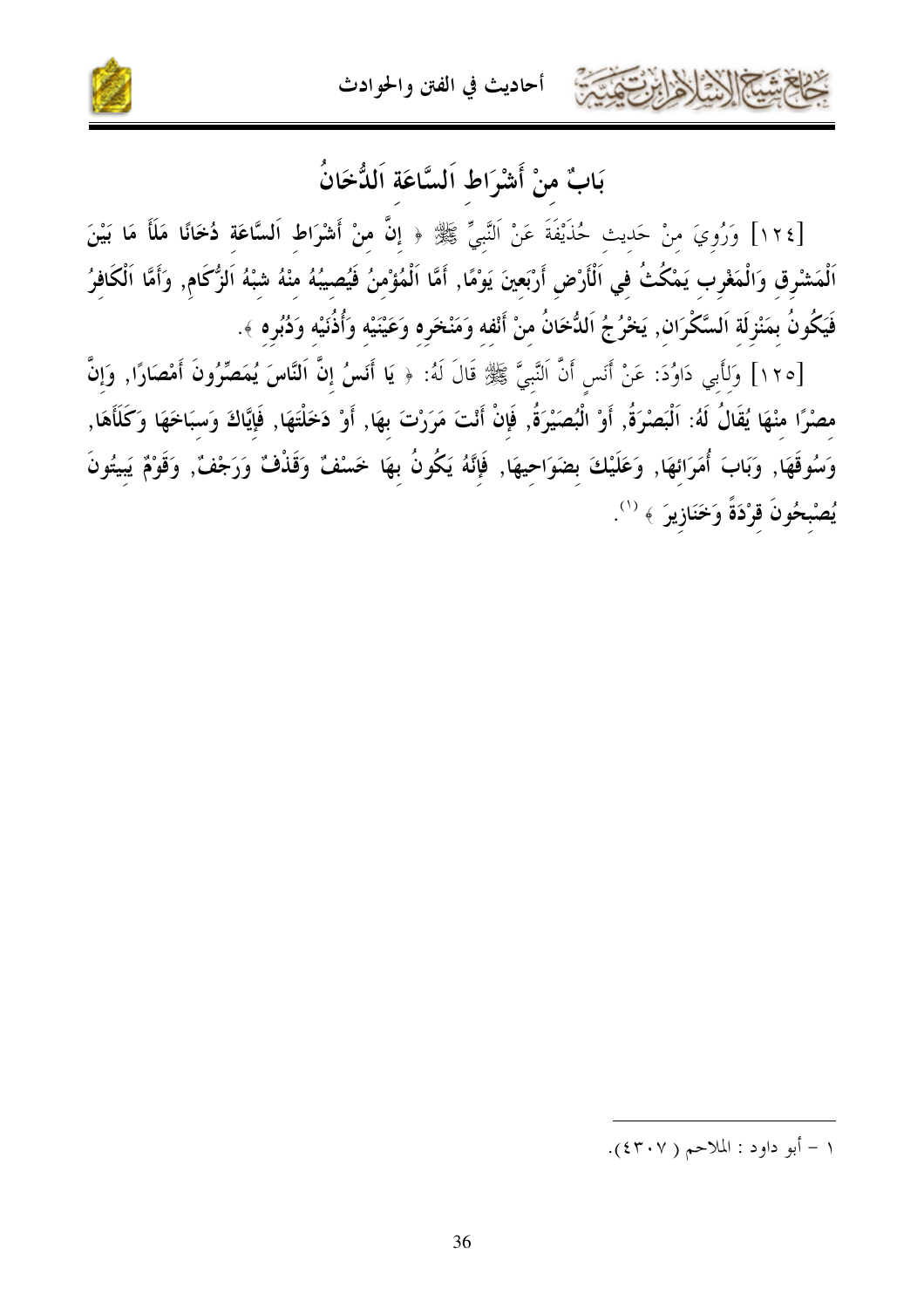أحاديث في الفتن والحوادث



بَابٌ منْ أَشْرَاط اَلسَّاعَة اَللُّخَانُ

[١٢٤] وَرُويَ منْ حَديث حُذَيْفَةَ عَنْ اَلنَّبِيِّ ﷺ ﴿ إِنَّ منْ أَشْرَاط اَلسَّاعَة دُخَانًا مَلَأَ مَا بَيْنَ اَلْمَشْرِق وَالْمَغْرِب يَمْكُثُ في اَلْأَرْضِ أَرْبَعينَ يَوْمًا, أَمَّا اَلْمُؤْمنُ فَيُصيبُهُ منْهُ شبْهُ اَلزُّكَام, وَأَمَّا اَلْكَافِرُ فَيَكُونُ بمَنْزِلَة اَلسَّكْرَان, يَخْرُجُ اَللُّخَانُ منْ أَنْفه وَمَنْخَره وَعَيْنَيْه وَأُذُنَيْه وَدُبُره ﴾.

[١٢٥] وَلأَبِي دَاوُدَ: عَنْ أَنَس أَنَّ النَّبِيَّ ﷺ قَالَ لَهُ: ﴿ يَا أَنَسُ إِنَّ الْنَّاسَ يُمَصِّرُونَ أَمْصَارًا, وَإِنَّ مصْرًا منْهَا يُقَالُ لَهُ: اَلْبَصْرَةُ, أَوْ الْبُصَيْرَةُ, فَإِنْ أَنْتَ مَرَرْتَ بِهَا, أَوْ دَخَلْتَهَا, فَإِيَّاكَ وَسِبَاخَهَا وَكَلَأَهَا, وَسُوقَهَا, وَبَابَ أُمَرَائهَا, وَعَلَيْكَ بِضَوَاحِيهَا, فَإِنَّهُ يَكُونُ بهَا خَسْفْ وَقَذْفْ وَرَجْفٌ, وَقَوْمٌ يَبِيتُونَ يُصْبحُونَ قَرْدَةً وَخَنَازِيرَ ﴾ (''.

 $\sim$  18  $\sim$  18  $\sim$  20

 $(25.4 \times 1)$  - أبو داود: الملاحم ( ٤٣٠٧ ).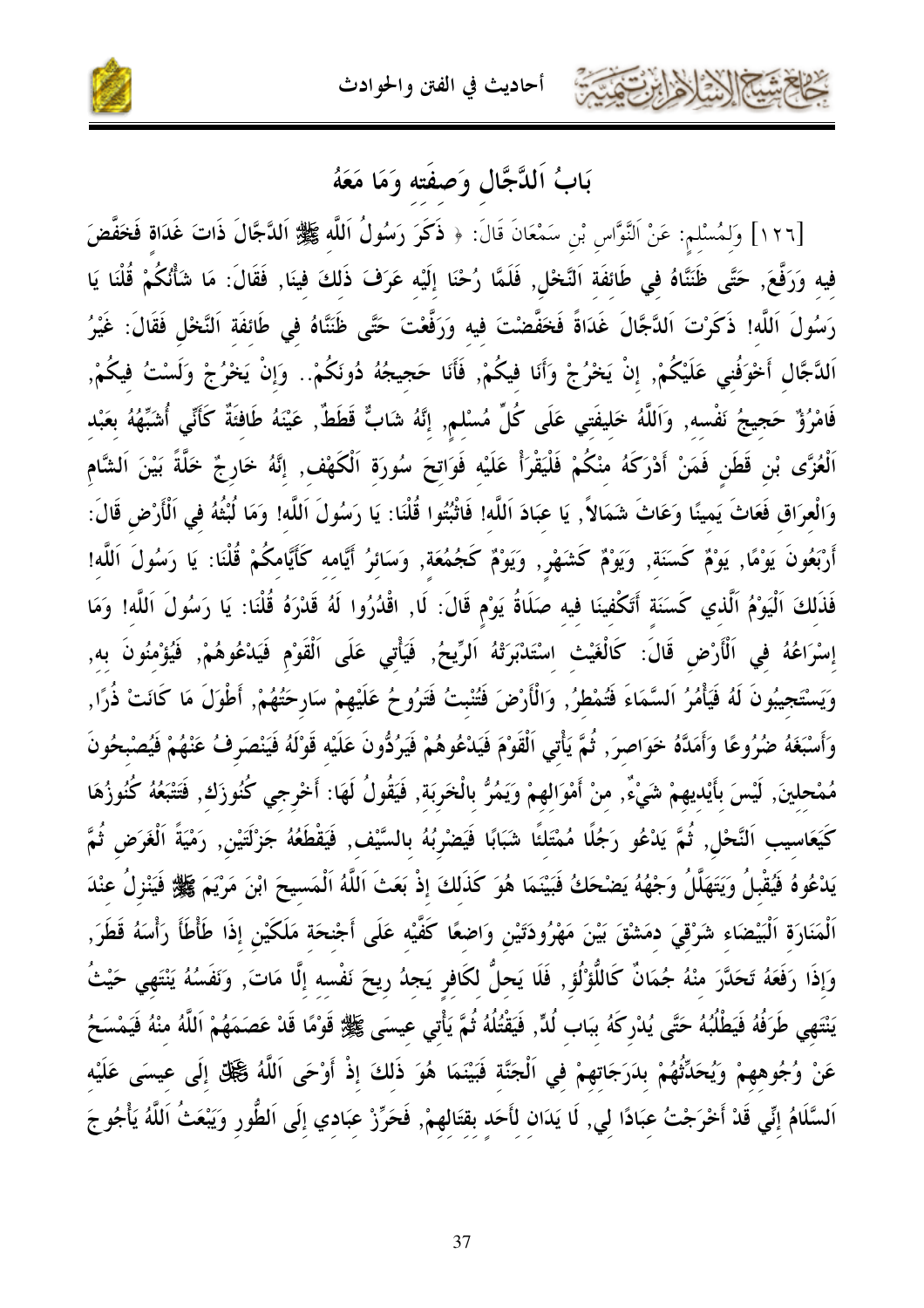



### بَابُ اَللَّجَّالِ وَصِفَته وَمَا مَعَهُ

[١٢٦] وَلِمُسْلِمٍ: عَنْ اَلنَّوَّاسِ بْنِ سَمْعَانَ قَالَ: ﴿ فَكَرَ رَسُولُ اَللَّه ﷺ اَللَّجَّالَ ذَاتَ غَدَاة فَخَفَّضَ فيه وَرَفَّعَ, حَتَّى ظَنَنَّاهُ في طَائفَة اَلنَّحْل, فَلَمَّا رُحْنَا إِلَيْه عَرَفَ ذَلكَ فينَا, فَقَالَ: مَا شَأْنُكُمْ قُلْنَا يَا رَسُولَ اَللَّه! ذَكَرْتَ اَلدَّجَّالَ غَدَاةً فَخَفَّضْتَ فيه وَرَفَّعْتَ حَتَّى ظَنَنَّاهُ في طَائفَة اَلنَّخْل فَقَالَ: غَيْرُ اَلدَّجَّالِ أَحْوَفُنِي عَلَيْكُمْ, إِنْ يَحْرُجْ وَأَنَا فِيكُمْ, فَأَنَا حَجيجُهُ دُونَكُمْ.. وَإِنْ يَحْرُجْ وَلَسْتُ فِيكُمْ, فَامْرُوٌّ حَجِيجُ نَفْسه, وَاَللَّهُ خَليفَتي عَلَى كُلِّ مُسْلم, إنَّهُ شَابٌٌ قَطَطٌ, عَيْنَهُ طَافنَةٌ كَأَنِّي أُشَبِّهُهُ بعَبْد اَلْعُزَّى بْنِ قَطَنٍ فَمَنْ أَدْرَكَهُ منْكُمْ فَلْيَقْرَأْ عَلَيْه فَوَاتحَ سُورَة اَلْكَهْف, إنَّهُ خَارجٌ خَلَّةً بَيْنَ اَلشَّام وَالْعِرَاق فَعَاتَ يَمينًا وَعَاتَ شَمَالاً, يَا عبَادَ اَللَّه! فَاثْبُتُوا قُلْنَا: يَا رَسُولَ اَللَّه! وَمَا لُبْثُهُ في اَلْأَرْض قَالَ: أَرْبَعُونَ يَوْمًا, يَوْمٌ كَسَنَة, وَيَوْمٌ كَشَهْر, وَيَوْمٌ كَجُمُعَة, وَسَائرُ أَيَّامه كَأَيَّامكُمْ قُلْنَا: يَا رَسُولَ اَللَّه! فَذَلكَ اَلْيَوْمُ اَلَّذي كَسَنَة أَتَكْفينَا فيه صَلَاةُ يَوْم قَالَ: لَا, اقْدُرُوا لَهُ قَدْرَهُ قُلْنَا: يَا رَسُولَ اَللَّه! وَمَا إِسْرَاعُهُ في اَلْأَرْضِ قَالَ: كَالْغَيْتْ اسْتَدْبَرَتْهُ اَلرِّيحُ, فَيَأْتي عَلَى اَلْقَوْمِ فَيَدْعُوهُمْ, فَيُؤْمِنُونَ به, وَيَسْتَجِيبُونَ لَهُ فَيَأْمُرُ اَلسَّمَاءَ فَتُمْطِرُ, وَالْأَرْضَ فَتُنْبتُ فَتَرُوحُ عَلَيْهِمْ سَارحَتُهُمْ, أَطْوَلَ مَا كَانَتْ ذُرًا, وَأَسْبَعَهُ ضُرُوعًا وَأَمَلَّهُ خَوَاصرَ, ثُمَّ يَأْتي اَلْقَوْمَ فَيَدْعُوهُمْ فَيَرُدُّونَ عَلَيْه قَوْلَهُ فَيَنْصَرفُ عَنْهُمْ فَيُصْبحُونَ مُمْحلينَ, لَيْسَ بِأَيْديهِمْ شَيْءٌ, منْ أَمْوَالهِمْ وَيَمُرُّ بِالْخَرِبَة, فَيَقُولُ لَهَا: أَخْرجي كُنُوزَك, فَتَتْبَعُهُ كُنُوزُهَا كَيَعَاسيب اَلنَّحْل, ثُمَّ يَدْعُو رَجُلًا مُمْتَلئًا شَبَابًا فَيَضْرِبُهُ بالسَّيْف, فَيَقْطَعُهُ جَزْلَتَيْن, رَمْيَةً اَلْغَرَض ثُمَّ يَدْعُوهُ فَيُقْبِلُ وَيَتَهَلَّلُ وَجْهُهُ يَضْحَكُ فَبَيْنَمَا هُوَ كَذَلكَ إذْ بَعَثَ اَللَّهُ اَلْمَسيحَ ابْنَ مَرْيَمَ ﷺ فَيَنْزِلُ عِنْدَ اَلْمَنَارَةِ اَلْبَيْضَاءِ شَرْقِيَ دِمَشْقَ بَيْنَ مَهْرُودَتَيْنِ وَاضعًا كَفَّيْه عَلَى أَجْنحَة مَلَكَيْن إذَا طَأْطَأَ رَأْسَهُ قَطَرَ, وَإِذَا رَفَعَهُ تَحَدَّرَ منْهُ جُمَانٌ كَاللُّوْلُوُ, فَلَا يَحلُّ لكَافر يَجدُ ريحَ نَفْسه إلَّا مَاتَ, وَنَفَسُهُ يَنْتَهي حَيْثُ يَنْتَهِي طَرَفُهُ فَيَطْلُبُهُ حَتَّى يُدْرِكَهُ بِبَابِ لُدٍّ, فَيَقْتُلُهُ ثُمَّ يَأْتي عِيسَى ﷺ قَوْمًا قَدْ عَصَمَهُمْ اَللَّهُ منْهُ فَيَمْسَحُ عَنْ وُجُوههمْ وَيُحَدِّثُهُمْ بِدَرَجَاتهمْ في اَلْجَنَّة فَبَيْنَمَا هُوَ ذَلكَ إذْ أَوْحَى اَللَّهُ كَيْلِّق إلَى عيسَى عَلَيْه اَلسَّلَامُ إنِّي قَدْ أَخْرَجْتُ عِبَادًا لِي, لَا يَدَان لأَحَد بقتَالِهِمْ, فَحَرِّزْ عِبَادِي إلَى الطُّورِ وَيَبْعَثُ اللَّهُ يَأْجُوجَ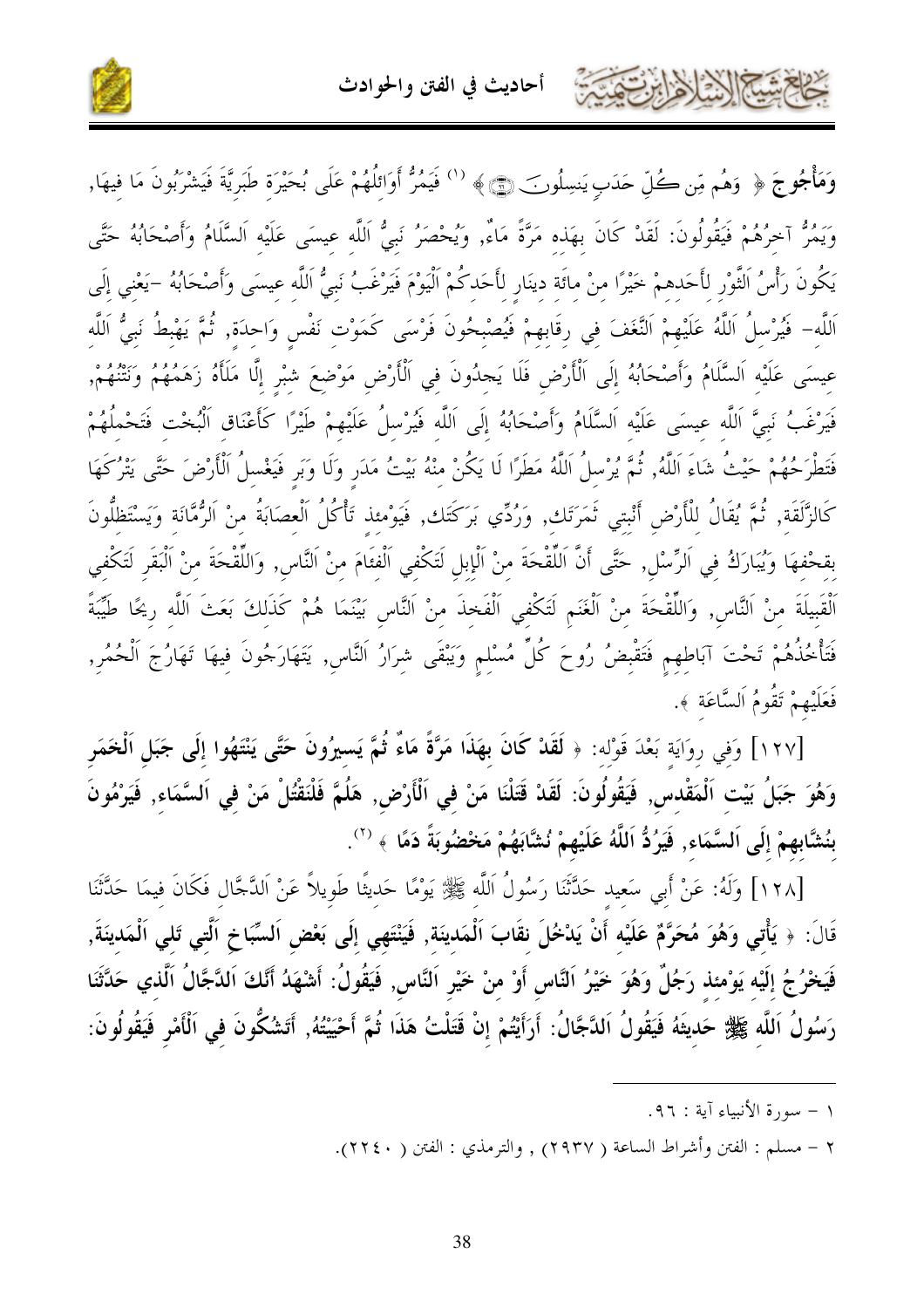أحاديث في الفتن والحوادث



وَمَأْجُوجَ ﴿ وَهُم مِّن كُلِّ حَدَبٍ يَنسِلُونَ ۞﴾ `` فَيَمْرُ أَوَائِلُهُمْ عَلَى بُحَيْرَةٍ طَبَرِيَّةَ فَيَشْرَبُونَ مَا فِيهَا, وَيَمُرُّ آخرُهُمْ فَيَقُولُونَ: لَقَدْ كَانَ بهَذه مَرَّةً مَاءٌ, وَيُحْصَرُ نَبيُّ اَللَّه عيسَى عَلَيْه السَّلَامُ وَأَصْحَابُهُ حَتَّى يَكُونَ رَأْسُ اَلثَّوْر لأَحَدهمْ خَيْرًا منْ مائَة دينَار لأَحَدكُمْ الْيَوْمَ فَيَرْغَبُ نَبيُّ اَللّه عيسَى وأَصْحَابُهُ –يَعْني إلَى اَللَّه – فَيُرْسلُ اَللَّهُ عَلَيْهِمْ اَلنَّغَفَ في رقَابِهِمْ فَيُصْبِحُونَ فَرْسَى كَمَوْتِ نَفْسٍ وَاحِدَة, ثُمَّ يَهْبطُ نَبِيُّ اَللَّهِ عيسَى عَلَيْه اَلسَّلَامُ وَأَصْحَابُهُ إِلَى اَلْأَرْضِ فَلَا يَجدُونَ في اَلْأَرْضِ مَوْضِعَ شبْرِ إلَّا مَلَأَهُ زَهَمُهُمُ وَنَتْنَهُمْ, فَيَرْغَبُ نَبِيَّ اَللَّه عيسَى عَلَيْه اَلسَّلَامُ وَأَصْحَابُهُ إِلَى اَللَّه فَيُرْسلُ عَلَيْهِمْ طَيْرًا كَأَعْنَاق اَلْبُخْت فَتَحْملُهُمْ فَتَطْرَحُهُمْ حَيْثُ شَاءَ اَللَّهُ, ثُمَّ يُرْسلُ اَللَّهُ مَطَرًا لَا يَكُنْ منْهُ بَيْتُ مَدَرٍ وَلَا وَبَرِ فَيَغْسِلُ اَلْأَرْضَ حَتَّى يَتْرُكَهَا كَالزَّلَقَة, ثُمَّ يُقَالُ للْأَرْضِ أَنْبتي ثَمَرَتَك, وَرُدِّي بَرَكَتَك, فَيَوْمئذ تَأْكُلُ الْعصَابَةُ منْ الرُّمَّانَة وَيَسْتَظْلُّونَ بقحْفهَا وَيُبَارَكُ في اَلرِّسْل, حَتَّى أَنَّ اللَّقْحَةَ منْ اَلْإِبل لَتَكْفي اَلْفعَامَ منْ النَّاس, وَاللِّقْحَةَ منْ اَلْبَقَر لَتَكْفي ٱلْقَبِيلَةَ منْ اَلنَّاس, وَاللَّقْحَةَ منْ اَلْغَنَم لَتَكْفي اَلْفَخذَ منْ اَلنَّاس بَيْنَمَا هُمْ كَذَلكَ بَعَثَ اَللَّه ريحًا طَيِّبَةً فَتَأْخُذُهُمْ تَحْتَ آباطهم فَتَقْبضُ رُوحَ كُلِّ مُسْلم وَيَبْقَى شرَارُ اَلنَّاس, يَتَهَارَجُونَ فيهَا تَهَارُجَ اَلْحُمُر, فَعَلَيْهِمْ تَقُومُ اَلسَّاعَة ﴾.

[١٢٧] وَفي روَايَة بَعْدَ قَوْله: ﴿ لَقَدْ كَانَ بِهَذَا مَرَّةً مَاءٌ ثُمَّ يَسيرُونَ حَتَّى يَنْتَهُوا إلَى جَبَل اَلْخَمَر وَهُوَ جَبَلُ بَيْت اَلْمَقْدس, فَيَقُولُونَ: لَقَدْ قَتَلْنَا مَنْ في اَلْأَرْض, هَلُمَّ فَلْنَقْتُلْ مَنْ في اَلسَّمَاء, فَيَرْمُونَ بنُشَّابِهِمْ إِلَى اَلسَّمَاءِ, فَيَرُدُّ اَللَّهُ عَلَيْهِمْ نُشَّابَهُمْ مَخْضُوبَةً دَمًا ﴾  $^{(7)}$ .

[١٢٨] وَلَهُ: عَنْ أَبِي سَعيد حَدَّثَنَا رَسُولُ اَللَّه ﷺ يَوْمًا حَدِيثًا طَوِيلاً عَنْ اَلدَّجَّالِ فَكَانَ فِيمَا حَدَّثَنَا قَالَ: ﴿ يَأْتِي وَهُوَ مُحَرَّمٌ عَلَيْه أَنْ يَدْخُلَ نقَابَ اَلْمَدينَة, فَيَنْتَهِي إِلَى بَعْضِ اَلسِّبَاخ اَلْتي تَلي اَلْمَدينَةَ, فَيَخْرُجُ إِلَيْهِ يَوْمئِذٍ رَجُلٌ وَهُوَ خَيْرُ اَلنَّاسِ أَوْ منْ خَيْرِ اَلنَّاس, فَيَقُولُ: أَشْهَدُ أَنَّكَ الدَّجَّالُ اَلَّذي حَدَّثَنَا رَسُولُ اللَّه ﷺ حَديثَهُ فَيَقُولُ الدَّجَّالُ: أَرَأَيْتُمْ إنْ قَتَلْتُ هَذَا ثُمَّ أَحْيَيْتُهُ, أَتَشُكُّونَ في اَلْأَمْر فَيَقُولُونَ:

- ١ سورة الأنبياء آية : ٩٦.
- ٢ مسلم : الفتن وأشراط الساعة ( ٢٩٣٧) , والترمذي : الفتن ( ٢٢٤٠).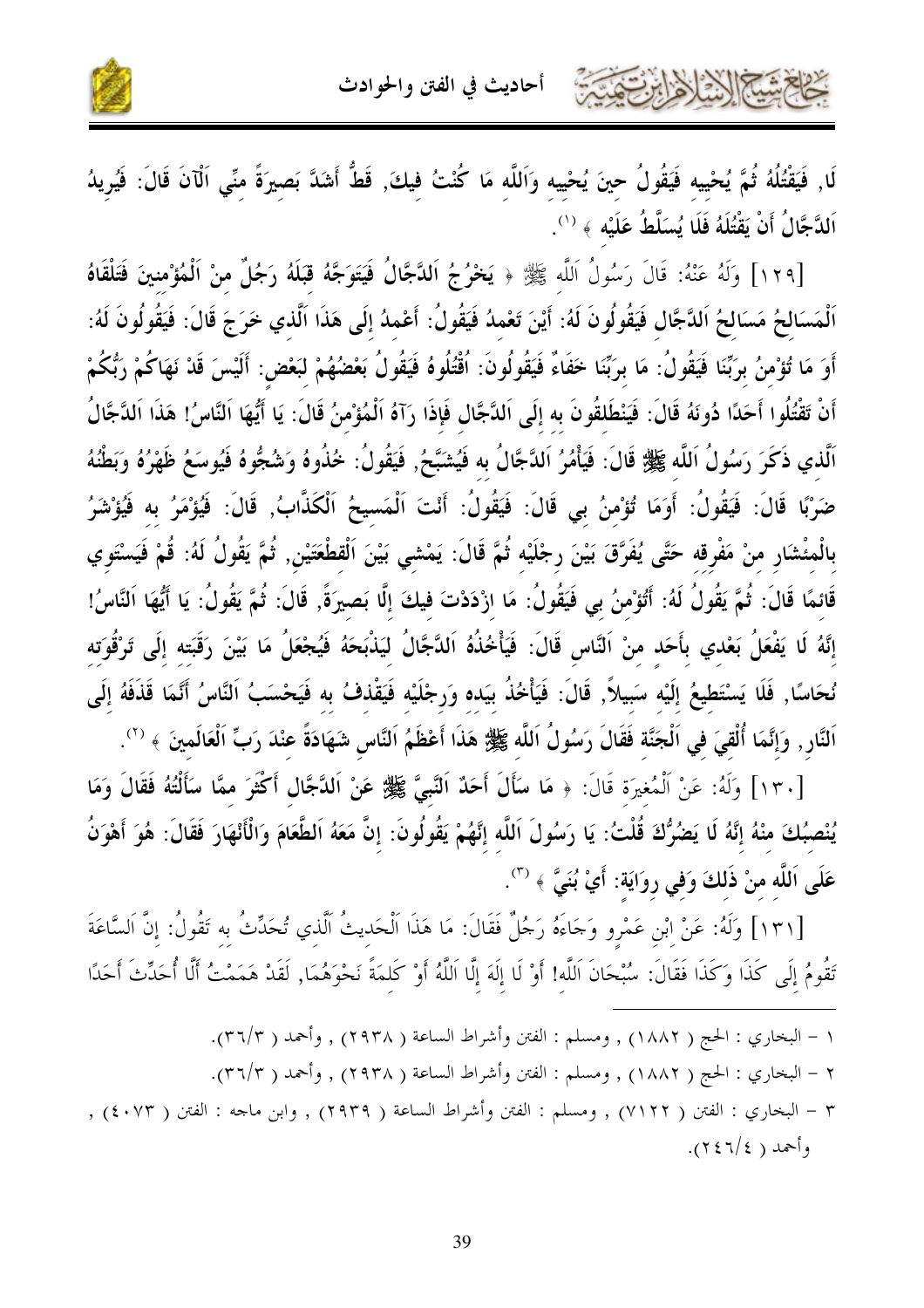

لَا, فَيَقْتُلُهُ ثُمَّ يُحْييه فَيَقُولُ حينَ يُحْييه وَاَللَّه مَا كُنْتُ فيكَ, قَطُّ أَشَدَّ بَصيرَةً منّي اَلْآنَ قَالَ: فَيُريدُ اَلدَّجَّالُ أَنْ يَقْتُلَهُ فَلَا يُسَلَّطُ عَلَيْه ﴾ <sup>(')</sup>.

[١٢٩] وَلَهُ عَنْهُ: قَالَ رَسُولُ اَللَّه ﷺ ﴿ يَخْرُجُ اَللَّجَّالُ فَيَتَوَجَّهُ قَبَلَهُ رَجُلٌ منْ اَلْمُؤْمنينَ فَتَلْقَاهُ اَلْمَسَالحُ مَسَالحُ اَلدَّجَّال فَيَقُولُونَ لَهُ: أَيْنَ تَعْمدُ فَيَقُولُ: أَعْمدُ إلَى هَذَا اَلَّذي خَرَجَ قَالَ: فَيَقُولُونَ لَهُ: أَوَ مَا تُؤْمنُ برَبِّنَا فَيَقُولُ: مَا برَبِّنَا خَفَاءٌ فَيَقُولُونَ: اُقْتُلُوهُ فَيَقُولُ بَعْضُهُمْ لبَعْض: أَلَيْسَ قَدْ نَهَاكُمْ رَبُّكُمْ أَنْ تَقْتُلُوا أَحَدًا دُونَهُ قَالَ: فَيَنْطَلقُونَ به إلَى اَلدَّجَّال فَإِذَا رَآهُ اَلْمُؤْمنُ قَالَ: يَا أَيُّهَا اَلنَّاسُ! هَذَا اَلدَّجَّالُ ٱلَّذي ذَكَرَ رَسُولُ اَللَّه ﷺ قَالَ: فَيَأْمُرُ اَلدَّجَّالُ به فَيُشَبَّحُ, فَيَقُولُ: خُذُوهُ وَشُجُّوهُ فَيُوسَعُ ظَهْرُهُ وَبَطْنُهُ ضَرْبًا قَالَ: فَيَقُولُ: أَوَمَا تُؤْمنُ بي قَالَ: فَيَقُولُ: أَنْتَ اَلْمَسيحُ اَلْكَذَّابُ, قَالَ: فَيُؤْمَرُ به فَيُؤْشَرُ بِالْمِمْشَارِ منْ مَفْرِقه حَتَّى يُفَرَّقَ بَيْنَ رِجْلَيْه ثُمَّ قَالَ: يَمْشي بَيْنَ اَلْقطْعَتَيْن, ثُمَّ يَقُولُ لَهُ: قُمْ فَيَسْتَوي قَائمًا قَالَ: ثُمَّ يَقُولُ لَهُ: أَتُؤْمنُ بي فَيَقُولُ: مَا ازْدَدْتَ فيكَ إلَّا بَصيرَةً, قَالَ: ثُمَّ يَقُولُ: يَا أَيُّهَا اَلنَّاسُ! إِنَّهُ لَا يَفْعَلُ بَعْدي بأَحَد منْ اَلنَّاس قَالَ: فَيَأْخُذُهُ اَلدَّجَّالُ لَيَذْبَحَهُ فَيُجْعَلُ مَا بَيْنَ رَقَبَته إلَى تَرْقُوَته نُحَاسًا, فَلَا يَسْتَطيعُ إلَيْه سَبيلاً, قَالَ: فَيَأْخُذُ بيَده وَرجْلَيْه فَيَقْذفُ به فَيَحْسَبُ اَلنَّاسُ أَنَّمَا قَذَفَهُ إلَى اَلنَّارِ, وَإِنَّمَا أُلْقِيَ في اَلْجَنَّة فَقَالَ رَسُولُ اَللَّه ﷺ هَذَا أَعْظَمُ اَلنَّاس شَهَادَةً عنْدَ رَبِّ اَلْعَالَمينَ ﴾ (''.

[١٣٠] وَلَهُ: عَنْ اَلْمُغيرَة قَالَ: ﴿ مَا سَأَلَ أَحَدٌ اَلنَّبِيَّ ﷺ عَنْ اَللَّجَّالِ أَكْثَرَ ممَّا سَأَلْتُهُ فَقَالَ وَمَا يُنْصبُكَ منْهُ إِنَّهُ لَا يَضُرُّكَ قُلْتُ: يَا رَسُولَ اَللَّه إِنَّهُمْ يَقُولُونَ: إنَّ مَعَهُ اَلطَّعَامَ وَالْأَنْهَارَ فَقَالَ: هُوَ أَهْوَنُ عَلَى اَللَّه منْ ذَلكَ وَفي روَايَة: أَيْ بُنَيَّ ﴾ (").

[١٣١] وَلَهُ: عَنْ ابْنِ عَمْرو وَجَاءَهُ رَجُلٌ فَقَالَ: مَا هَذَا اَلْحَديثُ اَلَّذي تُحَدِّثُ به تَقُولُ: إنَّ السَّاعَةَ تَقُومُ إِلَى كَذَا وَكَذَا فَقَالَ: سُبْحَانَ اَللَّه! أَوْ لَا إِلَهَ إِلَّا اَللَّهُ أَوْ كَلمَةً نَحْوَهُمَا, لَقَدْ هَمَمْتُ أَلَّا أُحَدِّثَ أَحَدًا

- ١ البخاري : الحج ( ١٨٨٢) , ومسلم : الفتن وأشراط الساعة ( ٢٩٣٨) , وأحمد ( ٣٦/٣).
- ٢ البخاري : الحج ( ١٨٨٢) , ومسلم : الفتن وأشراط الساعة ( ٢٩٣٨) , وأحمد ( ٣٦/٣).
- ٣ البخاري : الفتن ( ٧١٢٢) , ومسلم : الفتن وأشراط الساعة ( ٢٩٣٩) , وابن ماجه : الفتن ( ٤٠٧٣) , وأحمد ( ٢٤٦/٤).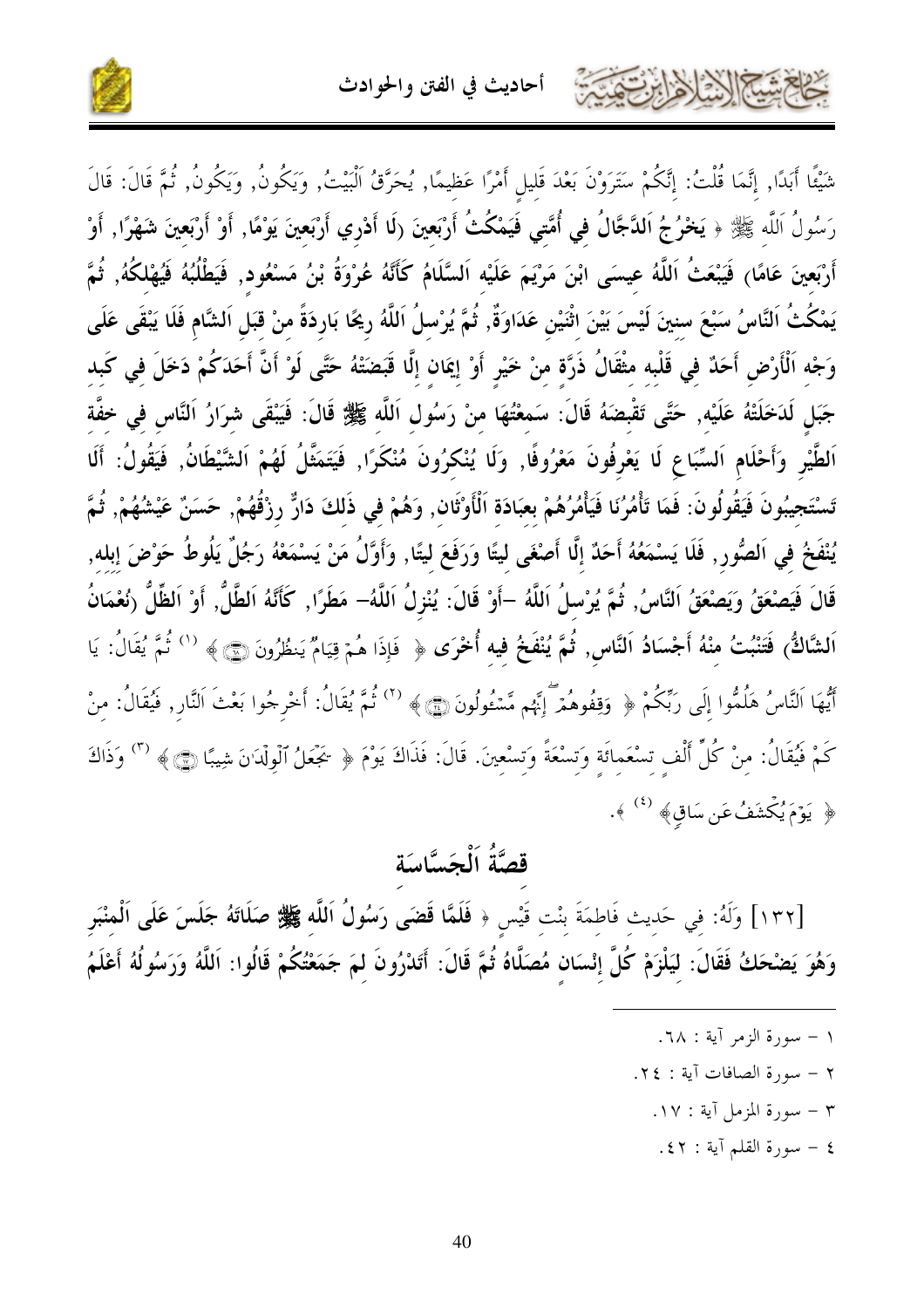

شَيْئًا أَبَدًا, إِنَّمَا قُلْتُ: إِنَّكُمْ سَتَرَوْنَ بَعْدَ قَليل أَمْرًا عَظيمًا, يُحَرَّقُ اَلْبَيْتُ, وَيَكُونُ, وَيَكُونُ, ثُمَّ قَالَ: قَالَ رَسُولُ اَللَّه ﷺ ﴿ يَخْرُجُ اَللَّجَّالُ فِي أُمَّتِي فَيَمْكُثُ أَرْبَعينَ (لَا أَدْرِي أَرْبَعينَ يَوْمًا, أَوْ أَرْبَعينَ شَهْرًا, أَوْ أَرْبَعينَ عَامًا) فَيَبْعَثُ اَللَّهُ عِيسَى ابْنَ مَرْيَمَ عَلَيْه اَلسَّلَامُ كَأَنَّهُ عُرْوَةُ بْنُ مَسْعُود, فَيَطْلُبُهُ فَيُهْلكُهُ, ثُمَّ يَمْكُتُ اَلنَّاسُ سَبْعَ سنينَ لَيْسَ بَيْنَ اثْنَيْنِ عَدَاوَةٌ, ثُمَّ يُرْسلُ اَللَّهُ رِيحًا بَارِدَةً منْ قبَل اَلشَّام فَلَا يَبْقَى عَلَى وَجْه اَلْأَرْضِ أَحَدٌ فِي قَلْبِه مِثْقَالُ ذَرَّةٍ مِنْ خَيْرٍ أَوْ إِيمَانِ إِلَّا قَبَضَتْهُ حَتَّى لَوْ أَنَّ أَحَدَكُمْ دَخَلَ فِي كَبد جَبَل لَدَخَلَتْهُ عَلَيْه, حَتَّى تَقْبضَهُ قَالَ: سَمعْتُهَا منْ رَسُول اَللَّه ﷺ قَالَ: فَيَبْقَى شِرَارُ اَلنَّاسِ فِي خِفَّة اَلطَّيْرِ وَأَحْلَامِ اَلسِّبَاعِ لَا يَعْرِفُونَ مَعْرُوفًا, وَلَا يُنْكرُونَ مُنْكَرًا, فَيَتَمَثَّلُ لَهُمْ اَلشَّيْطَانُ, فَيَقُولُ: أَلَا تَسْتَجِيبُونَ فَيَقُولُونَ: فَمَا تَأْمُرُنَا فَيَأْمُرُهُمْ بِعَبَادَة اَلْأَوْثَانِ, وَهُمْ فِي ذَلكَ دَارٌ رِزْقُهُمْ, حَسَنٌ عَيْشُهُمْ, ثُمَّ يُنْفَخُ في اَلصُّور, فَلَا يَسْمَعُهُ أَحَدٌ إلَّا أَصْغَى ليتًا وَرَفَعَ ليتًا, وَأَوَّلُ مَنْ يَسْمَعْهُ رَجُلٌ يَلُوطُ حَوْضَ إبله, قَالَ فَيَصْعَقُ وَيَصْعَقُ اَلنَّاسُ, ثُمَّ يُرْسلُ اَللَّهُ –أَوْ قَالَ: يُنْزِلُ اَللَّهُ– مَطَرًا, كَأَنَّهُ اَلطَّلُّ, أَوْ الظَّلُّ (نُعْمَانُ اَلشَّاكُمُ فَتَنْبُتُ مِنْهُ أَجْسَادُ اَلنَّاسِ, ثُمَّ يُنْفَخُ فيه أُخْرَى ﴿ فَإِذَا هُمْ قِيَامٌ يَنظُرُونَ ۞﴾ <sup>(١)</sup> ثُمَّ يُقَالُ: يَا أَيُّهَا اَلنَّاسُ هَلُمُّوا إِلَى رَبِّكُمْ ﴿ وَقِفُوهُمْ إِنَّهُم مَّسْءُولُونَ۞﴾ (٢) ثُمَّ يُقَالُ: أخْرجُوا بَعْتَ اَلنَّار, فَيُقَالُ: منْ كَمْ فَيُقَالُ: مِنْ كُلِّ أَلْفِ تِسْعَمِائَةِ وَتِسْعَةً وَتِسْعِينَ. قَالَ: فَذَاكَ يَوْمَ ﴿ كَجَعَلُ ٱلْوِلْدَانَ شِيبًا ۞﴾ (") وَذَاكَ ﴿ يَوۡمَ يُكۡشَفُ عَن سَاقِ﴾ (<sup>٤)</sup> ﴾.

### قصَّةُ اَلْجَسَّاسَة

[١٣٢] وَلَهُ: فِي حَدِيثِ فَاطِمَةَ بِنْتِ قَيْسٍ ﴿ فَلَمَّا قَضَى رَسُولُ اَللَّهِ ﷺ صَلَاتَهُ جَلَسَ عَلَى اَلْمنْبَر وَهُوَ يَضْحَكُ فَقَالَ: ليَلْزَمْ كُلَّ إنْسَان مُصَلَّاهُ ثُمَّ قَالَ: أَتَدْرُونَ لمَ جَمَعْتُكُمْ قَالُوا: اَللَّهُ وَرَسُولُهُ أَعْلَمُ

- ١ سورة الزمر آية : ٦٨.
- ٢ سورة الصافات آية : ٢٤.
	- ٣ سورة المزمل آية : ١٧.
		- ٤ سورة القلم آية : ٤٢.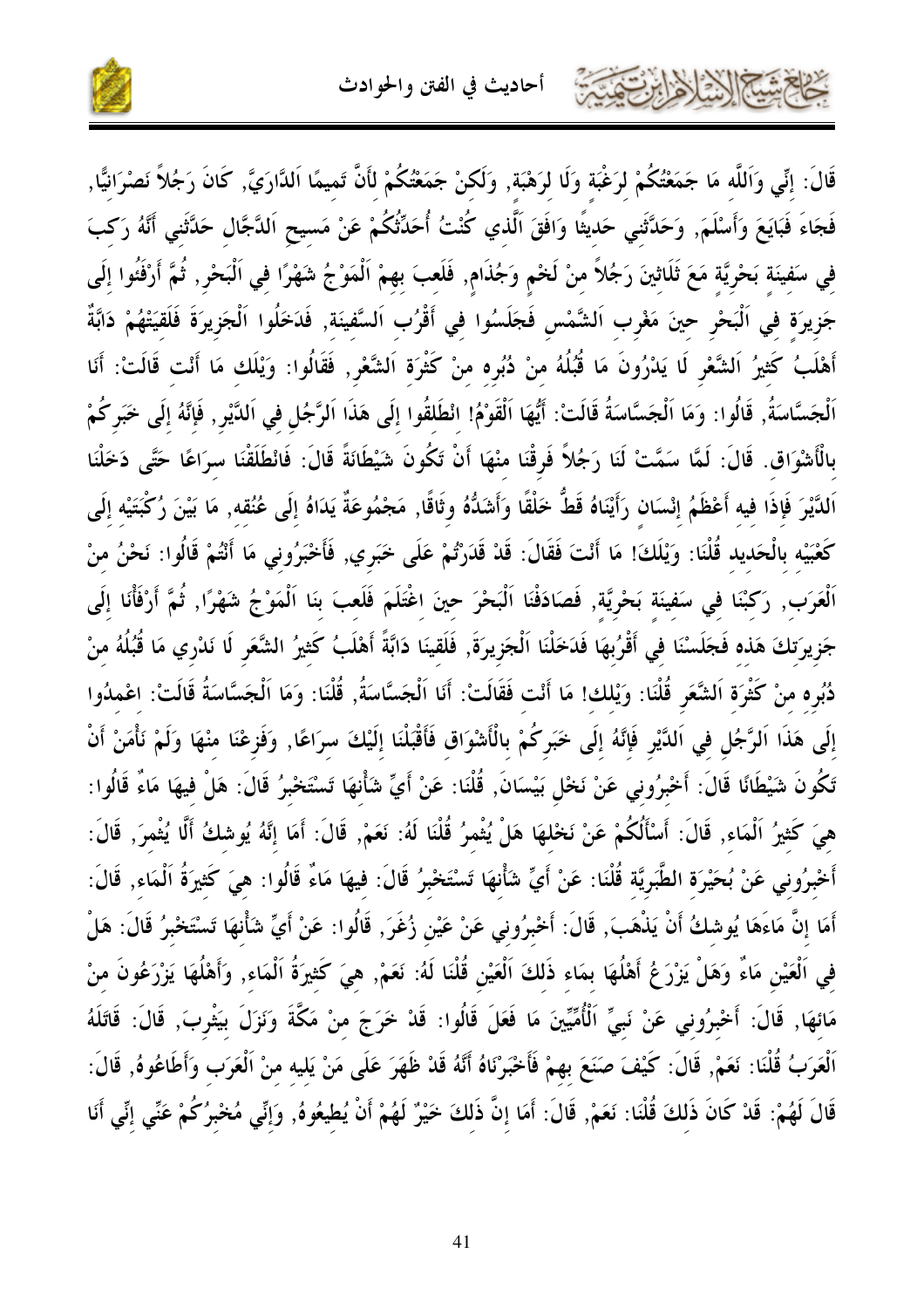

قَالَ: إنِّي وَاَللَّه مَا جَمَعْتُكُمْ لرَغْبَة وَلَا لرَهْبَة, وَلَكنْ جَمَعْتُكُمْ لأَنَّ تَميمًا اَلدَّارَيَّ, كَانَ رَجُلاً نَصْرَانيًّا, فَجَاءَ فَبَايَعَ وَأَسْلَمَ, وَحَدَّثَني حَديثًا وَافَقَ الَّذي كُنْتُ أُحَدِّثُكُمْ عَنْ مَسيح اَلدَّجَّال حَدَّثَني أَنَّهُ رَكبَ في سَفينَة بَحْريَّة مَعَ ثَلَاثينَ رَجُلاً منْ لَخْم وَجُذَام, فَلَعبَ بهمْ اَلْمَوْجُ شَهْرًا في اَلْبَحْر, ثُمَّ أَرْفَتُوا إلَى جَزِيرَة في اَلْبَحْرِ حينَ مَغْرب اَلشَّمْس فَجَلَسُوا في أَقْرُب اَلسَّفينَة, فَدَخَلُوا اَلْجَزِيرَةَ فَلَقيَتْهُمْ دَابَّةٌ أَهْلَبُ كَثِيرُ اَلشَّعْرِ لَا يَدْرُونَ مَا قُبُلُهُ مِنْ دُبُرِه مِنْ كَثْرَةِ اَلشَّعْرِ, فَقَالُوا: وَيْلَك مَا أَنْت قَالَتْ: أَنَا اَلْجَسَّاسَةُ, قَالُوا: وَمَا اَلْجَسَّاسَةُ قَالَتْ: أَيُّهَا اَلْقَوْمُ! انْطَلقُوا إلَى هَذَا اَلرَّجُل في اَلدَّيْر , فَإِنَّهُ إلَى خَبَركُمْ بِالْأَشْوَاقِ. قَالَ: لَمَّا سَمَّتْ لَنَا رَجُلاً فَرِقْنَا منْهَا أَنْ تَكُونَ شَيْطَانَةً قَالَ: فَانْطَلَقْنَا سرَاعًا حَتَّى دَخَلْنَا اَلدَّيْرَ فَإِذَا فيه أَعْظَمُ إنْسَان رَأَيْنَاهُ قَطُّ خَلْقًا وَأَشَدُّهُ وثَاقًا, مَجْمُوعَةٌ يَدَاهُ إلَى عُنُقه, مَا بَيْنَ رُكْبَتَيْه إلَى كَعْبَيْه بِالْحَديد قُلْنَا: وَيْلَكَ! مَا أَنْتَ فَقَالَ: قَدْ قَدَرْتُمْ عَلَى خَبَري, فَأَحْبَرُوني مَا أَنْتُمْ قَالُوا: نَحْنُ منْ اَلْعَرَب, رَكَبْنَا في سَفينَة بَحْرِيَّة, فَصَادَفْنَا اَلْبَحْرَ حينَ اغْتَلَمَ فَلَعبَ بنَا اَلْمَوْجُ شَهْرًا, ثُمَّ أَرْفَأْنَا إلَى جَزِيرَتكَ هَذه فَجَلَسْنَا في أَقْرُبهَا فَدَخَلْنَا اَلْجَزِيرَةَ, فَلَقِينَا دَابَّةً أَهْلَبُ كَثيرُ الشَّعَر لَا نَدْري مَا قُبُلُهُ منْ دُبُره منْ كَثْرَة اَلشَّعَر قُلْنَا: وَيْلك! مَا أَنْت فَقَالَتْ: أَنَا اَلْجَسَّاسَةُ, قُلْنَا: وَمَا اَلْجَسَّاسَةُ قَالَتْ: اعْمدُوا إِلَى هَذَا اَلرَّجُل في اَلدَّيْرِ فَإِنَّهُ إِلَى خَبَرِكُمْ بِالْأَشْوَاقِ فَأَقْبَلْنَا إِلَيْكَ سرَاعًا, وَفَزعْنَا منْهَا وَلَمْ نَأْمَنْ أَنْ تَكُونَ شَيْطَانًا قَالَ: أَحْبرُوني عَنْ نَحْل بَيْسَانَ, قُلْنَا: عَنْ أَيِّ شَأْنهَا تَسْتَحْبرُ قَالَ: هَلْ فيهَا مَاءٌ قَالُوا: هيَ كَثيرُ اَلْمَاء, قَالَ: أَسْأَلُكُمْ عَنْ نَحْلهَا هَلْ يُثْمرُ قُلْنَا لَهُ: نَعَمْ, قَالَ: أَمَا إنَّهُ يُوشكُ أَلَّا يُثْمرَ, قَالَ: أَخْبِرُوني عَنْ بُحَيْرَة الطَّبَريَّة قُلْنَا: عَنْ أَيِّ شَأْنهَا تَسْتَخْبِرُ قَالَ: فيهَا مَاءٌ قَالُوا: هيَ كَثيرَةُ اَلْمَاء, قَالَ: أَمَا إِنَّ مَاءَهَا يُوشكُ أَنْ يَذْهَبَ, قَالَ: أَحْبِرُوني عَنْ عَيْن زُغَرَ, قَالُوا: عَنْ أَيِّ شَأْنهَا تَسْتَخْبِرُ قَالَ: هَلْ في اَلْعَيْنِ مَاءٌ وَهَلْ يَزْرَعُ أَهْلُهَا بِمَاء ذَلكَ اَلْعَيْنِ قُلْنَا لَهُ: نَعَمْ, هيَ كَثيرَةُ اَلْمَاء, وَأَهْلُهَا يَزْرَعُونَ منْ مَائهَا, قَالَ: أَحْبرُوني عَنْ نَبيِّ الْأُمِّيِّينَ مَا فَعَلَ قَالُوا: قَدْ خَرَجَ منْ مَكَّةَ وَنَزَلَ بيَثْربَ, قَالَ: قَاتَلَهُ اَلْعَرَبُ قُلْنَا: نَعَمْ, قَالَ: كَيْفَ صَنَعَ بهمْ فَأَخْبَرْنَاهُ أَنَّهُ قَدْ ظَهَرَ عَلَى مَنْ يَليه منْ اَلْعَرَب وَأَطَاعُوهُ, قَالَ: قَالَ لَهُمْ: قَدْ كَانَ ذَلكَ قُلْنَا: نَعَمْ, قَالَ: أَمَا إنَّ ذَلكَ خَيْرٌ لَهُمْ أَنْ يُطيعُوهُ, وَإنّي مُخْبرُكُمْ عَنّي إنّي أَنَا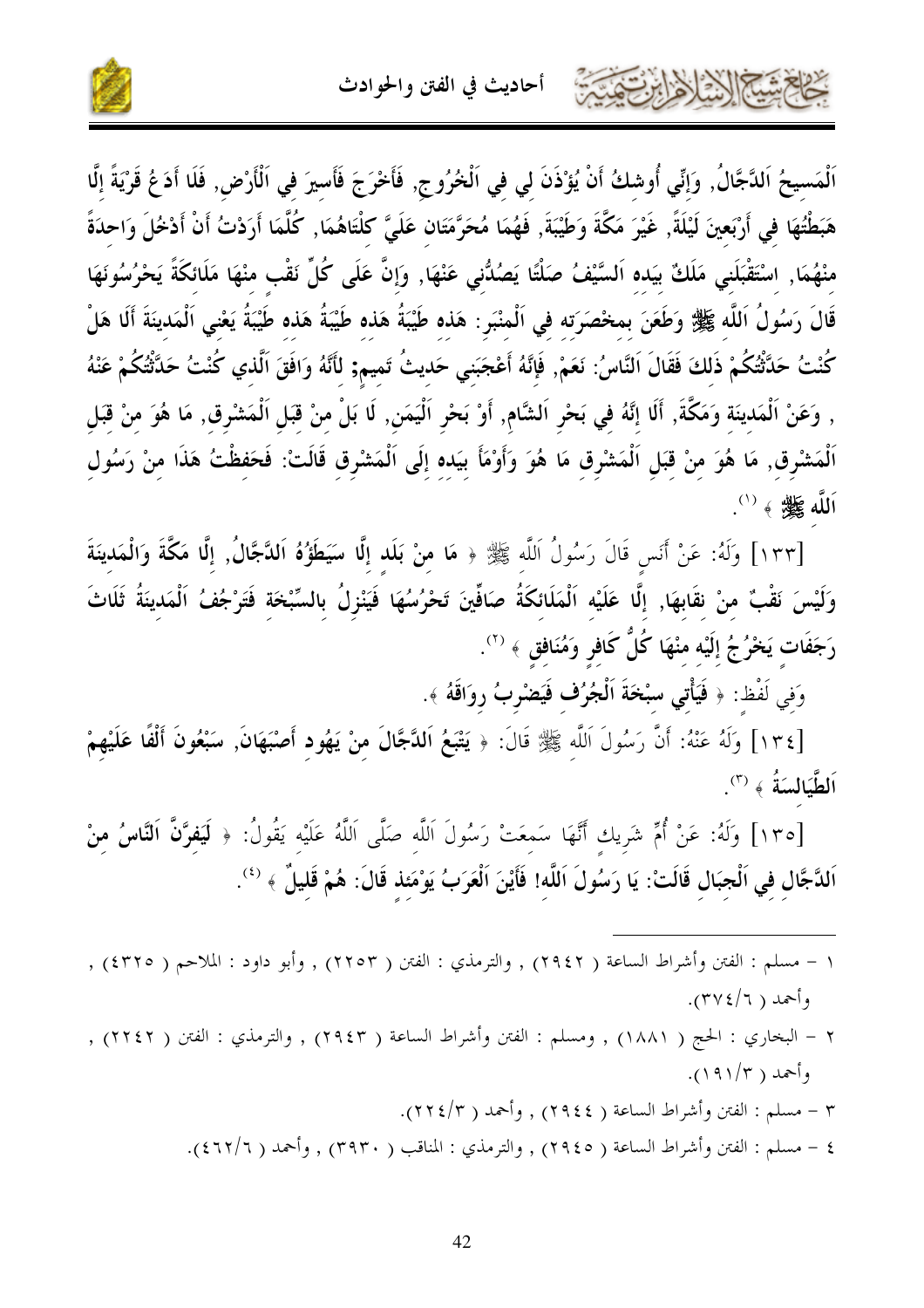

اَلْمَسيحُ اَلدَّجَّالُ, وَإنِّي أُوشكُ أَنْ يُؤذَنَ لي في اَلْخُرُوج, فَأَخْرَجَ فَأَسيرَ في اَلْأَرْض, فَلَا أدَغُ قَرْيَةً إلَّا هَبَطْتُهَا في أَرْبَعينَ لَيْلَةً, غَيْرَ مَكَّةَ وَطَيْبَةَ, فَهُمَا مُحَرَّمَتَان عَلَيَّ كلْتَاهُمَا, كُلَّمَا أَرَدْتُ أَنْ أَدْخُلَ وَاحدَةً منْهُمَا, اسْتَقْبَلَني مَلَكٌ بيَده اَلسَّيْفُ صَلْتًا يَصُلُّني عَنْهَا, وَإِنَّ عَلَى كُلِّ نَقْب منْهَا مَلَائكَةً يَحْرُسُونَهَا قَالَ رَسُولُ اَللَّه ﷺ وَطَعَنَ بمخصَرَته في اَلْمنْبَر : هَذه طَيْبَةُ هَذه طَيْبَةُ هَذه طَيْبَةُ يَعْني اَلْمَدينَةَ أَلَا هَلْ كُنْتُ حَدَّثْتُكُمْ ذَلكَ فَقَالَ اَلنَّاسُ: نَعَمْ, فَإِنَّهُ أَعْجَبَنِي حَديثُ تَميم; لأَنَّهُ وَافَقَ اَلّذي كُنْتُ حَدَّثْتُكُمْ عَنْهُ , وَعَنْ اَلْمَدِينَةِ وَمَكَّةَ, أَلَا إِنَّهُ فِي بَحْرِ اَلشَّامِ, أَوْ بَحْرِ اَلْيَمَنِ, لَا بَلْ مِنْ قِبَلِ اَلْمَشْرِقِ, مَا هُوَ مِنْ قِبَلِ ٱلْمَشْرِقِ, مَا هُوَ مِنْ قِبَلِ ٱلْمَشْرِقِ مَا هُوَ وَأَوْمَأَ بِيَدِهِ إِلَى ٱلْمَشْرِقِ قَالَتْ: فَحَفِظْتُ هَذَا مِنْ رَسُولِ اَللَّه ﷺ ﴾ (').

[١٣٣] وَلَهُ: عَنْ أَنَسٍ قَالَ رَسُولُ اَللَّه ﷺ ﴿ مَا منْ بَلَد إِلَّا سَيَطَوُّهُ اَللَّجَّالُ, إِلَّا مَكَّةَ وَالْمَدينَةَ وَلَيْسَ نَقْبٌ منْ نقَابِهَا, إِلَّا عَلَيْه اَلْمَلَائِكَةُ صَافِّينَ تَحْرُسُهَا فَيَنْزِلُ بِالسِّبْخَةِ فَتَرْجُفُ اَلْمَدِينَةُ ثَلَاثَ رَجَفَات يَخْرُجُ إِلَيْه منْهَا كُلُّ كَافر وَمُنَافق ﴾ <sup>(٢)</sup>.

وَفي لَفْظ: ﴿ فَيَأْتِي سَبْخَةَ الْجُرُف فَيَضْرِبُ رِوَاقَهُ ﴾.

[١٣٤] وَلَهُ عَنْهُ: أَنَّ رَسُولَ اَللَّه ﷺ قَالَ: ﴿ يَتْبَعُ اَللَّجَّالَ منْ يَهُود أَصْبَهَانَ, سَبْعُونَ أَلْفًا عَلَيْهِمْ اَلطَّيَالسَةُ ﴾ (٣).

[١٣٥] وَلَهُ: عَنْ أُمٍّ شَرِيك أَنَّهَا سَمعَتْ رَسُولَ اَللَّه صَلَّى اَللَّهُ عَلَيْه يَقُولُ: ﴿ لَيَفرَّنَّ النَّاسُ منْ اَللَّجَّال في اَلْجبَال قَالَتْ: يَا رَسُولَ اَللَّه! فَأَيْنَ اَلْعَرَبُ يَوْمَئِذ قَالَ: هُمْ قَليلٌ ﴾ (''.

- ١ مسلم : الفتن وأشراط الساعة ( ٢٩٤٢) , والترمذي : الفتن ( ٢٢٥٣) , وأبو داود : الملاحم ( ٤٣٢٥) , وأحمد ( ٣٧٤/٦).
- ٢ البخاري : الحج ( ١٨٨١) , ومسلم : الفتن وأشراط الساعة ( ٢٩٤٣) , والترمذي : الفتن ( ٢٢٤٢) , وأحمد ( ١٩١/٣).
	- ٣ مسلم : الفتن وأشراط الساعة ( ٢٩٤٤) , وأحمد ( ٢٢٤/٣).
	- ٤ مسلم : الفتن وأشراط الساعة ( ٢٩٤٥) , والترمذي : المناقب ( ٣٩٣٠) , وأحمد ( ٤٦٢/٦).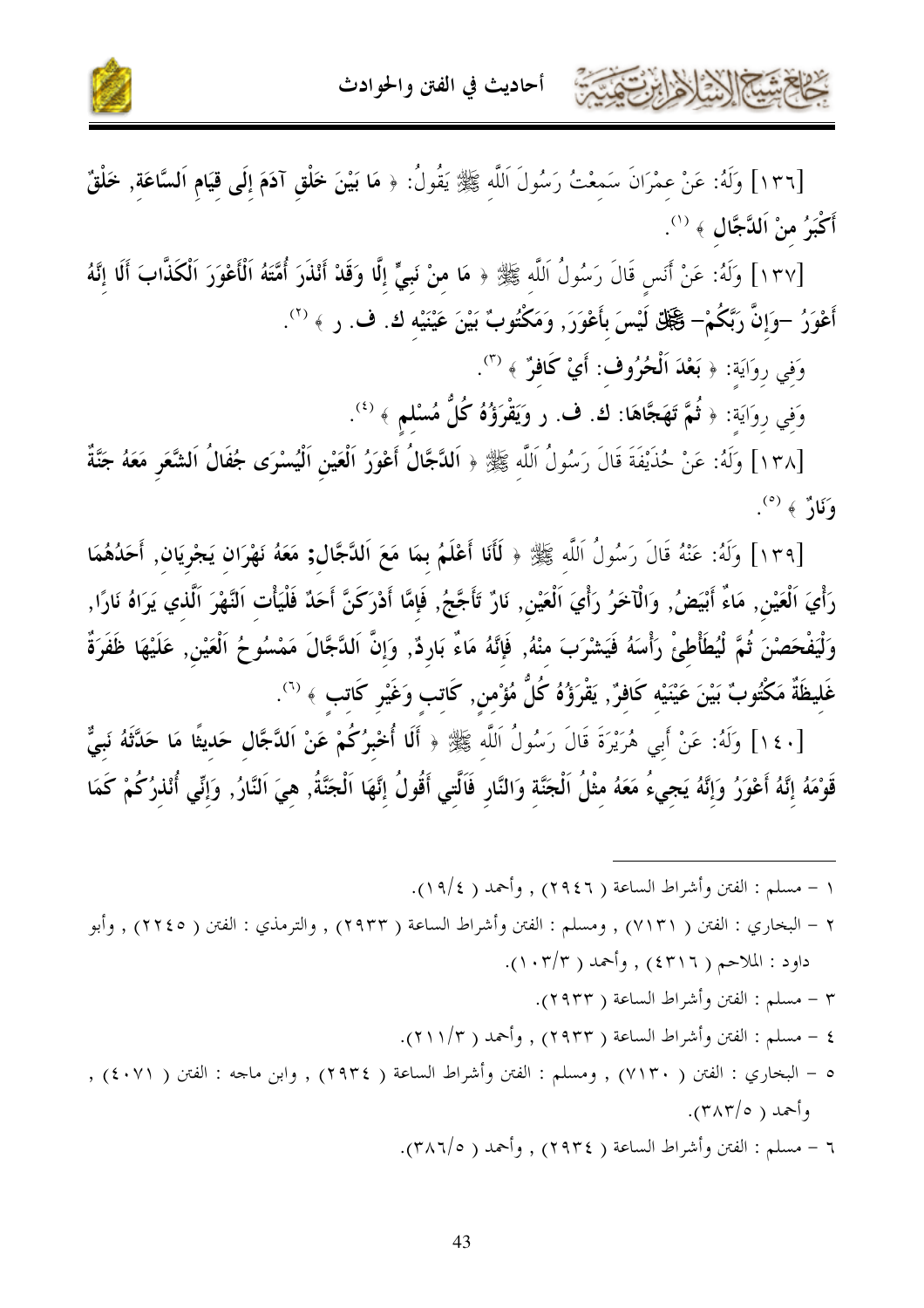

: الفتن ( ٢٢٤٥) , وأبو

[١٣٦] وَلَهُ: عَنْ عِمْرَانَ سَمِعْتُ رَسُولَ اَللَّهِ ﷺ يَقُولُ: ﴿ مَا بَيْنَ خَلْقٍ آدَمَ إِلَى قِيَامِ اَلسَّاعَةِ, خَلْقٌ أَكْبَرُ منْ اَلدَّجَّال ﴾ (''.

[١٣٧] وَلَهُ: عَنْ أَنَسٍ قَالَ رَسُولُ اَللَّهِ ﷺ ﴿ مَا منْ نَبِيٍّ إِلَّا وَقَدْ أَنْذَرَ أُمَّتَهُ اَلْأَعْوَرَ اَلْكَذَّابَ أَلَا إِنَّهُ أَعْوَرُ –وَإِنَّ رَبَّكُمْ– ∰لّ لَيْسَ بِأَعْوَرَ, وَمَكْتُوبٌ بَيْنَ عَيْنَيْه ك. ف. ر ﴾ '''.

وَفِي رِوَايَة: ﴿ بَعْدَ اَلْحُرُوف: أَيْ كَافِرٌ ﴾ (").

وَفِي رِوَايَة: ﴿ ثُمَّ تَهَجَّاهَا: ك. ف. رِ وَيَقْرَؤُهُ كُلُّ مُسْلَمٍ ﴾ (<sup>٤)</sup>.

[١٣٨] وَلَهُ: عَنْ حُذَيْفَةَ قَالَ رَسُولُ اَللَّه ﷺ ﴿ اَللَّجَّالُ أَعْوَرُ اَلْعَيْنِ اَلْيُسْرَى جُفَالُ الشَّعَر مَعَهُ جَنَّةٌ وَنَادٌ ﴾ (°).

[١٣٩] وَلَهُ: عَنْهُ قَالَ رَسُولُ اَللَّه ﷺ ﴿ لَأَلَا أَعْلَمُ بِمَا مَعَ اَللَّجَّالِ; مَعَهُ نَهْرَان يَجْرِيَان, أَحَدُهُمَا رَأْيَ اَلْعَيْنِ, مَاءٌ أَبْيَضُ, وَالْآخَرُ رَأْيَ اَلْعَيْنِ, نَارٌ تَأَجَّجُ, فَإِمَّا أَدْرَكَنَّ أَحَدٌ فَلْيَأْت اَلنَّهْرَ اَلَّذي يَرَاهُ نَارًا, وَلْيَفْحَصْنَ ثُمَّ لْيُطَأْطِئْ رَأْسَهُ فَيَشْرَبَ منْهُ, فَإِنَّهُ مَاءٌ بَارِدٌ, وَإِنَّ اَللَّجَّالَ مَمْسُوحُ اَلْعَيْنِ, عَلَيْهَا ظَفَرَةٌ غَليظَةٌ مَكْتُوبٌ بَيْنَ عَيْنَيْه كَافِرٌ, يَقْرَؤُهُ كُلُّ مُؤْمن, كَاتب وَغَيْر كَاتب ﴾ <sup>(٦)</sup>.

[٤٠] وَلَهُ: عَنْ أَبِي هُرَيْرَةَ قَالَ رَسُولُ اَللَّهِ ﷺ ﴿ أَلَا أُخْبِرُكُمْ عَنْ اَللَّجَّالِ حَديثًا مَا حَلَّثَهُ نَبِيٌّ قَوْمَهُ إنَّهُ أَعْوَرُ وَإنَّهُ يَجيءُ مَعَهُ مثْلُ اَلْجَنَّة وَالنَّارِ فَاَلَّتِي أَقُولُ إنَّهَا اَلْجَنَّةُ, هيَ اَلنَّارُ, وَإنِّي أُنْذرُكُمْ كَمَا

- ٣ مسلم : الفتن وأشراط الساعة ( ٢٩٣٣).
- ٤ مسلم : الفتن وأشراط الساعة ( ٢٩٣٣) , وأحمد ( ٢١١/٣).
- ٥ البخاري : الفتن ( ٧١٣٠) , ومسلم : الفتن وأشراط الساعة ( ٢٩٣٤) , وابن ماحه : الفتن ( ٤٠٧١) , وأحمد ( ٣٨٣/٥).
	- ٦ مسلم : الفتن وأشراط الساعة ( ٢٩٣٤) , وأحمد ( ٣٨٦/٥).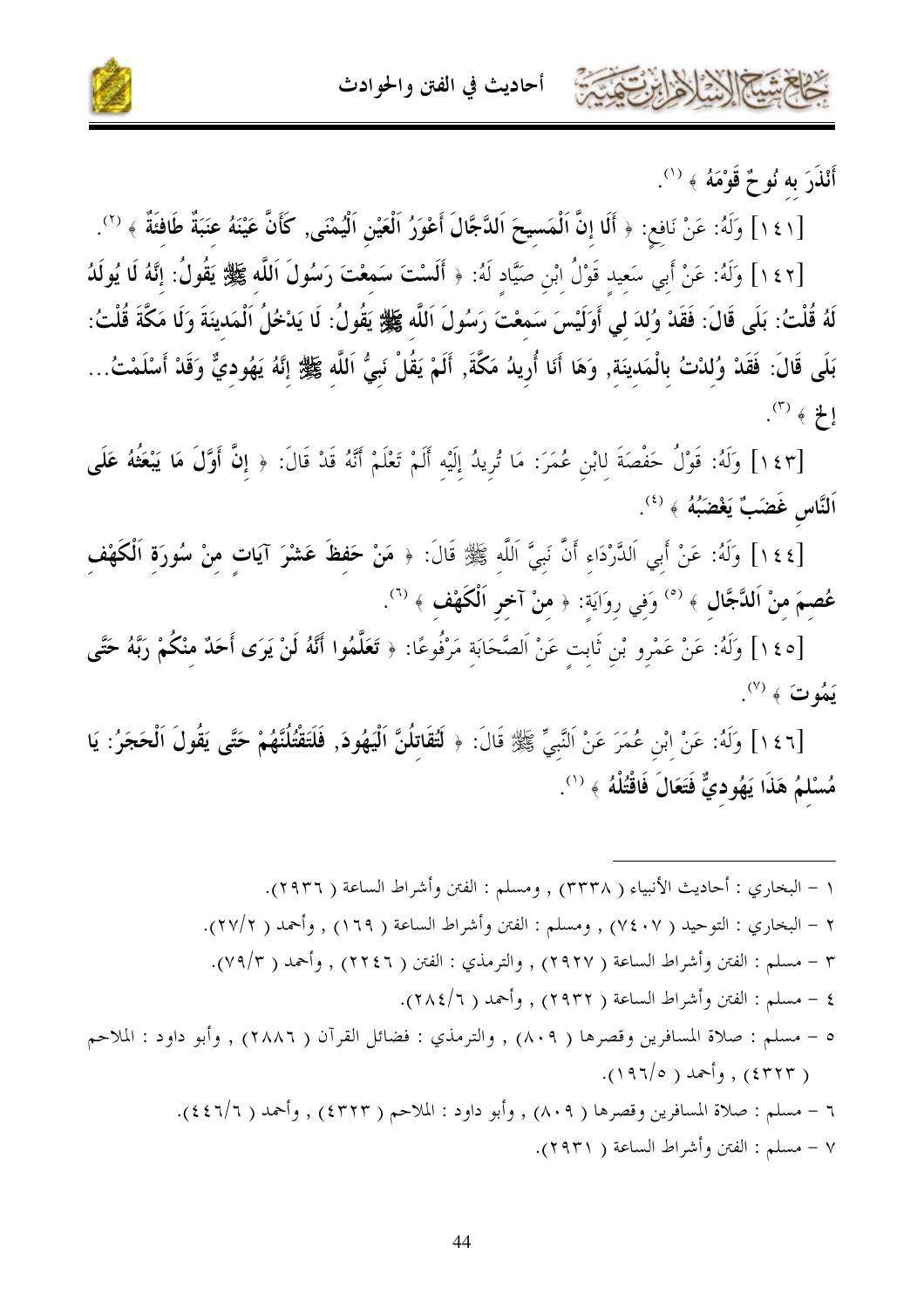



أَنْذَرَ به نُوحٌ قَوْمَهُ ﴾ (').

حمشيهم الجزاهرا بربيتهما

[١٤١] وَلَهُ: عَنْ نَافع: ﴿ أَلَا إِنَّ اَلْمَسِيحَ اَللَّجَّالَ أَعْوَرُ اَلْعَيْنِ اَلْيُمْنَى, كَأَنَّ عَيْنَهُ عنَبَةٌ طَافَنَةٌ ﴾ (٢).

[١٤٢] وَلَهُ: عَنْ أَبِي سَعيد قَوْلُ ابْنِ صَيَّاد لَهُ: ﴿ أَلَسْتَ سَمعْتَ رَسُولَ اَللَّه ﷺ يَقُولُ: إنَّهُ لَا يُولَدُ لَهُ قُلْتُ: بَلَى قَالَ: فَقَدْ وُلدَ لي أَوَلَيْسَ سَمعْتَ رَسُولَ اَللَّه ﷺ يَقُولُ: لَا يَدْخُلُ اَلْمَدينَةَ وَلَا مَكَّةَ قُلْتُ: بَلَى قَالَ: فَقَدْ وُلِدْتُ بِالْمَدِينَةِ, وَهَا أَنَا أُرِيدُ مَكَّةَ, أَلَمْ يَقُلْ نَبِيُّ اَللَّهِ ﷺ إِنَّهُ يَهُودِيٌّ وَقَدْ أَسْلَمْتُ...  $\cdot^{\left( 7\right) }\leftarrow +\left[ 1\right]$ 

[١٤٣] وَلَهُ: قَوْلُ حَفْصَةَ لِابْنِ عُمَرَ: مَا تُرِيدُ إِلَيْه أَلَمْ تَعْلَمْ أَنَّهُ قَدْ قَالَ: ﴿ إِنَّ أَوَّلَ مَا يَبْعَثُهُ عَلَى اَلنَّاس غَضَبٌّ يَغْضَبُهُ ﴾ <sup>(٤)</sup>.

[٤٤] وَلَهُ: عَنْ أَبِي اَلدَّرْدَاءِ أَنَّ نَبِيَّ اَللَّهِ ﷺ قَالَ: ﴿ مَنْ حَفظَ عَشْرَ آيَاتٍ منْ سُورَة الْكَهْف عُصِمَ مِنْ اَللَّجَّالِ ﴾ <sup>(٥)</sup> وَفِي رِوَايَةِ: ﴿ مَنْ آخِرِ اَلْكَهْفِ ﴾ <sup>(٦)</sup>.

[٤٥] وَلَهُ: عَنْ عَمْرِو بْنِ ثَابِت عَنْ اَلصَّحَابَة مَرْفُوعًا: ﴿ تَعَلَّمُوا أَنَّهُ لَنْ يَرَى أَحَدٌ منْكُمْ رَبَّهُ حَتَّى  $\phi^{(1)}$ يَمُوتَ ﴾ ('').

[١٤٦] وَلَهُ: عَنْ إِبْنِ عُمَرَ عَنْ اَلنَّبِيِّ ﷺ قَالَ: ﴿ لَتُقَاتِلُنَّ اَلْيَهُودَ, فَلَتَقْتُلُنَّهُمْ حَتَّى يَقُولَ اَلْحَجَرُ: يَا مُسْلِمُ هَذَا يَهُوديٌّ فَتَعَالَ فَاقْتُلْهُ ﴾ (').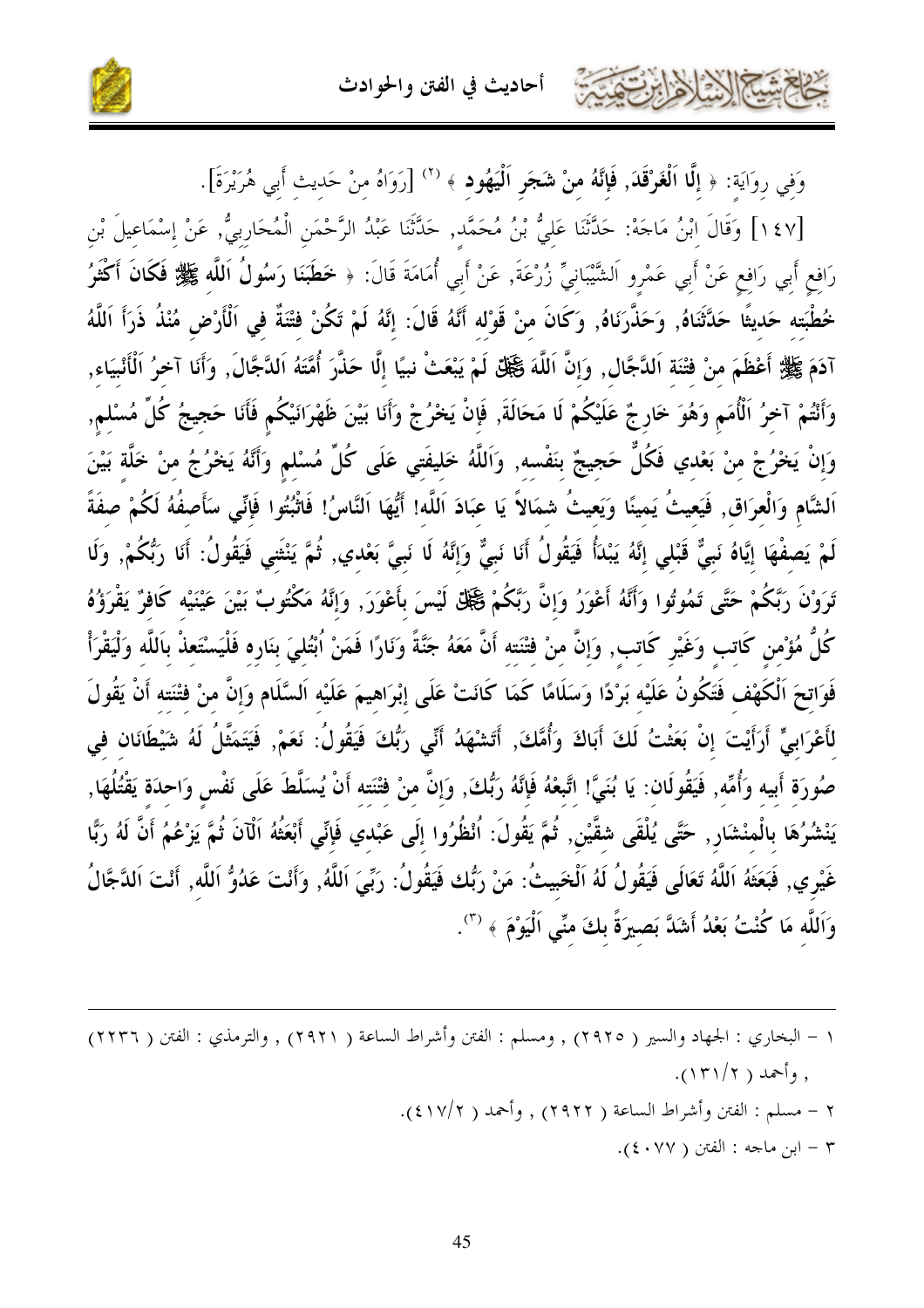أحاديث في الفتن والحوادث



وَفِي رِوَايَة: ﴿ إِلَّا اَلْغَرْقَدَ, فَإِنَّهُ منْ شَجَرِ اَلْيَهُودِ ﴾ (`` [رَوَاهُ منْ حَديث أَبي هُرَيْرَة].

[١٤٧] وَقَالَ ابْنُ مَاجَهْ: حَلَّتْنَا عَليٌّ بْنُ مُحَمَّد, حَلَّتْنَا عَبْدُ الرَّحْمَنِ الْمُحَارِبيُّ, عَنْ إسْمَاعيلَ بْن رَافع أَبي رَافع عَنْ أَبي عَمْرو اَلشَّيْبَانيِّ زُرْعَةَ, عَنْ أَبي أُمَامَةَ قَالَ: ﴿ خَطَبَنَا رَسُولُ اَللَّه ﷺ فَكَانَ أَكْثَرُ خُطْبَته حَديثًا حَدَّثَنَاهُ, وَحَذَّرَنَاهُ, وَكَانَ منْ قَوْله أَنَّهُ قَالَ: إنَّهُ لَمْ تَكُنْ فثنَةٌ في اَلْأَرْض مُنْذُ ذَرَأَ اللَّهُ آدَمَ ﷺ أَعْظَمَ منْ فشَة الدَّجَّال, وَإِنَّ اللَّهَ ﷺ لَمْ يَبْعَثْ نبيًا إلَّا حَذَّرَ أُمَّتَهُ الدَّجَّالَ, وَأَنا آخرُ اَلْأَنْبيَاء, وَأَنْتُمْ آخرُ اَلْأُمَمِ وَهُوَ خَارِجٌ عَلَيْكُمْ لَا مَحَالَةَ, فَإِنْ يَخْرُجْ وَأَنَا بَيْنَ ظَهْرَانَيْكُم فَأَنَا حَجيجُ كُلِّ مُسْلم, وَإِنْ يَخْرُجْ منْ بَعْدي فَكُلٌّ حَجِيجٌ بنَفْسه, وَاَللَّهُ خَليفَتي عَلَى كُلِّ مُسْلمٍ وَأَنَّهُ يَخْرُجُ منْ خَلَّة بَيْنَ اَلشَّام وَالْعرَاق, فَيَعيثُ يَمينًا وَيَعيثُ شمَالاً يَا عبَادَ اَللَّه! أَيُّهَا اَلنَّاسُ! فَاتْبُتُوا فَإنّي سَأَصفُهُ لَكُمْ صفَةً لَمْ يَصفْهَا إِيَّاهُ نَبيٌّ قَبْلى إِنَّهُ يَبْدَأُ فَيَقُولُ أَنَا نَبيٌّ وَإِنَّهُ لَا نَبيَّ بَعْدي, ثُمَّ يَنْثَني فَيَقُولُ: أَنَا رَبُّكُمْ, وَلَا تَرَوْنَ رَبَّكُمْ حَتَّى تَمُوتُوا وَأَنَّهُ أَعْوَرُ وَإِنَّ رَبَّكُمْ فَخَلْقٌ لَيْسَ بأَعْوَرَ, وَإنَّهُ مَكْتُوبٌ بَيْنَ عَيْنَيْه كَافرٌ يَقْرَؤُهُ كُلُّ مُؤْمن كَاتب وَغَيْر كَاتب, وَإِنَّ منْ فْتْنَته أَنَّ مَعَهُ جَنَّةً وَنَارًا فَمَنْ اُبْتُلمِيَ بنَاره فَلْيَسْتَعذْ بِاَللَّه وَلْيَقْرَأْ فَوَاتحَ اَلْكَهْف فَتَكُونُ عَلَيْه بَرْدًا وَسَلَامًا كَمَا كَانَتْ عَلَى إبْرَاهيمَ عَلَيْه اَلسَّلَام وَإنَّ منْ فتْنَته أَنْ يَقُولَ لأَعْرَابِيٍّ أَرَأَيْتَ إنْ بَعَثْتُ لَكَ أَبَاكَ وَأُمَّكَ, أَتَشْهَدُ أَنِّي رَبُّكَ فَيَقُولُ: نَعَمْ, فَيَتَمَثَّلُ لَهُ شَيْطَانَان في صُورَة أَبيه وَأُمِّه, فَيَقُولَان: يَا بُنَيَّ! اتَّبعْهُ فَإِنَّهُ رَبُّكَ, وَإِنَّ منْ فتْنَته أَنْ يُسَلَّطَ عَلَى نَفْس وَاحدَة يَقْتُلُهَا, يَنْشُرُهَا بِالْمِنْشَارِ, حَتَّى يُلْقَى شقَّيْنِ, ثُمَّ يَقُولَ: اُنْظُرُوا إلَى عَبْدي فَإِنِّي أَبْعَثُهُ اَلْآنَ ثُمَّ يَزْعُمُ أَنَّ لَهُ رَبًّا غَيْرِي, فَبَعَثَهُ اَللَّهُ تَعَالَى فَيَقُولُ لَهُ اَلْخَبِيتُ: مَنْ رَبُّك فَيَقُولُ: رَبِّيَ اَللَّهُ, وَأنْتَ عَدُوُّ اَللَّه, أَنْتَ اَلدَّجَّالُ وَاللَّه مَا كُنْتُ بَعْدُ أَشَدَّ بَصيرَةً بكَ منِّي اَلْيَوْمَ ﴾ (٣).

- ١ البخاري : الجهاد والسير ( ٢٩٢٥) , ومسلم : الفتن وأشراط الساعة ( ٢٩٢١) , والترمذي : الفتن ( ٢٢٣٦) . د أحمد ( ١٣١/٢).
	- ٢ مسلم : الفتن وأشراط الساعة ( ٢٩٢٢) , وأحمد ( ٤١٧/٢).
		- ٣ ابن ماجه : الفتن ( ٤٠٧٧).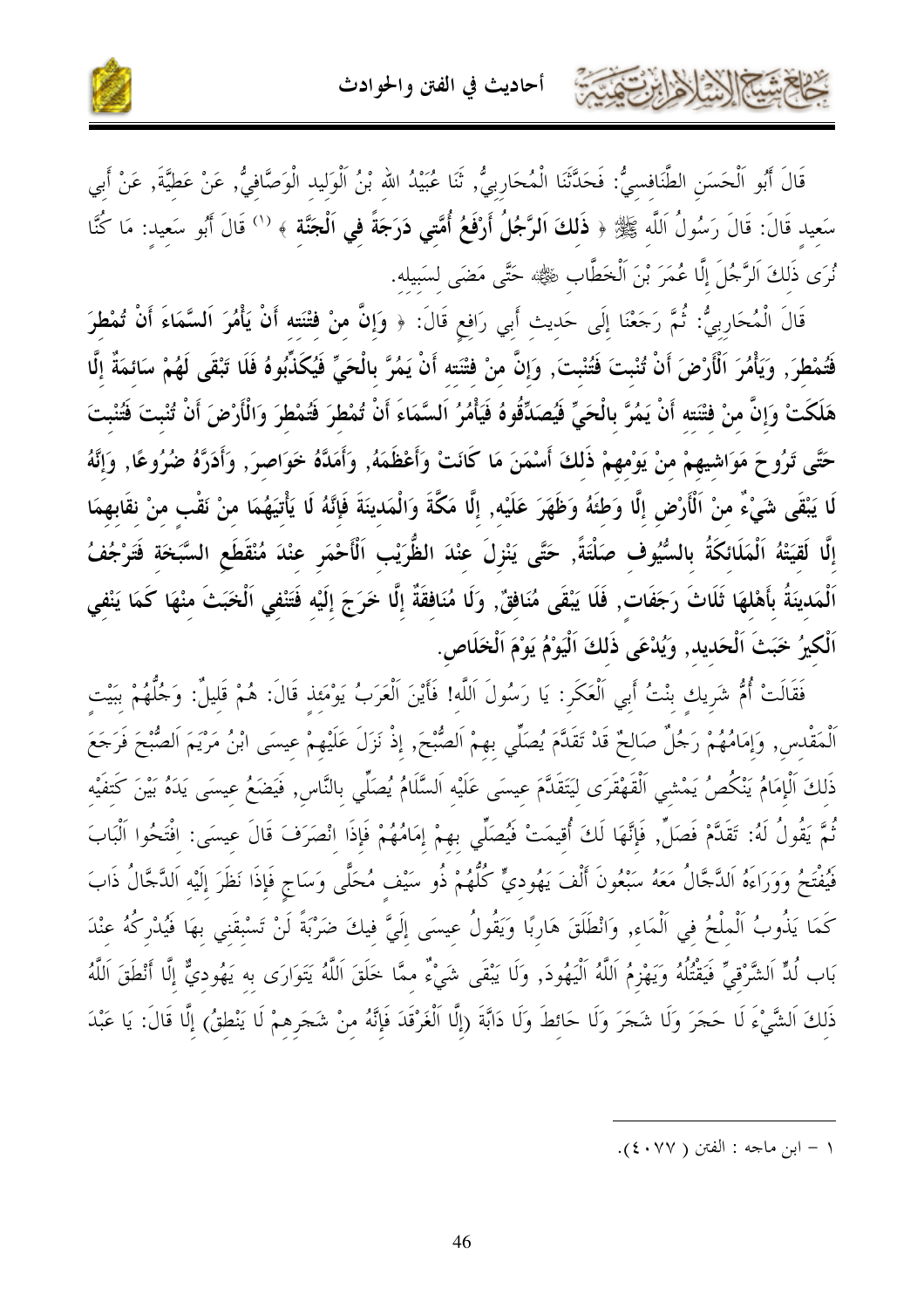

قَالَ أَبُو اَلْحَسَنِ الطَّنَافسيُّ: فَحَدَّثَنَا الْمُحَارِبيُّ, ثَنَا عُبَيْدُ الله بْنُ اَلْوَليد الْوَصَّافيُّ, عَنْ عَطيَّةَ, عَنْ أَبي سَعيد قَالَ: قَالَ رَسُولُ اَللَّه ﷺ ﴿ **ذَلكَ اَلرَّجُلُ أَرْفَعُ أُمَّتِي دَرَجَةً في اَلْجَنَّة** ﴾ <sup>(١)</sup> قَالَ أَبُو سَعيد: مَا كُنَّا نُوَى ذَلكَ اَلرَّجُلَ إِلَّا عُمَرَ بْنَ اَلْحَطَّابِ ﷺ، حَتَّى مَضَى لسَبيله.

قَالَ الْمُحَارِبِيُّ: ثُمَّ رَجَعْنَا إِلَى حَدِيثِ أَبِي رَافِعٍ قَالَ: ﴿ وَإِنَّ مِنْ فَتْنَتِه أَنْ يَأْمُوَ اَلسَّمَاءَ أَنْ تُمْطِرَ فَتُمْطرَ, وَيَأْمُرَ اَلْأَرْضَ أَنْ تُنْبِتَ فَتُنْبِتَ, وَإِنَّ منْ فتْنَته أَنْ يَمُرَّ بِالْحَيِّ فَيُكَذّبُوهُ فَلَا تَبْقَى لَهُمْ سَائمَةٌ إِلَّا هَلَكَتْ وَإِنَّ منْ فتْنَته أَنْ يَمُرَّ بِالْحَيِّ فَيُصَدِّقُوهُ فَيَأْمُرُ اَلسَّمَاءَ أَنْ تُمْطرَ فَتُمْطرَ وَالْأَرْضَ أَنْ تُنْبتَ فَتُنْبتَ حَتَّى تَرُوحَ مَوَاشيهمْ منْ يَوْمهمْ ذَلكَ أَسْمَنَ مَا كَانَتْ وَأَعْظَمَهُ, وَأَمَدَّهُ خَوَاصرَ, وَأَدَرَّهُ ضُرُوعًا, وَإِنَّهُ لَا يَبْقَى شَيْءٌ منْ اَلْأَرْضِ إلَّا وَطَئَهُ وَظَهَرَ عَلَيْه, إلَّا مَكَّةَ وَالْمَدينَةَ فَإِنَّهُ لَا يَأْتَيَهُمَا منْ نَقْب منْ نقَابهمَا إلَّا لَقيَتْهُ اَلْمَلَائكَةُ بالسُّيُوف صَلْتَةً, حَتَّى يَنْزِلَ عنْدَ الظُّرَيْب اَلْأَحْمَر عنْدَ مُنْقَطَع السَّبَخَة فَتَرْجُفُ اَلْمَدينَةُ بِأَهْلِهَا ثَلَاثَ رَجَفَات, فَلَا يَبْقَى مُنَافِقٌ, وَلَا مُنَافِقَةٌ إِلَّا خَرَجَ إِلَيْه فَتَنْفى اَلْخَبَثَ منْهَا كَمَا يَنْفي اَلْكِيرُ خَبَتْ اَلْحَديد, وَيُدْعَى ذَلكَ اَلْيَوْمُ يَوْمَ اَلْخَلَاصِ.

فَقَالَتْ أُمُّ شَرِيكِ بنْتُ أَبِي الْعَكَرِ: يَا رَسُولَ اَللَّه! فَأَيْنَ اَلْعَرَبُ يَوْمَئِذ قَالَ: هُمْ قَليلٌ: وَحُلُّهُمْ بَبَيْت اَلْمَقْدس, وَإِمَامُهُمْ رَجُلٌ صَالحٌ قَدْ تَقَدَّمَ يُصَلِّي بهمْ اَلصُّبْحَ, إذْ نَزَلَ عَلَيْهمْ عيسَى ابْنُ مَرْيَمَ الصُّبْحَ فَرَجَعَ ذَلكَ اَلْإِمَامُ يَنْكُصُ يَمْشي اَلْقَهْقَرَى ليَتَقَلَّمَ عيسَى عَلَيْه اَلسَّلَامُ يُصَلِّي بِالنَّاسِ, فَيَضَعُ عيسَى يَدَهُ بَيْنَ كَتفَيْه ثُمَّ يَقُولُ لَهُ: تَقَدَّمْ فَصَلٍّ, فَإِنَّهَا لَكَ أُقيمَتْ فَيُصَلِّي بهمْ إمَامُهُمْ فَإِذَا انْصَرَفَ قَالَ عيسَى: افْتَحُوا اَلْبَابَ فَيُفْتَحُ وَوَرَاءَهُ اَللَّحَّالُ مَعَهُ سَبْعُونَ أَلْفَ يَهُوديٍّ كُلُّهُمْ ذُو سَيْف مُحَلًّى وَسَاج فَإذَا نَظَرَ إلَيْه اَلدَّجَّالُ ذَابَ كَمَا يَذُوبُ اَلْملْحُ في اَلْمَاء, وَانْطَلَقَ هَارِبًا وَيَقُولُ عيسَى إِلَيَّ فيكَ ضَرْبَةً لَنْ تَسْبقَني بهَا فَيُدْرِكُهُ عنْدَ بَاب لُدٍّ اَلشَّرْقيٍّ فَيَقْتُلُهُ وَيَهْزِمُ اَللَّهُ اَلْيَهُودَ, وَلَا يَبْقَى شَيْءٌ ممَّا خَلَقَ اَللَّهُ يَتَوَارَى به يَهُوديٌّ إلَّا أَنْطَقَ اَللَّهُ ذَلكَ اَلشَّيْءَ لَا حَجَرَ وَلَا شَجَرَ وَلَا حَائطَ وَلَا دَابَّةَ (إِلَّا اَلْغَرْقَدَ فَإِنَّهُ منْ شَجَرهمْ لَا يَنْطقُ) إِلَّا قَالَ: يَا عَبْدَ

١ – ابن ماجه : الفتن ( ٤٠٧٧).

حاجمتيه الأزاديت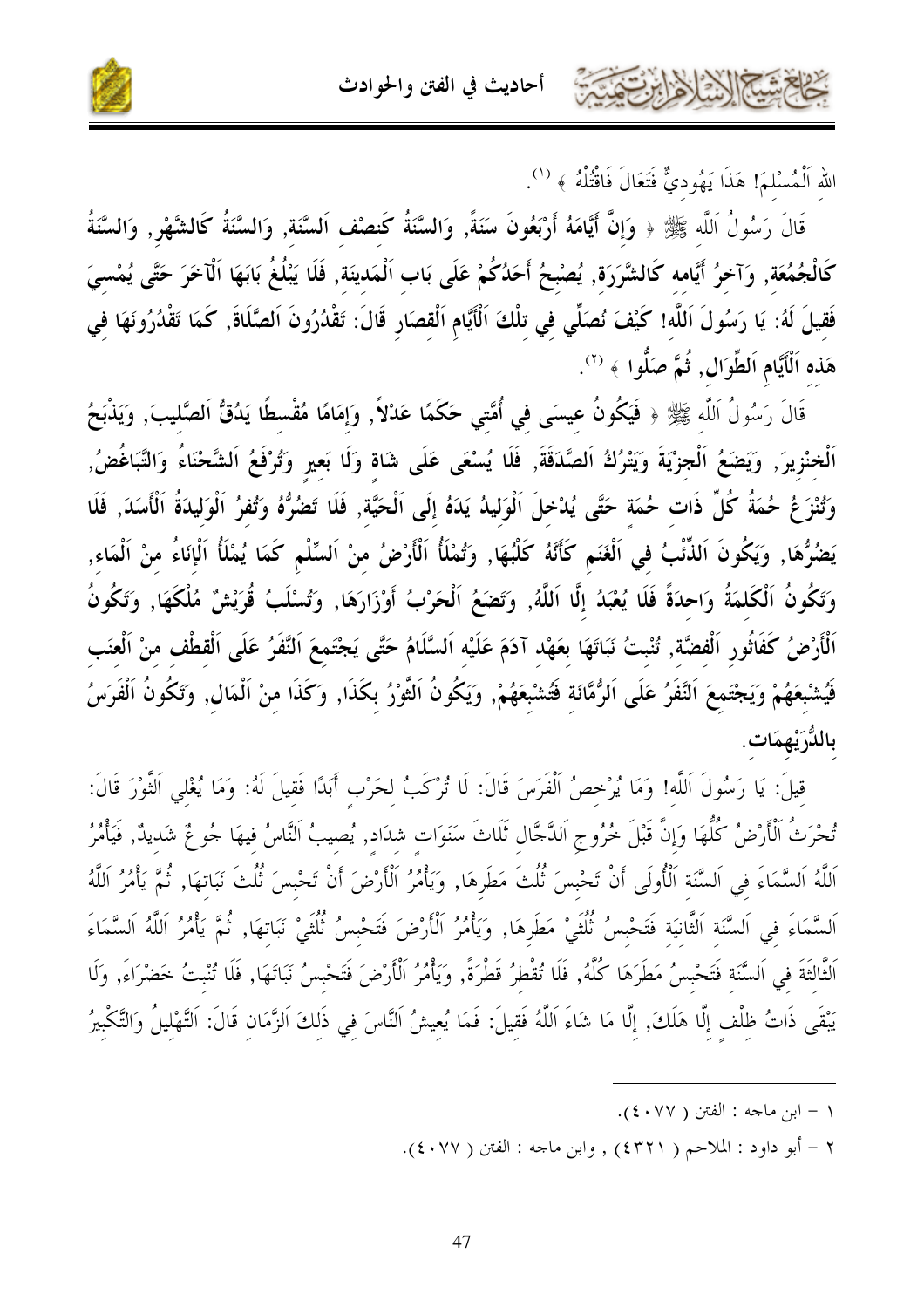

الله اَلْمُسْلَمَ! هَذَا يَهُوديٌّ فَتَعَالَ فَاقْتُلْهُ ﴾ (').

قَالَ رَسُولُ اَللَّه ﷺ ﴿ وَإِنَّ أَيَّامَهُ أَرْبَعُونَ سَنَةً, وَالسَّنَةُ كَنصْف اَلسَّنَة, وَالسَّنَةُ كَالشَّهْر, وَالسَّنَةُ كَالْجُمُعَة, وَآخرُ أَيَّامه كَالشَّرَرَة, يُصْبحُ أَحَدُكُمْ عَلَى بَاب اَلْمَدينَة, فَلَا يَبْلُغُ بَابَهَا اَلْآخَرَ حَتَّى يُمْسيَ فَقيلَ لَهُ: يَا رَسُولَ اَللَّه! كَيْفَ نُصَلِّي في تلْكَ اَلْأَيَّام اَلْقصَارِ قَالَ: تَقْدُرُونَ اَلصَّلَاةَ, كَمَا تَقْدُرُونَهَا في هَذه اَلْأَيَّام اَلطِّوَال, ثُمَّ صَلُّوا ﴾ <sup>(٢)</sup>.

قَالَ رَسُولُ اَللَّه ﷺ ﴿ فَيَكُونُ عِيسَى فِي أُمَّتِي حَكَمًا عَدْلاً, وَإِمَامًا مُقْسطًا يَدُقُّ اَلصَّليبَ, وَيَذْبَحُ اَلْحَنْزِيرَ, وَيَضَعُ اَلْجزْيَةَ وَيَتْرُكُ اَلصَّدَقَةَ, فَلَا يُسْعَى عَلَى شَاة وَلَا بَعير وَتُرْفَعُ اَلشَّحْنَاءُ وَالتَّبَاغُضُ, وَتُنْزَعُ حُمَةُ كُلِّ ذَات حُمَة حَتَّى يُدْخلَ اَلْوَليدُ يَدَهُ إلَى اَلْحَيَّة, فَلَا تَضُرُّهُ وَتُفرُ اَلْوَليدَةُ اَلْأَسَدَ, فَلَا يَضُرُّهَا, وَيَكُونَ اَلذِّنْبُ في اَلْغَنَم كَأَنَّهُ كَلْبُهَا, وَتُمْلَأُ اَلْأَرْضُ منْ اَلسِّلْم كَمَا يُمْلَأُ اَلْإِنَاءُ منْ اَلْمَاء, وَتَكُونُ اَلْكَلمَةُ وَاحِدَةً فَلَا يُعْبَدُ إِلَّا اَللَّهُ, وَتَضَعُ اَلْحَرْبُ أَوْزَارَهَا, وَتُسْلَبُ قُرَيْشٌ مُلْكَهَا, وَتَكُونُ اَلْأَرْضُ كَفَاثُورِ اَلْفضَّة, تُنْبتُ نَبَاتَهَا بعَهْد آدَمَ عَلَيْه اَلسَّلَامُ حَتَّى يَجْتَمعَ اَلنَّفَرُ عَلَى اَلْقطْف منْ اَلْعنَب فَيُشْبِعَهُمْ وَيَجْتَمعَ اَلنَّفَرُ عَلَى اَلرُّمَّانَة فَتُشْبَعَهُمْ, وَيَكُونُ اَلثَّوْرُ بكَذَا, وَكَذَا منْ اَلْمَال, وَتَكُونُ اَلْفَرَسُ باللُّرَيْهِمَات.

قيلَ: يَا رَسُولَ اَللَّه! وَمَا يُرْخصُ اَلْفَرَسَ قَالَ: لَا تُرْكَبُ لحَرْب أَبَدًا فَقيلَ لَهُ: وَمَا يُغْلي اَلثَّوْرَ قَالَ: تُحْرَتُ اَلْأَرْضُ كُلُّهَا وَإِنَّ قَبْلَ خُرُوجٍ اَلدَّجَّال ثَلَاتَ سَنَوَات شدَاد, يُصيبُ اَلنَّاسُ فيهَا جُوعٌ شَديدٌ, فَيَأْمُرُ اَللَّهُ اَلسَّمَاءَ في اَلسَّنَة اَلْأُولَى أَنْ تَحْبسَ ثُلُثَ مَطَرهَا, وَيَأْمُرُ اَلْأَرْضَ أَنْ تَحْبسَ ثُلُثَ نَبَاتهَا, ثُمَّ يَأْمُرُ اَللَّهُ اَلسَّمَاءَ في اَلسَّنَة اَلثَّانيَة فَتَحْبسُ ثُلُثَيْ مَطَرهَا, وَيَأْمُرُ اَلْأَرْضَ فَتَحْبسُ ثُلُثَيْ نَباتهَا, ثُمَّ يَأْمُرُ اَللَّهُ اَلسَّمَاءَ اَلثَّالثَةَ في اَلسَّنَة فَتَحْبسُ مَطَرَهَا كُلَّهُ, فَلَا تُقْطرُ قَطْرَةً, وَيَأْمُرُ الْأَرْضَ فَتَحْبسُ نَباتَهَا, فَلَا تُنْبتُ خَضْرَاءَ, وَلَا يَبْقَى ذَاتُ ظلْف إِلَّا هَلَكَ, إِلَّا مَا شَاءَ اَللَّهُ فَقيلَ: فَمَا يُعيشُ اَلنَّاسَ في ذَلكَ الزَّمَان قَالَ: اَلتَّهْليلُ وَالتَّكْبيرُ

- ١ ابن ماجه : الفتن ( ٤٠٧٧).
- ٢ أبو داود : الملاحم ( ٤٣٢١) , وابن ماحه : الفتن ( ٤٠٧٧).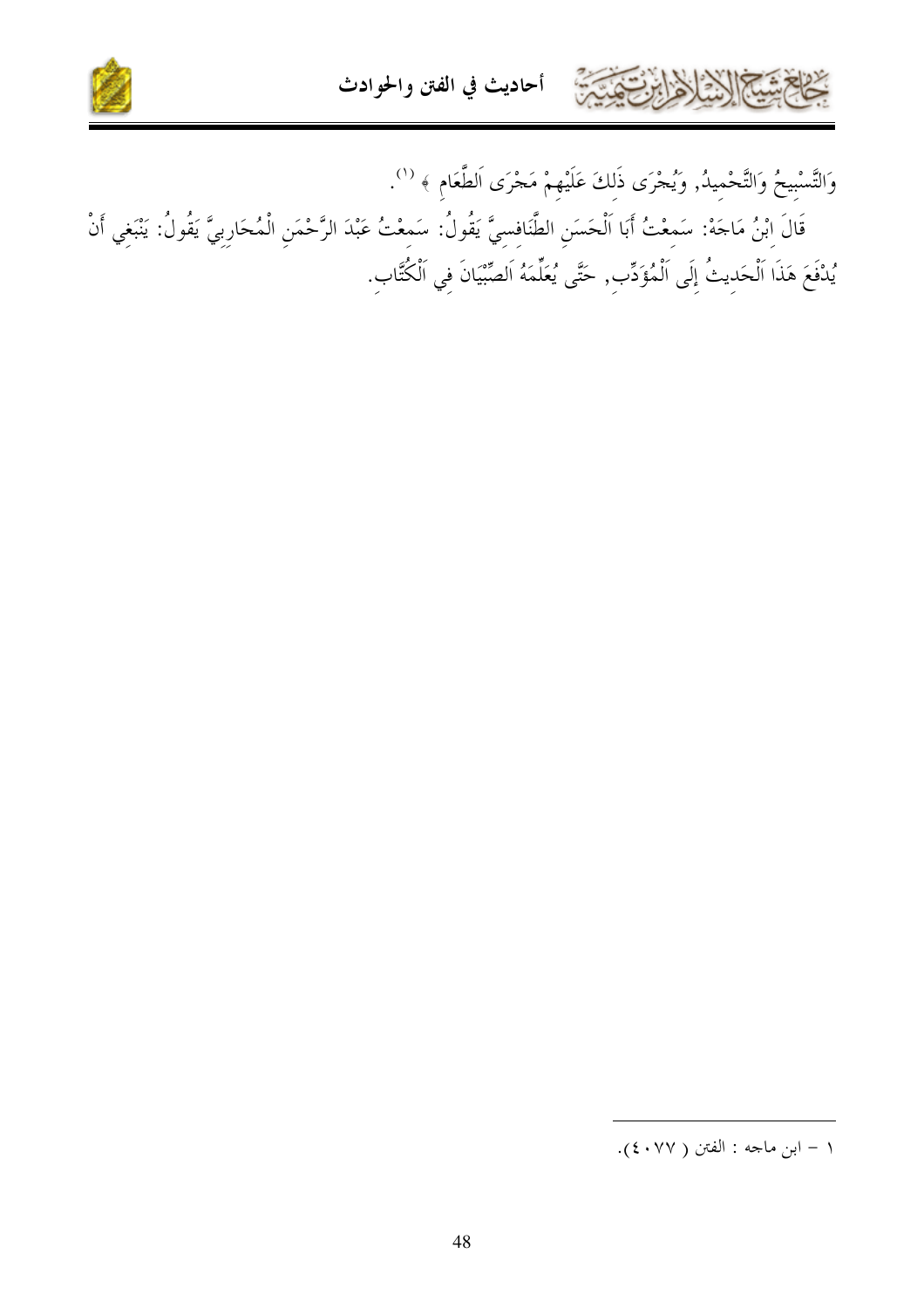

وَالتَّسْبِيحُ وَالتَّحْمِيدُ, وَيُجْرَى ذَلِكَ عَلَيْهِمْ مَجْرَى اَلطَّعَامِ ﴾ <sup>(١)</sup>.

كالإشتالا الأنا وابتقيتها

قَالَ اِبْنُ مَاحَهْ: سَمِعْتُ أَبَا اَلْحَسَنِ الطَّنَافِسِيَّ يَقُولُ: سَمِعْتُ عَبْدَ الرَّحْمَنِ الْمُحَارِبِيَّ يَقُولُ: يَنْبَغِي أَنْ يُدْفَعَ هَذَا اَلْحَدِيتُ إِلَى اَلْمُؤَدِّبِ, حَتَّى يُعَلِّمَهُ اَلصِّيَّانَ فِي اَلْكُتَّابِ.

١ – ابن ماجه : الفتن ( ٤٠٧٧).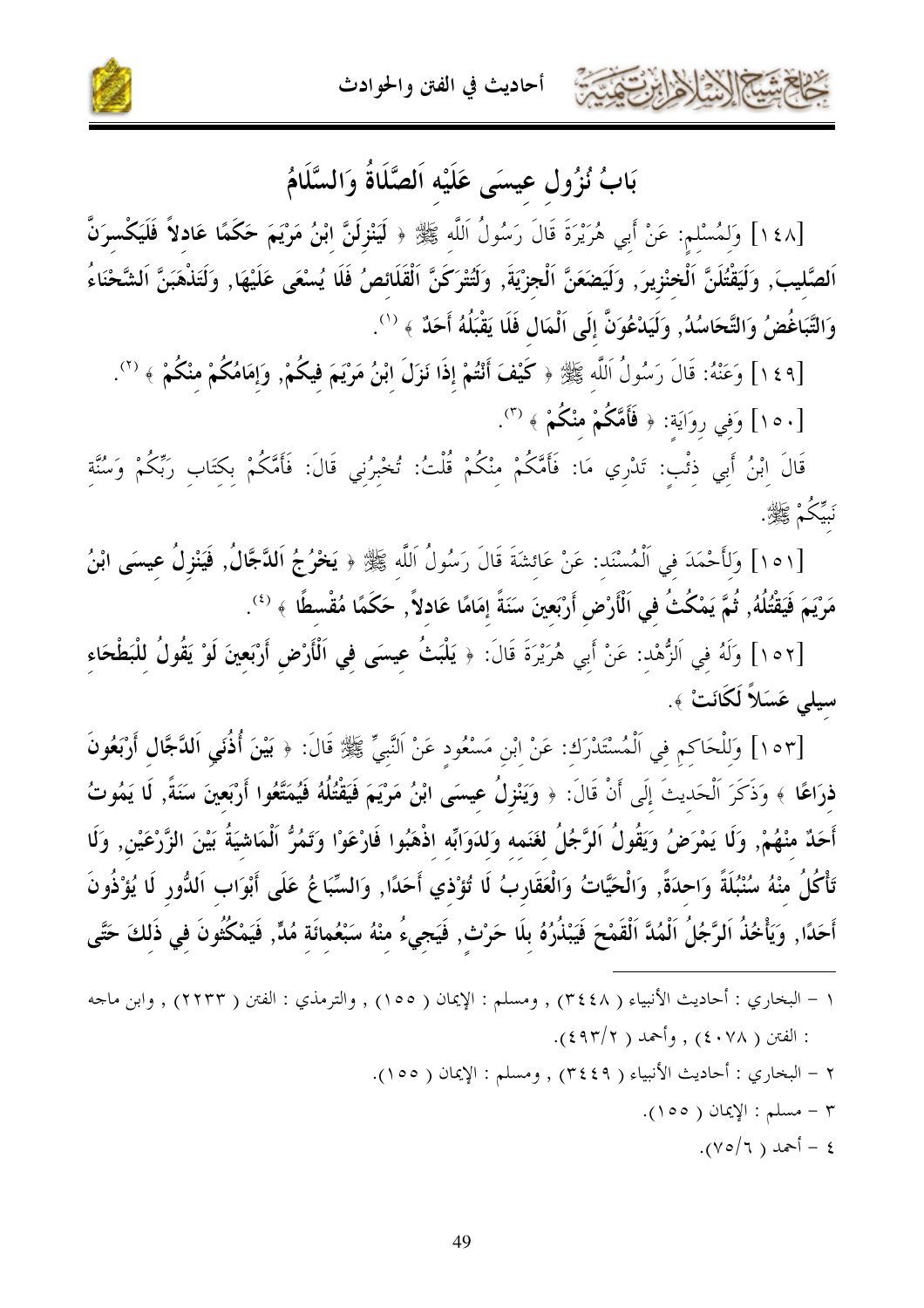أحاديث في الفتن والحوادث



بَابُ نُزُول عِيسَى عَلَيْه اَلصَّلَاةُ وَالسَّلَامُ

[١٤٨] وَلمُسْلم: عَنْ أَبِي هُرَيْرَةَ قَالَ رَسُولُ اَللَّه ﷺ ﴿ لَيَنْزِلَنَّ ابْنُ مَرْيَمَ حَكَمًا عَادلاً فَلَيَكْسرَنَّ اَلصَّليبَ, وَلَيَقْتُلَنَّ اَلْخِنْزِيرَ, وَلَيَضَعَنَّ اَلْجِزْيَةَ, وَلَتُتْرَكَنَّ اَلْقَلَائصُ فَلَا يُسْعَى عَلَيْهَا, وَلَتَذْهَبَنَّ اَلشَّحْنَاءُ وَالتَّبَاغُضُ وَالتَّحَاسُلُ, وَلَيَدْعُوَنَّ إِلَى اَلْمَالٍ فَلَا يَقْبَلُهُ أَحَدٌ ﴾ (''.

[١٤٩] وَعَنْهُ: قَالَ رَسُولُ اَللَّهِ ﷺ ﴿ كَيْفَ أَنْتُمْ إِذَا نَزَلَ ابْنُ مَرْيَمَ فِيكُمْ, وَإِمَامُكُمْ مِنْكُمْ ﴾ <sup>(٢)</sup>.

[٥٠] وَفي روَايَة: ﴿ فَأَمَّكُمْ مُنْكُمْ ﴾ (٣).

قَالَ ابْنُ أَبِي ذتْب: تَدْرِي مَا: فَأَمَّكُمْ مِنْكُمْ قُلْتُ: تُخْبِرُنِي قَالَ: فَأَمَّكُمْ بِكِتَابِ رَبِّكُمْ وَسُنَّةِ بَسِّكُمْ عَلَيْلَةٍ.<br>نَبِيكُمْ وَلِيَلِيْنِ.

[١٥١] وَلَأَحْمَدَ في اَلْمُسْنَد: عَنْ عَائشَةَ قَالَ رَسُولُ اَللَّه ﷺ ﴿ يَخْرُجُ اَللَّجَّالُ, فَيَنْزلُ عيسَى ابْنُ مَرْيَمَ فَيَقْتُلُهُ, ثُمَّ يَمْكُثُ في اَلْأَرْضِ أَرْبَعينَ سَنَةً إمَامًا عَادلاً, حَكَمًا مُقْسطًا ﴾ <sup>(٤)</sup>.

[١٥٢] وَلَهُ فِي اَلزُّهْدِ: عَنْ أَبِي هُرَيْرَةَ قَالَ: ﴿ يَلْبَتُ عِيسَى فِي اَلْأَرْضِ أَرْبَعِينَ لَوْ يَقُولُ للْبَطْحَاء سيلى عَسَلاً لَكَانَتْ ﴾.

[١٥٣] وَلِلْحَاكِمِ فِي اَلْمُسْتَدْرَكِ: عَنْ ابْنِ مَسْعُودٍ عَنْ النَّبِيِّ ﷺ قَالَ: ﴿ بَيْنَ أُذُنَي اَللَّجَّالِ أَرْبَعُونَ ذِرَاعًا ﴾ وَذَكَرَ اَلْحَدِيثَ إِلَى أَنْ قَالَ: ﴿ وَيَنْزِلُ عِيسَى ابْنُ مَرْيَمَ فَيَقْتُلُهُ فَيُمَتَّعُوا أَرْبَعينَ سَنَةً, لَا يَمُوتُ أَحَدٌ منْهُمْ, وَلَا يَمْرَضُ وَيَقُولُ اَلرَّجُلُ لغَنَمه وَللوَابِّه اذْهَبُوا فَارْعَوْا وَتَمُرُّ اَلْمَاشيَةُ بَيْنَ الزَّرْعَيْن, وَلَا تَأْكُلُ منْهُ سُنْبُلَةً وَاحدَةً, وَالْحَيَّاتُ وَالْعَقَارِبُ لَا تُؤْذِي أَحَدًا, وَالسِّبَاعُ عَلَى أَبْوَاب اَلدُّور لَا يُؤْذُونَ أَحَدًا, وَيَأْخُذُ اَلرَّجُلُ اَلْمُدَّ اَلْقَمْحَ فَيَبْذُرُهُ بِلَا حَرْثٍ, فَيَجِيءُ مِنْهُ سَبْعُمائَة مُدٍّ, فَيَمْكُثُونَ فِي ذَلكَ حَتَّى

- ١ البخاري : أحاديث الأنبياء ( ٣٤٤٨) , ومسلم : الإيمان ( ١٥٥) , والترمذي : الفتن ( ٢٢٣٣) , وابن ماجه : الفتن ( ٤٠٧٨ ) , وأحمد ( ٤٩٣/٢ ٤).
	- ٢ البخاري : أحاديث الأنبياء ( ٣٤٤٩) , ومسلم : الإيمان ( ١٥٥). ٣ - مسلم : الإيمان ( ١٥٥).
		- $\mathcal{L}(\vee \circ / \vee)$  )  $\mathcal{L}(\neg \circ) = \mathcal{L}$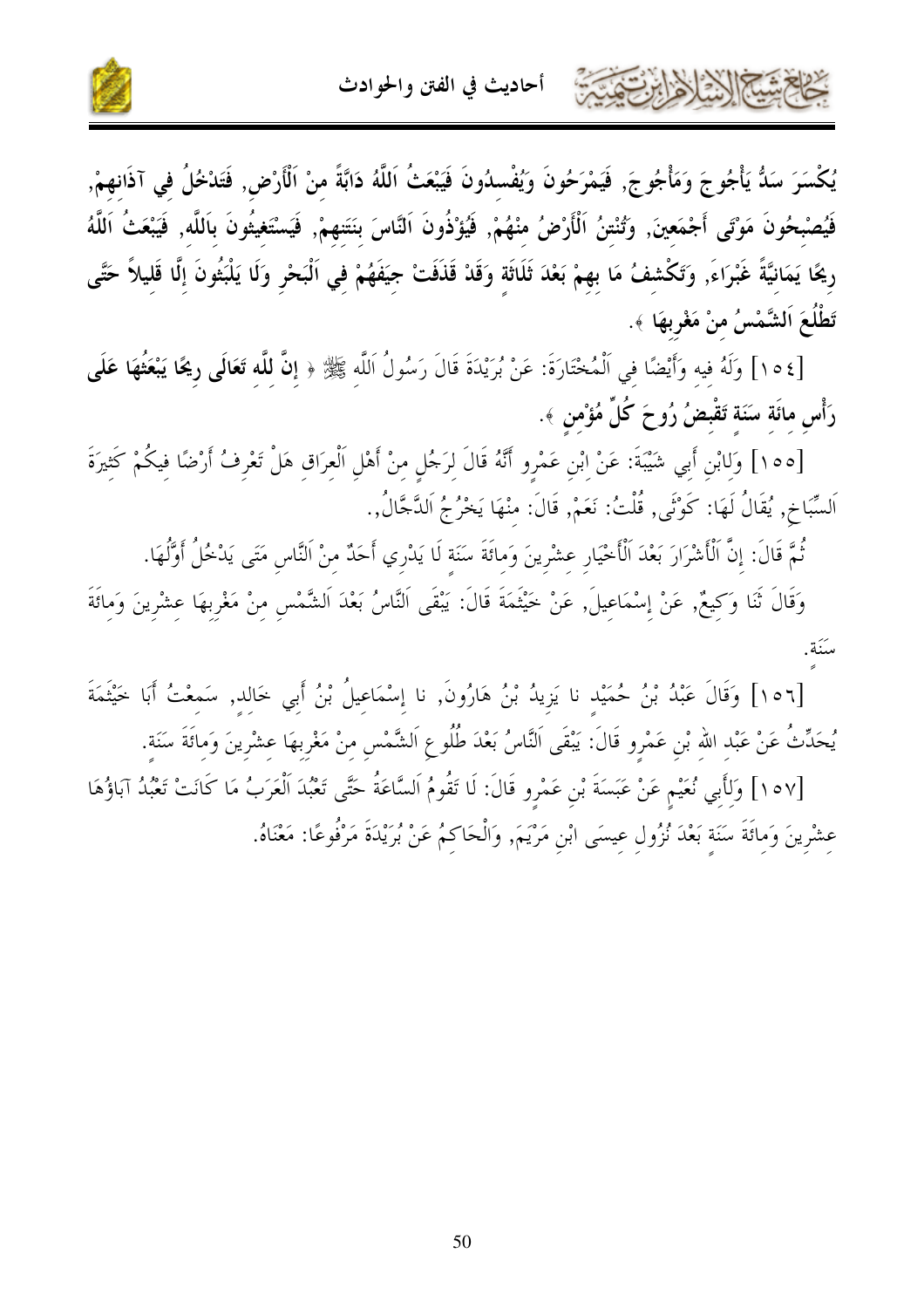كالحشار الأوابرتون



يُكْسَرَ سَكٌ يَأْجُوجَ وَمَأْجُوجَ, فَيَمْرَحُونَ وَيُفْسِدُونَ فَيَبْعَثُ اَللَّهُ دَابَّةً منْ اَلْأَرْض, فَتَدْخُلُ في آذَانهمْ, فَيُصْبحُونَ مَوْتَى أَجْمَعينَ, وَتُنْتنُ اَلْأَرْضُ منْهُمْ, فَيُؤْذُونَ اَلنَّاسَ بنَتَنهمْ, فَيَسْتَغيثُونَ باَللَّه, فَيَبْعَثُ اَللَّهُ رِيحًا يَمَانِيَّةً غَبْرَاءَ, وَتَكْشفُ مَا بِهِمْ بَعْدَ ثَلَاثَة وَقَدْ قَذَفَتْ جِيَفَهُمْ فِي اَلْبَحْرِ وَلَا يَلْبَثُونَ إِلَّا قَليلاً حَتَّى تَطْلُعَ اَلشَّمْسُ منْ مَغْربهَا ﴾.

[١٥٤] وَلَهُ فيه وَأَيْضًا في اَلْمُخْتَارَةَ: عَنْ بُرَيْدَةَ قَالَ رَسُولُ اَللَّهِ ﷺ ﴿ إِنَّ للَّهِ تَعَالَى رِيحًا يَبْعَثُهَا عَلَى رَأْسِ مِائَةِ سَنَةِ تَقْبِضُ رُوحَ كُلِّ مُؤْمن ﴾.

[٥٥] وَلِابْنِ أَبِي شَيْبَةَ: عَنْ ابْنِ عَمْرِو أَنَّهُ قَالَ لِرَجُلٍ مِنْ أَهْلِ اَلْعِرَاق هَلْ تَعْرِفُ أَرْضًا فيكُمْ كَثيرَةَ اَلسِّبَاخ, يُقَالُ لَهَا: كَوْنًى, قُلْتُ: نَعَمْ, قَالَ: منْهَا يَخْرُجُ اَلدَّجَّالُ,.

ثُمَّ قَالَ: إِنَّ اَلْأَشْرَارَ بَعْدَ اَلْأَخْيَارِ عِشْرِينَ وَمِائَةَ سَنَة لَا يَدْرِي أَحَدٌ مِنْ النَّاسِ مَتَى يَدْخُلُ أَوَّلُهَا.

وَقَالَ ثَنَا وَكيعٌ, عَنْ إسْمَاعيلَ, عَنْ خَيْتُمَةَ قَالَ: يَبْقَى اَلنَّاسُ بَعْدَ اَلشَّمْس منْ مَغْربهَا عشْرينَ وَمائَةَ

[٥٦] وَقَالَ عَبْدُ بْنُ حُمَيْد نا يَزِيدُ بْنُ هَارُونَ, نا إسْمَاعيلُ بْنُ أَبِي خَالد, سَمعْتُ أَبَا خَيْثَمَةَ يُحَدِّثُ عَنْ عَبْدِ الله ْبْنِ عَمْرِو قَالَ: يَبْقَى اَلنَّاسُ بَعْدَ طُلُوعِ اَلشَّمْسِ مِنْ مَغْرِبهَا عِشْرِينَ وَمائَةَ سَنَةٍ.

[١٥٧] وَلِأَبِي نُعَيْمٍ عَنْ عَبَسَةَ بْنِ عَمْرِو قَالَ: لَا تَقُومُ اَلسَّاعَةُ حَتَّى تَعْبُدَ اَلْعَرَبُ مَا كَانَتْ تَعْبُدُ آبَاؤُهَا عِشْرِينَ وَمِائَةَ سَنَةٍ بَعْدَ نُزُولِ عِيسَى ابْنِ مَرْيَمَ, وَالْحَاكِمُ عَنْ بُرَيْدَةَ مَرْفُوعًا: مَعْنَاهُ.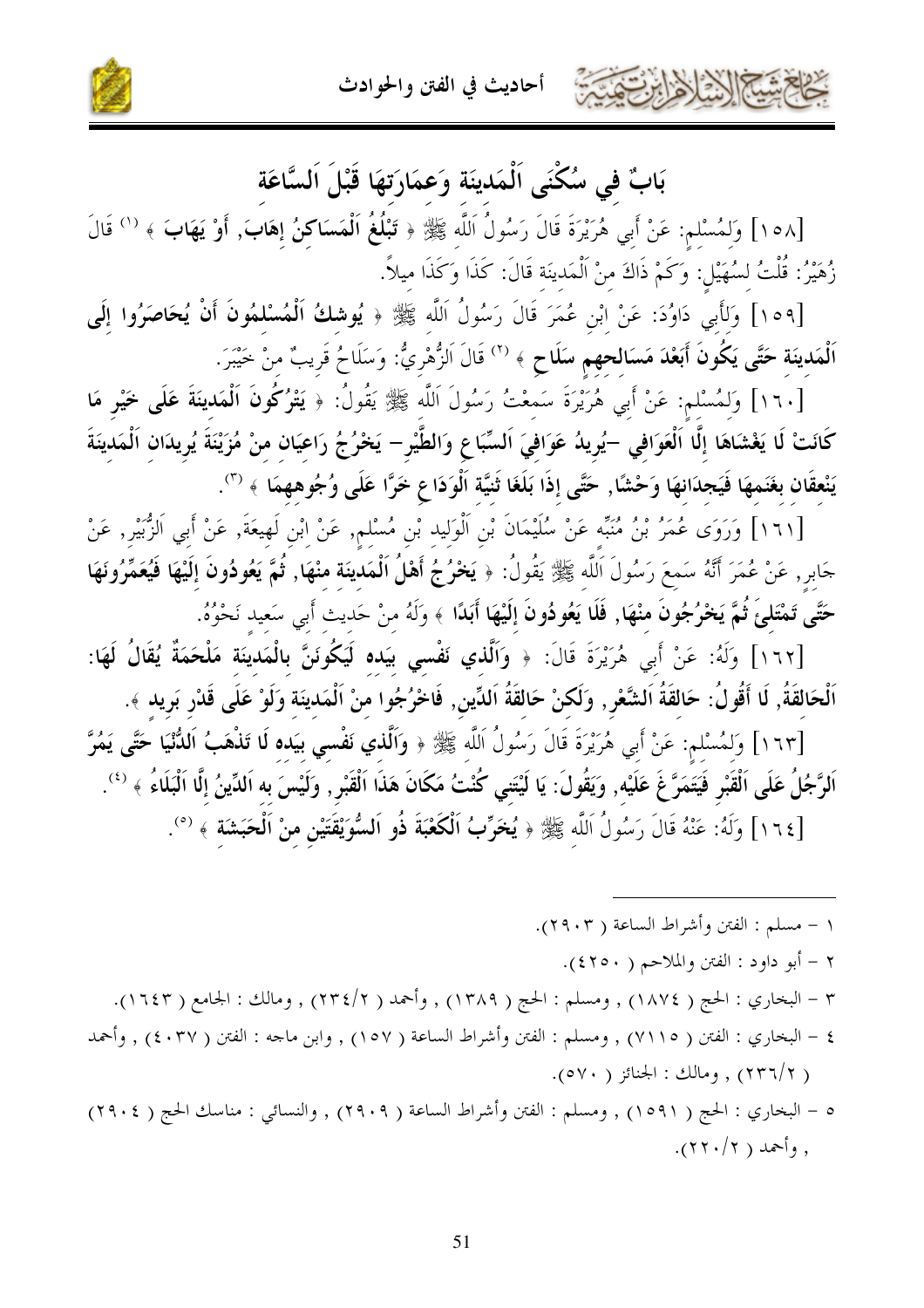أحاديث في الفتن والحوادث



حمد

 $(1)$ 

## بَابٌ في سُكْنَى اَلْمَدينَة وَعمَارَتهَا قَبْلَ اَلسَّاعَة

[١٥٨] وَلمُسْلم: عَنْ أَبِي هُرَيْرَةَ قَالَ رَسُولُ اَللَّه ﷺ ﴿ تَبْلُغُ اَلْمَسَاكِنُ إِهَابَ, أَوْ يَهَابَ ﴾ <sup>(١)</sup> قَالَ زُهَيْرُ: قُلْتُ لسُهَيْل: وَكَمْ ذَاكَ منْ اَلْمَدينَة قَالَ: كَذَا وَكَذَا ميلاً.

[١٥٩] وَلِأَبِي دَاوُدَ: عَنْ إِبْنِ عُمَرَ قَالَ رَسُولُ اَللَّه ﷺ ﴿ يُوشكُ اَلْمُسْلَمُونَ أَنْ يُحَاصَرُوا إِلَى اَلْمَدِينَةِ حَتَّى يَكُونَ أَبَعْدَ مَسَالِحِهِمِ سَلَاحٍ ﴾ (`') قَالَ اَلزُّهْرِيُّ: وَسَلَاحُ قَريبٌ منْ خَيْبَرَ.

[١٦٠] وَلِمُسْلِمٍ: عَنْ أَبِي هُرَيْرَةَ سَمِعْتُ رَسُولَ اَللَّه ﷺ يَقُولُ: ﴿ يَتْرُكُونَ اَلْمَدينَةَ عَلَى خَيْرِ مَا كَانَتْ لَا يَغْشَاهَا إلَّا اَلْعَوَافِي –يُريدُ عَوَافِيَ اَلسِّبَاعِ وَالطَّيْر– يَخْرُجُ رَاعيَان منْ مُزَيْنَةَ يُريدَان اَلْمَدينَةَ يَنْعقَان بغَنَمهَا فَيَجدَانهَا وَحْشًا, حَتَّى إذَا بَلَغَا ثَنيَّة اَلْوَدَاعِ خَرًّا عَلَى وُجُوههمَا ﴾ (٣).

[١٦١] وَرَوَى عُمَرُ بْنُ مُنَبِّه عَنْ سُلَيْمَانَ بْنِ اَلْوَلِيدِ بْنِ مُسْلِمٍ, عَنْ إبْنِ لَهِيعَةَ, عَنْ أَبِي اَلزُّبَيْرِ, عَنْ حَابِرِ, عَنْ عُمَرَ أَنَّهُ سَمعَ رَسُولَ اَللَّه ﷺ يَقُولُ: ﴿ **يَخْرُجُ أَهْلُ اَلْمَدينَة منْهَا, ثُمَّ يَعُودُونَ إلَيْهَا فَيُعَمِّرُونَهَا** حَتَّى تَمْتَلَّئَ ثُمَّ يَحْرُجُونَ منْهَا, فَلَا يَعُودُونَ إلَيْهَا أَبَدًا ﴾ وَلَهُ منْ حَديث أَبي سَعيد نَحْوُهُ.

[١٦٢] وَلَهُ: عَنْ أَبِي هُرَيْرَةَ قَالَ: ﴿ وَاَلَّذِي نَفْسِي بِيَده لَيَكُونَنَّ بِالْمَدِينَة مَلْحَمَةٌ يُقَالُ لَهَا: اَلْحَالقَةُ, لَا أَقُولُ: حَالقَةُ اَلشَّعْرِ, وَلَكنْ حَالقَةُ اَلدِّين, فَاحْرُجُوا منْ اَلْمَدينَة وَلَوْ عَلَى قَدْر بَريد ﴾.

[١٦٣] وَلمُسْلم: عَنْ أَبِي هُرَيْرَةَ قَالَ رَسُولُ اَللَّه ﷺ ﴿ وَاَلَّذِي نَفْسِي بِيَدِهِ لَا تَذْهَبُ اَللُّنْيَا حَتَّى يَمُرَّ اَلرَّجُلُ عَلَى اَلْقَبْرِ فَيَتَمَرَّغَ عَلَيْه, وَيَقُولَ: يَا لَيْتَني كُنْتُ مَكَانَ هَذَا اَلْقَبْر, وَلَيْسَ به اَلدِّينُ إلَّا اَلْبَلَاءُ ﴾ <sup>(٤)</sup>. [١٦٤] وَلَهُ: عَنْهُ قَالَ رَسُولُ اَللَّه ﷺ ﴿ يُخَرِّبُ اَلْكَعْبَةَ ذُو اَلسُّوَيْقَتَيْنِ مِنْ اَلْحَبَشَة ﴾ (°).

شبكالأخراج بتنبئ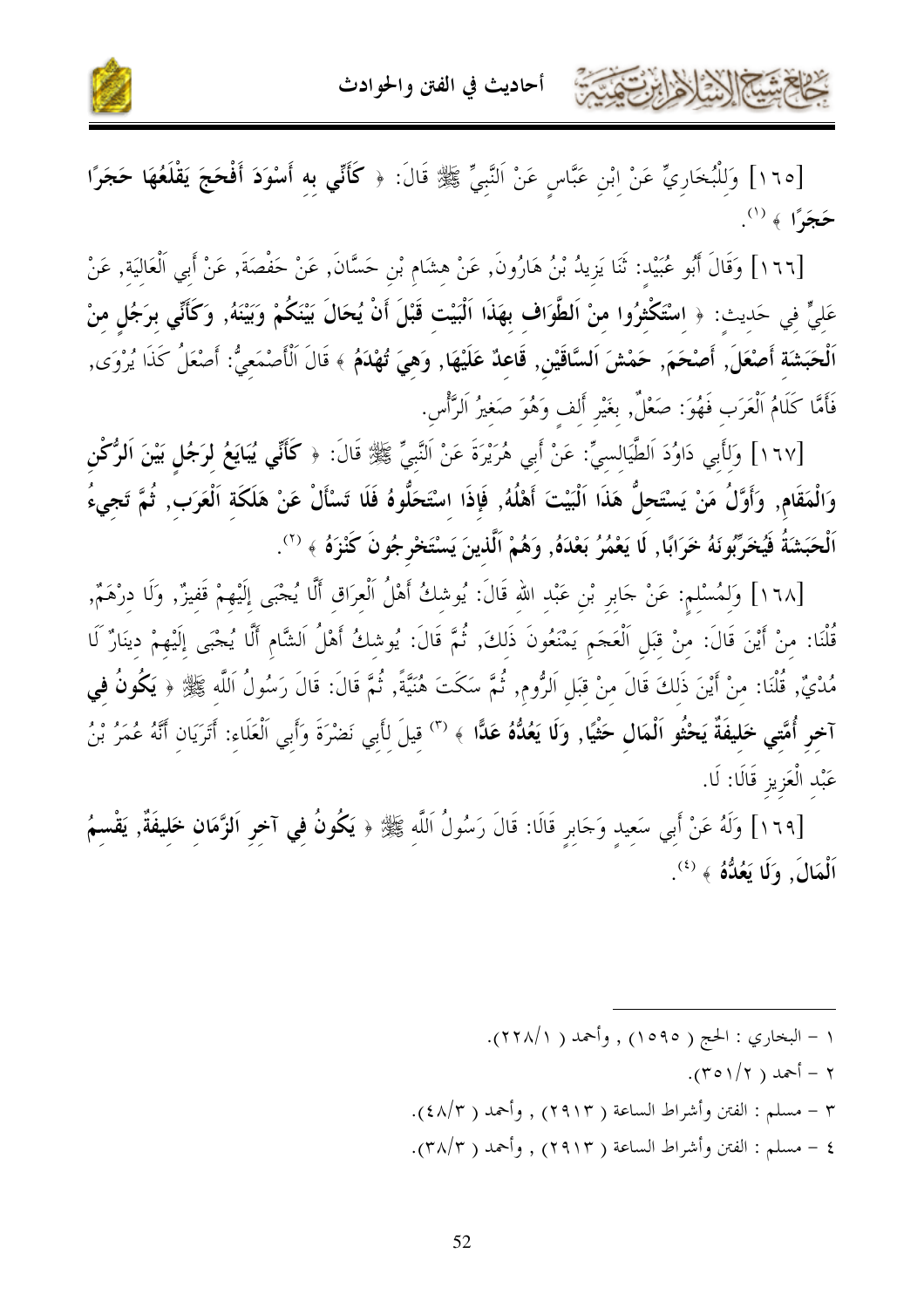

[١٦٥] وَلِلْبُخَارِيِّ عَنْ ابْنِ عَبَّاسٍ عَنْ اَلنَّبِيِّ ﷺ قَالَ: ﴿ كَأَنِّي بِهِ أَسْوَدَ أَفْحَجَ يَقْلَعُهَا حَجَرًا  $\left( \begin{array}{c} \langle \cdot \rangle \end{array} \right)$  +  $\left( \begin{array}{c} \ast \end{array} \right)$ 

[١٦٦] وَقَالَ أَبُو عُبَيْدٍ: ثَنَا يَزِيدُ بْنُ هَارُونَ, عَنْ هِشَام بْنِ حَسَّانَ, عَنْ حَفْصَةَ, عَنْ أَبي اَلْعَاليَة, عَنْ عَلِيٍّ فِي حَدِيتٍ: ﴿ اِسْتَكْثِرُوا مِنْ اَلطَّوَافٍ بِهَذَا اَلْبَيْتِ قَبْلَ أَنْ يُحَالَ بَيْنَكُمْ وَبَيْنَهُ, وَكَأَنِّي برَجُل منْ اَلْحَبَشَة أَصْعَلَ, أَصْحَمَ, حَمْشَ اَلسَّاقَيْن, قَاعدٌ عَلَيْهَا, وَهيَ تُهْدَمُ ﴾ قَالَ اَلْأَصْمَعِيُّ: أَصْعَلُ كَذَا يُرْوَى, فَأَمَّا كَلَامُ اَلْعَرَبِ فَهُوَ: صَعْلٌ, بِغَيْرِ أَلِفٍ وَهُوَ صَغِيرُ اَلرَّأْسِ.

[١٦٧] وَلِأَبِي دَاوُدَ اَلطَّيَالِسِيِّ: عَنْ أَبِي هُرَيْرَةَ عَنْ اَلنَّبِيِّ ﷺ قَالَ: ﴿ كَأَنِّي يُبَايَعُ لِرَجُلٍ بَيْنَ اَلوُّكُنِ وَالْمَقَامِ, وَأَوَّلُ مَنْ يَسْتَحلُّ هَذَا اَلْبَيْتَ أَهْلُهُ, فَإِذَا اسْتَحَلُّوهُ فَلَا تَسْأَلْ عَنْ هَلَكَة اَلْعَرَب, ثُمَّ تَجيءُ اَلْحَبَشَةُ فَيُخَرِّبُونَهُ خَرَابًا, لَا يَعْمُرُ بَعْدَهُ, وَهُمْ اَلَّذينَ يَسْتَخْرِجُونَ كَنْزَهُ ﴾ (''.

[١٦٨] وَلِمُسْلِمٍ: عَنْ جَابِرٍ بْنِ عَبْدِ اللهِ قَالَ: يُوشِكُ أَهْلُ الْعِرَاقِ أَلَّا يُجْبَى إِلَيْهِمْ قَفيزٌ, وَلَا دِرْهَمٌ, قُلْنَا: منْ أَيْنَ قَالَ: منْ قبَل الْعَجَم يَمْنَعُونَ ذَلكَ, ثُمَّ قَالَ: يُوشكُ أَهْلُ اَلشَّام أَلَّا يُجْبَى إلَيْهِمْ دينَارٌ لَا مُدْيٌّ, قُلْنَا: منْ أَيْنَ ذَلكَ قَالَ منْ قَبَل اَلرُّوم, ثُمَّ سَكَتَ هُنَيَّةً, ثُمَّ قَالَ: قَالَ رَسُولُ اَللَّه ﷺ ﴿ يَكُونُ فِي آخر أُمَّتي خَليفَةٌ يَحْثُو اَلْمَال حَثْيًا, وَلَا يَعُدُّهُ عَلَّا ﴾ <sup>(٣)</sup> قِيلَ لِأَبِي نَضْرَةَ وَأَبِي اَلْعَلَاءِ: أَتَرَيَانِ أَنَّهُ عُمَرُ بْنُ عَبْد الْعَزِيزِ قَالَا: لَا.

[١٦٩] وَلَهُ عَنْ أَبِي سَعِيدٍ وَجَابِرٍ قَالَا: قَالَ رَسُولُ اَللَّهِ ﷺ ﴿ يَكُونُ فِي آخِرِ اَلزَّهَانِ خَلِيفَةٌ, يَقْسِمُ أَلْمَالَ, وَلَا يَعُدُّهُ ﴾ <sup>(٤)</sup>.

- ١ البخاري : الحج ( ١٥٩٥) , وأحمد ( ٢٢٨/١).
	- $(70)(7)$  do  $-7$
- ٣ مسلم : الفتن وأشراط الساعة ( ٢٩١٣) , وأحمد ( ٤٨/٣).
- ٤ مسلم : الفتن وأشراط الساعة ( ٢٩١٣) , وأحمد ( ٣٨/٣).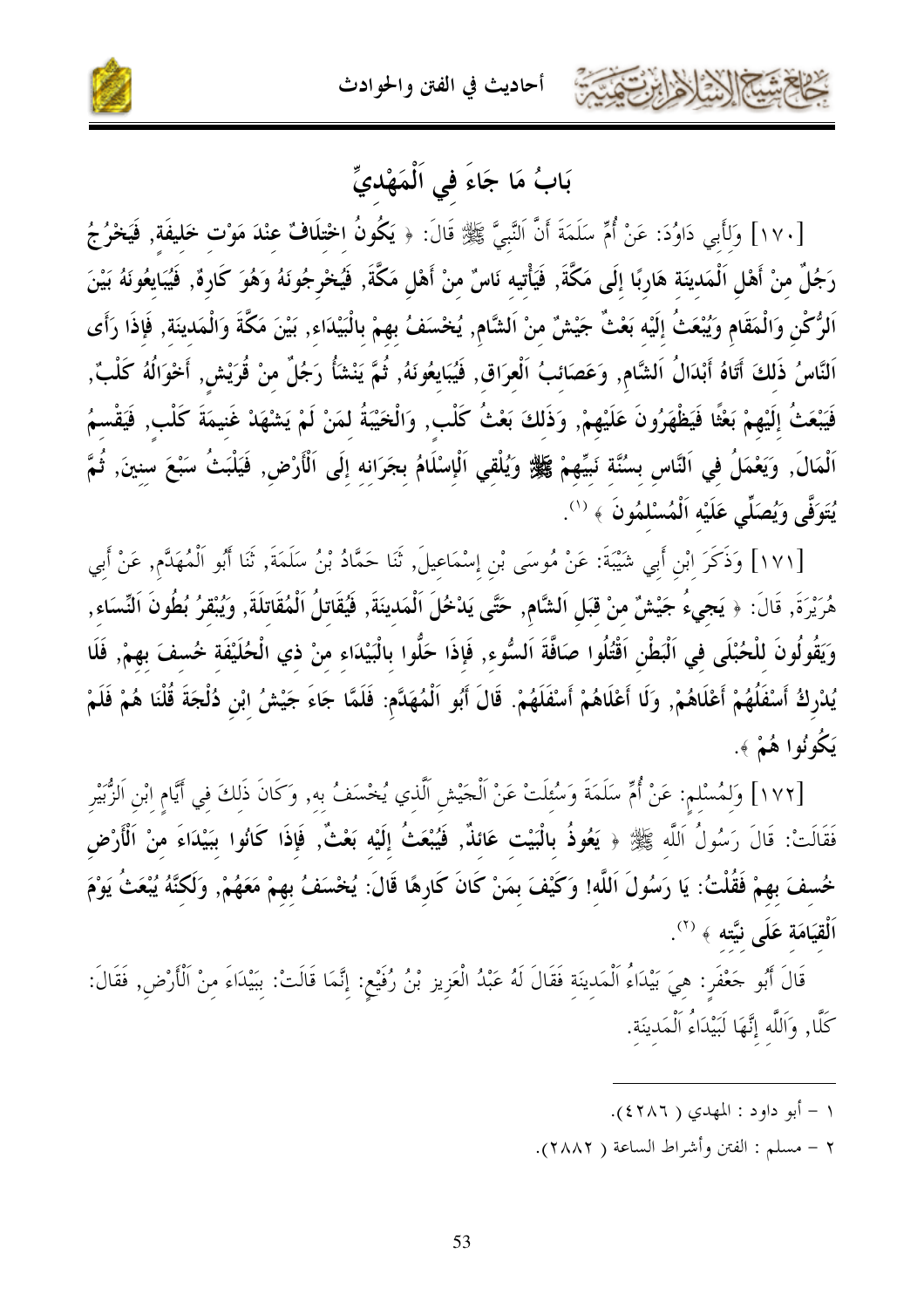أحاديث في الفتن والحوادث



### بَابُ مَا جَاءَ في اَلْمَهْديِّ

[١٧٠] وَلأَبي دَاوُدَ: عَنْ أُمِّ سَلَمَةَ أَنَّ اَلنَّبيَّ ﷺ قَالَ: ﴿ يَكُونُ اخْتِلَافٌ عِنْدَ مَوْت خَليفَة, فَيَخْرُجُ رَجُلٌ منْ أَهْل اَلْمَدينَة هَاربًا إلَى مَكَّةَ, فَيَأْتيه نَاسٌ منْ أَهْل مَكَّةَ, فَيُخْرِجُونَهُ وَهُوَ كَارهٌ, فَيُبَايعُونَهُ بَيْنَ اَلرُّكْنِ وَالْمَقَامِ وَيُبْعَثُ إِلَيْه بَعْثٌ جَيْشٌ منْ اَلشَّام, يُخْسَفُ بهمْ بِالْبَيْدَاء, بَيْنَ مَكَّةَ وَالْمَدينَة, فَإِذَا رَأَى اَلنَّاسُ ذَلكَ أَتَاهُ أَبْدَالُ اَلشَّام, وَعَصَائبُ اَلْعرَاق, فَيُبَايعُونَهُ, ثُمَّ يَنْشَأُ رَجُلٌ منْ قُرَيْش, أَخْوَالُهُ كَلْبٌ, فَيَبْعَثُ إِلَيْهِمْ بَعْثًا فَيَظْهَرُونَ عَلَيْهِمْ, وَذَلكَ بَعْثُ كَلْب, وَالْخَيْبَةُ لمَنْ لَمْ يَشْهَدْ غَنيمَةَ كَلْب, فَيَقْسمُ اَلْمَالَ, وَيَعْمَلُ في اَلنَّاس بسُنَّة نَبيِّهِمْ ﷺ وَيُلْقي اَلْإِسْلَامُ بجَرَانه إلَى اَلْأَرْض, فَيَلْبَثُ سَبْعَ سنينَ, ثُمَّ يُتَوَفَّى وَيُصَلِّى عَلَيْه اَلْمُسْلمُونَ ﴾ (''.

[١٧١] وَذَكَرَ ابْنِ أَبِي شَيْبَةَ: عَنْ مُوسَى بْنِ إِسْمَاعِيلَ, ثَنَا حَمَّادُ بْنُ سَلَمَةَ, ثَنَا أَبُو اَلْمُهَلَّم, عَنْ أَبِي هُرَيْرَةَ, قَالَ: ﴿ يَجِيءُ جَيْشٌ مِنْ قَبَلِ اَلشَّامِ, حَتَّى يَدْخُلَ اَلْمَدينَةَ, فَيُقَاتلُ اَلْمُقَاتلَةَ, وَيُبْقرُ بُطُونَ اَلنِّسَاء, وَيَقُولُونَ لِلْحُبْلَى فِي اَلْبَطْنِ اَقْتُلُوا صَافَّةَ اَلسُّوء, فَإِذَا حَلُّوا بِالْبَيْدَاءِ مِنْ ذي الْحُلَيْفَة خُسفَ بِهِمْ, فَلَا يُدْرِكُ أَسْفَلُهُمْ أَعْلَاهُمْ, وَلَا أَعْلَاهُمْ أَسْفَلَهُمْ. قَالَ أَبُو اَلْمُهَدَّم: فَلَمَّا جَاءَ جَيْشُ ابْن دُلْجَةَ قُلْنَا هُمْ فَلَمْ يَكُونُوا هُمْ ﴾.

[١٧٢] وَلمُسْلم: عَنْ أُمِّ سَلَمَةَ وَسُئِلَتْ عَنْ اَلْجَيْشِ اَلَّذي يُخْسَفُ به, وَكَانَ ذَلكَ في أَيَّام ابْن اَلزُّبَيْر فَقَالَتْ: قَالَ رَسُولُ اَللَّه ﷺ ﴿ يَعُوذُ بِالْبَيْتِ عَائِذٌ, فَيُبْعَثُ إِلَيْهِ بَعْثٌ, فَإِذَا كَانُوا بِبَيْدَاءَ مِنْ اَلْأَرْضِ خُسفَ بِهِمْ فَقُلْتُ: يَا رَسُولَ اَللَّه! وَكَيْفَ بِمَنْ كَانَ كَارِهًا قَالَ: يُخْسَفُ بِهِمْ مَعَهُمْ, وَلَكِنَّهُ يُبْعَثُ يَوْمَ اَلْقِيَامَة عَلَى نيَّته ﴾ <sup>(٢)</sup>.

قَالَ أَبُو حَعْفَرٍ: هِيَ بَيْدَاءُ اَلْمَدِينَةِ فَقَالَ لَهُ عَبْدُ الْعَزِيزِ بْنُ رُفَيْعٍ: إِنَّمَا قَالَتْ: بِبَيْدَاءَ مِنْ اَلْأَرْضِ, فَقَالَ: كَلَّا, وَاَللَّه إِنَّهَا لَبَيْدَاءُ اَلْمَدينَة.

- ١ أبو داود : المهدي ( ٤٢٨٦).
- ٢ مسلم : الفتن وأشراط الساعة ( ٢٨٨٢).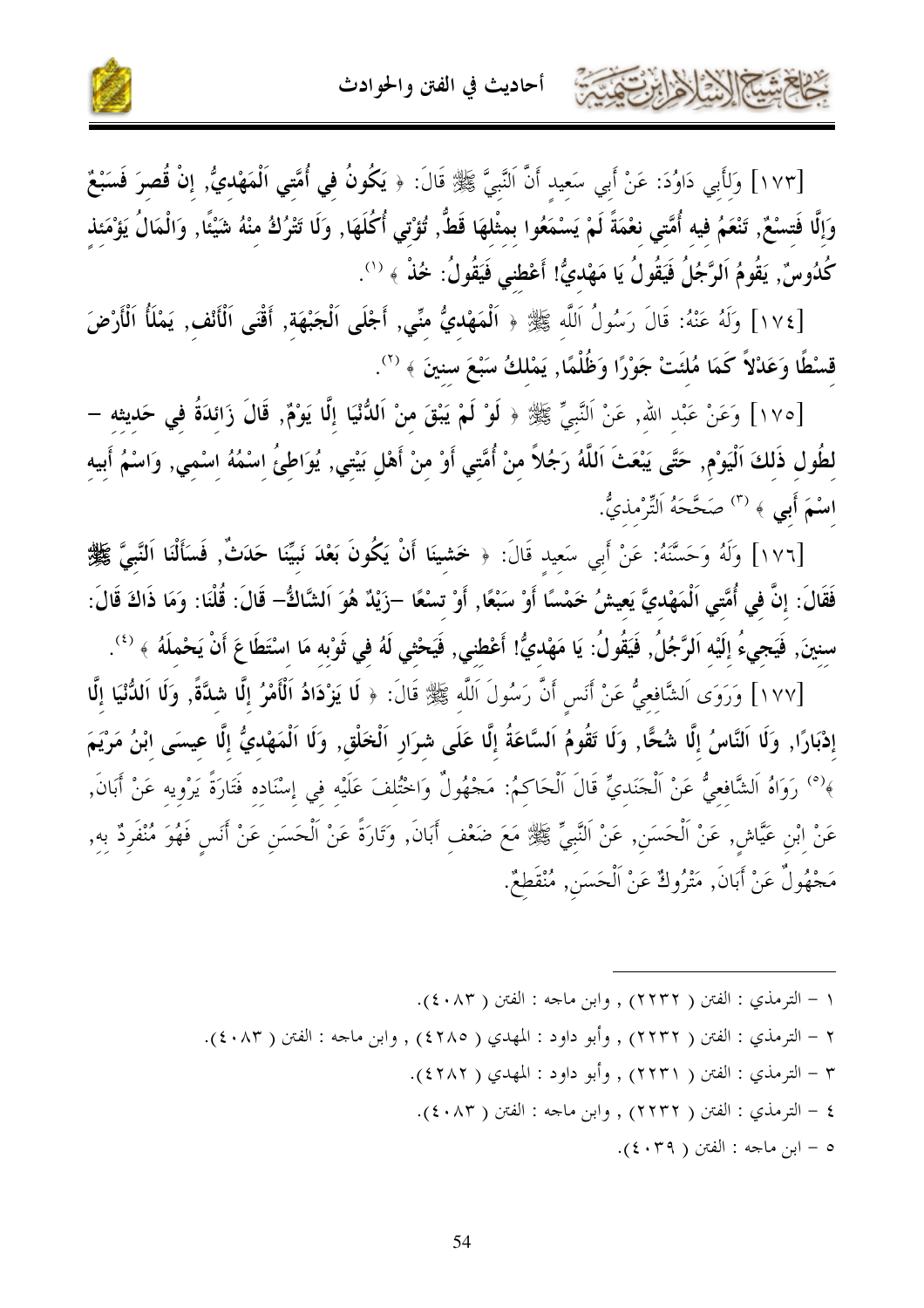

[١٧٣] وَلَأَبِي دَاوُدَ: عَنْ أَبِي سَعِيد أَنَّ النَّبِيَّ ﷺ قَالَ: ﴿ يَكُونُ فِي أُمَّتِي اَلْمَهْديُّ, إنْ قُصرَ فَسَبْعٌ وَإِلَّا فَتسْعٌ, تَنْعَمُ فيه أُمَّتي نعْمَةً لَمْ يَسْمَعُوا بمثْلهَا قَطُّ, تُؤْتي أُكُلَهَا, وَلَا تَتْرُكُ منْهُ شَيْئًا, وَالْمَالُ يَؤْمَنَذ كُدُوسٌ, يَقُومُ اَلرَّجُلُ فَيَقُولُ يَا مَهْديُّ! أَعْطنى فَيَقُولُ: خُذْ ﴾ '''.

[١٧٤] وَلَهُ عَنْهُ: قَالَ رَسُولُ اَللَّه ﷺ ﴿ اَلْمَهْدِيُّ مِنِّي, أَجْلَى اَلْجَبْهَة, أَقْنَى اَلْأَنْف, يَمْلَأُ اَلْأَرْضَ قسْطًا وَعَدْلاً كَمَا مُلئَتْ جَوْرًا وَظُلْمًا, يَمْلكُ سَبْعَ سنينَ ﴾ (٢).

[١٧٥] وَعَنْ عَبْد الله , عَنْ اَلنَّبيِّ ﷺ ﴿ لَوْ لَمْ يَبْقَ منْ اَللُّنْيَا إِلَّا يَوْمٌ, قَالَ زَائدَةُ في حَديثه – لطُول ذَلكَ اَلْيَوْم, حَتَّى يَبْعَثَ اَللَّهُ رَجُلاً منْ أُمَّتِي أَوْ منْ أَهْلِ بَيْتِي, يُوَاطِئُ إِسْمُهُ اسْمِي, وَاسْمُ أَبِيهِ **اسْمَ أَبِي** ﴾ <sup>(٣)</sup> صَحَّحَهُ اَلتِّرْمذيٌّ.

[١٧٦] وَلَهُ وَحَسَّنَهُ: عَنْ أَبِي سَعِيد قَالَ: ﴿ خَشِينَا أَنْ يَكُونَ بَعْدَ نَبِيِّنَا حَدَثٌ, فَسَأَلْنَا اَلنَّبِيَّ ﷺ فَقَالَ: إنَّ في أُمَّتي اَلْمَهْديَّ يَعِيشُ خَمْسًا أَوْ سَبْعًا, أَوْ تسْعًا –زَيْدٌ هُوَ اَلشَّاكُ– قَالَ: قُلْنَا: وَمَا ذَاكَ قَالَ: سنينَ, فَيَجيءُ إلَيْه اَلرَّجُلُ, فَيَقُولُ: يَا مَهْديُّ! أَعْطني, فَيَحْثي لَهُ في ثَوْبه مَا اسْتَطَاعَ أَنْ يَحْملَهُ ﴾ <sup>(٤)</sup>.

[١٧٧] وَرَوَى اَلشَّافِعيُّ عَنْ أَنَسٍ أَنَّ رَسُولَ اَللَّهِ ﷺ قَالَ: ﴿ لَا يَوْدَادُ اَلْأَمْرُ إِلَّا شندَّةً, وَلَا اَللُّنْيَا إِلَّا إدْبَارًا, وَلَا اَلنَّاسُ إِلَّا شُحًّا, وَلَا تَقُومُ اَلسَّاعَةُ إِلَّا عَلَى شرَارٍ اَلْخَلْقِ, وَلَا اَلْمَهْديُّ إِلَّا عيسَى ابْنُ مَرْيَمَ ﴾(°) رَوَاهُ اَلشَّافعيُّ عَنْ اَلْجَنَديِّ قَالَ اَلْحَاكمُ: مَجْهُولٌ وَاخْتُلفَ عَلَيْه في إسْنَاده فَتَارَةً يَرْويه عَنْ أَبَانَ, عَنْ ابْنِ عَيَّاش, عَنْ اَلْحَسَن, عَنْ اَلنَّبيِّ ﷺ مَعَ ضَعْف أَبانَ, وَتَارَةً عَنْ اَلْحَسَنِ عَنْ أَنَس فَهُوَ مُنْفَرِدٌ به, مَجْهُولٌ عَنْ أَبَانَ, مَتْرُوكٌ عَنْ اَلْحَسَن, مُنْقَطعٌ.

- ١ الترمذي : الفتن ( ٢٢٣٢) , وابن ماجه : الفتن ( ٤٠٨٣).
- ٢ الترمذي : الفتن ( ٢٢٣٢) , وأبو داود : المهدي ( ٤٢٨٥) , وابن ماجه : الفتن ( ٤٠٨٣).
	- ٣ الترمذي : الفتن ( ٢٢٣١) , وأبو داود : المهدي ( ٤٢٨٢).
	- ٤ الترمذي : الفتن ( ٢٢٣٢) , وابن ماجه : الفتن ( ٤٠٨٣).
		- $\cdot$  0 ابن ماجه : الفتن ( ٤٠٣٩).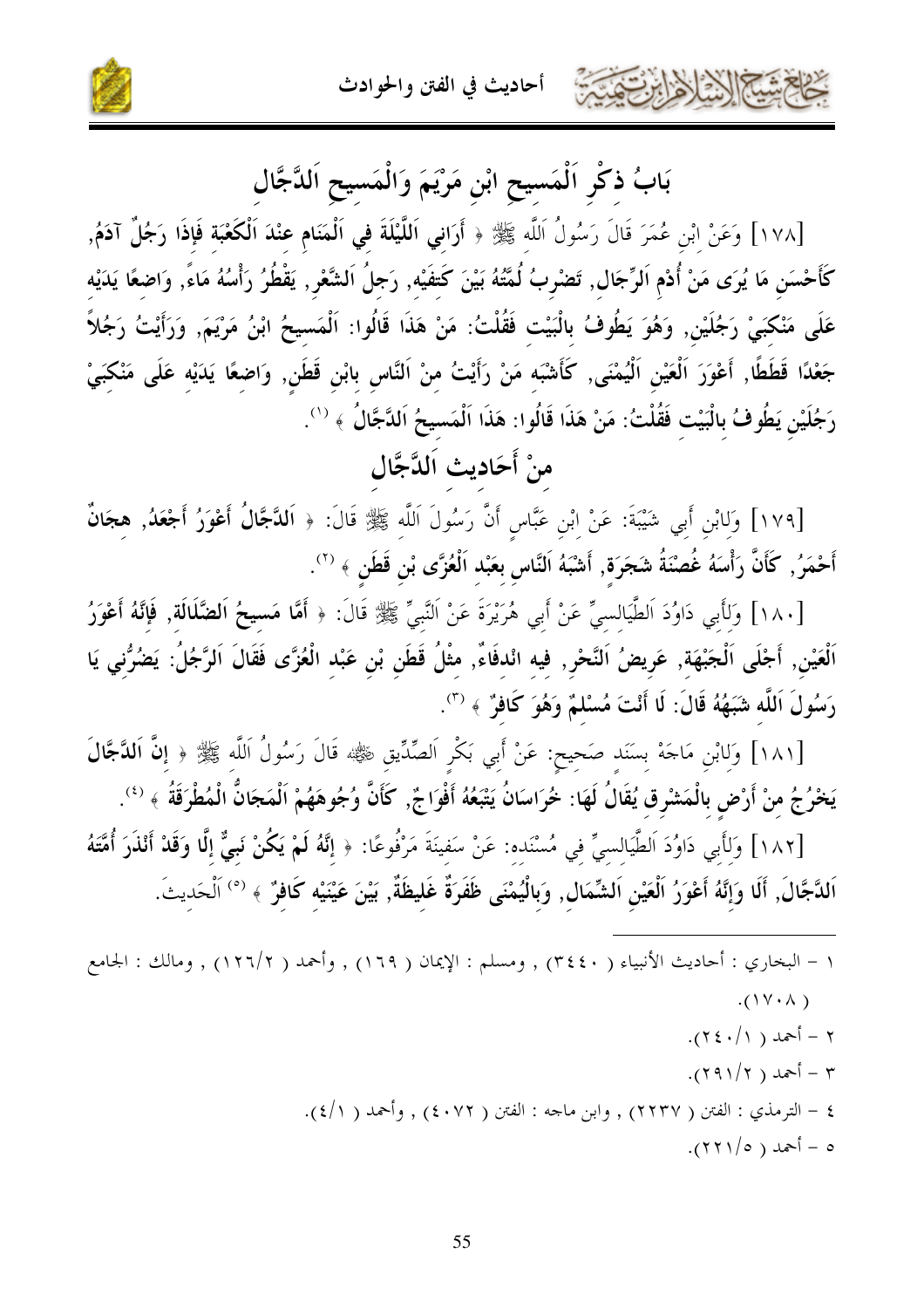أحاديث في الفتن والحوادث



بَابُ ذِكْرِ اَلْمَسِيحِ ابْنِ مَرْيَمَ وَالْمَسِيحِ اَلدَّجَّالِ

كالحشيخ اللاخ للأرابرت

[١٧٨] وَعَنْ ابْنِ عُمَرَ قَالَ رَسُولُ اَللَّهِ ﷺ ﴿ أَرَانِي اَللَّيْلَةَ فِي اَلْمَنَامِ عِنْدَ اَلْكَعْبَة فَإِذَا رَجُلٌ آدَمُ, كَأَحْسَنِ مَا يُرَى مَنْ أُدْم اَلرِّجَال, تَضْرِبُ لُمَّتُهُ بَيْنَ كَتفَيْه, رَجلُ اَلشَّعْر, يَقْطُرُ رَأْسُهُ مَاءً, وَاضعًا يَدَيْه عَلَى مَنْكَبَيْ رَجُلَيْنِ, وَهُوَ يَطُوفُ بِالْبَيْتِ فَقُلْتُ: مَنْ هَذَا قَالُوا: اَلْمَسيحُ ابْنُ مَرْيَمَ, وَرَأَيْتُ رَجُلاً جَعْدًا قَطَطًا, أَعْوَرَ اَلْعَيْنِ اَلْيُمْنَى, كَأَشْبَه مَنْ رَأَيْتُ مِنْ اَلنَّاسِ بِابْنِ قَطَنٍ, وَاضعًا يَدَيْه عَلَى مَنْكَبَيْ رَجُلَيْنِ يَطُوفُ بِالْبَيْتِ فَقُلْتُ: مَنْ هَذَا قَالُوا: هَذَا اَلْمَسيحُ اَلدَّجَّالُ ﴾ (''.

### منْ أَحَاديث اَلدَّجَّال

[١٧٩] وَلِابْنِ أَبِي شَيْبَةَ: عَنْ ابْنِ عَبَّاسٍ أَنَّ رَسُولَ اَللَّهِ ﷺ قَالَ: ﴿ اَللَّجَّالُ أَعْوَرُ أَجْعَدُ, هجَانٌ أَحْمَرُ, كَأَنَّ رَأْسَهُ غُصْنَةُ شَجَرَة, أَشْبَهُ اَلنَّاس بعَبْد اَلْعُزَّى بْن قَطَن ﴾ (''.

[١٨٠] وَلَأَبِي دَاوُدَ اَلطَّيَالسيِّ عَنْ أَبِي هُرَيْرَةَ عَنْ اَلنَّبِيِّ ﷺ قَالَ: ﴿ أَمَّا مَسيحُ اَلضَّلَالَة, فَإِنَّهُ أَعْوَرُ اَلْعَيْنِ, أَجْلَى اَلْجَبْهَة, عَرِيضُ اَلنَّحْرِ, فيه انْدفَاءٌ, مثْلُ قَطَن بْن عَبْد الْعُزَّى فَقَالَ اَلرَّجُلُ: يَضُرُّني يَا رَسُولَ اَللَّه شَبَهُهُ قَالَ: لَا أَنْتَ مُسْلَمٌ وَهُوَ كَافِرٌ ﴾ (٣).

[١٨١] وَلابْنِ مَاجَهْ بِسَنَد صَحيح: عَنْ أَبِي بَكْرِ اَلصِّدِّيقِ رَضِّيُّهُه قَالَ رَسُولُ اَللَّه ﷺ ﴿ إِنَّ اللَّجَّالَ يَحْرُجُ مِنْ أَرْضِ بِالْمَشْرِقِ يُقَالُ لَهَا: خُرَاسَانُ يَتْبَعُهُ أَفْوَاجٌ, كَأَنَّ وُجُوهَهُمْ اَلْمَجَانُّ الْمُطْرَقَةُ ﴾ <sup>(٤)</sup>.

[١٨٢] وَلَأَبِي دَاوُدَ اَلطَّيَالسيِّ في مُسْنَده: عَنْ سَفينَةَ مَرْفُوعًا: ﴿ إِنَّهُ لَمْ يَكُنْ نَبيٌّ إلَّا وَقَدْ أَنْذَرَ أُمَّتَهُ اَلدَّجَّالَ, أَلَا وَإِنَّهُ أَعْوَرُ اَلْعَيْنِ اَلشِّمَال, وَبِالْيُمْنَى ظَفَرَةٌ غَليظَةٌ, بَيْنَ عَيْنَيْه كَافِرٌ ﴾ <sup>(٥)</sup> اَلْحَديتَ.

| ١ – البخاري : أحاديث الأنبياء ( ٣٤٤٠) , ومسلم : الإيمان ( ١٦٩) , وأحمد ( ١٢٦/٢) , ومالك : الجامع |                                          |
|--------------------------------------------------------------------------------------------------|------------------------------------------|
|                                                                                                  | $( \wedge \vee \vee \wedge ).$           |
|                                                                                                  | $\gamma = i\epsilon \omega$ ( $\pi/3$ ). |
|                                                                                                  | $\gamma - i\epsilon$ ( ۲ / ۲۹۱).         |
| ٤ – الترمذي : الفتن ( ٢٢٣٧) , وابن ماحه : الفتن ( ٤٠٧٢) , وأحمد ( ٤/١).                          |                                          |
|                                                                                                  | ه – أحمد ( ۲۲۱/۰).                       |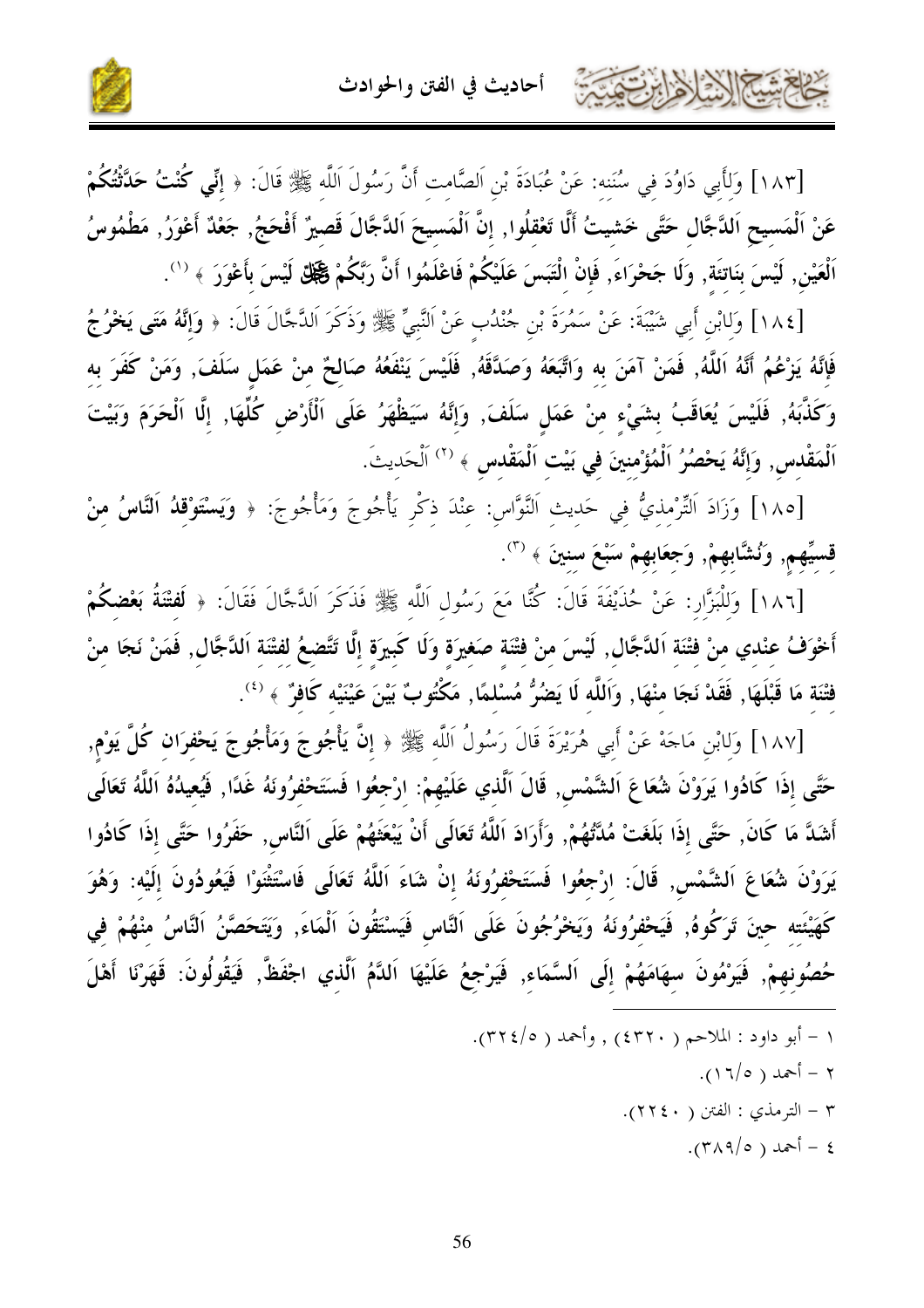

[١٨٣] وَلأَبي دَاوُدَ في سُنَنه: عَنْ عُبَادَةَ بْنِ اَلصَّامت أَنَّ رَسُولَ اَللَّه ﷺ قَالَ: ﴿ إِنِّي كُنْتُ حَلَّتْتُكُمْ عَنْ اَلْمَسيحِ اَلدَّجَّال حَتَّى خَشيتُ أَلَّا تَعْقلُوا, إنَّ اَلْمَسيحَ اَلدَّجَّالَ قَصيرٌ أَفْحَجُ, جَعْدٌ أَعْوَرُ, مَطْمُوسُ اَلْعَيْنِ, لَيْسَ بنَاتنَة, وَلَا جَحْرَاءَ, فَإِنْ الْتَبَسَ عَلَيْكُمْ فَاعْلَمُوا أَنَّ رَبَّكُمْ گَيْلَ لَيْسَ بأَعْوَرَ ﴾ '''.

[١٨٤] وَلِابْنِ أَبِي شَيْبَةَ: عَنْ سَمُرَةَ بْنِ جُنْدُبٍ عَنْ اَلنَّبِيِّ ﷺ وَذَكَرَ اَلدَّجَّالَ قَالَ: ﴿ وَإِنَّهُ مَتَى يَخْرُجُ فَإِنَّهُ يَزْعُمُ أَنَّهُ اَللَّهُ, فَمَنْ آمَنَ به وَاتَّبَعَهُ وَصَدَّقَهُ, فَلَيْسَ يَنْفَعُهُ صَالحٌ منْ عَمَل سَلَفَ, وَمَنْ كَفَرَ به وَكَذَّبَهُ, فَلَيْسَ يُعَاقَبُ بشَيْء منْ عَمَلٍ سَلَفَ, وَإِنَّهُ سَيَظْهَرُ عَلَى اَلْأَرْضِ كُلِّهَا, إلَّا اَلْحَرَمَ وَبَيْتَ اَلْمَقْدس, وَإِنَّهُ يَحْصُرُ اَلْمُؤْمنينَ في بَيْت اَلْمَقْدس ﴾ (`' اَلْحَديتَ.

[١٨٥] وَزَادَ اَلتِّرْمِذِيٌّ فِي حَدِيثِ اَلنَّوَّاسِ: عِنْدَ ذِكْرٍ يَأْجُوجَ وَمَأْجُوجَ: ﴿ وَيَسْتَوْقْدُ اَلنَّاسُ مِنْ قِسِيِّهِم, وَنُشَّابِهِمْ, وَجَعَابِهِمْ سَبْعَ سنينَ ﴾ (").

[١٨٦] وَللْبَزَّارِ: عَنْ حُذَيْفَةَ قَالَ: كُنَّا مَعَ رَسُول اَللَّه ﷺ فَذَكَرَ اَلدَّجَّالَ فَقَالَ: ﴿ لَفْتُنَةُ بَعْضكُمْ أَخْوَفُ عنْدي منْ فْتْنَة اَلدَّجَّال, لَيْسَ منْ فْتْنَة صَغيرَة وَلَا كَبيرَة إلَّا تَتَّضعُ لفتْنَة اَلدَّجَّال, فَمَنْ نَجَا منْ فتْنَة مَا قَبْلَهَا, فَقَدْ نَجَا منْهَا, وَاَللَّه لَا يَضُرُّ مُسْلمًا, مَكْتُوبٌ بَيْنَ عَيْنَيْه كَافرٌ ﴾ (<sup>٤</sup>).

[١٨٧] وَلابْن مَاحَهْ عَنْ أَبِي هُرَيْرَةَ قَالَ رَسُولُ اَللَّه ﷺ ﴿ إِنَّ يَأْجُوجَ وَمَأْجُوجَ يَحْفرَان كُلَّ يَوْم, حَتَّى إذَا كَادُوا يَرَوْنَ شُعَاعَ اَلشَّمْس, قَالَ اَلَّذي عَلَيْهِمْ: ارْجعُوا فَسَتَحْفرُونَهُ غَدًا, فَيُعيدُهُ اَللَّهُ تَعَالَى أَشَدَّ مَا كَانَ, حَتَّى إذَا بَلَغَتْ مُدَّتُهُمْ, وَأَرَادَ اَللَّهُ تَعَالَى أَنْ يَبْعَثَهُمْ عَلَى اَلنَّاس, حَفَرُوا حَتَّى إذَا كَادُوا يَرَوْنَ شُعَاعَ اَلشَّمْس, قَالَ: ارْجعُوا فَسَتَحْفرُونَهُ إنْ شَاءَ اَللَّهُ تَعَالَى فَاسْتَتْنَوْا فَيَعُودُونَ إلَيْه: وَهُوَ كَهَيْئَته حينَ تَرَكُوهُ, فَيَحْفرُونَهُ وَيَخْرُجُونَ عَلَى اَلنَّاس فَيَسْتَقُونَ اَلْمَاءَ, وَيَتَحَصَّنُ اَلنَّاسُ منْهُمْ في حُصُونهمْ, فَيَرْمُونَ سهَامَهُمْ إِلَى اَلسَّمَاء, فَيَرْجِعُ عَلَيْهَا اَللَّمُ اَلَّذي اجْفَظَّ, فَيَقُولُونَ: قَهَرْنَا أَهْلَ

> ١ – أبو داود : الملاحم ( ٤٣٢٠) , وأحمد ( ٣٢٤/٥).  $\mathcal{N} = \mathcal{N}(\mathfrak{c} \setminus \mathfrak{r} \setminus \mathfrak{c}).$ ٣ – الترمذي : الفتن ( ٢٢٤٠).  $(7\wedge9/0)$  )  $\wedge5\overline{1}$  - 3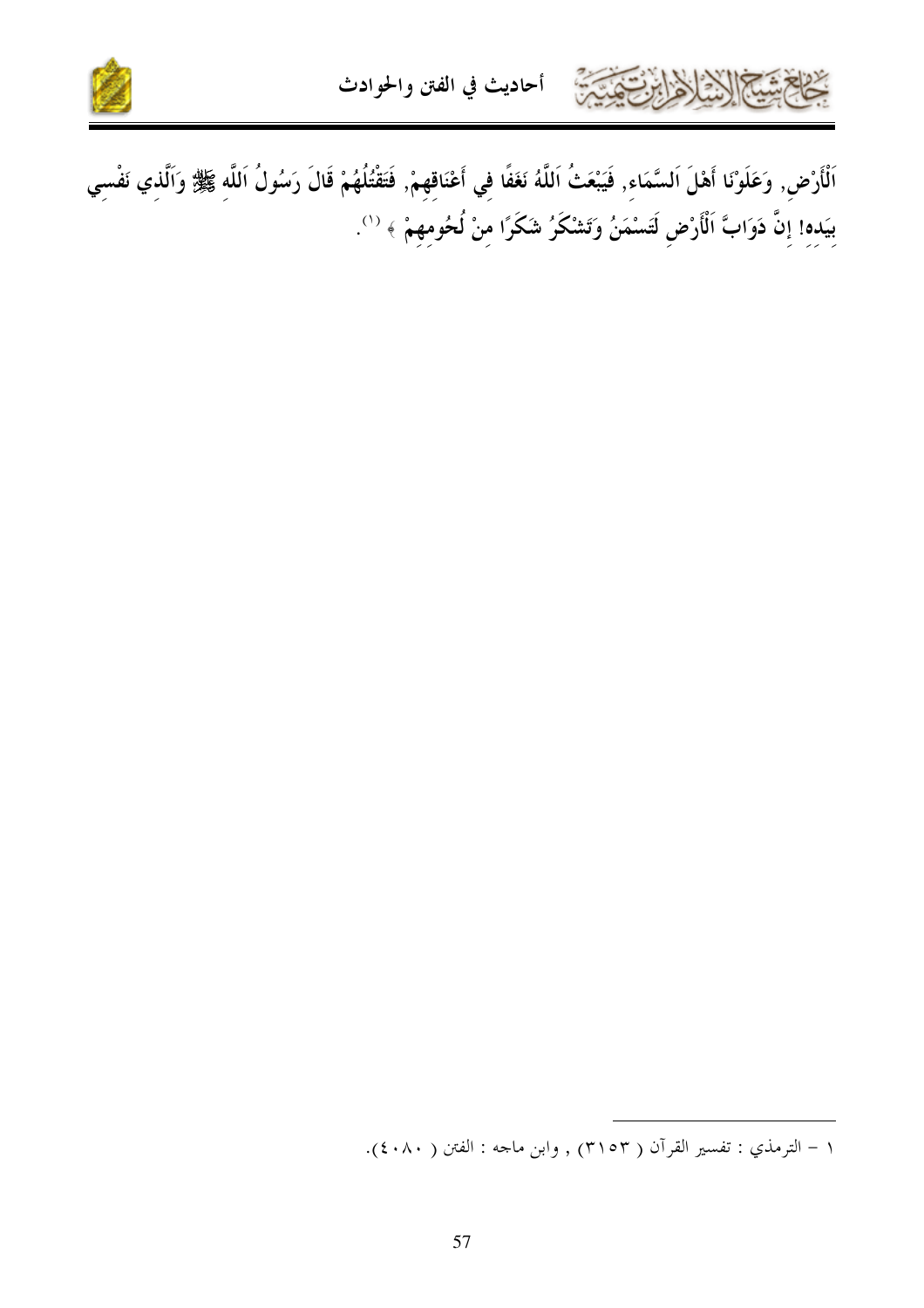

كحاحمتيه الاثلاه ابرتقيته



اَلْأَرْضِ, وَعَلَوْنَا أَهْلَ اَلسَّمَاءِ, فَيَبْعَثُ اَللَّهُ نَغَفًا فِي أَعْنَاقِهِمْ, فَتَقْتُلُهُمْ قَالَ رَسُولُ اَللَّهِ ﷺ وَاَلَّذِي نَفْسِي بِيَدِهِ! إِنَّ دَوَابٌ اَلْأَرْضِ لَتَسْمَنُ وَتَشْكَرُ شَكَرًا مِنْ لُحُومِهِمْ ﴾ (''.

١ – الترمذي : تفسير القرآن ( ٣١٥٣) , وابن ماجه : الفتن ( ٤٠٨٠).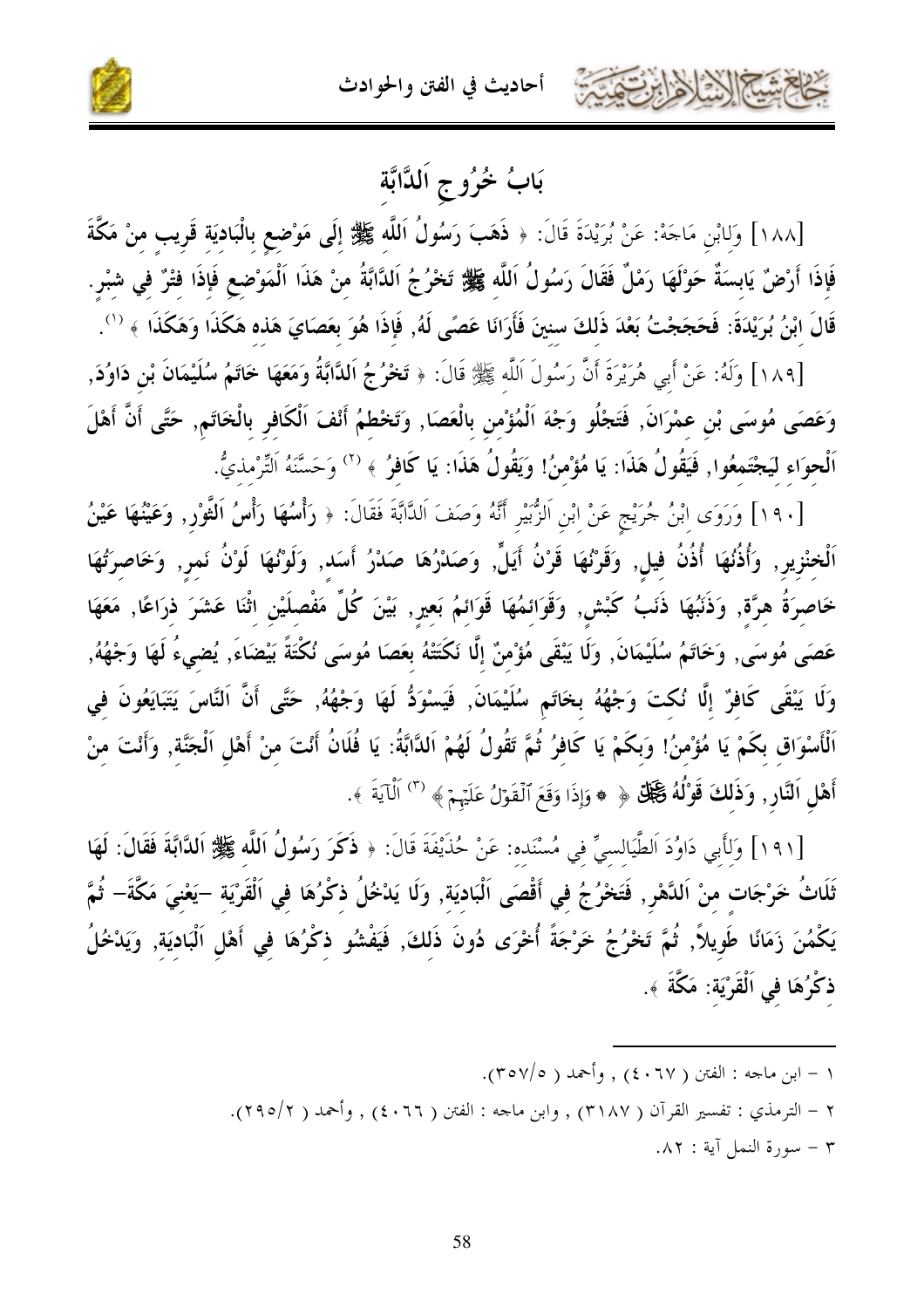

### بَابُ خُرُوجِ اَللَّابَّةِ

[١٨٨] وَلابْنِ مَاجَهْ: عَنْ بُرَيْدَةَ قَالَ: ﴿ فَهَبَ رَسُولُ اَللَّه ﷺ إِلَى مَوْضِعٍ بِالْبَادِيَة قَريب منْ مَكَّةَ فَإِذَا أَرْضٌ يَابسَةٌ حَوْلَهَا رَمْلٌ فَقَالَ رَسُولُ اَللَّه ﷺ تَخْرُجُ اَلدَّابَّةُ منْ هَذَا اَلْمَوْضع فَإذَا فتْرٌ في شبْر . قَالَ ابْنُ بُرَيْدَةَ: فَحَجَجْتُ بَعْدَ ذَلكَ سنينَ فَأَرَانَا عَصَى لَهُ, فَإِذَا هُوَ بعَصَايَ هَذه هَكَذَا وَهَكَذَا ﴾ (''.

[١٨٩] وَلَهُ: عَنْ أَبِي هُرَيْرَةَ أَنَّ رَسُولَ اَللَّه ﷺ قَالَ: ﴿ تَخْرُجُ اَللَّالَّةُ وَمَعَهَا خَاتَمُ سُلَيْمَانَ بْنِ دَاوُدَ, وَعَصَى مُوسَى بْنِ عمْرَانَ, فَتَجْلُو وَجْهَ اَلْمُؤْمن بِالْعَصَا, وَتَخْطِمُ أَنْفَ اَلْكَافِر بِالْخَاتَم, حَتَّى أَنَّ أَهْلَ اَلْحوَاء ليَجْتَمعُوا, فَيَقُولُ هَذَا: يَا مُؤْمنُ! وَيَقُولُ هَذَا: يَا كَافِرُ ﴾ <sup>(٢)</sup> وَحَسَّنَهُ التِّرْمذيُّ.

[١٩٠] وَرَوَى ابْنُ جُرَيْجٍ عَنْ ابْنِ اَلزُّبَيْرِ أَنَّهُ وَصَفَ اَلدَّابَّةَ فَقَالَ: ﴿ رَأْسُهَا رَأْسُ اَلثَّوْرِ, وَعَيْنُهَا عَيْنُ اَلْخنْزير , وَأُذُنُهَا أُذُنُ فيل, وَقَرْنُهَا قَرْنُ أَيَلٍّ, وَصَدْرُهَا صَدْرُ أَسَد, وَلَوْنُهَا لَوْنُ نَمر, وَخَاصرَتُهَا خَاصِرَةُ هِرَّةٍ, وَذَنَبُهَا ذَنَبُ كَبْشٍ, وَقَوَائمُهَا قَوَائمُ بَعيرٍ, بَيْنَ كُلٍّ مَفْصلَيْن اثْنَا عَشَرَ ذرَاعًا, مَعَهَا عَصَى مُوسَى, وَخَاتَمُ سُلَيْمَانَ, وَلَا يَبْقَى مُؤْمنٌ إلَّا نَكَتَتْهُ بعَصَا مُوسَى نُكْتَةً بَيْضَاءَ, يُضيءُ لَهَا وَجْهُهُ, وَلَا يَبْقَى كَافِرٌ إِلَّا نُكِتَ وَجْهُهُ بِخَاتَمِ سُلَيْمَانَ, فَيَسْوَدُّ لَهَا وَجْهُهُ, حَتَّى أَنَّ اَلنَّاسَ يَتَبَايَعُونَ في اَلْأَسْوَاق بكَمْ يَا مُؤْمنُ! وَبكَمْ يَا كَافرُ ثُمَّ تَقُولُ لَهُمْ اَلدَّابَّةُ: يَا فُلَانُ أَنْتَ منْ أَهْل اَلْجَنَّة, وَأَنْتَ منْ أَهْلِ النَّارِ, وَذَلكَ قَوْلُهُ كَيْلَ ﴿ \* وَإِذَا وَقَعَ ٱلْقَوۡلُ عَلَيۡهِمۡ ﴾ (") اَلْآيَةَ ﴾.

[١٩١] وَلَأَبِي دَاوُدَ اَلطَّيَالِسيٍّ في مُسْنَده: عَنْ حُذَيْفَةَ قَالَ: ﴿ فَكَرَ رَسُولُ اَللَّه ﷺ اَلدَّابَّةَ فَقَالَ: لَهَا ثَلَاتُ خَرْجَات منْ اَلدَّهْرِ, فَتَخْرُجُ في أَقْصَى اَلْبَاديَة, وَلَا يَدْخُلُ ذكْرُهَا في اَلْقَرْيَة –يَعْنيَ مَكَّةَ– ثُمَّ يَكْمُنَ زَمَانًا طَوِيلاً, ثُمَّ تَخْرُجُ خَرْجَةً أُخْرَى دُونَ ذَلكَ, فَيَفْشُو ذكْرُهَا في أَهْل اَلْبَاديَة, وَيَدْخُلُ ذكْرُهَا في اَلْقَرْيَة: مَكَّةَ ﴾.

> ١ – ابن ماجه : الفتن ( ٤٠٦٧) , وأحمد ( ٣٥٧/٥). ٢ – الترمذي : تفسير القرآن ( ٣١٨٧) , وابن ماجه : الفتن ( ٤٠٦٦) , وأحمد ( ٢٩٥/٢).  $\Lambda$ ٢ - سورة النمل آية : ٨٢.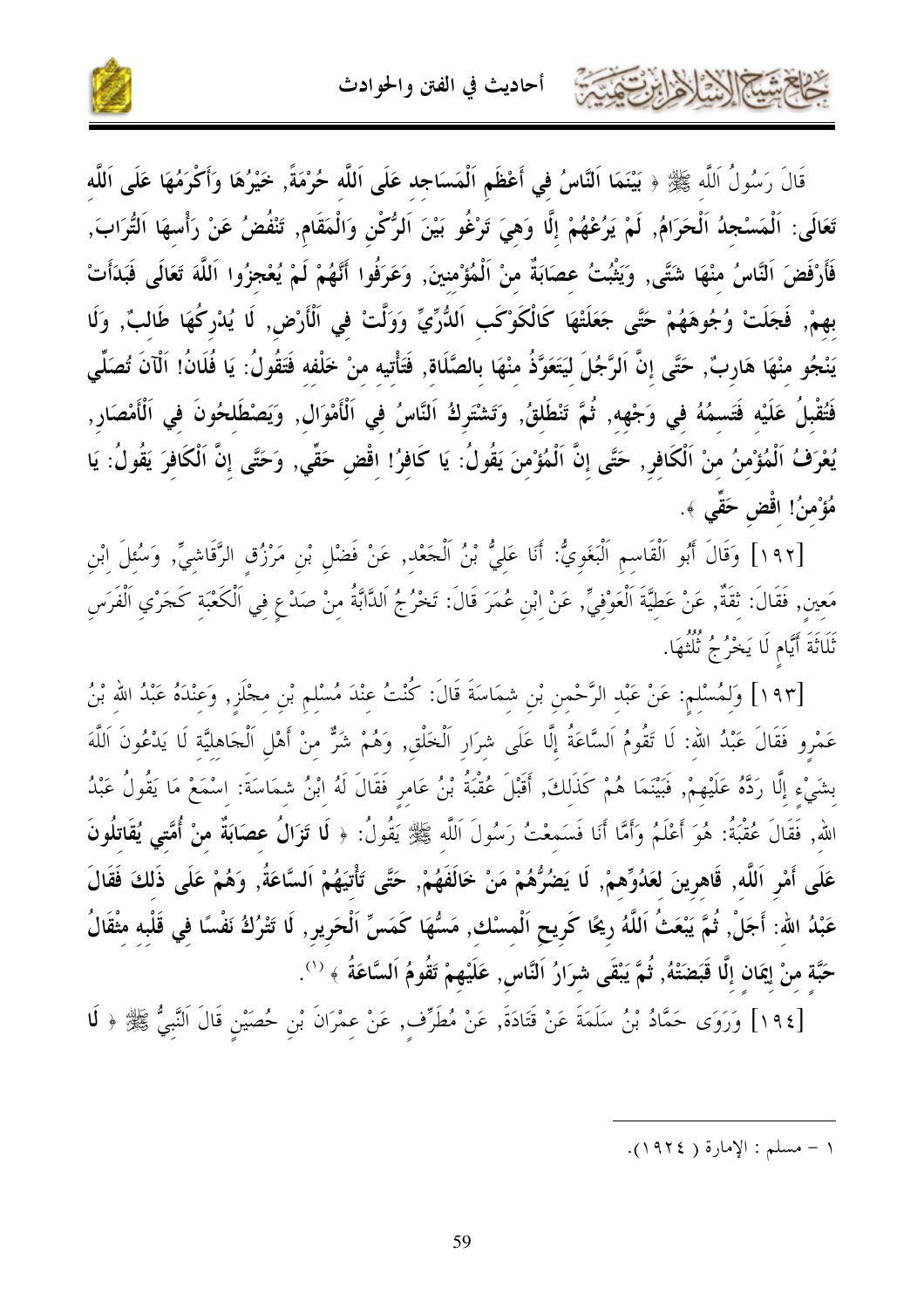

قَالَ رَسُولُ اَللَّه ﷺ ﴿ بَيْنَمَا اَلنَّاسُ فِي أَعْظَمِ اَلْمَسَاجِد عَلَى اَللَّه حُرْمَةً, خَيْرُهَا وَأَكْرَمُهَا عَلَى اَللَّه تَعَالَى: اَلْمَسْجِدُ اَلْحَرَامُ, لَمْ يَرُعْهُمْ إِلَّا وَهِيَ تَرْغُو بَيْنَ اَلرُّكْنِ وَالْمَقَامِ, تَنْفُضُ عَنْ رَأْسهَا اَلتُّرَابَ, فَأَرْفَضَ النَّاسُ منْهَا شَتَّى, وَيَثْبُتُ عصَابَةٌ منْ اَلْمُؤْمنينَ, وَعَرَفُوا أَنَّهُمْ لَمْ يُعْجزُوا اَللَّهَ تَعَالَى فَبَدَأَتْ بهمْ, فَجَلَتْ وُجُوهَهُمْ حَتَّى جَعَلَتْهَا كَالْكَوْكَبِ اَللُّوِّيِّ وَوَلَّتْ فِي اَلْأَرْضِ, لَا يُدْركُهَا طَالبٌ, وَلَا يَنْجُو مِنْهَا هَارِبٌ, حَتَّى إِنَّ اَلرَّجُلَ لِيَتَعَوَّذُ منْهَا بالصَّلَاة, فَتَأْتيه منْ خَلْفه فَتَقُولُ: يَا فُلَانُ! اَلْآنَ تُصَلِّي فَتُقْبِلُ عَلَيْه فَتَسمُهُ في وَجْهِه, ثُمَّ تَنْطَلقُ, وَتَشْتَركُ اَلنَّاسُ في اَلْأَمْوَال, وَيَصْطَلحُونَ في اَلْأَمْصَار, يُعْرَفُ اَلْمُؤْمِنُ مِنْ اَلْكَافِرِ, حَتَّى إِنَّ اَلْمُؤْمِنَ يَقُولُ: يَا كَافِرُ! اِقْضِ حَقِّي, وَحَتَّى إِنَّ اَلْكَافِرَ يَقُولُ: يَا مُؤْمنُ! اقْض حَقِّي ﴾.

[١٩٢] وَقَالَ أَبُو اَلْقَاسِمِ اَلْبَغَوِيُّ: أَنَا عَلِيُّ بْنُ اَلْحَعْدِ, عَنْ فَضْلِ بْنِ مَرْزُقِ الرَّقَاشِيِّ, وَسُئِلَ ابْنِ مَعين, فَقَالَ: ثِقَةٌ, عَنْ عَطِيَّةَ اَلْعَوْفِيِّ, عَنْ ابْنِ عُمَرَ قَالَ: تَخْرُجُ اَلدَّابَّةُ مِنْ صَدْعٍ فِي اَلْكَعْبَةِ كَجَرْي اَلْفَرَسِ ثَلَاثَةَ أَيَّامٍ لَا يَخْرُجُ ثُلْثُهَا.

[١٩٣] وَلمُسْلم: عَنْ عَبْدِ الرَّحْمِنِ بْنِ شِمَاسَةَ قَالَ: كُنْتُ عِنْدَ مُسْلِمٍ بْنِ مِجْلَزٍ, وَعِنْدَهُ عَبْدُ الله بْنُ عَمْرو فَقَالَ عَبْدُ الله: لَا تَقُومُ اَلسَّاعَةُ إِلَّا عَلَى شرَارِ اَلْخَلْقِ, وَهُمْ شَرٌّ مِنْ أَهْلِ اَلْحَاهِلِيَّةِ لَا يَدْعُونَ اَللَّهَ بشَيْء إلَّا رَدَّهُ عَلَيْهِمْ, فَبَيْنَمَا هُمْ كَذَلكَ, أَقَبْلَ عُقْبَةُ بْنُ عَامر فَقَالَ لَهُ ابْنُ شمَاسَةَ: اسْمَعْ مَا يَقُولُ عَبْدُ الله, فَقَالَ عُقْبَةُ: هُوَ أَعْلَمُ وَأَمَّا أَنَا فَسَمعْتُ رَسُولَ اَللَّه ﷺ يَقُولُ: ﴿ لَا تَزَالُ عصَابَةٌ مِنْ أُمَّتِي يُقَاتِلُونَ عَلَى أَمْرِ اَللَّه, قَاهرينَ لعَدُوِّهمْ, لَا يَضُرُّهُمْ مَنْ خَالَفَهُمْ, حَتَّى تَأْتِيَهُمْ اَلسَّاعَةُ, وَهُمْ عَلَى ذَلكَ فَقَالَ عَبْدُ الله: أَجَلْ, ثُمَّ يَبْعَثُ اَللَّهُ ربحًا كَريح اَلْمسْك, مَسُّهَا كَمَسِّ اَلْحَرير, لَا تَتْرُكُ نَفْسًا في قَلْبه مثْقَالُ حَبَّة منْ إِيمَان إلَّا قَبَضَتْهُ, ثُمَّ يَبْقَى شرَارُ اَلنَّاس, عَلَيْهِمْ تَقُومُ اَلسَّاعَةُ ﴾ <sup>(١</sup>).

[١٩٤] وَرَوَى حَمَّادُ بْنُ سَلَمَةَ عَنْ قَتَادَةَ, عَنْ مُطَرِّف, عَنْ عمْرَانَ بْن حُصَيْنِ قَالَ النَّبيُّ ﷺ ﴿ لَا

١ - مسلم : الإمارة ( ١٩٢٤).

شكالاخ لأوابرت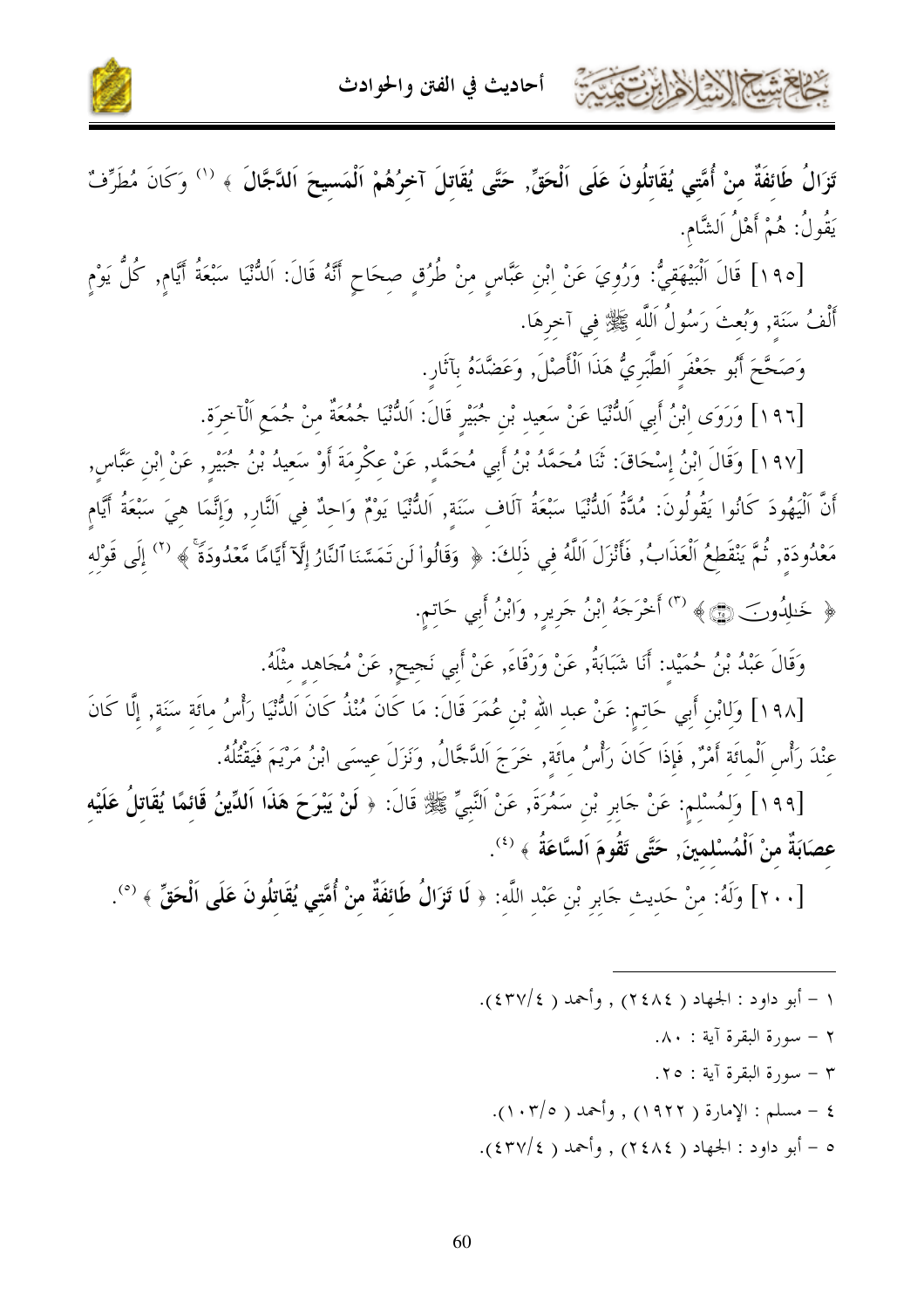

تَزَالُ طَائفَةٌ منْ أُمَّتي يُقَاتلُونَ عَلَى اَلْحَقِّ, حَتَّى يُقَاتِلَ آخِرُهُمْ اَلْمَسِيحَ اَللَّجَّالَ ﴾ <sup>(١)</sup> وَكَانَ مُطَرِّفٌ يَقُولُ: هُمْ أَهْلُ اَلشَّام.

[١٩٥] قَالَ اَلْبَيْهَقِيُّ: وَرُوِيَ عَنْ ابْنِ عَبَّاسٍ مِنْ طُرُقٍ صِحَاحٍ أَنَّهُ قَالَ: اَللُّنْيَا سَبْعَةُ أَيَّامٍ, كُلُّ يَوْمِ أَلْفُ سَنَة, وَبُعثَ رَسُولُ اَللَّه ﷺ في آخرهَا.

وَصَحَّحَ أَبُو حَعْفَرِ اَلطَّبَرِيُّ هَذَا اَلْأَصْلَ, وَعَضَّدَهُ بآثَار.

شكالا الألايت

[١٩٦] وَرَوَى ابْنُ أَبِي اَلدُّنْيَا عَنْ سَعِيدِ بْنِ جُبَيْرِ قَالَ: اَلدُّنْيَا جُمُعَةٌ مِنْ جُمَع اَلْآخِرَةِ.

[١٩٧] وَقَالَ ابْنُ إِسْحَاقَ: ثَنَا مُحَمَّدُ بْنُ أَبِي مُحَمَّدٍ, عَنْ عِكْرِمَةَ أَوْ سَعِيدُ بْنُ جُبَيْر, عَنْ ابْنِ عَبَّاسٍ, أَنَّ الْيَهُودَ كَانُوا يَقُولُونَ: مُدَّةُ اَلدُّنْيَا سَبْعَةُ آلَافٍ سَنَةٍ, اَلدُّنْيَا يَوْمٌ وَاحِدٌ فِي اَلنَّارِ, وَإِنَّمَا هِيَ سَبْعَةُ أَيَّامِ مَعْدُودَة, ثُمَّ يَنْقَطِعُ اَلْعَذَابُ, فَأَنْزَلَ اَللَّهُ فِي ذَلِكَ: ﴿ وَقَالُواْ لَن تَمَسَّنَا ٱلنَّارُ إِلَّآ أَيَّامًا مَّعْدُودَةً ﴾ (`') إِلَى قَوْلِهِ ﴿ خَـٰلِدُونَ ۞﴾ (") أَخْرَجَهُ ابْنُ جَرِيرِ, وَابْنُ أَبِي حَاتِمٍ.

وَقَالَ عَبْدُ بْنُ حُمَيْد: أَنَا شَبَابَةُ, عَنْ وَرْقَاءَ, عَنْ أَبِي نَجيح, عَنْ مُجَاهد مثْلَهُ.

[١٩٨] وَلِابْنِ أَبِي حَاتِمٍ: عَنْ عبدِ الله بْنِ عُمَرَ قَالَ: مَا كَانَ مُنْذُ كَانَ اَلدُّنْيَا رَأْسُ مائة سَنَة, إلَّا كَانَ عِنْدَ رَأْسِ اَلْمِائَةِ أَمْرٌ, فَإِذَا كَانَ رَأْسُ مائَة, خَرَجَ اَلدَّجَّالُ, وَنَزَلَ عيسَى ابْنُ مَرْيَمَ فَيَقْتُلُهُ.

[١٩٩] وَلِمُسْلِمٍ: عَنْ حَابِرِ بْنِ سَمُرَةَ, عَنْ اَلنَّبِيِّ ﷺ قَالَ: ﴿ لَنْ يَبْرَحَ هَذَا اَللَّينُ قَائِمًا يُقَاتِلُ عَلَيْهِ عصَابَةٌ منْ اَلْمُسْلمينَ, حَتَّى تَقُومَ اَلسَّاعَةُ ﴾  $^{(3)}$ .

[٢٠٠] وَلَهُ: مِنْ حَدِيثِ حَابِرِ بْنِ عَبْدِ اللَّهِ: ﴿ لَا تَزَالُ طَائِفَةٌ مِنْ أُمَّتِي يُقَاتلُونَ عَلَى اَلْحَقِّ ﴾ <sup>(٥</sup>).

١ – أبو داود : الجهاد ( ٢٤٨٤) , وأحمد ( ٤٣٧/٤). ٢ - سورة البقرة آية : ٨٠. ٣ – سورة البقرة آية : ٢٥. ٤ – مسلم : الإمارة ( ١٩٢٢) , وأحمد ( ١٠٣/٥). ٥ - أبو داود : الجهاد ( ٢٤٨٤) , وأحمد ( ٤٣٧/٤).